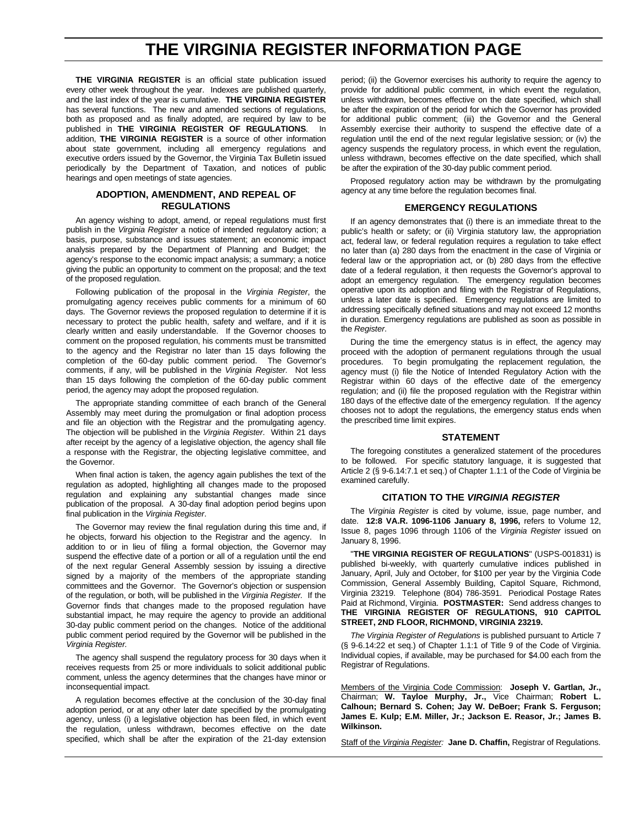## **THE VIRGINIA REGISTER INFORMATION PAGE**

**THE VIRGINIA REGISTER** is an official state publication issued every other week throughout the year. Indexes are published quarterly, and the last index of the year is cumulative. **THE VIRGINIA REGISTER** has several functions. The new and amended sections of regulations, both as proposed and as finally adopted, are required by law to be published in **THE VIRGINIA REGISTER OF REGULATIONS**. In addition, **THE VIRGINIA REGISTER** is a source of other information about state government, including all emergency regulations and executive orders issued by the Governor, the Virginia Tax Bulletin issued periodically by the Department of Taxation, and notices of public hearings and open meetings of state agencies.

#### **ADOPTION, AMENDMENT, AND REPEAL OF REGULATIONS**

An agency wishing to adopt, amend, or repeal regulations must first publish in the *Virginia Register* a notice of intended regulatory action; a basis, purpose, substance and issues statement; an economic impact analysis prepared by the Department of Planning and Budget; the agency's response to the economic impact analysis; a summary; a notice giving the public an opportunity to comment on the proposal; and the text of the proposed regulation.

Following publication of the proposal in the *Virginia Register*, the promulgating agency receives public comments for a minimum of 60 days. The Governor reviews the proposed regulation to determine if it is necessary to protect the public health, safety and welfare, and if it is clearly written and easily understandable. If the Governor chooses to comment on the proposed regulation, his comments must be transmitted to the agency and the Registrar no later than 15 days following the completion of the 60-day public comment period. The Governor's comments, if any, will be published in the *Virginia Register.* Not less than 15 days following the completion of the 60-day public comment period, the agency may adopt the proposed regulation.

The appropriate standing committee of each branch of the General Assembly may meet during the promulgation or final adoption process and file an objection with the Registrar and the promulgating agency. The objection will be published in the *Virginia Register*. Within 21 days after receipt by the agency of a legislative objection, the agency shall file a response with the Registrar, the objecting legislative committee, and the Governor.

When final action is taken, the agency again publishes the text of the regulation as adopted, highlighting all changes made to the proposed regulation and explaining any substantial changes made since publication of the proposal. A 30-day final adoption period begins upon final publication in the *Virginia Register*.

The Governor may review the final regulation during this time and, if he objects, forward his objection to the Registrar and the agency. In addition to or in lieu of filing a formal objection, the Governor may suspend the effective date of a portion or all of a regulation until the end of the next regular General Assembly session by issuing a directive signed by a majority of the members of the appropriate standing committees and the Governor. The Governor's objection or suspension of the regulation, or both, will be published in the *Virginia Register.* If the Governor finds that changes made to the proposed regulation have substantial impact, he may require the agency to provide an additional 30-day public comment period on the changes. Notice of the additional public comment period required by the Governor will be published in the *Virginia Register.*

The agency shall suspend the regulatory process for 30 days when it receives requests from 25 or more individuals to solicit additional public comment, unless the agency determines that the changes have minor or inconsequential impact.

A regulation becomes effective at the conclusion of the 30-day final adoption period, or at any other later date specified by the promulgating agency, unless (i) a legislative objection has been filed, in which event the regulation, unless withdrawn, becomes effective on the date specified, which shall be after the expiration of the 21-day extension

period; (ii) the Governor exercises his authority to require the agency to provide for additional public comment, in which event the regulation, unless withdrawn, becomes effective on the date specified, which shall be after the expiration of the period for which the Governor has provided for additional public comment; (iii) the Governor and the General Assembly exercise their authority to suspend the effective date of a regulation until the end of the next regular legislative session; or (iv) the agency suspends the regulatory process, in which event the regulation, unless withdrawn, becomes effective on the date specified, which shall be after the expiration of the 30-day public comment period.

Proposed regulatory action may be withdrawn by the promulgating agency at any time before the regulation becomes final.

#### **EMERGENCY REGULATIONS**

If an agency demonstrates that (i) there is an immediate threat to the public's health or safety; or (ii) Virginia statutory law, the appropriation act, federal law, or federal regulation requires a regulation to take effect no later than (a) 280 days from the enactment in the case of Virginia or federal law or the appropriation act, or (b) 280 days from the effective date of a federal regulation, it then requests the Governor's approval to adopt an emergency regulation. The emergency regulation becomes operative upon its adoption and filing with the Registrar of Regulations, unless a later date is specified. Emergency regulations are limited to addressing specifically defined situations and may not exceed 12 months in duration. Emergency regulations are published as soon as possible in the *Register*.

During the time the emergency status is in effect, the agency may proceed with the adoption of permanent regulations through the usual procedures. To begin promulgating the replacement regulation, the agency must (i) file the Notice of Intended Regulatory Action with the Registrar within 60 days of the effective date of the emergency regulation; and (ii) file the proposed regulation with the Registrar within 180 days of the effective date of the emergency regulation. If the agency chooses not to adopt the regulations, the emergency status ends when the prescribed time limit expires.

#### **STATEMENT**

The foregoing constitutes a generalized statement of the procedures to be followed. For specific statutory language, it is suggested that Article 2 (§ 9-6.14:7.1 et seq.) of Chapter 1.1:1 of the Code of Virginia be examined carefully.

#### **CITATION TO THE** *VIRGINIA REGISTER*

The *Virginia Register* is cited by volume, issue, page number, and date. **12:8 VA.R. 1096-1106 January 8, 1996,** refers to Volume 12, Issue 8, pages 1096 through 1106 of the *Virginia Register* issued on January 8, 1996.

"**THE VIRGINIA REGISTER OF REGULATIONS**" (USPS-001831) is published bi-weekly, with quarterly cumulative indices published in January, April, July and October, for \$100 per year by the Virginia Code Commission, General Assembly Building, Capitol Square, Richmond, Virginia 23219. Telephone (804) 786-3591. Periodical Postage Rates Paid at Richmond, Virginia. **POSTMASTER:** Send address changes to **THE VIRGINIA REGISTER OF REGULATIONS, 910 CAPITOL STREET, 2ND FLOOR, RICHMOND, VIRGINIA 23219.**

*The Virginia Register of Regulations* is published pursuant to Article 7 (§ 9-6.14:22 et seq.) of Chapter 1.1:1 of Title 9 of the Code of Virginia. Individual copies, if available, may be purchased for \$4.00 each from the Registrar of Regulations.

Members of the Virginia Code Commission: **Joseph V. Gartlan, Jr.,** Chairman; **W. Tayloe Murphy, Jr.,** Vice Chairman; **Robert L. Calhoun; Bernard S. Cohen; Jay W. DeBoer; Frank S. Ferguson; James E. Kulp; E.M. Miller, Jr.; Jackson E. Reasor, Jr.; James B. Wilkinson.**

Staff of the *Virginia Register:* **Jane D. Chaffin,** Registrar of Regulations.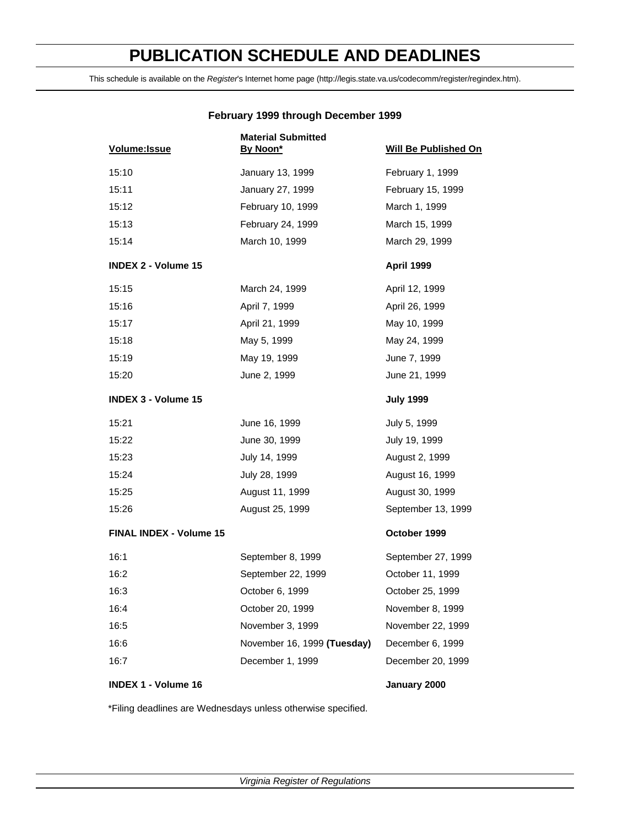# **PUBLICATION SCHEDULE AND DEADLINES**

This schedule is available on the *Register*'s Internet home page (http://legis.state.va.us/codecomm/register/regindex.htm).

| Volume: Issue                  | <b>Material Submitted</b><br>By Noon* | <b>Will Be Published On</b> |
|--------------------------------|---------------------------------------|-----------------------------|
| 15:10                          | January 13, 1999                      | February 1, 1999            |
| 15:11                          | January 27, 1999                      | February 15, 1999           |
| 15:12                          | February 10, 1999                     | March 1, 1999               |
| 15:13                          | February 24, 1999                     | March 15, 1999              |
| 15:14                          | March 10, 1999                        | March 29, 1999              |
| <b>INDEX 2 - Volume 15</b>     |                                       | <b>April 1999</b>           |
| 15:15                          | March 24, 1999                        | April 12, 1999              |
| 15:16                          | April 7, 1999                         | April 26, 1999              |
| 15:17                          | April 21, 1999                        | May 10, 1999                |
| 15:18                          | May 5, 1999                           | May 24, 1999                |
| 15:19                          | May 19, 1999                          | June 7, 1999                |
| 15:20                          | June 2, 1999                          | June 21, 1999               |
| <b>INDEX 3 - Volume 15</b>     |                                       | <b>July 1999</b>            |
| 15:21                          | June 16, 1999                         | July 5, 1999                |
| 15:22                          | June 30, 1999                         | July 19, 1999               |
| 15:23                          | July 14, 1999                         | August 2, 1999              |
| 15:24                          | July 28, 1999                         | August 16, 1999             |
| 15:25                          | August 11, 1999                       | August 30, 1999             |
| 15:26                          | August 25, 1999                       | September 13, 1999          |
| <b>FINAL INDEX - Volume 15</b> |                                       | October 1999                |
| 16:1                           | September 8, 1999                     | September 27, 1999          |
| 16:2                           | September 22, 1999                    | October 11, 1999            |
| 16:3                           | October 6, 1999                       | October 25, 1999            |
| 16:4                           | October 20, 1999                      | November 8, 1999            |
| 16:5                           | November 3, 1999                      | November 22, 1999           |
| 16:6                           | November 16, 1999 (Tuesday)           | December 6, 1999            |
| 16:7                           | December 1, 1999                      | December 20, 1999           |
| <b>INDEX 1 - Volume 16</b>     |                                       | January 2000                |

#### **February 1999 through December 1999**

\*Filing deadlines are Wednesdays unless otherwise specified.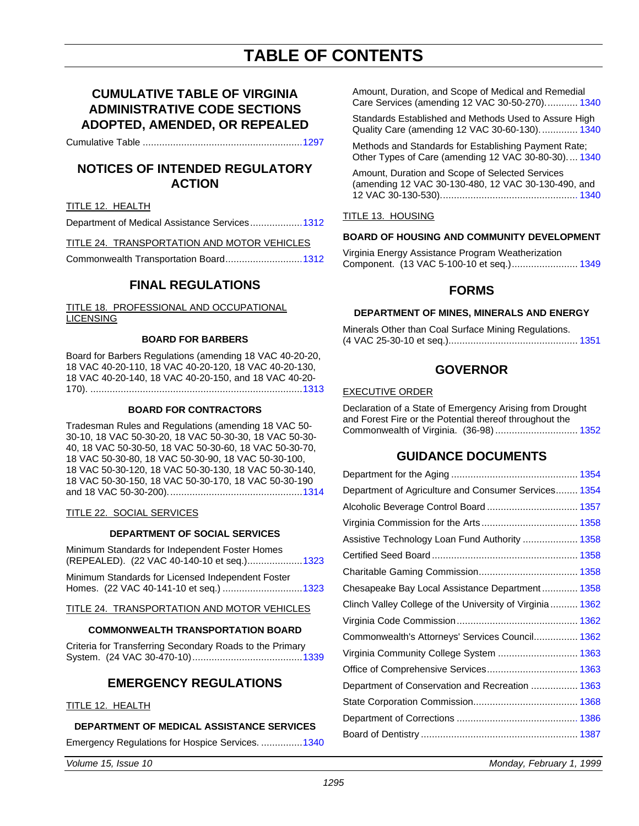# **TABLE OF CONTENTS**

## **CUMULATIVE TABLE OF VIRGINIA ADMINISTRATIVE CODE SECTIONS ADOPTED, AMENDED, OR REPEALED**

Cumulative Table ........................................................[..1297](#page-4-0)

## **NOTICES OF INTENDED REGULATORY ACTION**

#### TITLE 12. HEALTH

Department of Medical Assistance Services.................[..1312](#page-19-0)

TITLE 24. TRANSPORTATION AND MOTOR VEHICLES

Commonwealth Transportation Board............................1312

### **FINAL REGULATIONS**

TITLE 18. PROFESSIONAL AND OCCUPATIONAL LICENSING

#### **BOARD FOR BARBERS**

Board for Barbers Regulations (amending 18 VAC 40-20-20, 18 VAC 40-20-110, 18 VAC 40-20-120, 18 VAC 40-20-130, 18 VAC 40-20-140, 18 VAC 40-20-150, and 18 VAC 40-20- 170). ..........................................................................[...1313](#page-20-0)

#### **BOARD FOR CONTRACTORS**

Tradesman Rules and Regulations (amending 18 VAC 50- 30-10, 18 VAC 50-30-20, 18 VAC 50-30-30, 18 VAC 50-30- 40, 18 VAC 50-30-50, 18 VAC 50-30-60, 18 VAC 50-30-70, 18 VAC 50-30-80, 18 VAC 50-30-90, 18 VAC 50-30-100, 18 VAC 50-30-120, 18 VAC 50-30-130, 18 VAC 50-30-140, 18 VAC 50-30-150, 18 VAC 50-30-170, 18 VAC 50-30-190 and 18 VAC 50-30-200)..............................................[...1314](#page-21-0)

#### TITLE 22. SOCIAL SERVICES

#### **DEPARTMENT OF SOCIAL SERVICES**

Minimum Standards for Independent Foster Homes (REPEALED). (22 VAC 40-140-10 et seq.)..................[..1323](#page-30-0)

Minimum Standards for Licensed Independent Foster Homes. (22 VAC 40-141-10 et seq.) ...............................1323

TITLE 24. TRANSPORTATION AND MOTOR VEHICLES

#### **COMMONWEALTH TRANSPORTATION BOARD**

Criteria for Transferring Secondary Roads to the Primary System. (24 VAC 30-470-10).....................................[...1339](#page-46-0)

### **EMERGENCY REGULATIONS**

#### TITLE 12. HEALTH

#### **DEPARTMENT OF MEDICAL ASSISTANCE SERVICES**

Emergency Regulations for Hospice Services. ..............[.1340](#page-47-0)

Amount, Duration, and Scope of Medical and Remedial Care Services (amending 12 VAC 30-50-270)............ [1340](#page-47-0)

Standards Established and Methods Used to Assure High Quality Care (amending 12 VAC 30-60-130).............. 1340

Methods and Standards for Establishing Payment Rate; Other Types of Care (amending 12 VAC 30-80-30).... 1340

Amount, Duration and Scope of Selected Services (amending 12 VAC 30-130-480, 12 VAC 30-130-490, and 12 VAC 30-130-530).................................................. 1340

#### TITLE 13. HOUSING

#### **BOARD OF HOUSING AND COMMUNITY DEVELOPMENT**

Virginia Energy Assistance Program Weatherization Component. (13 VAC 5-100-10 et seq.)........................ [1349](#page-56-0)

### **FORMS**

### **DEPARTMENT OF MINES, MINERALS AND ENERGY**

Minerals Other than Coal Surface Mining Regulations. (4 VAC 25-30-10 et seq.)............................................... [1351](#page-58-0)

### **GOVERNOR**

#### EXECUTIVE ORDER

Declaration of a State of Emergency Arising from Drought and Forest Fire or the Potential thereof throughout the Commonwealth of Virginia. (36-98).............................. [1352](#page-59-0)

### **GUIDANCE DOCUMENTS**

| Department of Agriculture and Consumer Services 1354     |
|----------------------------------------------------------|
| Alcoholic Beverage Control Board 1357                    |
|                                                          |
| Assistive Technology Loan Fund Authority  1358           |
|                                                          |
|                                                          |
| Chesapeake Bay Local Assistance Department 1358          |
| Clinch Valley College of the University of Virginia 1362 |
|                                                          |
| Commonwealth's Attorneys' Services Council 1362          |
| Virginia Community College System  1363                  |
| Office of Comprehensive Services 1363                    |
| Department of Conservation and Recreation  1363          |
|                                                          |
|                                                          |
|                                                          |
|                                                          |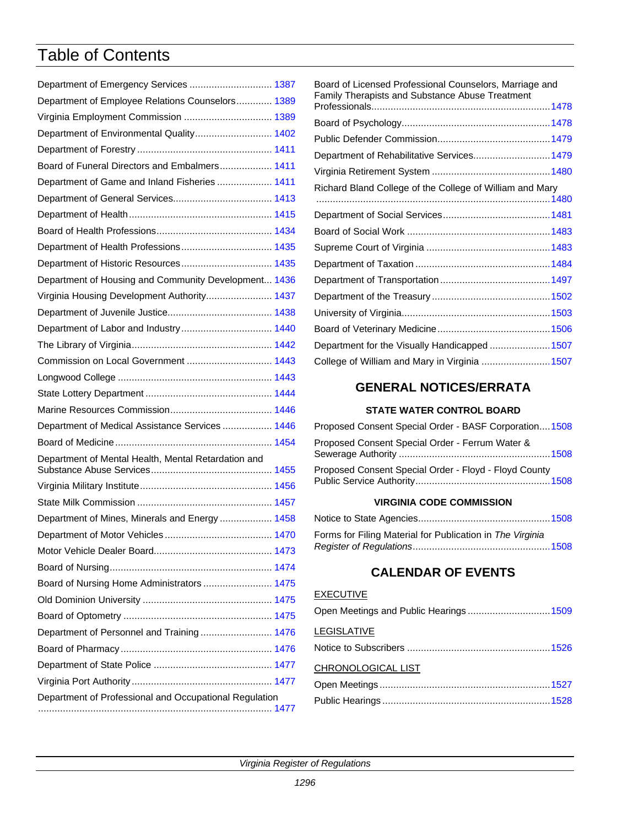# Table of Contents

| Department of Emergency Services  1387                 |  |
|--------------------------------------------------------|--|
| Department of Employee Relations Counselors 1389       |  |
| Virginia Employment Commission  1389                   |  |
| Department of Environmental Quality 1402               |  |
|                                                        |  |
| Board of Funeral Directors and Embalmers 1411          |  |
| Department of Game and Inland Fisheries  1411          |  |
|                                                        |  |
|                                                        |  |
|                                                        |  |
|                                                        |  |
|                                                        |  |
| Department of Housing and Community Development 1436   |  |
| Virginia Housing Development Authority 1437            |  |
|                                                        |  |
|                                                        |  |
|                                                        |  |
| Commission on Local Government  1443                   |  |
|                                                        |  |
|                                                        |  |
|                                                        |  |
| Department of Medical Assistance Services  1446        |  |
|                                                        |  |
| Department of Mental Health, Mental Retardation and    |  |
|                                                        |  |
|                                                        |  |
| Department of Mines, Minerals and Energy  1458         |  |
|                                                        |  |
|                                                        |  |
|                                                        |  |
| Board of Nursing Home Administrators  1475             |  |
|                                                        |  |
|                                                        |  |
| Department of Personnel and Training 1476              |  |
|                                                        |  |
|                                                        |  |
|                                                        |  |
| Department of Professional and Occupational Regulation |  |
|                                                        |  |

| Board of Licensed Professional Counselors, Marriage and<br>Family Therapists and Substance Abuse Treatment |  |
|------------------------------------------------------------------------------------------------------------|--|
|                                                                                                            |  |
|                                                                                                            |  |
|                                                                                                            |  |
| Department of Rehabilitative Services 1479                                                                 |  |
|                                                                                                            |  |
| Richard Bland College of the College of William and Mary                                                   |  |
|                                                                                                            |  |
|                                                                                                            |  |
|                                                                                                            |  |
|                                                                                                            |  |
|                                                                                                            |  |
|                                                                                                            |  |
|                                                                                                            |  |
|                                                                                                            |  |
|                                                                                                            |  |
| Department for the Visually Handicapped  1507                                                              |  |
| College of William and Mary in Virginia  1507                                                              |  |

## **GENERAL NOTICES/ERRATA**

### **STATE WATER CONTROL BOARD**

| Proposed Consent Special Order - BASF Corporation1508 |  |
|-------------------------------------------------------|--|
| Proposed Consent Special Order - Ferrum Water &       |  |
| Proposed Consent Special Order - Floyd - Floyd County |  |

### **VIRGINIA CODE COMMISSION**

| Forms for Filing Material for Publication in The Virginia |  |
|-----------------------------------------------------------|--|

## **CALENDAR OF EVENTS**

### **EXECUTIVE**

| Open Meetings and Public Hearings 1509 |  |
|----------------------------------------|--|
| LEGISLATIVE                            |  |
|                                        |  |
| CHRONOLOGICAL LIST                     |  |
|                                        |  |
|                                        |  |
|                                        |  |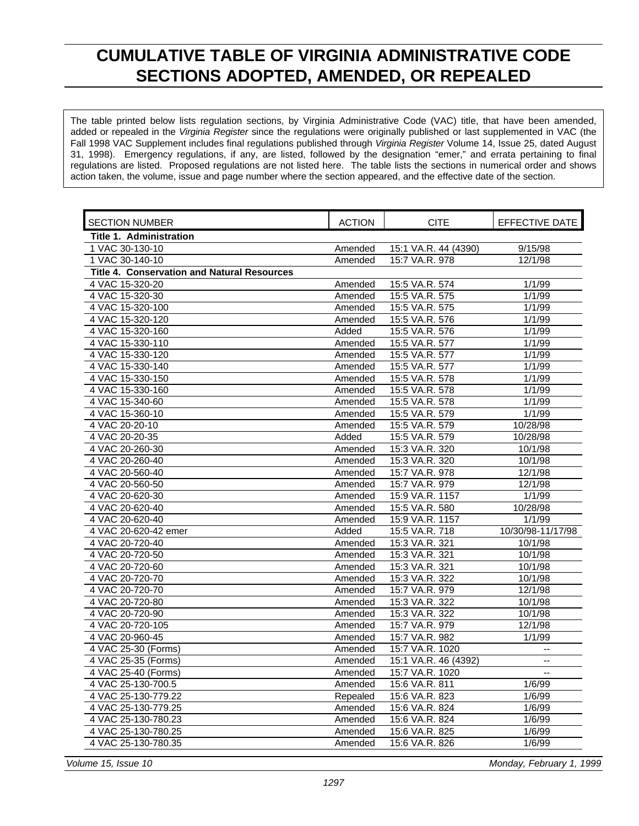# <span id="page-4-0"></span>**CUMULATIVE TABLE OF VIRGINIA ADMINISTRATIVE CODE SECTIONS ADOPTED, AMENDED, OR REPEALED**

The table printed below lists regulation sections, by Virginia Administrative Code (VAC) title, that have been amended, added or repealed in the *Virginia Register* since the regulations were originally published or last supplemented in VAC (the Fall 1998 VAC Supplement includes final regulations published through *Virginia Register* Volume 14, Issue 25, dated August 31, 1998). Emergency regulations, if any, are listed, followed by the designation "emer," and errata pertaining to final regulations are listed. Proposed regulations are not listed here. The table lists the sections in numerical order and shows action taken, the volume, issue and page number where the section appeared, and the effective date of the section.

| <b>SECTION NUMBER</b>                              | <b>ACTION</b> | <b>CITE</b>          | <b>EFFECTIVE DATE</b> |
|----------------------------------------------------|---------------|----------------------|-----------------------|
| <b>Title 1. Administration</b>                     |               |                      |                       |
| 1 VAC 30-130-10                                    | Amended       | 15:1 VA.R. 44 (4390) | 9/15/98               |
| 1 VAC 30-140-10                                    | Amended       | 15:7 VA.R. 978       | 12/1/98               |
| <b>Title 4. Conservation and Natural Resources</b> |               |                      |                       |
| 4 VAC 15-320-20                                    | Amended       | 15:5 VA.R. 574       | 1/1/99                |
| 4 VAC 15-320-30                                    | Amended       | 15:5 VA.R. 575       | 1/1/99                |
| 4 VAC 15-320-100                                   | Amended       | 15:5 VA.R. 575       | 1/1/99                |
| 4 VAC 15-320-120                                   | Amended       | 15:5 VA.R. 576       | 1/1/99                |
| 4 VAC 15-320-160                                   | Added         | 15:5 VA.R. 576       | 1/1/99                |
| 4 VAC 15-330-110                                   | Amended       | 15:5 VA.R. 577       | 1/1/99                |
| 4 VAC 15-330-120                                   | Amended       | 15:5 VA.R. 577       | 1/1/99                |
| 4 VAC 15-330-140                                   | Amended       | 15:5 VA.R. 577       | 1/1/99                |
| 4 VAC 15-330-150                                   | Amended       | 15:5 VA.R. 578       | 1/1/99                |
| 4 VAC 15-330-160                                   | Amended       | 15:5 VA.R. 578       | 1/1/99                |
| 4 VAC 15-340-60                                    | Amended       | 15:5 VA.R. 578       | 1/1/99                |
| 4 VAC 15-360-10                                    | Amended       | 15:5 VA.R. 579       | 1/1/99                |
| 4 VAC 20-20-10                                     | Amended       | 15:5 VA.R. 579       | 10/28/98              |
| 4 VAC 20-20-35                                     | Added         | 15:5 VA.R. 579       | 10/28/98              |
| 4 VAC 20-260-30                                    | Amended       | 15:3 VA.R. 320       | 10/1/98               |
| 4 VAC 20-260-40                                    | Amended       | 15:3 VA.R. 320       | 10/1/98               |
| 4 VAC 20-560-40                                    | Amended       | 15:7 VA.R. 978       | 12/1/98               |
| 4 VAC 20-560-50                                    | Amended       | 15:7 VA.R. 979       | 12/1/98               |
| 4 VAC 20-620-30                                    | Amended       | 15:9 VA.R. 1157      | 1/1/99                |
| 4 VAC 20-620-40                                    | Amended       | 15:5 VA.R. 580       | 10/28/98              |
| 4 VAC 20-620-40                                    | Amended       | 15:9 VA.R. 1157      | 1/1/99                |
| 4 VAC 20-620-42 emer                               | Added         | 15:5 VA.R. 718       | 10/30/98-11/17/98     |
| 4 VAC 20-720-40                                    | Amended       | 15:3 VA.R. 321       | 10/1/98               |
| 4 VAC 20-720-50                                    | Amended       | 15:3 VA.R. 321       | 10/1/98               |
| 4 VAC 20-720-60                                    | Amended       | 15:3 VA.R. 321       | 10/1/98               |
| 4 VAC 20-720-70                                    | Amended       | 15:3 VA.R. 322       | 10/1/98               |
| 4 VAC 20-720-70                                    | Amended       | 15:7 VA.R. 979       | 12/1/98               |
| 4 VAC 20-720-80                                    | Amended       | 15:3 VA.R. 322       | 10/1/98               |
| 4 VAC 20-720-90                                    | Amended       | 15:3 VA.R. 322       | 10/1/98               |
| 4 VAC 20-720-105                                   | Amended       | 15:7 VA.R. 979       | 12/1/98               |
| 4 VAC 20-960-45                                    | Amended       | 15:7 VA.R. 982       | 1/1/99                |
| 4 VAC 25-30 (Forms)                                | Amended       | 15:7 VA.R. 1020      |                       |
| 4 VAC 25-35 (Forms)                                | Amended       | 15:1 VA.R. 46 (4392) | $\mathbf{u}$          |
| 4 VAC 25-40 (Forms)                                | Amended       | 15:7 VA.R. 1020      |                       |
| 4 VAC 25-130-700.5                                 | Amended       | 15:6 VA.R. 811       | 1/6/99                |
| 4 VAC 25-130-779.22                                | Repealed      | 15:6 VA.R. 823       | 1/6/99                |
| 4 VAC 25-130-779.25                                | Amended       | 15:6 VA.R. 824       | 1/6/99                |
| 4 VAC 25-130-780.23                                | Amended       | 15:6 VA.R. 824       | 1/6/99                |
| 4 VAC 25-130-780.25                                | Amended       | 15:6 VA.R. 825       | 1/6/99                |
| 4 VAC 25-130-780.35                                | Amended       | 15:6 VA.R. 826       | 1/6/99                |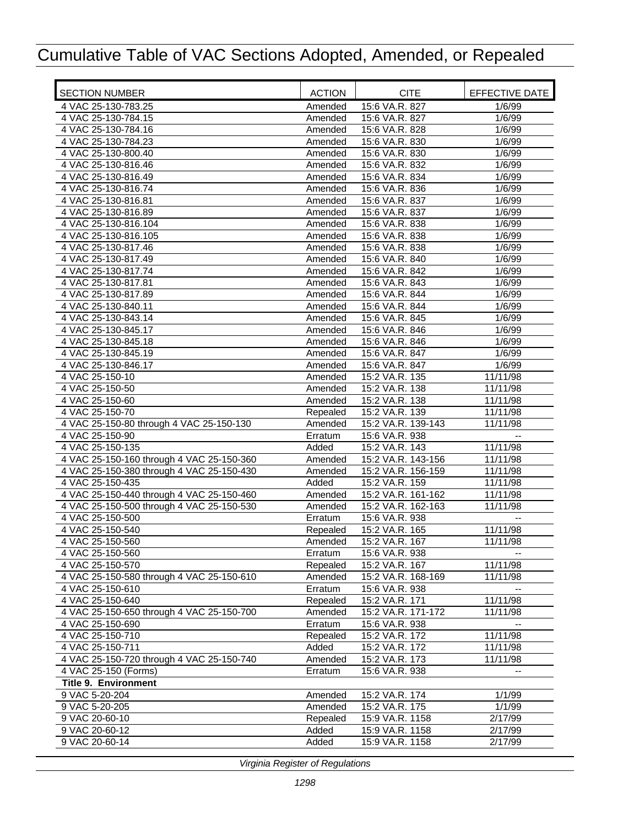| <b>SECTION NUMBER</b>                     | <b>ACTION</b> | <b>CITE</b>        | EFFECTIVE DATE           |
|-------------------------------------------|---------------|--------------------|--------------------------|
| 4 VAC 25-130-783.25                       | Amended       | 15:6 VA.R. 827     | 1/6/99                   |
| 4 VAC 25-130-784.15                       | Amended       | 15:6 VA.R. 827     | 1/6/99                   |
| 4 VAC 25-130-784.16                       | Amended       | 15:6 VA.R. 828     | 1/6/99                   |
| 4 VAC 25-130-784.23                       | Amended       | 15:6 VA.R. 830     | 1/6/99                   |
| 4 VAC 25-130-800.40                       | Amended       | 15:6 VA.R. 830     | 1/6/99                   |
| 4 VAC 25-130-816.46                       | Amended       | 15:6 VA.R. 832     | 1/6/99                   |
| 4 VAC 25-130-816.49                       | Amended       | 15:6 VA.R. 834     | 1/6/99                   |
| 4 VAC 25-130-816.74                       | Amended       | 15:6 VA.R. 836     | 1/6/99                   |
| 4 VAC 25-130-816.81                       | Amended       | 15:6 VA.R. 837     | 1/6/99                   |
| 4 VAC 25-130-816.89                       | Amended       | 15:6 VA.R. 837     | 1/6/99                   |
| 4 VAC 25-130-816.104                      | Amended       | 15:6 VA.R. 838     | 1/6/99                   |
| 4 VAC 25-130-816.105                      | Amended       | 15:6 VA.R. 838     | 1/6/99                   |
| 4 VAC 25-130-817.46                       | Amended       | 15:6 VA.R. 838     | 1/6/99                   |
| 4 VAC 25-130-817.49                       | Amended       | 15:6 VA.R. 840     | 1/6/99                   |
| 4 VAC 25-130-817.74                       | Amended       | 15:6 VA.R. 842     | 1/6/99                   |
| 4 VAC 25-130-817.81                       | Amended       | 15:6 VA.R. 843     | 1/6/99                   |
| 4 VAC 25-130-817.89                       | Amended       | 15:6 VA.R. 844     | 1/6/99                   |
| 4 VAC 25-130-840.11                       | Amended       | 15:6 VA.R. 844     | 1/6/99                   |
| 4 VAC 25-130-843.14                       | Amended       | 15:6 VA.R. 845     | 1/6/99                   |
| 4 VAC 25-130-845.17                       | Amended       | 15:6 VA.R. 846     | 1/6/99                   |
| 4 VAC 25-130-845.18                       | Amended       | 15:6 VA.R. 846     | 1/6/99                   |
| 4 VAC 25-130-845.19                       | Amended       | 15:6 VA.R. 847     | 1/6/99                   |
| 4 VAC 25-130-846.17                       | Amended       | 15:6 VA.R. 847     | 1/6/99                   |
| 4 VAC 25-150-10                           | Amended       | 15:2 VA.R. 135     | 11/11/98                 |
| 4 VAC 25-150-50                           | Amended       | 15:2 VA.R. 138     | 11/11/98                 |
| 4 VAC 25-150-60                           | Amended       | 15:2 VA.R. 138     | 11/11/98                 |
| 4 VAC 25-150-70                           | Repealed      | 15:2 VA.R. 139     | 11/11/98                 |
| 4 VAC 25-150-80 through 4 VAC 25-150-130  | Amended       | 15:2 VA.R. 139-143 | 11/11/98                 |
| 4 VAC 25-150-90                           | Erratum       | 15:6 VA.R. 938     |                          |
| 4 VAC 25-150-135                          | Added         | 15:2 VA.R. 143     | 11/11/98                 |
| 4 VAC 25-150-160 through 4 VAC 25-150-360 | Amended       | 15:2 VA.R. 143-156 | 11/11/98                 |
| 4 VAC 25-150-380 through 4 VAC 25-150-430 | Amended       | 15:2 VA.R. 156-159 | 11/11/98                 |
| 4 VAC 25-150-435                          | Added         | 15:2 VA.R. 159     | 11/11/98                 |
| 4 VAC 25-150-440 through 4 VAC 25-150-460 | Amended       | 15:2 VA.R. 161-162 | 11/11/98                 |
| 4 VAC 25-150-500 through 4 VAC 25-150-530 | Amended       | 15:2 VA.R. 162-163 | 11/11/98                 |
| 4 VAC 25-150-500                          | Erratum       | 15:6 VA.R. 938     | $\overline{\phantom{a}}$ |
| 4 VAC 25-150-540                          | Repealed      | 15:2 VA.R. 165     | 11/11/98                 |
| 4 VAC 25-150-560                          | Amended       | 15:2 VA.R. 167     | 11/11/98                 |
| 4 VAC 25-150-560                          | Erratum       | 15:6 VA.R. 938     |                          |
| 4 VAC 25-150-570                          | Repealed      | 15:2 VA.R. 167     | 11/11/98                 |
| 4 VAC 25-150-580 through 4 VAC 25-150-610 | Amended       | 15:2 VA.R. 168-169 | 11/11/98                 |
| 4 VAC 25-150-610                          | Erratum       | 15:6 VA.R. 938     |                          |
| 4 VAC 25-150-640                          | Repealed      | 15:2 VA.R. 171     | 11/11/98                 |
| 4 VAC 25-150-650 through 4 VAC 25-150-700 | Amended       | 15:2 VA.R. 171-172 | 11/11/98                 |
| 4 VAC 25-150-690                          | Erratum       | 15:6 VA.R. 938     | $\overline{\phantom{a}}$ |
| 4 VAC 25-150-710                          | Repealed      | 15:2 VA.R. 172     | 11/11/98                 |
| 4 VAC 25-150-711                          | Added         | 15:2 VA.R. 172     | 11/11/98<br>11/11/98     |
| 4 VAC 25-150-720 through 4 VAC 25-150-740 | Amended       | 15:2 VA.R. 173     |                          |
| 4 VAC 25-150 (Forms)                      | Erratum       | 15:6 VA.R. 938     | ۰.                       |
| <b>Title 9. Environment</b>               |               |                    |                          |
| 9 VAC 5-20-204                            | Amended       | 15:2 VA.R. 174     | 1/1/99                   |
| 9 VAC 5-20-205                            | Amended       | 15:2 VA.R. 175     | 1/1/99                   |
| 9 VAC 20-60-10                            | Repealed      | 15:9 VA.R. 1158    | 2/17/99                  |
| 9 VAC 20-60-12                            | Added         | 15:9 VA.R. 1158    | 2/17/99                  |
| 9 VAC 20-60-14                            | Added         | 15:9 VA.R. 1158    | 2/17/99                  |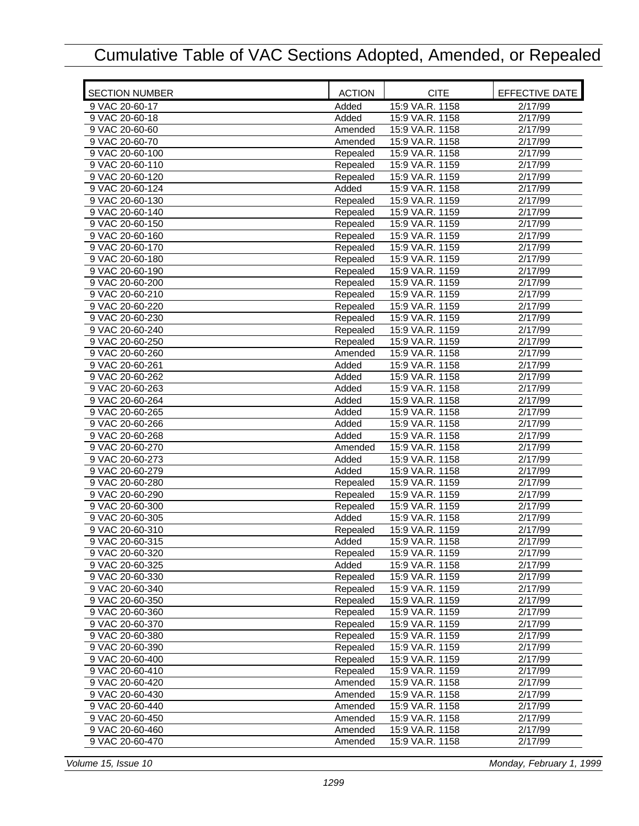| <b>SECTION NUMBER</b> | <b>ACTION</b> | <b>CITE</b>     | EFFECTIVE DATE       |
|-----------------------|---------------|-----------------|----------------------|
| 9 VAC 20-60-17        | Added         | 15:9 VA.R. 1158 | $\overline{2}/17/99$ |
| 9 VAC 20-60-18        | Added         | 15:9 VA.R. 1158 | 2/17/99              |
| 9 VAC 20-60-60        | Amended       | 15:9 VA.R. 1158 | 2/17/99              |
| 9 VAC 20-60-70        | Amended       | 15:9 VA.R. 1158 | 2/17/99              |
| 9 VAC 20-60-100       | Repealed      | 15:9 VA.R. 1158 | 2/17/99              |
| 9 VAC 20-60-110       | Repealed      | 15:9 VA.R. 1159 | 2/17/99              |
| 9 VAC 20-60-120       | Repealed      | 15:9 VA.R. 1159 | 2/17/99              |
| 9 VAC 20-60-124       | Added         | 15:9 VA.R. 1158 | $\overline{2}/17/99$ |
| 9 VAC 20-60-130       | Repealed      | 15:9 VA.R. 1159 | 2/17/99              |
| 9 VAC 20-60-140       | Repealed      | 15:9 VA.R. 1159 | 2/17/99              |
| 9 VAC 20-60-150       | Repealed      | 15:9 VA.R. 1159 | 2/17/99              |
| 9 VAC 20-60-160       | Repealed      | 15:9 VA.R. 1159 | 2/17/99              |
| 9 VAC 20-60-170       | Repealed      | 15:9 VA.R. 1159 | 2/17/99              |
| 9 VAC 20-60-180       | Repealed      | 15:9 VA.R. 1159 | 2/17/99              |
| 9 VAC 20-60-190       | Repealed      | 15:9 VA.R. 1159 | 2/17/99              |
| 9 VAC 20-60-200       | Repealed      | 15:9 VA.R. 1159 | 2/17/99              |
| 9 VAC 20-60-210       | Repealed      | 15:9 VA.R. 1159 | 2/17/99              |
| 9 VAC 20-60-220       | Repealed      | 15:9 VA.R. 1159 | 2/17/99              |
| 9 VAC 20-60-230       | Repealed      | 15:9 VA.R. 1159 | 2/17/99              |
| 9 VAC 20-60-240       | Repealed      | 15:9 VA.R. 1159 | 2/17/99              |
| 9 VAC 20-60-250       | Repealed      | 15:9 VA.R. 1159 | 2/17/99              |
| 9 VAC 20-60-260       | Amended       | 15:9 VA.R. 1158 | 2/17/99              |
| 9 VAC 20-60-261       | Added         | 15:9 VA.R. 1158 | 2/17/99              |
| 9 VAC 20-60-262       | Added         | 15:9 VA.R. 1158 | 2/17/99              |
| 9 VAC 20-60-263       | Added         | 15:9 VA.R. 1158 | 2/17/99              |
| 9 VAC 20-60-264       | Added         | 15:9 VA.R. 1158 | 2/17/99              |
| 9 VAC 20-60-265       | Added         | 15:9 VA.R. 1158 | 2/17/99              |
| 9 VAC 20-60-266       | Added         | 15:9 VA.R. 1158 | 2/17/99              |
| 9 VAC 20-60-268       | Added         | 15:9 VA.R. 1158 | 2/17/99              |
| 9 VAC 20-60-270       | Amended       | 15:9 VA.R. 1158 | 2/17/99              |
| 9 VAC 20-60-273       | Added         | 15:9 VA.R. 1158 | 2/17/99              |
| 9 VAC 20-60-279       | Added         | 15:9 VA.R. 1158 | 2/17/99              |
| 9 VAC 20-60-280       | Repealed      | 15:9 VA.R. 1159 | $\overline{2}/17/99$ |
| 9 VAC 20-60-290       | Repealed      | 15:9 VA.R. 1159 | 2/17/99              |
| 9 VAC 20-60-300       | Repealed      | 15:9 VA.R. 1159 | 2/17/99              |
| 9 VAC 20-60-305       | Added         | 15:9 VA.R. 1158 | 2/17/99              |
| 9 VAC 20-60-310       | Repealed      | 15:9 VA.R. 1159 | 2/17/99              |
| 9 VAC 20-60-315       | Added         | 15:9 VA.R. 1158 | 2/17/99              |
| 9 VAC 20-60-320       | Repealed      | 15:9 VA.R. 1159 | 2/17/99              |
| 9 VAC 20-60-325       | Added         | 15:9 VA.R. 1158 | 2/17/99              |
| 9 VAC 20-60-330       | Repealed      | 15:9 VA.R. 1159 | 2/17/99              |
| 9 VAC 20-60-340       | Repealed      | 15:9 VA.R. 1159 | 2/17/99              |
| 9 VAC 20-60-350       | Repealed      | 15:9 VA.R. 1159 | 2/17/99              |
| 9 VAC 20-60-360       | Repealed      | 15:9 VA.R. 1159 | 2/17/99              |
| 9 VAC 20-60-370       | Repealed      | 15:9 VA.R. 1159 | 2/17/99              |
| 9 VAC 20-60-380       | Repealed      | 15:9 VA.R. 1159 | 2/17/99              |
| 9 VAC 20-60-390       | Repealed      | 15:9 VA.R. 1159 | 2/17/99              |
| 9 VAC 20-60-400       | Repealed      | 15:9 VA.R. 1159 | 2/17/99              |
| 9 VAC 20-60-410       | Repealed      | 15:9 VA.R. 1159 | 2/17/99              |
| 9 VAC 20-60-420       | Amended       | 15:9 VA.R. 1158 | 2/17/99              |
| 9 VAC 20-60-430       | Amended       | 15:9 VA.R. 1158 | 2/17/99              |
| 9 VAC 20-60-440       | Amended       | 15:9 VA.R. 1158 | 2/17/99              |
| 9 VAC 20-60-450       | Amended       | 15:9 VA.R. 1158 | 2/17/99              |
| 9 VAC 20-60-460       | Amended       | 15:9 VA.R. 1158 | 2/17/99              |
| 9 VAC 20-60-470       | Amended       | 15:9 VA.R. 1158 | 2/17/99              |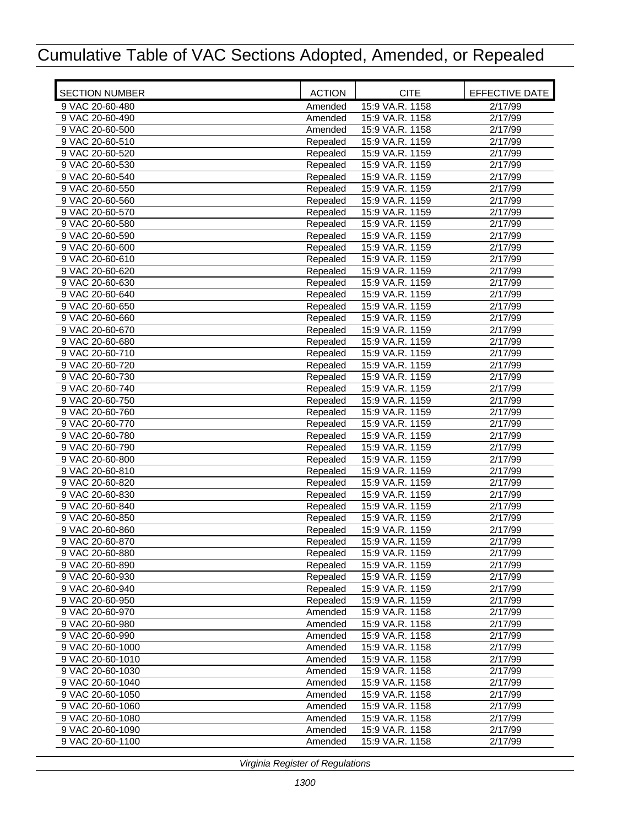| <b>SECTION NUMBER</b> | <b>ACTION</b> | <b>CITE</b>     | EFFECTIVE DATE   |
|-----------------------|---------------|-----------------|------------------|
| 9 VAC 20-60-480       | Amended       | 15:9 VA.R. 1158 | 2/17/99          |
| 9 VAC 20-60-490       | Amended       | 15:9 VA.R. 1158 | 2/17/99          |
| 9 VAC 20-60-500       | Amended       | 15:9 VA.R. 1158 | $\sqrt{2}/17/99$ |
| 9 VAC 20-60-510       | Repealed      | 15:9 VA.R. 1159 | 2/17/99          |
| 9 VAC 20-60-520       | Repealed      | 15:9 VA.R. 1159 | 2/17/99          |
| 9 VAC 20-60-530       | Repealed      | 15:9 VA.R. 1159 | 2/17/99          |
| 9 VAC 20-60-540       | Repealed      | 15:9 VA.R. 1159 | 2/17/99          |
| 9 VAC 20-60-550       | Repealed      | 15:9 VA.R. 1159 | 2/17/99          |
| 9 VAC 20-60-560       | Repealed      | 15:9 VA.R. 1159 | 2/17/99          |
| 9 VAC 20-60-570       | Repealed      | 15:9 VA.R. 1159 | 2/17/99          |
| 9 VAC 20-60-580       | Repealed      | 15:9 VA.R. 1159 | 2/17/99          |
| 9 VAC 20-60-590       | Repealed      | 15:9 VA.R. 1159 | 2/17/99          |
| 9 VAC 20-60-600       | Repealed      | 15:9 VA.R. 1159 | 2/17/99          |
| 9 VAC 20-60-610       | Repealed      | 15:9 VA.R. 1159 | 2/17/99          |
| 9 VAC 20-60-620       | Repealed      | 15:9 VA.R. 1159 | 2/17/99          |
| 9 VAC 20-60-630       | Repealed      | 15:9 VA.R. 1159 | 2/17/99          |
| 9 VAC 20-60-640       | Repealed      | 15:9 VA.R. 1159 | 2/17/99          |
| 9 VAC 20-60-650       | Repealed      | 15:9 VA.R. 1159 | 2/17/99          |
| 9 VAC 20-60-660       | Repealed      | 15:9 VA.R. 1159 | 2/17/99          |
| 9 VAC 20-60-670       | Repealed      | 15:9 VA.R. 1159 | 2/17/99          |
| 9 VAC 20-60-680       | Repealed      | 15:9 VA.R. 1159 | 2/17/99          |
| 9 VAC 20-60-710       | Repealed      | 15:9 VA.R. 1159 | $\sqrt{2}/17/99$ |
| 9 VAC 20-60-720       | Repealed      | 15:9 VA.R. 1159 | 2/17/99          |
| 9 VAC 20-60-730       | Repealed      | 15:9 VA.R. 1159 | 2/17/99          |
| 9 VAC 20-60-740       | Repealed      | 15:9 VA.R. 1159 | 2/17/99          |
| 9 VAC 20-60-750       | Repealed      | 15:9 VA.R. 1159 | 2/17/99          |
| 9 VAC 20-60-760       | Repealed      | 15:9 VA.R. 1159 | 2/17/99          |
| 9 VAC 20-60-770       | Repealed      | 15:9 VA.R. 1159 | 2/17/99          |
| 9 VAC 20-60-780       | Repealed      | 15:9 VA.R. 1159 | 2/17/99          |
| 9 VAC 20-60-790       | Repealed      | 15:9 VA.R. 1159 | 2/17/99          |
| 9 VAC 20-60-800       | Repealed      | 15:9 VA.R. 1159 | 2/17/99          |
| 9 VAC 20-60-810       | Repealed      | 15:9 VA.R. 1159 | 2/17/99          |
| 9 VAC 20-60-820       | Repealed      | 15:9 VA.R. 1159 | 2/17/99          |
| 9 VAC 20-60-830       | Repealed      | 15:9 VA.R. 1159 | 2/17/99          |
| 9 VAC 20-60-840       | Repealed      | 15:9 VA.R. 1159 | 2/17/99          |
| 9 VAC 20-60-850       | Repealed      | 15:9 VA.R. 1159 | 2/17/99          |
| 9 VAC 20-60-860       | Repealed      | 15:9 VA.R. 1159 | 2/17/99          |
| 9 VAC 20-60-870       | Repealed      | 15:9 VA.R. 1159 | 2/17/99          |
| 9 VAC 20-60-880       | Repealed      | 15:9 VA.R. 1159 | 2/17/99          |
| 9 VAC 20-60-890       | Repealed      | 15:9 VA.R. 1159 | 2/17/99          |
| 9 VAC 20-60-930       | Repealed      | 15:9 VA.R. 1159 | 2/17/99          |
| 9 VAC 20-60-940       | Repealed      | 15:9 VA.R. 1159 | 2/17/99          |
| 9 VAC 20-60-950       | Repealed      | 15:9 VA.R. 1159 | 2/17/99          |
| 9 VAC 20-60-970       | Amended       | 15:9 VA.R. 1158 | 2/17/99          |
| 9 VAC 20-60-980       | Amended       | 15:9 VA.R. 1158 | 2/17/99          |
| 9 VAC 20-60-990       | Amended       | 15:9 VA.R. 1158 | 2/17/99          |
| 9 VAC 20-60-1000      | Amended       | 15:9 VA.R. 1158 | 2/17/99          |
| 9 VAC 20-60-1010      | Amended       | 15:9 VA.R. 1158 | 2/17/99          |
| 9 VAC 20-60-1030      | Amended       | 15:9 VA.R. 1158 | 2/17/99          |
| 9 VAC 20-60-1040      | Amended       | 15:9 VA.R. 1158 | 2/17/99          |
| 9 VAC 20-60-1050      | Amended       | 15:9 VA.R. 1158 | 2/17/99          |
| 9 VAC 20-60-1060      | Amended       | 15:9 VA.R. 1158 | 2/17/99          |
| 9 VAC 20-60-1080      | Amended       | 15:9 VA.R. 1158 | 2/17/99          |
| 9 VAC 20-60-1090      | Amended       | 15:9 VA.R. 1158 | 2/17/99          |
| 9 VAC 20-60-1100      | Amended       | 15:9 VA.R. 1158 | 2/17/99          |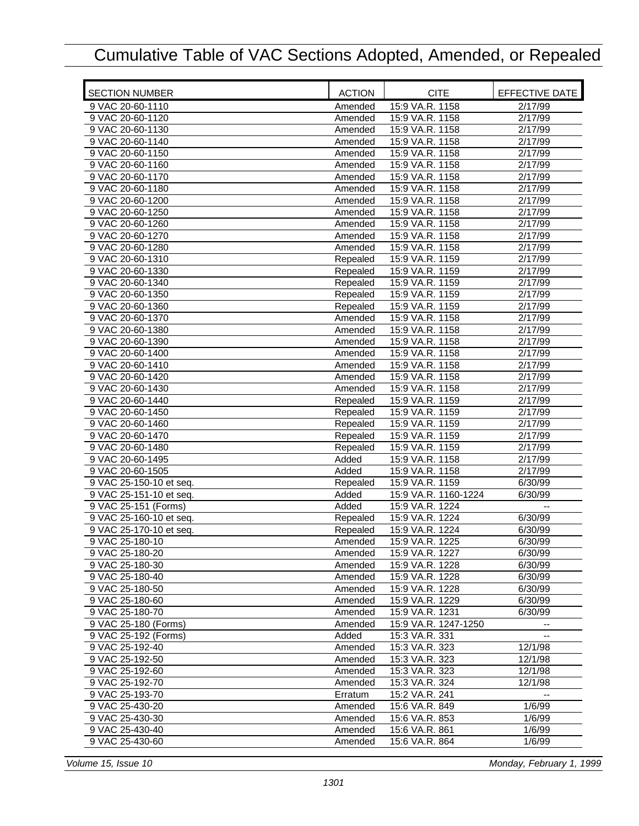| <b>SECTION NUMBER</b>   | <b>ACTION</b> | <b>CITE</b>          | EFFECTIVE DATE       |
|-------------------------|---------------|----------------------|----------------------|
| 9 VAC 20-60-1110        | Amended       | 15:9 VA.R. 1158      | 2/17/99              |
| 9 VAC 20-60-1120        | Amended       | 15:9 VA.R. 1158      | 2/17/99              |
| 9 VAC 20-60-1130        | Amended       | 15:9 VA.R. 1158      | 2/17/99              |
| 9 VAC 20-60-1140        | Amended       | 15:9 VA.R. 1158      | 2/17/99              |
| 9 VAC 20-60-1150        | Amended       | 15:9 VA.R. 1158      | 2/17/99              |
| 9 VAC 20-60-1160        | Amended       | 15:9 VA.R. 1158      | 2/17/99              |
| 9 VAC 20-60-1170        | Amended       | 15:9 VA.R. 1158      | 2/17/99              |
| 9 VAC 20-60-1180        | Amended       | 15:9 VA.R. 1158      | 2/17/99              |
| 9 VAC 20-60-1200        | Amended       | 15:9 VA.R. 1158      | 2/17/99              |
| 9 VAC 20-60-1250        | Amended       | 15:9 VA.R. 1158      | 2/17/99              |
| 9 VAC 20-60-1260        | Amended       | 15:9 VA.R. 1158      | 2/17/99              |
| 9 VAC 20-60-1270        | Amended       | 15:9 VA.R. 1158      | 2/17/99              |
| 9 VAC 20-60-1280        | Amended       | 15:9 VA.R. 1158      | 2/17/99              |
| 9 VAC 20-60-1310        | Repealed      | 15:9 VA.R. 1159      | 2/17/99              |
| 9 VAC 20-60-1330        | Repealed      | 15:9 VA.R. 1159      | 2/17/99              |
| 9 VAC 20-60-1340        | Repealed      | 15:9 VA.R. 1159      | 2/17/99              |
| 9 VAC 20-60-1350        | Repealed      | 15:9 VA.R. 1159      | 2/17/99              |
| 9 VAC 20-60-1360        | Repealed      | 15:9 VA.R. 1159      | 2/17/99              |
| 9 VAC 20-60-1370        | Amended       | 15:9 VA.R. 1158      | 2/17/99              |
| 9 VAC 20-60-1380        | Amended       | 15:9 VA.R. 1158      | 2/17/99              |
| 9 VAC 20-60-1390        | Amended       | 15:9 VA.R. 1158      | 2/17/99              |
| 9 VAC 20-60-1400        | Amended       | 15:9 VA.R. 1158      | 2/17/99              |
| 9 VAC 20-60-1410        | Amended       | 15:9 VA.R. 1158      | 2/17/99              |
| 9 VAC 20-60-1420        | Amended       | 15:9 VA.R. 1158      | $\overline{2}/17/99$ |
| 9 VAC 20-60-1430        | Amended       | 15:9 VA.R. 1158      | 2/17/99              |
| 9 VAC 20-60-1440        | Repealed      | 15:9 VA.R. 1159      | 2/17/99              |
| 9 VAC 20-60-1450        | Repealed      | 15:9 VA.R. 1159      | 2/17/99              |
| 9 VAC 20-60-1460        | Repealed      | 15:9 VA.R. 1159      | 2/17/99              |
| 9 VAC 20-60-1470        | Repealed      | 15:9 VA.R. 1159      | 2/17/99              |
| 9 VAC 20-60-1480        | Repealed      | 15:9 VA.R. 1159      | 2/17/99              |
| 9 VAC 20-60-1495        | Added         | 15:9 VA.R. 1158      | 2/17/99              |
| 9 VAC 20-60-1505        | Added         | 15:9 VA.R. 1158      | 2/17/99              |
| 9 VAC 25-150-10 et seq. | Repealed      | 15:9 VA.R. 1159      | 6/30/99              |
| 9 VAC 25-151-10 et seq. | Added         | 15:9 VA.R. 1160-1224 | 6/30/99              |
| 9 VAC 25-151 (Forms)    | Added         | 15:9 VA.R. 1224      |                      |
| 9 VAC 25-160-10 et seq. | Repealed      | 15:9 VA.R. 1224      | 6/30/99              |
| 9 VAC 25-170-10 et seq. | Repealed      | 15:9 VA.R. 1224      | 6/30/99              |
| 9 VAC 25-180-10         | Amended       | 15:9 VA.R. 1225      | 6/30/99              |
| 9 VAC 25-180-20         | Amended       | 15:9 VA.R. 1227      | 6/30/99              |
| 9 VAC 25-180-30         | Amended       | 15:9 VA.R. 1228      | 6/30/99              |
| 9 VAC 25-180-40         | Amended       | 15:9 VA.R. 1228      | 6/30/99              |
| 9 VAC 25-180-50         | Amended       | 15:9 VA.R. 1228      | 6/30/99              |
| 9 VAC 25-180-60         | Amended       | 15:9 VA.R. 1229      | 6/30/99              |
| 9 VAC 25-180-70         | Amended       | 15:9 VA.R. 1231      | 6/30/99              |
| 9 VAC 25-180 (Forms)    | Amended       | 15:9 VA.R. 1247-1250 |                      |
| 9 VAC 25-192 (Forms)    | Added         | 15:3 VA.R. 331       |                      |
| 9 VAC 25-192-40         | Amended       | 15:3 VA.R. 323       | 12/1/98              |
| 9 VAC 25-192-50         | Amended       | 15:3 VA.R. 323       | 12/1/98              |
| 9 VAC 25-192-60         | Amended       | 15:3 VA.R. 323       | 12/1/98              |
| 9 VAC 25-192-70         | Amended       | 15:3 VA.R. 324       | 12/1/98              |
| 9 VAC 25-193-70         | Erratum       | 15:2 VA.R. 241       |                      |
| 9 VAC 25-430-20         | Amended       | 15:6 VA.R. 849       | 1/6/99               |
| 9 VAC 25-430-30         | Amended       | 15:6 VA.R. 853       | 1/6/99               |
| 9 VAC 25-430-40         | Amended       | 15:6 VA.R. 861       | 1/6/99               |
| 9 VAC 25-430-60         | Amended       | 15:6 VA.R. 864       | 1/6/99               |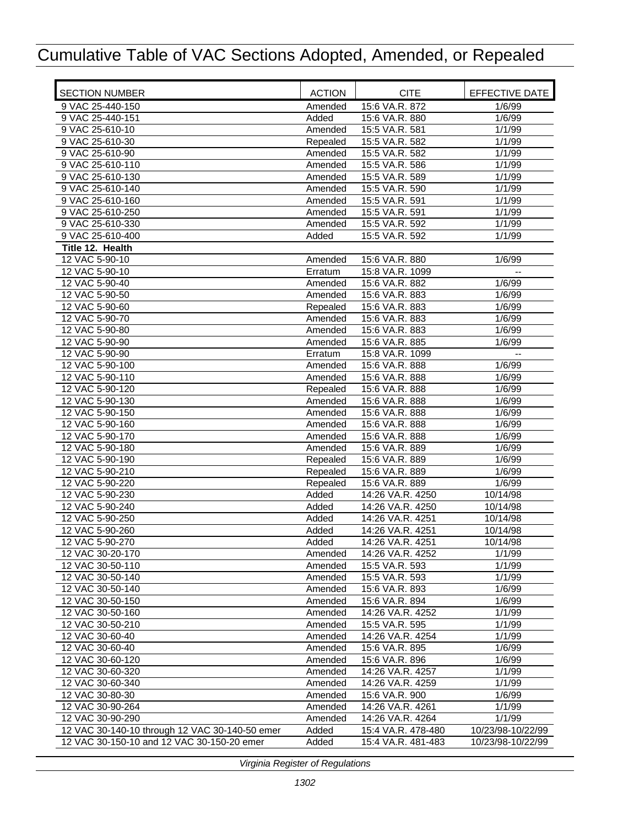| <b>SECTION NUMBER</b>                          | <b>ACTION</b> | <b>CITE</b>        | EFFECTIVE DATE    |
|------------------------------------------------|---------------|--------------------|-------------------|
| 9 VAC 25-440-150                               | Amended       | 15:6 VA.R. 872     | 1/6/99            |
| 9 VAC 25-440-151                               | Added         | 15:6 VA.R. 880     | 1/6/99            |
| 9 VAC 25-610-10                                | Amended       | 15:5 VA.R. 581     | 1/1/99            |
| 9 VAC 25-610-30                                | Repealed      | 15:5 VA.R. 582     | 1/1/99            |
| 9 VAC 25-610-90                                | Amended       | 15:5 VA.R. 582     | 1/1/99            |
| 9 VAC 25-610-110                               | Amended       | 15:5 VA.R. 586     | 1/1/99            |
| 9 VAC 25-610-130                               | Amended       | 15:5 VA.R. 589     | 1/1/99            |
| 9 VAC 25-610-140                               | Amended       | 15:5 VA.R. 590     | 1/1/99            |
| 9 VAC 25-610-160                               | Amended       | 15:5 VA.R. 591     | 1/1/99            |
| 9 VAC 25-610-250                               | Amended       | 15:5 VA.R. 591     | 1/1/99            |
| 9 VAC 25-610-330                               | Amended       | 15:5 VA.R. 592     | 1/1/99            |
| 9 VAC 25-610-400                               | Added         | 15:5 VA.R. 592     | 1/1/99            |
|                                                |               |                    |                   |
| Title 12. Health                               |               |                    |                   |
| 12 VAC 5-90-10                                 | Amended       | 15:6 VA.R. 880     | 1/6/99            |
| 12 VAC 5-90-10                                 | Erratum       | 15:8 VA.R. 1099    |                   |
| 12 VAC 5-90-40                                 | Amended       | 15:6 VA.R. 882     | 1/6/99            |
| 12 VAC 5-90-50                                 | Amended       | 15:6 VA.R. 883     | 1/6/99            |
| 12 VAC 5-90-60                                 | Repealed      | 15:6 VA.R. 883     | 1/6/99            |
| 12 VAC 5-90-70                                 | Amended       | 15:6 VA.R. 883     | 1/6/99            |
| 12 VAC 5-90-80                                 | Amended       | 15:6 VA.R. 883     | 1/6/99            |
| 12 VAC 5-90-90                                 | Amended       | 15:6 VA.R. 885     | 1/6/99            |
| 12 VAC 5-90-90                                 | Erratum       | 15:8 VA.R. 1099    |                   |
| 12 VAC 5-90-100                                | Amended       | 15:6 VA.R. 888     | 1/6/99            |
| 12 VAC 5-90-110                                | Amended       | 15:6 VA.R. 888     | 1/6/99            |
| 12 VAC 5-90-120                                | Repealed      | 15:6 VA.R. 888     | 1/6/99            |
| 12 VAC 5-90-130                                | Amended       | 15:6 VA.R. 888     | 1/6/99            |
| 12 VAC 5-90-150                                | Amended       | 15:6 VA.R. 888     | 1/6/99            |
| 12 VAC 5-90-160                                | Amended       | 15:6 VA.R. 888     | 1/6/99            |
| 12 VAC 5-90-170                                | Amended       | 15:6 VA.R. 888     | 1/6/99            |
| 12 VAC 5-90-180                                | Amended       | 15:6 VA.R. 889     | 1/6/99            |
| 12 VAC 5-90-190                                | Repealed      | 15:6 VA.R. 889     | 1/6/99            |
| 12 VAC 5-90-210                                |               | 15:6 VA.R. 889     | 1/6/99            |
|                                                | Repealed      |                    |                   |
| 12 VAC 5-90-220                                | Repealed      | 15:6 VA.R. 889     | 1/6/99            |
| 12 VAC 5-90-230                                | Added         | 14:26 VA.R. 4250   | 10/14/98          |
| 12 VAC 5-90-240                                | Added         | 14:26 VA.R. 4250   | 10/14/98          |
| 12 VAC 5-90-250                                | Added         | 14:26 VA.R. 4251   | 10/14/98          |
| 12 VAC 5-90-260                                | Added         | 14:26 VA.R. 4251   | 10/14/98          |
| 12 VAC 5-90-270                                | Added         | 14:26 VA.R. 4251   | 10/14/98          |
| 12 VAC 30-20-170                               | Amended       | 14:26 VA.R. 4252   | 1/1/99            |
| 12 VAC 30-50-110                               | Amended       | 15:5 VA.R. 593     | 1/1/99            |
| 12 VAC 30-50-140                               | Amended       | 15:5 VA.R. 593     | 1/1/99            |
| 12 VAC 30-50-140                               | Amended       | 15:6 VA.R. 893     | 1/6/99            |
| 12 VAC 30-50-150                               | Amended       | 15:6 VA.R. 894     | 1/6/99            |
| 12 VAC 30-50-160                               | Amended       | 14:26 VA.R. 4252   | 1/1/99            |
| 12 VAC 30-50-210                               | Amended       | 15:5 VA.R. 595     | 1/1/99            |
| 12 VAC 30-60-40                                | Amended       | 14:26 VA.R. 4254   | 1/1/99            |
| 12 VAC 30-60-40                                | Amended       | 15:6 VA.R. 895     | 1/6/99            |
| 12 VAC 30-60-120                               | Amended       | 15:6 VA.R. 896     | 1/6/99            |
| 12 VAC 30-60-320                               | Amended       | 14:26 VA.R. 4257   | 1/1/99            |
| 12 VAC 30-60-340                               |               |                    | 1/1/99            |
|                                                | Amended       | 14:26 VA.R. 4259   |                   |
| 12 VAC 30-80-30                                | Amended       | 15:6 VA.R. 900     | 1/6/99            |
| 12 VAC 30-90-264                               | Amended       | 14:26 VA.R. 4261   | 1/1/99            |
| 12 VAC 30-90-290                               | Amended       | 14:26 VA.R. 4264   | 1/1/99            |
| 12 VAC 30-140-10 through 12 VAC 30-140-50 emer | Added         | 15:4 VA.R. 478-480 | 10/23/98-10/22/99 |
| 12 VAC 30-150-10 and 12 VAC 30-150-20 emer     | Added         | 15:4 VA.R. 481-483 | 10/23/98-10/22/99 |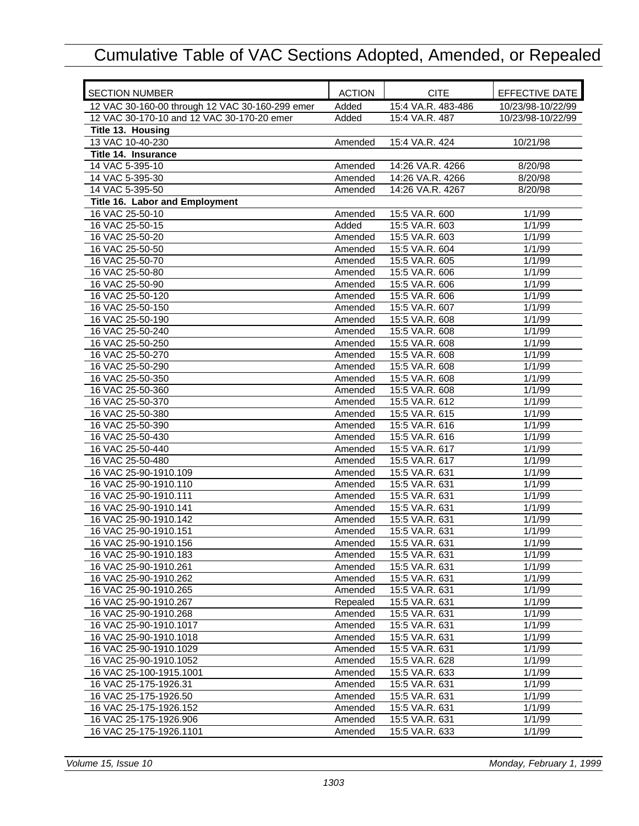| <b>SECTION NUMBER</b>                           | <b>ACTION</b> | <b>CITE</b>        | EFFECTIVE DATE    |
|-------------------------------------------------|---------------|--------------------|-------------------|
| 12 VAC 30-160-00 through 12 VAC 30-160-299 emer | Added         | 15:4 VA.R. 483-486 | 10/23/98-10/22/99 |
| 12 VAC 30-170-10 and 12 VAC 30-170-20 emer      | Added         | 15:4 VA.R. 487     | 10/23/98-10/22/99 |
| Title 13. Housing                               |               |                    |                   |
| 13 VAC 10-40-230                                | Amended       | 15:4 VA.R. 424     | 10/21/98          |
| Title 14. Insurance                             |               |                    |                   |
| 14 VAC 5-395-10                                 | Amended       | 14:26 VA.R. 4266   | 8/20/98           |
| 14 VAC 5-395-30                                 | Amended       | 14:26 VA.R. 4266   | 8/20/98           |
| 14 VAC 5-395-50                                 | Amended       | 14:26 VA.R. 4267   | 8/20/98           |
| Title 16. Labor and Employment                  |               |                    |                   |
| 16 VAC 25-50-10                                 | Amended       | 15:5 VA.R. 600     | 1/1/99            |
| 16 VAC 25-50-15                                 | Added         | 15:5 VA.R. 603     | 1/1/99            |
| 16 VAC 25-50-20                                 | Amended       | 15:5 VA.R. 603     | 1/1/99            |
| 16 VAC 25-50-50                                 | Amended       | 15:5 VA.R. 604     | 1/1/99            |
| 16 VAC 25-50-70                                 | Amended       | 15:5 VA.R. 605     | 1/1/99            |
| 16 VAC 25-50-80                                 | Amended       | 15:5 VA.R. 606     | 1/1/99            |
| 16 VAC 25-50-90                                 | Amended       | 15:5 VA.R. 606     | 1/1/99            |
| 16 VAC 25-50-120                                | Amended       | 15:5 VA.R. 606     | 1/1/99            |
| 16 VAC 25-50-150                                | Amended       | 15:5 VA.R. 607     | 1/1/99            |
| 16 VAC 25-50-190                                | Amended       | 15:5 VA.R. 608     | 1/1/99            |
| 16 VAC 25-50-240                                | Amended       | 15:5 VA.R. 608     | 1/1/99            |
| 16 VAC 25-50-250                                | Amended       | 15:5 VA.R. 608     | 1/1/99            |
| 16 VAC 25-50-270                                | Amended       | 15:5 VA.R. 608     | 1/1/99            |
| 16 VAC 25-50-290                                | Amended       | 15:5 VA.R. 608     | 1/1/99            |
| 16 VAC 25-50-350                                | Amended       | 15:5 VA.R. 608     | 1/1/99            |
| 16 VAC 25-50-360                                | Amended       | 15:5 VA.R. 608     | 1/1/99            |
| 16 VAC 25-50-370                                | Amended       | 15:5 VA.R. 612     | 1/1/99            |
| 16 VAC 25-50-380                                | Amended       | 15:5 VA.R. 615     | 1/1/99            |
| 16 VAC 25-50-390                                | Amended       | 15:5 VA.R. 616     | 1/1/99            |
| 16 VAC 25-50-430                                | Amended       | 15:5 VA.R. 616     | 1/1/99            |
| 16 VAC 25-50-440                                | Amended       | 15:5 VA.R. 617     | 1/1/99            |
| 16 VAC 25-50-480                                | Amended       | 15:5 VA.R. 617     | 1/1/99            |
| 16 VAC 25-90-1910.109                           | Amended       | 15:5 VA.R. 631     | 1/1/99            |
| 16 VAC 25-90-1910.110                           | Amended       | 15:5 VA.R. 631     | 1/1/99            |
| 16 VAC 25-90-1910.111                           | Amended       | 15:5 VA.R. 631     | 1/1/99            |
| 16 VAC 25-90-1910.141                           | Amended       | 15:5 VA.R. 631     | 1/1/99            |
| 16 VAC 25-90-1910.142                           | Amended       | 15:5 VA.R. 631     | 1/1/99            |
| 16 VAC 25-90-1910.151                           | Amended       | 15:5 VA.R. 631     | 1/1/99            |
| 16 VAC 25-90-1910.156                           | Amended       | 15:5 VA.R. 631     | 1/1/99            |
| 16 VAC 25-90-1910.183                           | Amended       | 15:5 VA.R. 631     | 1/1/99            |
| 16 VAC 25-90-1910.261                           | Amended       | 15:5 VA.R. 631     | 1/1/99            |
| 16 VAC 25-90-1910.262                           | Amended       | 15:5 VA.R. 631     | 1/1/99            |
| 16 VAC 25-90-1910.265                           | Amended       | 15:5 VA.R. 631     | 1/1/99            |
| 16 VAC 25-90-1910.267                           | Repealed      | 15:5 VA.R. 631     | 1/1/99            |
| 16 VAC 25-90-1910.268                           | Amended       | 15:5 VA.R. 631     | 1/1/99            |
| 16 VAC 25-90-1910.1017                          | Amended       | 15:5 VA.R. 631     | 1/1/99            |
| 16 VAC 25-90-1910.1018                          | Amended       | 15:5 VA.R. 631     | 1/1/99            |
| 16 VAC 25-90-1910.1029                          | Amended       | 15:5 VA.R. 631     | 1/1/99            |
| 16 VAC 25-90-1910.1052                          | Amended       | 15:5 VA.R. 628     | 1/1/99            |
| 16 VAC 25-100-1915.1001                         | Amended       | 15:5 VA.R. 633     | 1/1/99            |
| 16 VAC 25-175-1926.31                           | Amended       | 15:5 VA.R. 631     | 1/1/99            |
| 16 VAC 25-175-1926.50                           | Amended       | 15:5 VA.R. 631     | 1/1/99            |
| 16 VAC 25-175-1926.152                          | Amended       | 15:5 VA.R. 631     | 1/1/99            |
| 16 VAC 25-175-1926.906                          | Amended       | 15:5 VA.R. 631     | 1/1/99            |
| 16 VAC 25-175-1926.1101                         | Amended       | 15:5 VA.R. 633     | 1/1/99            |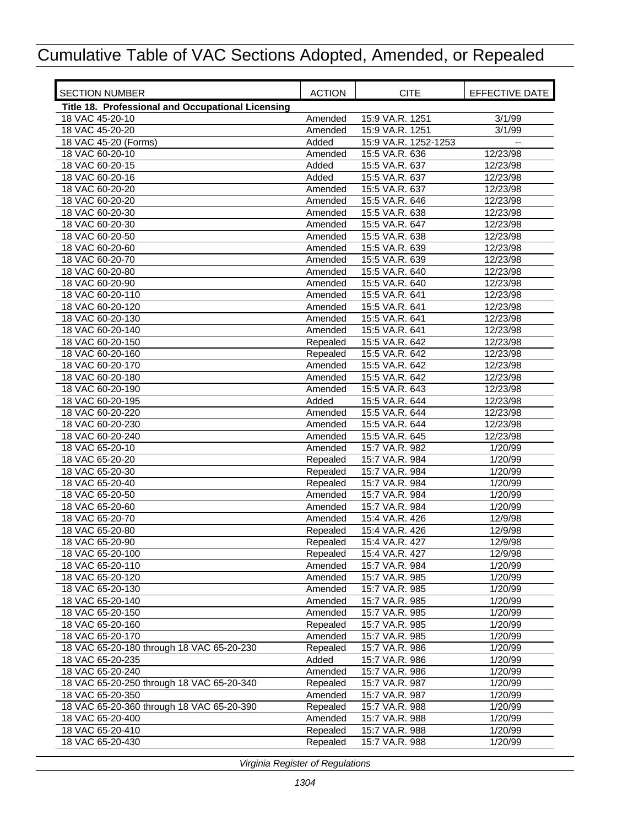| <b>SECTION NUMBER</b>                             | <b>ACTION</b>       | <b>CITE</b>                      | EFFECTIVE DATE     |
|---------------------------------------------------|---------------------|----------------------------------|--------------------|
| Title 18. Professional and Occupational Licensing |                     |                                  |                    |
| 18 VAC 45-20-10                                   | Amended             | 15:9 VA.R. 1251                  | 3/1/99             |
| 18 VAC 45-20-20                                   | Amended             | 15:9 VA.R. 1251                  | 3/1/99             |
| 18 VAC 45-20 (Forms)                              | Added               | 15:9 VA.R. 1252-1253             |                    |
| 18 VAC 60-20-10                                   | Amended             | 15:5 VA.R. 636                   | 12/23/98           |
| 18 VAC 60-20-15                                   | Added               | 15:5 VA.R. 637                   | 12/23/98           |
| 18 VAC 60-20-16                                   | Added               | 15:5 VA.R. 637                   | 12/23/98           |
| 18 VAC 60-20-20                                   | Amended             | 15:5 VA.R. 637                   | 12/23/98           |
| 18 VAC 60-20-20                                   | Amended             | 15:5 VA.R. 646                   | 12/23/98           |
| 18 VAC 60-20-30                                   | Amended             | 15:5 VA.R. 638                   | 12/23/98           |
| 18 VAC 60-20-30                                   | Amended             | 15:5 VA.R. 647                   | 12/23/98           |
| 18 VAC 60-20-50                                   | Amended             | 15:5 VA.R. 638                   | 12/23/98           |
| 18 VAC 60-20-60                                   | Amended             | 15:5 VA.R. 639                   | 12/23/98           |
| 18 VAC 60-20-70                                   | Amended             | 15:5 VA.R. 639                   | 12/23/98           |
| 18 VAC 60-20-80                                   | Amended             | 15:5 VA.R. 640                   | 12/23/98           |
| 18 VAC 60-20-90                                   | Amended             | 15:5 VA.R. 640                   | 12/23/98           |
| 18 VAC 60-20-110                                  | Amended             | 15:5 VA.R. 641                   | 12/23/98           |
| 18 VAC 60-20-120                                  | Amended             | 15:5 VA.R. 641                   | 12/23/98           |
| 18 VAC 60-20-130                                  | Amended             | 15:5 VA.R. 641                   | 12/23/98           |
| 18 VAC 60-20-140                                  | Amended             | 15:5 VA.R. 641                   | 12/23/98           |
| 18 VAC 60-20-150                                  | Repealed            | 15:5 VA.R. 642                   | 12/23/98           |
| 18 VAC 60-20-160                                  | Repealed            | 15:5 VA.R. 642                   | 12/23/98           |
| 18 VAC 60-20-170                                  | Amended             | 15:5 VA.R. 642                   | 12/23/98           |
| 18 VAC 60-20-180                                  | Amended             | 15:5 VA.R. 642                   | 12/23/98           |
| 18 VAC 60-20-190                                  | Amended             | 15:5 VA.R. 643                   | 12/23/98           |
| 18 VAC 60-20-195                                  | Added               | 15:5 VA.R. 644                   | 12/23/98           |
| 18 VAC 60-20-220                                  | Amended             | 15:5 VA.R. 644                   | 12/23/98           |
| 18 VAC 60-20-230                                  | Amended             | 15:5 VA.R. 644                   | 12/23/98           |
| 18 VAC 60-20-240                                  | Amended             | 15:5 VA.R. 645                   | 12/23/98           |
| 18 VAC 65-20-10                                   | Amended             | 15:7 VA.R. 982                   | 1/20/99            |
| 18 VAC 65-20-20                                   | Repealed            | 15:7 VA.R. 984                   | 1/20/99            |
| 18 VAC 65-20-30                                   | Repealed            | 15:7 VA.R. 984                   | 1/20/99            |
| 18 VAC 65-20-40                                   | Repealed            | 15:7 VA.R. 984<br>15:7 VA.R. 984 | 1/20/99            |
| 18 VAC 65-20-50                                   | Amended             | 15:7 VA.R. 984                   | 1/20/99            |
| 18 VAC 65-20-60<br>18 VAC 65-20-70                | Amended             | 15:4 VA.R. 426                   | 1/20/99            |
|                                                   | Amended             |                                  | 12/9/98<br>12/9/98 |
| 18 VAC 65-20-80                                   | Repealed            | 15:4 VA.R. 426                   |                    |
| 18 VAC 65-20-90<br>18 VAC 65-20-100               | Repealed            | 15:4 VA.R. 427                   | 12/9/98            |
| 18 VAC 65-20-110                                  | Repealed<br>Amended | 15:4 VA.R. 427<br>15:7 VA.R. 984 | 12/9/98<br>1/20/99 |
| 18 VAC 65-20-120                                  | Amended             | 15:7 VA.R. 985                   | 1/20/99            |
| 18 VAC 65-20-130                                  | Amended             | 15:7 VA.R. 985                   | 1/20/99            |
| 18 VAC 65-20-140                                  | Amended             | 15:7 VA.R. 985                   | 1/20/99            |
| 18 VAC 65-20-150                                  | Amended             | 15:7 VA.R. 985                   | 1/20/99            |
| 18 VAC 65-20-160                                  | Repealed            | 15:7 VA.R. 985                   | 1/20/99            |
| 18 VAC 65-20-170                                  | Amended             | 15:7 VA.R. 985                   | 1/20/99            |
| 18 VAC 65-20-180 through 18 VAC 65-20-230         | Repealed            | 15:7 VA.R. 986                   | 1/20/99            |
| 18 VAC 65-20-235                                  | Added               | 15:7 VA.R. 986                   | 1/20/99            |
| 18 VAC 65-20-240                                  | Amended             | 15:7 VA.R. 986                   | 1/20/99            |
| 18 VAC 65-20-250 through 18 VAC 65-20-340         | Repealed            | 15:7 VA.R. 987                   | 1/20/99            |
| 18 VAC 65-20-350                                  | Amended             | 15:7 VA.R. 987                   | 1/20/99            |
| 18 VAC 65-20-360 through 18 VAC 65-20-390         | Repealed            | 15:7 VA.R. 988                   | 1/20/99            |
| 18 VAC 65-20-400                                  | Amended             | 15:7 VA.R. 988                   | 1/20/99            |
| 18 VAC 65-20-410                                  | Repealed            | 15:7 VA.R. 988                   | 1/20/99            |
| 18 VAC 65-20-430                                  | Repealed            | 15:7 VA.R. 988                   | 1/20/99            |
|                                                   |                     |                                  |                    |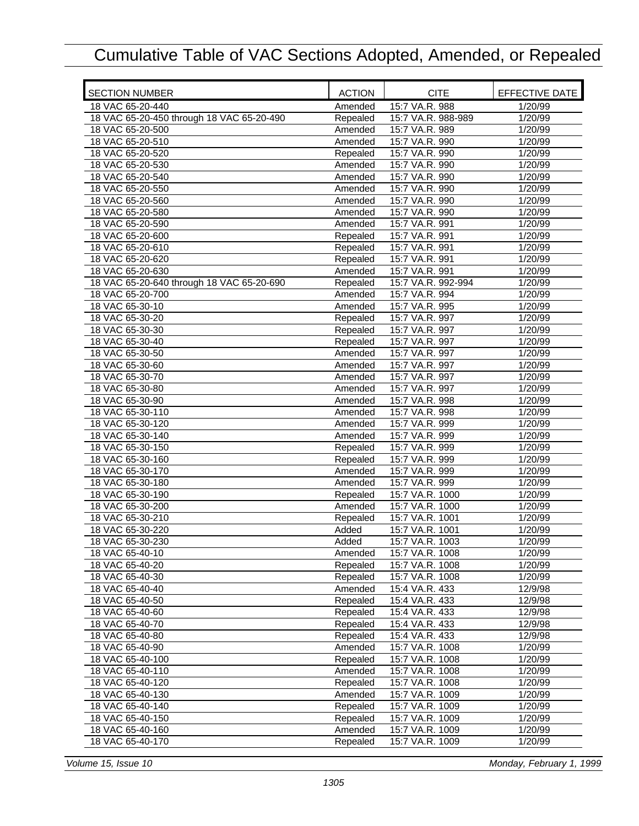| <b>SECTION NUMBER</b>                     | <b>ACTION</b> | <b>CITE</b>        | EFFECTIVE DATE |
|-------------------------------------------|---------------|--------------------|----------------|
| 18 VAC 65-20-440                          | Amended       | 15:7 VA.R. 988     | 1/20/99        |
| 18 VAC 65-20-450 through 18 VAC 65-20-490 | Repealed      | 15:7 VA.R. 988-989 | 1/20/99        |
| 18 VAC 65-20-500                          | Amended       | 15:7 VA.R. 989     | 1/20/99        |
| 18 VAC 65-20-510                          | Amended       | 15:7 VA.R. 990     | 1/20/99        |
| 18 VAC 65-20-520                          | Repealed      | 15:7 VA.R. 990     | 1/20/99        |
| 18 VAC 65-20-530                          | Amended       | 15:7 VA.R. 990     | 1/20/99        |
| 18 VAC 65-20-540                          | Amended       | 15:7 VA.R. 990     | 1/20/99        |
| 18 VAC 65-20-550                          | Amended       | 15:7 VA.R. 990     | 1/20/99        |
| 18 VAC 65-20-560                          | Amended       | 15:7 VA.R. 990     | 1/20/99        |
| 18 VAC 65-20-580                          | Amended       | 15:7 VA.R. 990     | 1/20/99        |
| 18 VAC 65-20-590                          | Amended       | 15:7 VA.R. 991     | 1/20/99        |
| 18 VAC 65-20-600                          | Repealed      | 15:7 VA.R. 991     | 1/20/99        |
| 18 VAC 65-20-610                          | Repealed      | 15:7 VA.R. 991     | 1/20/99        |
| 18 VAC 65-20-620                          | Repealed      | 15:7 VA.R. 991     | 1/20/99        |
| 18 VAC 65-20-630                          | Amended       | 15:7 VA.R. 991     | 1/20/99        |
| 18 VAC 65-20-640 through 18 VAC 65-20-690 | Repealed      | 15:7 VA.R. 992-994 | 1/20/99        |
| 18 VAC 65-20-700                          | Amended       | 15:7 VA.R. 994     | 1/20/99        |
| 18 VAC 65-30-10                           | Amended       | 15:7 VA.R. 995     | 1/20/99        |
| 18 VAC 65-30-20                           | Repealed      | 15:7 VA.R. 997     | 1/20/99        |
| 18 VAC 65-30-30                           | Repealed      | 15:7 VA.R. 997     | 1/20/99        |
| 18 VAC 65-30-40                           | Repealed      | 15:7 VA.R. 997     | 1/20/99        |
| 18 VAC 65-30-50                           | Amended       | 15:7 VA.R. 997     | 1/20/99        |
| 18 VAC 65-30-60                           | Amended       | 15:7 VA.R. 997     | 1/20/99        |
| 18 VAC 65-30-70                           | Amended       | 15:7 VA.R. 997     | 1/20/99        |
| 18 VAC 65-30-80                           | Amended       | 15:7 VA.R. 997     | 1/20/99        |
| 18 VAC 65-30-90                           | Amended       | 15:7 VA.R. 998     | 1/20/99        |
| 18 VAC 65-30-110                          | Amended       | 15:7 VA.R. 998     | 1/20/99        |
| 18 VAC 65-30-120                          | Amended       | 15:7 VA.R. 999     | 1/20/99        |
| 18 VAC 65-30-140                          | Amended       | 15:7 VA.R. 999     | 1/20/99        |
| 18 VAC 65-30-150                          | Repealed      | 15:7 VA.R. 999     | 1/20/99        |
| 18 VAC 65-30-160                          | Repealed      | 15:7 VA.R. 999     | 1/20/99        |
| 18 VAC 65-30-170                          | Amended       | 15:7 VA.R. 999     | 1/20/99        |
| 18 VAC 65-30-180                          | Amended       | 15:7 VA.R. 999     | 1/20/99        |
| 18 VAC 65-30-190                          | Repealed      | 15:7 VA.R. 1000    | 1/20/99        |
| 18 VAC 65-30-200                          | Amended       | 15:7 VA.R. 1000    | 1/20/99        |
| 18 VAC 65-30-210                          | Repealed      | 15:7 VA.R. 1001    | 1/20/99        |
| 18 VAC 65-30-220                          | Added         | 15:7 VA.R. 1001    | 1/20/99        |
| 18 VAC 65-30-230                          | Added         | 15:7 VA.R. 1003    | 1/20/99        |
| 18 VAC 65-40-10                           | Amended       | 15:7 VA.R. 1008    | 1/20/99        |
| 18 VAC 65-40-20                           | Repealed      | 15:7 VA.R. 1008    | 1/20/99        |
| 18 VAC 65-40-30                           | Repealed      | 15:7 VA.R. 1008    | 1/20/99        |
| 18 VAC 65-40-40                           | Amended       | 15:4 VA.R. 433     | 12/9/98        |
| 18 VAC 65-40-50                           | Repealed      | 15:4 VA.R. 433     | 12/9/98        |
| 18 VAC 65-40-60                           | Repealed      | 15:4 VA.R. 433     | 12/9/98        |
| 18 VAC 65-40-70                           | Repealed      | 15:4 VA.R. 433     | 12/9/98        |
| 18 VAC 65-40-80                           | Repealed      | 15:4 VA.R. 433     | 12/9/98        |
| 18 VAC 65-40-90                           | Amended       | 15:7 VA.R. 1008    | 1/20/99        |
| 18 VAC 65-40-100                          | Repealed      | 15:7 VA.R. 1008    | 1/20/99        |
| 18 VAC 65-40-110                          | Amended       | 15:7 VA.R. 1008    | 1/20/99        |
| 18 VAC 65-40-120                          | Repealed      | 15:7 VA.R. 1008    | 1/20/99        |
| 18 VAC 65-40-130                          | Amended       | 15:7 VA.R. 1009    | 1/20/99        |
| 18 VAC 65-40-140                          | Repealed      | 15:7 VA.R. 1009    | 1/20/99        |
| 18 VAC 65-40-150                          | Repealed      | 15:7 VA.R. 1009    | 1/20/99        |
| 18 VAC 65-40-160                          | Amended       | 15:7 VA.R. 1009    | 1/20/99        |
| 18 VAC 65-40-170                          | Repealed      | 15:7 VA.R. 1009    | 1/20/99        |
|                                           |               |                    |                |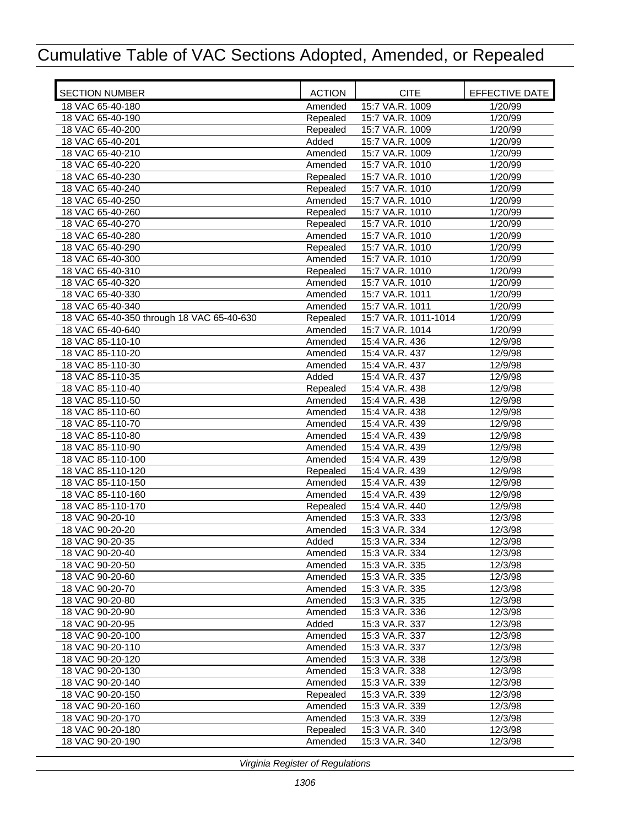| <b>SECTION NUMBER</b>                     | <b>ACTION</b> | <b>CITE</b>          | EFFECTIVE DATE |
|-------------------------------------------|---------------|----------------------|----------------|
| 18 VAC 65-40-180                          | Amended       | 15:7 VA.R. 1009      | 1/20/99        |
| 18 VAC 65-40-190                          | Repealed      | 15:7 VA.R. 1009      | 1/20/99        |
| 18 VAC 65-40-200                          | Repealed      | 15:7 VA.R. 1009      | 1/20/99        |
| 18 VAC 65-40-201                          | Added         | 15:7 VA.R. 1009      | 1/20/99        |
| 18 VAC 65-40-210                          | Amended       | 15:7 VA.R. 1009      | 1/20/99        |
| 18 VAC 65-40-220                          | Amended       | 15:7 VA.R. 1010      | 1/20/99        |
| 18 VAC 65-40-230                          | Repealed      | 15:7 VA.R. 1010      | 1/20/99        |
| 18 VAC 65-40-240                          | Repealed      | 15:7 VA.R. 1010      | 1/20/99        |
| 18 VAC 65-40-250                          | Amended       | 15:7 VA.R. 1010      | 1/20/99        |
| 18 VAC 65-40-260                          | Repealed      | 15:7 VA.R. 1010      | 1/20/99        |
| 18 VAC 65-40-270                          | Repealed      | 15:7 VA.R. 1010      | 1/20/99        |
| 18 VAC 65-40-280                          | Amended       | 15:7 VA.R. 1010      | 1/20/99        |
| 18 VAC 65-40-290                          | Repealed      | 15:7 VA.R. 1010      | 1/20/99        |
| 18 VAC 65-40-300                          | Amended       | 15:7 VA.R. 1010      | 1/20/99        |
| 18 VAC 65-40-310                          | Repealed      | 15:7 VA.R. 1010      | 1/20/99        |
| 18 VAC 65-40-320                          | Amended       | 15:7 VA.R. 1010      | 1/20/99        |
| 18 VAC 65-40-330                          | Amended       | 15:7 VA.R. 1011      | 1/20/99        |
| 18 VAC 65-40-340                          | Amended       | 15:7 VA.R. 1011      | 1/20/99        |
| 18 VAC 65-40-350 through 18 VAC 65-40-630 | Repealed      | 15:7 VA.R. 1011-1014 | 1/20/99        |
| 18 VAC 65-40-640                          | Amended       | 15:7 VA.R. 1014      | 1/20/99        |
| 18 VAC 85-110-10                          | Amended       | 15:4 VA.R. 436       | 12/9/98        |
| 18 VAC 85-110-20                          | Amended       | 15:4 VA.R. 437       | 12/9/98        |
| 18 VAC 85-110-30                          | Amended       | 15:4 VA.R. 437       | 12/9/98        |
| 18 VAC 85-110-35                          | Added         | 15:4 VA.R. 437       | 12/9/98        |
| 18 VAC 85-110-40                          | Repealed      | 15:4 VA.R. 438       | 12/9/98        |
| 18 VAC 85-110-50                          | Amended       | 15:4 VA.R. 438       | 12/9/98        |
| 18 VAC 85-110-60                          | Amended       | 15:4 VA.R. 438       | 12/9/98        |
| 18 VAC 85-110-70                          | Amended       | 15:4 VA.R. 439       | 12/9/98        |
| 18 VAC 85-110-80                          | Amended       | 15:4 VA.R. 439       | 12/9/98        |
| 18 VAC 85-110-90                          | Amended       | 15:4 VA.R. 439       | 12/9/98        |
| 18 VAC 85-110-100                         | Amended       | 15:4 VA.R. 439       | 12/9/98        |
| 18 VAC 85-110-120                         | Repealed      | 15:4 VA.R. 439       | 12/9/98        |
| 18 VAC 85-110-150                         | Amended       | 15:4 VA.R. 439       | 12/9/98        |
| 18 VAC 85-110-160                         | Amended       | 15:4 VA.R. 439       | 12/9/98        |
| 18 VAC 85-110-170                         | Repealed      | 15:4 VA.R. 440       | 12/9/98        |
| 18 VAC 90-20-10                           | Amended       | 15:3 VA.R. 333       | 12/3/98        |
| 18 VAC 90-20-20                           | Amended       | 15:3 VA.R. 334       | 12/3/98        |
| 18 VAC 90-20-35                           | Added         | 15:3 VA.R. 334       | 12/3/98        |
| 18 VAC 90-20-40                           | Amended       | 15:3 VA.R. 334       | 12/3/98        |
| 18 VAC 90-20-50                           | Amended       | 15:3 VA.R. 335       | 12/3/98        |
| 18 VAC 90-20-60                           | Amended       | 15:3 VA.R. 335       | 12/3/98        |
| 18 VAC 90-20-70                           | Amended       | 15:3 VA.R. 335       | 12/3/98        |
| 18 VAC 90-20-80                           | Amended       | 15:3 VA.R. 335       | 12/3/98        |
| 18 VAC 90-20-90                           | Amended       | 15:3 VA.R. 336       | 12/3/98        |
| 18 VAC 90-20-95                           | Added         | 15:3 VA.R. 337       | 12/3/98        |
| 18 VAC 90-20-100                          | Amended       | 15:3 VA.R. 337       | 12/3/98        |
| 18 VAC 90-20-110                          | Amended       | 15:3 VA.R. 337       | 12/3/98        |
| 18 VAC 90-20-120                          | Amended       | 15:3 VA.R. 338       | 12/3/98        |
| 18 VAC 90-20-130                          | Amended       | 15:3 VA.R. 338       | 12/3/98        |
| 18 VAC 90-20-140                          | Amended       | 15:3 VA.R. 339       | 12/3/98        |
| 18 VAC 90-20-150                          | Repealed      | 15:3 VA.R. 339       | 12/3/98        |
| 18 VAC 90-20-160                          | Amended       | 15:3 VA.R. 339       | 12/3/98        |
| 18 VAC 90-20-170                          | Amended       | 15:3 VA.R. 339       | 12/3/98        |
| 18 VAC 90-20-180                          | Repealed      | 15:3 VA.R. 340       | 12/3/98        |
| 18 VAC 90-20-190                          | Amended       | 15:3 VA.R. 340       | 12/3/98        |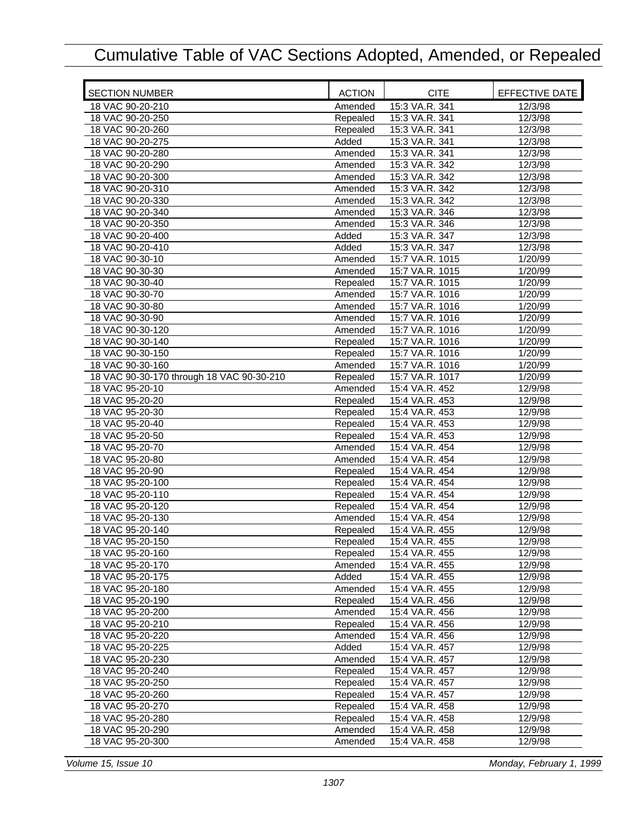| <b>SECTION NUMBER</b>                     | <b>ACTION</b>      | <b>CITE</b>     | EFFECTIVE DATE     |
|-------------------------------------------|--------------------|-----------------|--------------------|
| 18 VAC 90-20-210                          | Amended            | 15:3 VA.R. 341  | 12/3/98            |
| 18 VAC 90-20-250                          | Repealed           | 15:3 VA.R. 341  | 12/3/98            |
| 18 VAC 90-20-260                          | Repealed           | 15:3 VA.R. 341  | 12/3/98            |
| 18 VAC 90-20-275                          | Added              | 15:3 VA.R. 341  | 12/3/98            |
| 18 VAC 90-20-280                          | Amended            | 15:3 VA.R. 341  | $\frac{1}{2}/3/98$ |
| 18 VAC 90-20-290                          | Amended            | 15:3 VA.R. 342  | 12/3/98            |
| 18 VAC 90-20-300                          | Amended            | 15:3 VA.R. 342  | 12/3/98            |
| 18 VAC 90-20-310                          | Amended            | 15:3 VA.R. 342  | 12/3/98            |
| 18 VAC 90-20-330                          | Amended            | 15:3 VA.R. 342  | 12/3/98            |
| 18 VAC 90-20-340                          | Amended            | 15:3 VA.R. 346  | 12/3/98            |
| 18 VAC 90-20-350                          | Amended            | 15:3 VA.R. 346  | 12/3/98            |
| 18 VAC 90-20-400                          | Added              | 15:3 VA.R. 347  | 12/3/98            |
| 18 VAC 90-20-410                          | Added              | 15:3 VA.R. 347  | $\frac{1}{2}/3/98$ |
| 18 VAC 90-30-10                           | Amended            | 15:7 VA.R. 1015 | 1/20/99            |
| 18 VAC 90-30-30                           | Amended            | 15:7 VA.R. 1015 | 1/20/99            |
| 18 VAC 90-30-40                           | Repealed           | 15:7 VA.R. 1015 | 1/20/99            |
| 18 VAC 90-30-70                           | Amended            | 15:7 VA.R. 1016 | 1/20/99            |
| 18 VAC 90-30-80                           | Amended            | 15:7 VA.R. 1016 | 1/20/99            |
| 18 VAC 90-30-90                           |                    | 15:7 VA.R. 1016 |                    |
| 18 VAC 90-30-120                          | Amended<br>Amended | 15:7 VA.R. 1016 | 1/20/99<br>1/20/99 |
| 18 VAC 90-30-140                          |                    | 15:7 VA.R. 1016 |                    |
| 18 VAC 90-30-150                          | Repealed           |                 | 1/20/99            |
|                                           | Repealed           | 15:7 VA.R. 1016 | 1/20/99            |
| 18 VAC 90-30-160                          | Amended            | 15:7 VA.R. 1016 | 1/20/99            |
| 18 VAC 90-30-170 through 18 VAC 90-30-210 | Repealed           | 15:7 VA.R. 1017 | 1/20/99            |
| 18 VAC 95-20-10                           | Amended            | 15:4 VA.R. 452  | 12/9/98            |
| 18 VAC 95-20-20                           | Repealed           | 15:4 VA.R. 453  | 12/9/98            |
| 18 VAC 95-20-30                           | Repealed           | 15:4 VA.R. 453  | 12/9/98            |
| 18 VAC 95-20-40                           | Repealed           | 15:4 VA.R. 453  | 12/9/98            |
| 18 VAC 95-20-50                           | Repealed           | 15:4 VA.R. 453  | 12/9/98            |
| 18 VAC 95-20-70                           | Amended            | 15:4 VA.R. 454  | 12/9/98            |
| 18 VAC 95-20-80                           | Amended            | 15:4 VA.R. 454  | 12/9/98            |
| 18 VAC 95-20-90                           | Repealed           | 15:4 VA.R. 454  | 12/9/98            |
| 18 VAC 95-20-100                          | Repealed           | 15:4 VA.R. 454  | 12/9/98            |
| 18 VAC 95-20-110                          | Repealed           | 15:4 VA.R. 454  | 12/9/98            |
| 18 VAC 95-20-120                          | Repealed           | 15:4 VA.R. 454  | 12/9/98            |
| 18 VAC 95-20-130                          | Amended            | 15:4 VA.R. 454  | 12/9/98            |
| 18 VAC 95-20-140                          | Repealed           | 15:4 VA.R. 455  | 12/9/98            |
| 18 VAC 95-20-150                          | Repealed           | 15:4 VA.R. 455  | 12/9/98            |
| 18 VAC 95-20-160                          | Repealed           | 15:4 VA.R. 455  | 12/9/98            |
| 18 VAC 95-20-170                          | Amended            | 15:4 VA.R. 455  | 12/9/98            |
| 18 VAC 95-20-175                          | Added              | 15:4 VA.R. 455  | 12/9/98            |
| 18 VAC 95-20-180                          | Amended            | 15:4 VA.R. 455  | 12/9/98            |
| 18 VAC 95-20-190                          | Repealed           | 15:4 VA.R. 456  | 12/9/98            |
| 18 VAC 95-20-200                          | Amended            | 15:4 VA.R. 456  | 12/9/98            |
| 18 VAC 95-20-210                          | Repealed           | 15:4 VA.R. 456  | 12/9/98            |
| 18 VAC 95-20-220                          | Amended            | 15:4 VA.R. 456  | 12/9/98            |
| 18 VAC 95-20-225                          | Added              | 15:4 VA.R. 457  | 12/9/98            |
| 18 VAC 95-20-230                          | Amended            | 15:4 VA.R. 457  | 12/9/98            |
| 18 VAC 95-20-240                          | Repealed           | 15:4 VA.R. 457  | 12/9/98            |
| 18 VAC 95-20-250                          | Repealed           | 15:4 VA.R. 457  | 12/9/98            |
| 18 VAC 95-20-260                          | Repealed           | 15:4 VA.R. 457  | 12/9/98            |
| 18 VAC 95-20-270                          | Repealed           | 15:4 VA.R. 458  | 12/9/98            |
| 18 VAC 95-20-280                          | Repealed           | 15:4 VA.R. 458  | 12/9/98            |
| 18 VAC 95-20-290                          | Amended            | 15:4 VA.R. 458  | 12/9/98            |
| 18 VAC 95-20-300                          | Amended            | 15:4 VA.R. 458  | 12/9/98            |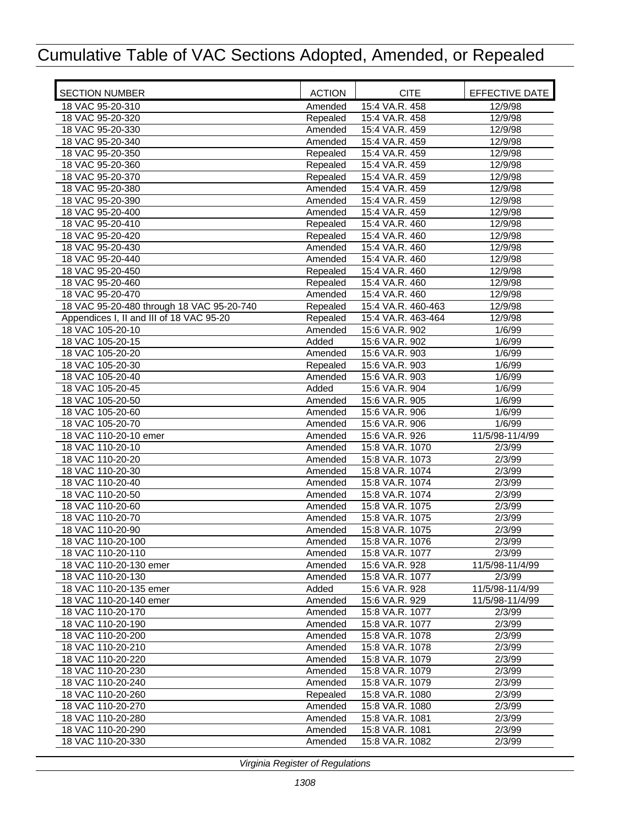| <b>SECTION NUMBER</b>                     | <b>ACTION</b> | <b>CITE</b>        | <b>EFFECTIVE DATE</b> |
|-------------------------------------------|---------------|--------------------|-----------------------|
| 18 VAC 95-20-310                          | Amended       | 15:4 VA.R. 458     | 12/9/98               |
| 18 VAC 95-20-320                          | Repealed      | 15:4 VA.R. 458     | 12/9/98               |
| 18 VAC 95-20-330                          | Amended       | 15:4 VA.R. 459     | 12/9/98               |
| 18 VAC 95-20-340                          | Amended       | 15:4 VA.R. 459     | 12/9/98               |
| 18 VAC 95-20-350                          | Repealed      | 15:4 VA.R. 459     | $\frac{1}{2}/9/98$    |
| 18 VAC 95-20-360                          | Repealed      | 15:4 VA.R. 459     | 12/9/98               |
| 18 VAC 95-20-370                          | Repealed      | 15:4 VA.R. 459     | 12/9/98               |
| 18 VAC 95-20-380                          | Amended       | 15:4 VA.R. 459     | 12/9/98               |
| 18 VAC 95-20-390                          | Amended       | 15:4 VA.R. 459     | 12/9/98               |
| 18 VAC 95-20-400                          | Amended       | 15:4 VA.R. 459     | 12/9/98               |
| 18 VAC 95-20-410                          | Repealed      | 15:4 VA.R. 460     | 12/9/98               |
| 18 VAC 95-20-420                          | Repealed      | 15:4 VA.R. 460     | 12/9/98               |
| 18 VAC 95-20-430                          | Amended       | 15:4 VA.R. 460     | 12/9/98               |
| 18 VAC 95-20-440                          | Amended       | 15:4 VA.R. 460     | 12/9/98               |
| 18 VAC 95-20-450                          | Repealed      | 15:4 VA.R. 460     | 12/9/98               |
| 18 VAC 95-20-460                          | Repealed      | 15:4 VA.R. 460     | 12/9/98               |
| 18 VAC 95-20-470                          | Amended       | 15:4 VA.R. 460     | 12/9/98               |
| 18 VAC 95-20-480 through 18 VAC 95-20-740 | Repealed      | 15:4 VA.R. 460-463 | 12/9/98               |
| Appendices I, II and III of 18 VAC 95-20  | Repealed      | 15:4 VA.R. 463-464 | 12/9/98               |
| 18 VAC 105-20-10                          | Amended       | 15:6 VA.R. 902     | 1/6/99                |
| 18 VAC 105-20-15                          | Added         | 15:6 VA.R. 902     | 1/6/99                |
| 18 VAC 105-20-20                          | Amended       | 15:6 VA.R. 903     | 1/6/99                |
| 18 VAC 105-20-30                          | Repealed      | 15:6 VA.R. 903     | 1/6/99                |
| 18 VAC 105-20-40                          | Amended       | 15:6 VA.R. 903     | 1/6/99                |
| 18 VAC 105-20-45                          | Added         | 15:6 VA.R. 904     | 1/6/99                |
| 18 VAC 105-20-50                          | Amended       | 15:6 VA.R. 905     | 1/6/99                |
| 18 VAC 105-20-60                          | Amended       | 15:6 VA.R. 906     | 1/6/99                |
| 18 VAC 105-20-70                          | Amended       | 15:6 VA.R. 906     | 1/6/99                |
| 18 VAC 110-20-10 emer                     | Amended       | 15:6 VA.R. 926     | 11/5/98-11/4/99       |
| 18 VAC 110-20-10                          | Amended       | 15:8 VA.R. 1070    | 2/3/99                |
| 18 VAC 110-20-20                          | Amended       | 15:8 VA.R. 1073    | 2/3/99                |
| 18 VAC 110-20-30                          | Amended       | 15:8 VA.R. 1074    | 2/3/99                |
| 18 VAC 110-20-40                          | Amended       | 15:8 VA.R. 1074    | 2/3/99                |
| 18 VAC 110-20-50                          | Amended       | 15:8 VA.R. 1074    | 2/3/99                |
| 18 VAC 110-20-60                          | Amended       | 15:8 VA.R. 1075    | 2/3/99                |
| 18 VAC 110-20-70                          | Amended       | 15:8 VA.R. 1075    | 2/3/99                |
| 18 VAC 110-20-90                          | Amended       | 15:8 VA.R. 1075    | 2/3/99                |
| 18 VAC 110-20-100                         | Amended       | 15:8 VA.R. 1076    | 2/3/99                |
| 18 VAC 110-20-110                         | Amended       | 15:8 VA.R. 1077    | 2/3/99                |
| 18 VAC 110-20-130 emer                    | Amended       | 15:6 VA.R. 928     | 11/5/98-11/4/99       |
| 18 VAC 110-20-130                         | Amended       | 15:8 VA.R. 1077    | 2/3/99                |
| 18 VAC 110-20-135 emer                    | Added         | 15:6 VA.R. 928     | 11/5/98-11/4/99       |
| 18 VAC 110-20-140 emer                    | Amended       | 15:6 VA.R. 929     | 11/5/98-11/4/99       |
| 18 VAC 110-20-170                         | Amended       | 15:8 VA.R. 1077    | 2/3/99                |
| 18 VAC 110-20-190                         | Amended       | 15:8 VA.R. 1077    | 2/3/99                |
| 18 VAC 110-20-200                         | Amended       | 15:8 VA.R. 1078    | 2/3/99                |
| 18 VAC 110-20-210                         | Amended       | 15:8 VA.R. 1078    | 2/3/99                |
| 18 VAC 110-20-220                         | Amended       | 15:8 VA.R. 1079    | 2/3/99                |
| 18 VAC 110-20-230                         | Amended       | 15:8 VA.R. 1079    | 2/3/99                |
| 18 VAC 110-20-240                         | Amended       | 15:8 VA.R. 1079    | 2/3/99                |
| 18 VAC 110-20-260                         | Repealed      | 15:8 VA.R. 1080    | 2/3/99                |
| 18 VAC 110-20-270                         | Amended       | 15:8 VA.R. 1080    | 2/3/99                |
| 18 VAC 110-20-280                         | Amended       | 15:8 VA.R. 1081    | 2/3/99                |
| 18 VAC 110-20-290                         | Amended       | 15:8 VA.R. 1081    | 2/3/99                |
| 18 VAC 110-20-330                         | Amended       | 15:8 VA.R. 1082    | 2/3/99                |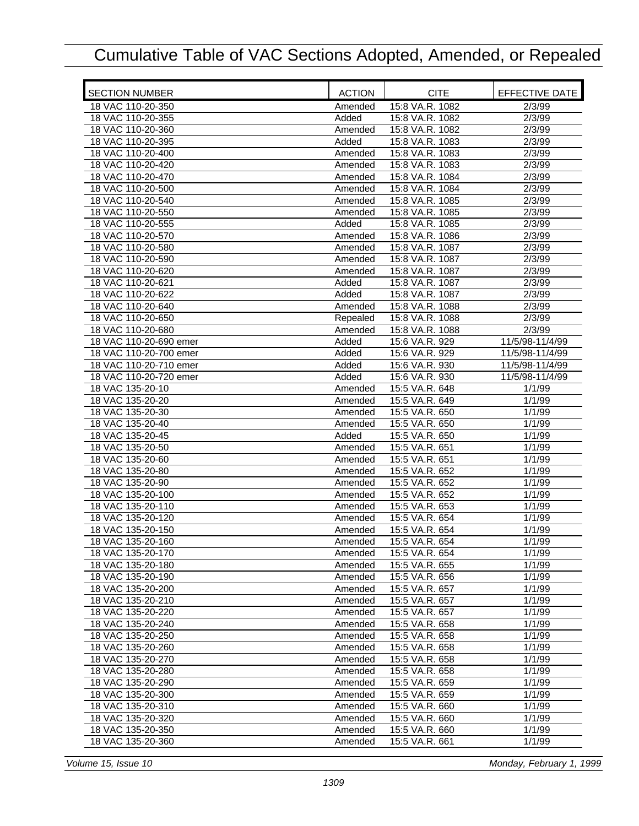| <b>SECTION NUMBER</b>  | <b>ACTION</b> | <b>CITE</b>     | EFFECTIVE DATE  |
|------------------------|---------------|-----------------|-----------------|
| 18 VAC 110-20-350      | Amended       | 15:8 VA.R. 1082 | 2/3/99          |
| 18 VAC 110-20-355      | Added         | 15:8 VA.R. 1082 | 2/3/99          |
| 18 VAC 110-20-360      | Amended       | 15:8 VA.R. 1082 | 2/3/99          |
| 18 VAC 110-20-395      | Added         | 15:8 VA.R. 1083 | 2/3/99          |
| 18 VAC 110-20-400      | Amended       | 15:8 VA.R. 1083 | 2/3/99          |
| 18 VAC 110-20-420      | Amended       | 15:8 VA.R. 1083 | 2/3/99          |
| 18 VAC 110-20-470      | Amended       | 15:8 VA.R. 1084 | 2/3/99          |
| 18 VAC 110-20-500      | Amended       | 15:8 VA.R. 1084 | 2/3/99          |
| 18 VAC 110-20-540      | Amended       | 15:8 VA.R. 1085 | 2/3/99          |
| 18 VAC 110-20-550      | Amended       | 15:8 VA.R. 1085 | 2/3/99          |
| 18 VAC 110-20-555      | Added         | 15:8 VA.R. 1085 | 2/3/99          |
| 18 VAC 110-20-570      | Amended       | 15:8 VA.R. 1086 | 2/3/99          |
| 18 VAC 110-20-580      | Amended       | 15:8 VA.R. 1087 | 2/3/99          |
| 18 VAC 110-20-590      | Amended       | 15:8 VA.R. 1087 | 2/3/99          |
| 18 VAC 110-20-620      | Amended       | 15:8 VA.R. 1087 | 2/3/99          |
| 18 VAC 110-20-621      | Added         | 15:8 VA.R. 1087 | 2/3/99          |
| 18 VAC 110-20-622      | Added         | 15:8 VA.R. 1087 | 2/3/99          |
| 18 VAC 110-20-640      | Amended       | 15:8 VA.R. 1088 | 2/3/99          |
| 18 VAC 110-20-650      | Repealed      | 15:8 VA.R. 1088 | 2/3/99          |
| 18 VAC 110-20-680      | Amended       | 15:8 VA.R. 1088 | 2/3/99          |
| 18 VAC 110-20-690 emer | Added         | 15:6 VA.R. 929  | 11/5/98-11/4/99 |
| 18 VAC 110-20-700 emer | Added         | 15:6 VA.R. 929  | 11/5/98-11/4/99 |
| 18 VAC 110-20-710 emer | Added         | 15:6 VA.R. 930  | 11/5/98-11/4/99 |
| 18 VAC 110-20-720 emer | Added         | 15:6 VA.R. 930  | 11/5/98-11/4/99 |
| 18 VAC 135-20-10       | Amended       | 15:5 VA.R. 648  | 1/1/99          |
| 18 VAC 135-20-20       | Amended       | 15:5 VA.R. 649  | 1/1/99          |
| 18 VAC 135-20-30       | Amended       | 15:5 VA.R. 650  | 1/1/99          |
| 18 VAC 135-20-40       | Amended       | 15:5 VA.R. 650  | 1/1/99          |
| 18 VAC 135-20-45       | Added         | 15:5 VA.R. 650  | 1/1/99          |
| 18 VAC 135-20-50       | Amended       | 15:5 VA.R. 651  | 1/1/99          |
| 18 VAC 135-20-60       | Amended       | 15:5 VA.R. 651  | 1/1/99          |
| 18 VAC 135-20-80       | Amended       | 15:5 VA.R. 652  | 1/1/99          |
| 18 VAC 135-20-90       | Amended       | 15:5 VA.R. 652  | 1/1/99          |
| 18 VAC 135-20-100      | Amended       | 15:5 VA.R. 652  | 1/1/99          |
| 18 VAC 135-20-110      | Amended       | 15:5 VA.R. 653  | 1/1/99          |
| 18 VAC 135-20-120      | Amended       | 15:5 VA.R. 654  | 1/1/99          |
| 18 VAC 135-20-150      | Amended       | 15:5 VA.R. 654  | 1/1/99          |
| 18 VAC 135-20-160      | Amended       | 15:5 VA.R. 654  | 1/1/99          |
| 18 VAC 135-20-170      | Amended       | 15:5 VA.R. 654  | 1/1/99          |
| 18 VAC 135-20-180      | Amended       | 15:5 VA.R. 655  | 1/1/99          |
| 18 VAC 135-20-190      | Amended       | 15:5 VA.R. 656  | 1/1/99          |
| 18 VAC 135-20-200      | Amended       | 15:5 VA.R. 657  | 1/1/99          |
| 18 VAC 135-20-210      | Amended       | 15:5 VA.R. 657  | 1/1/99          |
| 18 VAC 135-20-220      | Amended       | 15:5 VA.R. 657  | 1/1/99          |
| 18 VAC 135-20-240      | Amended       | 15:5 VA.R. 658  | 1/1/99          |
| 18 VAC 135-20-250      | Amended       | 15:5 VA.R. 658  | 1/1/99          |
| 18 VAC 135-20-260      | Amended       | 15:5 VA.R. 658  | 1/1/99          |
| 18 VAC 135-20-270      | Amended       | 15:5 VA.R. 658  | 1/1/99          |
| 18 VAC 135-20-280      | Amended       | 15:5 VA.R. 658  | 1/1/99          |
| 18 VAC 135-20-290      | Amended       | 15:5 VA.R. 659  | 1/1/99          |
| 18 VAC 135-20-300      | Amended       | 15:5 VA.R. 659  | 1/1/99          |
| 18 VAC 135-20-310      | Amended       | 15:5 VA.R. 660  | 1/1/99          |
| 18 VAC 135-20-320      | Amended       | 15:5 VA.R. 660  | 1/1/99          |
| 18 VAC 135-20-350      | Amended       | 15:5 VA.R. 660  | 1/1/99          |
| 18 VAC 135-20-360      | Amended       | 15:5 VA.R. 661  | 1/1/99          |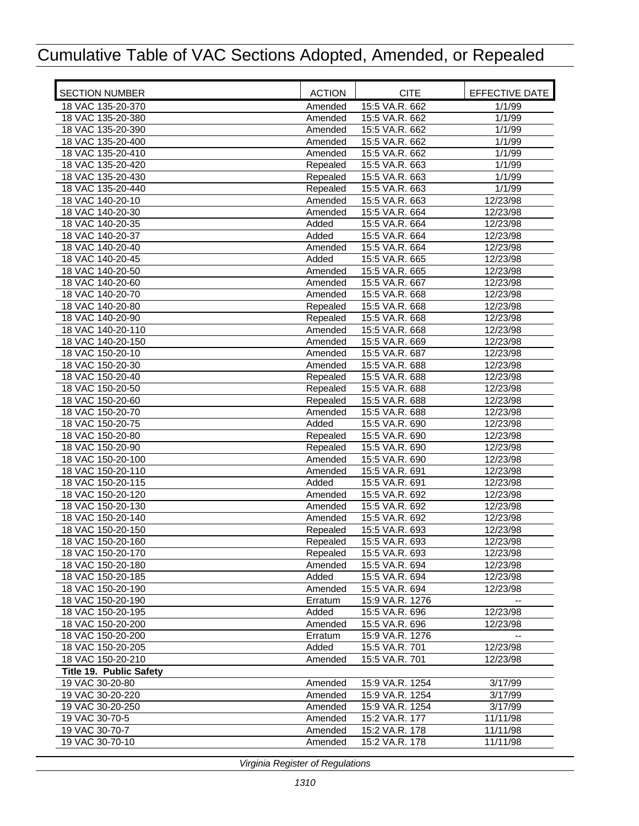| <b>SECTION NUMBER</b>   | <b>ACTION</b> | <b>CITE</b>     | EFFECTIVE DATE |
|-------------------------|---------------|-----------------|----------------|
| 18 VAC 135-20-370       | Amended       | 15:5 VA.R. 662  | 1/1/99         |
| 18 VAC 135-20-380       | Amended       | 15:5 VA.R. 662  | 1/1/99         |
| 18 VAC 135-20-390       | Amended       | 15:5 VA.R. 662  | 1/1/99         |
| 18 VAC 135-20-400       | Amended       | 15:5 VA.R. 662  | 1/1/99         |
| 18 VAC 135-20-410       | Amended       | 15:5 VA.R. 662  | 1/1/99         |
| 18 VAC 135-20-420       | Repealed      | 15:5 VA.R. 663  | 1/1/99         |
| 18 VAC 135-20-430       | Repealed      | 15:5 VA.R. 663  | 1/1/99         |
| 18 VAC 135-20-440       | Repealed      | 15:5 VA.R. 663  | 1/1/99         |
| 18 VAC 140-20-10        | Amended       | 15:5 VA.R. 663  | 12/23/98       |
| 18 VAC 140-20-30        | Amended       | 15:5 VA.R. 664  | 12/23/98       |
| 18 VAC 140-20-35        | Added         | 15:5 VA.R. 664  | 12/23/98       |
| 18 VAC 140-20-37        | Added         | 15:5 VA.R. 664  | 12/23/98       |
| 18 VAC 140-20-40        | Amended       | 15:5 VA.R. 664  | 12/23/98       |
| 18 VAC 140-20-45        | Added         | 15:5 VA.R. 665  | 12/23/98       |
| 18 VAC 140-20-50        | Amended       | 15:5 VA.R. 665  | 12/23/98       |
| 18 VAC 140-20-60        | Amended       | 15:5 VA.R. 667  | 12/23/98       |
| 18 VAC 140-20-70        | Amended       | 15:5 VA.R. 668  | 12/23/98       |
| 18 VAC 140-20-80        | Repealed      | 15:5 VA.R. 668  | 12/23/98       |
| 18 VAC 140-20-90        | Repealed      | 15:5 VA.R. 668  | 12/23/98       |
| 18 VAC 140-20-110       | Amended       | 15:5 VA.R. 668  | 12/23/98       |
| 18 VAC 140-20-150       | Amended       | 15:5 VA.R. 669  | 12/23/98       |
| 18 VAC 150-20-10        | Amended       | 15:5 VA.R. 687  | 12/23/98       |
| 18 VAC 150-20-30        | Amended       | 15:5 VA.R. 688  | 12/23/98       |
| 18 VAC 150-20-40        | Repealed      | 15:5 VA.R. 688  | 12/23/98       |
| 18 VAC 150-20-50        | Repealed      | 15:5 VA.R. 688  | 12/23/98       |
| 18 VAC 150-20-60        | Repealed      | 15:5 VA.R. 688  | 12/23/98       |
| 18 VAC 150-20-70        | Amended       | 15:5 VA.R. 688  | 12/23/98       |
| 18 VAC 150-20-75        | Added         | 15:5 VA.R. 690  | 12/23/98       |
| 18 VAC 150-20-80        | Repealed      | 15:5 VA.R. 690  | 12/23/98       |
| 18 VAC 150-20-90        | Repealed      | 15:5 VA.R. 690  | 12/23/98       |
| 18 VAC 150-20-100       | Amended       | 15:5 VA.R. 690  | 12/23/98       |
| 18 VAC 150-20-110       | Amended       | 15:5 VA.R. 691  | 12/23/98       |
| 18 VAC 150-20-115       | Added         | 15:5 VA.R. 691  | 12/23/98       |
| 18 VAC 150-20-120       | Amended       | 15:5 VA.R. 692  | 12/23/98       |
| 18 VAC 150-20-130       | Amended       | 15:5 VA.R. 692  | 12/23/98       |
| 18 VAC 150-20-140       | Amended       | 15:5 VA.R. 692  | 12/23/98       |
| 18 VAC 150-20-150       | Repealed      | 15:5 VA.R. 693  | 12/23/98       |
| 18 VAC 150-20-160       | Repealed      | 15:5 VA.R. 693  | 12/23/98       |
| 18 VAC 150-20-170       | Repealed      | 15:5 VA.R. 693  | 12/23/98       |
| 18 VAC 150-20-180       | Amended       | 15:5 VA.R. 694  | 12/23/98       |
| 18 VAC 150-20-185       | Added         | 15:5 VA.R. 694  | 12/23/98       |
| 18 VAC 150-20-190       | Amended       | 15:5 VA.R. 694  | 12/23/98       |
| 18 VAC 150-20-190       | Erratum       | 15:9 VA.R. 1276 |                |
| 18 VAC 150-20-195       | Added         | 15:5 VA.R. 696  | 12/23/98       |
| 18 VAC 150-20-200       | Amended       | 15:5 VA.R. 696  | 12/23/98       |
| 18 VAC 150-20-200       | Erratum       | 15:9 VA.R. 1276 |                |
| 18 VAC 150-20-205       | Added         | 15:5 VA.R. 701  | 12/23/98       |
| 18 VAC 150-20-210       | Amended       | 15:5 VA.R. 701  | 12/23/98       |
| Title 19. Public Safety |               |                 |                |
| 19 VAC 30-20-80         | Amended       | 15:9 VA.R. 1254 | 3/17/99        |
| 19 VAC 30-20-220        | Amended       | 15:9 VA.R. 1254 | 3/17/99        |
| 19 VAC 30-20-250        | Amended       | 15:9 VA.R. 1254 | 3/17/99        |
| 19 VAC 30-70-5          | Amended       | 15:2 VA.R. 177  | 11/11/98       |
| 19 VAC 30-70-7          | Amended       | 15:2 VA.R. 178  | 11/11/98       |
| 19 VAC 30-70-10         | Amended       | 15:2 VA.R. 178  | 11/11/98       |
|                         |               |                 |                |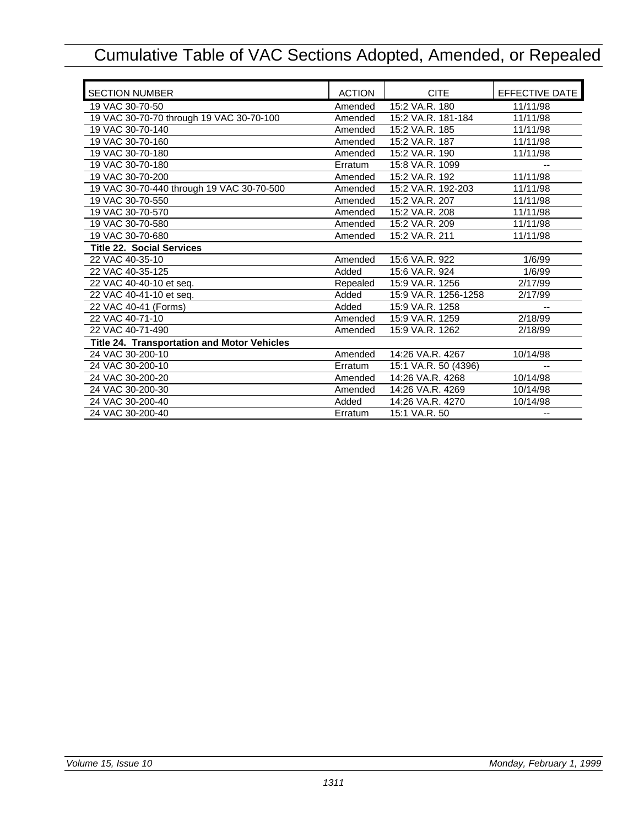| <b>SECTION NUMBER</b>                       | <b>ACTION</b> | <b>CITE</b>          | <b>EFFECTIVE DATE</b> |
|---------------------------------------------|---------------|----------------------|-----------------------|
| 19 VAC 30-70-50                             | Amended       | 15:2 VA.R. 180       | 11/11/98              |
| 19 VAC 30-70-70 through 19 VAC 30-70-100    | Amended       | 15:2 VA.R. 181-184   | 11/11/98              |
| 19 VAC 30-70-140                            | Amended       | 15:2 VA.R. 185       | 11/11/98              |
| 19 VAC 30-70-160                            | Amended       | 15:2 VA.R. 187       | 11/11/98              |
| 19 VAC 30-70-180                            | Amended       | 15:2 VA.R. 190       | 11/11/98              |
| 19 VAC 30-70-180                            | Erratum       | 15:8 VA.R. 1099      |                       |
| 19 VAC 30-70-200                            | Amended       | 15:2 VA.R. 192       | 11/11/98              |
| 19 VAC 30-70-440 through 19 VAC 30-70-500   | Amended       | 15:2 VA.R. 192-203   | 11/11/98              |
| 19 VAC 30-70-550                            | Amended       | 15:2 VA.R. 207       | 11/11/98              |
| 19 VAC 30-70-570                            | Amended       | 15:2 VA.R. 208       | 11/11/98              |
| 19 VAC 30-70-580                            | Amended       | 15:2 VA.R. 209       | 11/11/98              |
| 19 VAC 30-70-680                            | Amended       | 15:2 VA.R. 211       | 11/11/98              |
| <b>Title 22. Social Services</b>            |               |                      |                       |
| 22 VAC 40-35-10                             | Amended       | 15:6 VA.R. 922       | 1/6/99                |
| 22 VAC 40-35-125                            | Added         | 15:6 VA.R. 924       | 1/6/99                |
| 22 VAC 40-40-10 et seq.                     | Repealed      | 15:9 VA.R. 1256      | 2/17/99               |
| 22 VAC 40-41-10 et seq.                     | Added         | 15:9 VA.R. 1256-1258 | 2/17/99               |
| 22 VAC 40-41 (Forms)                        | Added         | 15:9 VA.R. 1258      |                       |
| 22 VAC 40-71-10                             | Amended       | 15:9 VA.R. 1259      | 2/18/99               |
| 22 VAC 40-71-490                            | Amended       | 15:9 VA.R. 1262      | 2/18/99               |
| Title 24. Transportation and Motor Vehicles |               |                      |                       |
| 24 VAC 30-200-10                            | Amended       | 14:26 VA.R. 4267     | 10/14/98              |
| 24 VAC 30-200-10                            | Erratum       | 15:1 VA.R. 50 (4396) |                       |
| 24 VAC 30-200-20                            | Amended       | 14:26 VA.R. 4268     | 10/14/98              |
| 24 VAC 30-200-30                            | Amended       | 14:26 VA.R. 4269     | 10/14/98              |
| 24 VAC 30-200-40                            | Added         | 14:26 VA.R. 4270     | 10/14/98              |
| 24 VAC 30-200-40                            | Erratum       | 15:1 VA.R. 50        | --                    |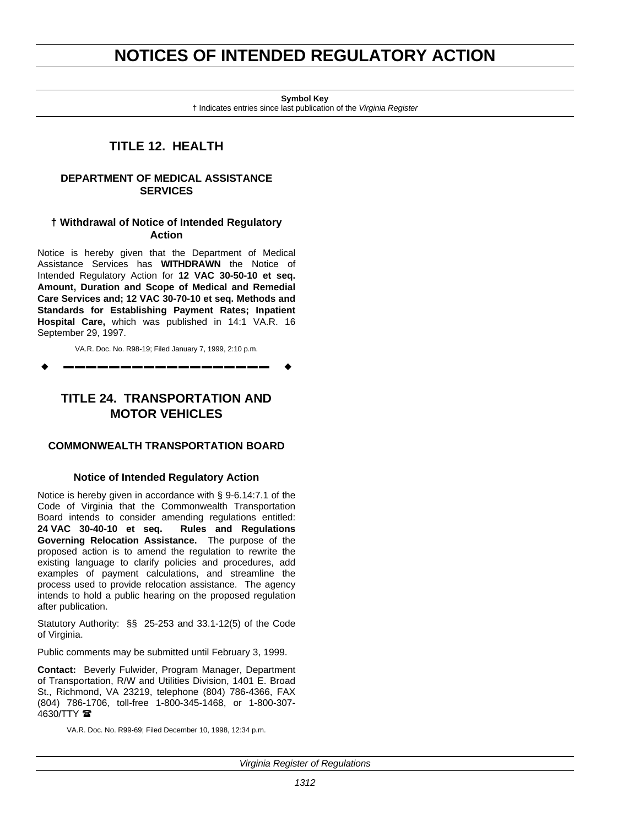# <span id="page-19-0"></span>**NOTICES OF INTENDED REGULATORY ACTION**

**Symbol Key**

† Indicates entries since last publication of the *Virginia Register*

## **TITLE 12. HEALTH**

#### **DEPARTMENT OF MEDICAL ASSISTANCE SERVICES**

### **† Withdrawal of Notice of Intended Regulatory Action**

Notice is hereby given that the Department of Medical Assistance Services has **WITHDRAWN** the Notice of Intended Regulatory Action for **12 VAC 30-50-10 et seq. Amount, Duration and Scope of Medical and Remedial Care Services and; 12 VAC 30-70-10 et seq. Methods and Standards for Establishing Payment Rates; Inpatient Hospital Care,** which was published in 14:1 VA.R. 16 September 29, 1997.

VA.R. Doc. No. R98-19; Filed January 7, 1999, 2:10 p.m.

w **––––––––––––––––––** w

### **TITLE 24. TRANSPORTATION AND MOTOR VEHICLES**

### **COMMONWEALTH TRANSPORTATION BOARD**

#### **Notice of Intended Regulatory Action**

Notice is hereby given in accordance with § 9-6.14:7.1 of the Code of Virginia that the Commonwealth Transportation Board intends to consider amending regulations entitled: **24 VAC 30-40-10 et seq. Rules and Regulations Governing Relocation Assistance.** The purpose of the proposed action is to amend the regulation to rewrite the existing language to clarify policies and procedures, add examples of payment calculations, and streamline the process used to provide relocation assistance. The agency intends to hold a public hearing on the proposed regulation after publication.

Statutory Authority: §§ 25-253 and 33.1-12(5) of the Code of Virginia.

Public comments may be submitted until February 3, 1999.

**Contact:** Beverly Fulwider, Program Manager, Department of Transportation, R/W and Utilities Division, 1401 E. Broad St., Richmond, VA 23219, telephone (804) 786-4366, FAX (804) 786-1706, toll-free 1-800-345-1468, or 1-800-307-  $4630/TTY$ 

VA.R. Doc. No. R99-69; Filed December 10, 1998, 12:34 p.m.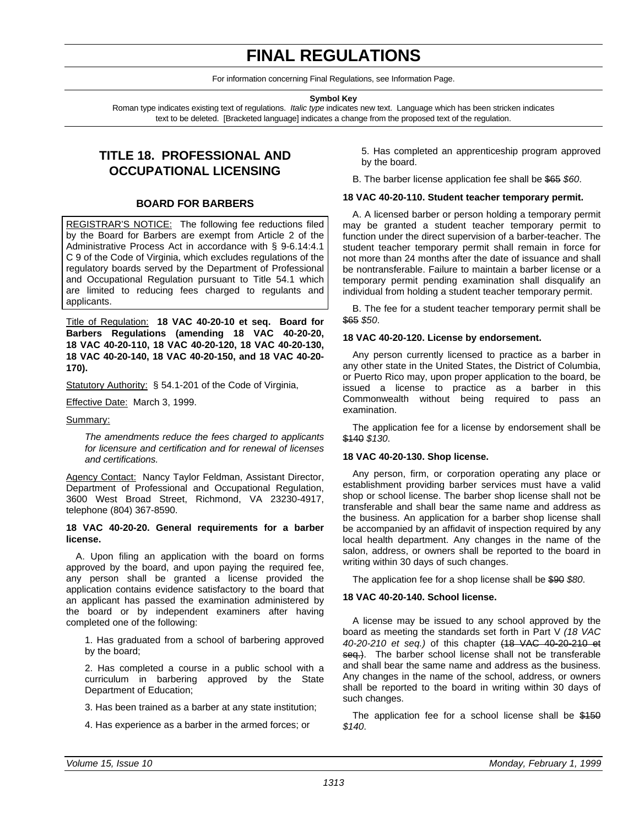# **FINAL REGULATIONS**

For information concerning Final Regulations, see Information Page.

**Symbol Key**

<span id="page-20-0"></span>Roman type indicates existing text of regulations. *Italic type* indicates new text. Language which has been stricken indicates text to be deleted. [Bracketed language] indicates a change from the proposed text of the regulation.

## **TITLE 18. PROFESSIONAL AND OCCUPATIONAL LICENSING**

#### **BOARD FOR BARBERS**

REGISTRAR'S NOTICE: The following fee reductions filed by the Board for Barbers are exempt from Article 2 of the Administrative Process Act in accordance with § 9-6.14:4.1 C 9 of the Code of Virginia, which excludes regulations of the regulatory boards served by the Department of Professional and Occupational Regulation pursuant to Title 54.1 which are limited to reducing fees charged to regulants and applicants.

Title of Regulation: **18 VAC 40-20-10 et seq. Board for Barbers Regulations (amending 18 VAC 40-20-20, 18 VAC 40-20-110, 18 VAC 40-20-120, 18 VAC 40-20-130, 18 VAC 40-20-140, 18 VAC 40-20-150, and 18 VAC 40-20- 170).**

Statutory Authority: § 54.1-201 of the Code of Virginia,

Effective Date: March 3, 1999.

#### Summary:

*The amendments reduce the fees charged to applicants for licensure and certification and for renewal of licenses and certifications.*

Agency Contact: Nancy Taylor Feldman, Assistant Director, Department of Professional and Occupational Regulation, 3600 West Broad Street, Richmond, VA 23230-4917, telephone (804) 367-8590.

#### **18 VAC 40-20-20. General requirements for a barber license.**

A. Upon filing an application with the board on forms approved by the board, and upon paying the required fee, any person shall be granted a license provided the application contains evidence satisfactory to the board that an applicant has passed the examination administered by the board or by independent examiners after having completed one of the following:

1. Has graduated from a school of barbering approved by the board;

2. Has completed a course in a public school with a curriculum in barbering approved by the State Department of Education;

3. Has been trained as a barber at any state institution;

4. Has experience as a barber in the armed forces; or

5. Has completed an apprenticeship program approved by the board.

B. The barber license application fee shall be \$65 *\$60*.

#### **18 VAC 40-20-110. Student teacher temporary permit.**

A. A licensed barber or person holding a temporary permit may be granted a student teacher temporary permit to function under the direct supervision of a barber-teacher. The student teacher temporary permit shall remain in force for not more than 24 months after the date of issuance and shall be nontransferable. Failure to maintain a barber license or a temporary permit pending examination shall disqualify an individual from holding a student teacher temporary permit.

B. The fee for a student teacher temporary permit shall be \$65 *\$50*.

#### **18 VAC 40-20-120. License by endorsement.**

Any person currently licensed to practice as a barber in any other state in the United States, the District of Columbia, or Puerto Rico may, upon proper application to the board, be issued a license to practice as a barber in this Commonwealth without being required to pass an examination.

The application fee for a license by endorsement shall be \$140 *\$130*.

#### **18 VAC 40-20-130. Shop license.**

Any person, firm, or corporation operating any place or establishment providing barber services must have a valid shop or school license. The barber shop license shall not be transferable and shall bear the same name and address as the business. An application for a barber shop license shall be accompanied by an affidavit of inspection required by any local health department. Any changes in the name of the salon, address, or owners shall be reported to the board in writing within 30 days of such changes.

The application fee for a shop license shall be \$90 *\$80*.

#### **18 VAC 40-20-140. School license.**

A license may be issued to any school approved by the board as meeting the standards set forth in Part V *(18 VAC 40-20-210 et seq.)* of this chapter (18 VAC 40-20-210 et seq.). The barber school license shall not be transferable and shall bear the same name and address as the business. Any changes in the name of the school, address, or owners shall be reported to the board in writing within 30 days of such changes.

The application fee for a school license shall be \$150 *\$140*.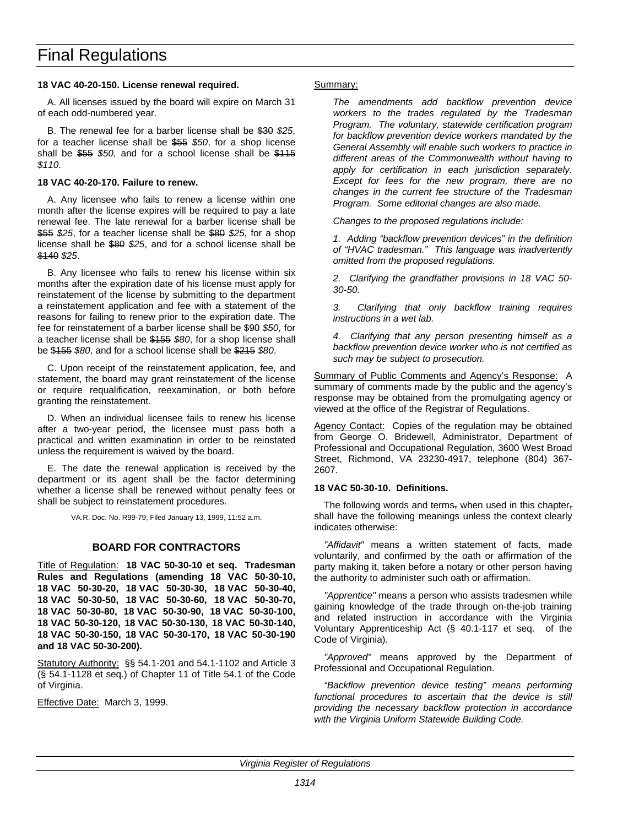#### <span id="page-21-0"></span>**18 VAC 40-20-150. License renewal required.**

A. All licenses issued by the board will expire on March 31 of each odd-numbered year.

B. The renewal fee for a barber license shall be \$30 *\$25*, for a teacher license shall be \$55 *\$50*, for a shop license shall be \$55 *\$50*, and for a school license shall be \$115 *\$110*.

#### **18 VAC 40-20-170. Failure to renew.**

A. Any licensee who fails to renew a license within one month after the license expires will be required to pay a late renewal fee. The late renewal for a barber license shall be \$55 *\$25*, for a teacher license shall be \$80 *\$25*, for a shop license shall be \$80 *\$25*, and for a school license shall be \$140 *\$25*.

B. Any licensee who fails to renew his license within six months after the expiration date of his license must apply for reinstatement of the license by submitting to the department a reinstatement application and fee with a statement of the reasons for failing to renew prior to the expiration date. The fee for reinstatement of a barber license shall be \$90 *\$50*, for a teacher license shall be \$155 *\$80*, for a shop license shall be \$155 *\$80*, and for a school license shall be \$215 *\$80*.

C. Upon receipt of the reinstatement application, fee, and statement, the board may grant reinstatement of the license or require requalification, reexamination, or both before granting the reinstatement.

D. When an individual licensee fails to renew his license after a two-year period, the licensee must pass both a practical and written examination in order to be reinstated unless the requirement is waived by the board.

E. The date the renewal application is received by the department or its agent shall be the factor determining whether a license shall be renewed without penalty fees or shall be subject to reinstatement procedures.

VA.R. Doc. No. R99-79; Filed January 13, 1999, 11:52 a.m.

#### **BOARD FOR CONTRACTORS**

Title of Regulation: **18 VAC 50-30-10 et seq. Tradesman Rules and Regulations (amending 18 VAC 50-30-10, 18 VAC 50-30-20, 18 VAC 50-30-30, 18 VAC 50-30-40, 18 VAC 50-30-50, 18 VAC 50-30-60, 18 VAC 50-30-70, 18 VAC 50-30-80, 18 VAC 50-30-90, 18 VAC 50-30-100, 18 VAC 50-30-120, 18 VAC 50-30-130, 18 VAC 50-30-140, 18 VAC 50-30-150, 18 VAC 50-30-170, 18 VAC 50-30-190 and 18 VAC 50-30-200).**

Statutory Authority: §§ 54.1-201 and 54.1-1102 and Article 3 (§ 54.1-1128 et seq.) of Chapter 11 of Title 54.1 of the Code of Virginia.

Effective Date: March 3, 1999.

#### Summary:

*The amendments add backflow prevention device workers to the trades regulated by the Tradesman Program. The voluntary, statewide certification program for backflow prevention device workers mandated by the General Assembly will enable such workers to practice in different areas of the Commonwealth without having to apply for certification in each jurisdiction separately. Except for fees for the new program, there are no changes in the current fee structure of the Tradesman Program. Some editorial changes are also made.*

*Changes to the proposed regulations include:*

*1. Adding "backflow prevention devices" in the definition of "HVAC tradesman." This language was inadvertently omitted from the proposed regulations.*

*2. Clarifying the grandfather provisions in 18 VAC 50- 30-50.*

*3. Clarifying that only backflow training requires instructions in a wet lab.*

*4. Clarifying that any person presenting himself as a backflow prevention device worker who is not certified as such may be subject to prosecution.*

Summary of Public Comments and Agency's Response: A summary of comments made by the public and the agency's response may be obtained from the promulgating agency or viewed at the office of the Registrar of Regulations.

Agency Contact: Copies of the regulation may be obtained from George O. Bridewell, Administrator, Department of Professional and Occupational Regulation, 3600 West Broad Street, Richmond, VA 23230-4917, telephone (804) 367- 2607.

#### **18 VAC 50-30-10. Definitions.**

The following words and terms, when used in this chapter, shall have the following meanings unless the context clearly indicates otherwise:

*"Affidavit"* means a written statement of facts, made voluntarily, and confirmed by the oath or affirmation of the party making it, taken before a notary or other person having the authority to administer such oath or affirmation.

*"Apprentice"* means a person who assists tradesmen while gaining knowledge of the trade through on-the-job training and related instruction in accordance with the Virginia Voluntary Apprenticeship Act (§ 40.1-117 et seq. of the Code of Virginia).

*"Approved"* means approved by the Department of Professional and Occupational Regulation.

*"Backflow prevention device testing" means performing functional procedures to ascertain that the device is still providing the necessary backflow protection in accordance with the Virginia Uniform Statewide Building Code.*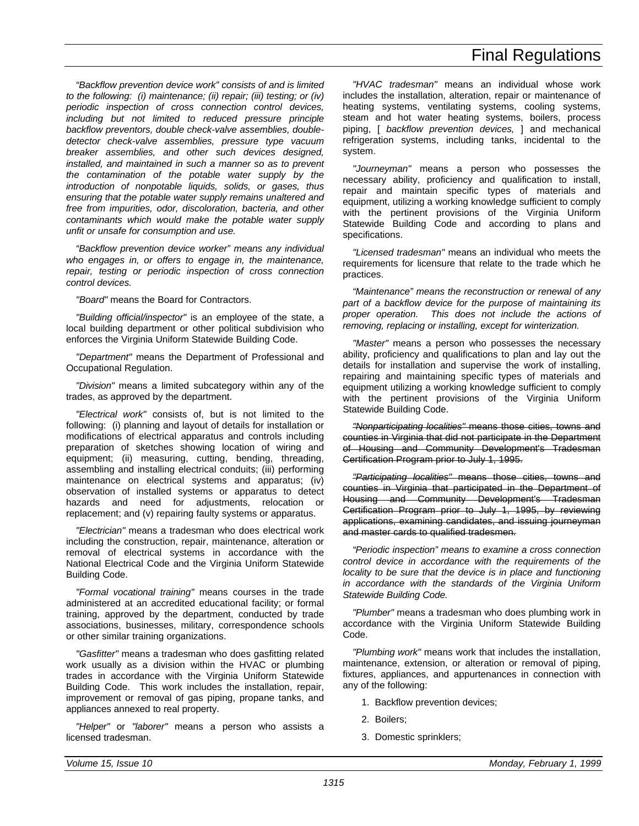*"Backflow prevention device work" consists of and is limited to the following: (i) maintenance; (ii) repair; (iii) testing; or (iv) periodic inspection of cross connection control devices, including but not limited to reduced pressure principle backflow preventors, double check-valve assemblies, doubledetector check-valve assemblies, pressure type vacuum breaker assemblies, and other such devices designed, installed, and maintained in such a manner so as to prevent the contamination of the potable water supply by the introduction of nonpotable liquids, solids, or gases, thus ensuring that the potable water supply remains unaltered and free from impurities, odor, discoloration, bacteria, and other contaminants which would make the potable water supply unfit or unsafe for consumption and use.*

*"Backflow prevention device worker" means any individual who engages in, or offers to engage in, the maintenance, repair, testing or periodic inspection of cross connection control devices.*

*"Board"* means the Board for Contractors.

*"Building official/inspector"* is an employee of the state, a local building department or other political subdivision who enforces the Virginia Uniform Statewide Building Code.

*"Department"* means the Department of Professional and Occupational Regulation.

*"Division"* means a limited subcategory within any of the trades, as approved by the department.

*"Electrical work"* consists of, but is not limited to the following: (i) planning and layout of details for installation or modifications of electrical apparatus and controls including preparation of sketches showing location of wiring and equipment; (ii) measuring, cutting, bending, threading, assembling and installing electrical conduits; (iii) performing maintenance on electrical systems and apparatus; (iv) observation of installed systems or apparatus to detect hazards and need for adjustments, relocation or replacement; and (v) repairing faulty systems or apparatus.

*"Electrician"* means a tradesman who does electrical work including the construction, repair, maintenance, alteration or removal of electrical systems in accordance with the National Electrical Code and the Virginia Uniform Statewide Building Code.

*"Formal vocational training"* means courses in the trade administered at an accredited educational facility; or formal training, approved by the department, conducted by trade associations, businesses, military, correspondence schools or other similar training organizations.

*"Gasfitter"* means a tradesman who does gasfitting related work usually as a division within the HVAC or plumbing trades in accordance with the Virginia Uniform Statewide Building Code. This work includes the installation, repair, improvement or removal of gas piping, propane tanks, and appliances annexed to real property.

*"Helper"* or *"laborer"* means a person who assists a licensed tradesman.

*"HVAC tradesman"* means an individual whose work includes the installation, alteration, repair or maintenance of heating systems, ventilating systems, cooling systems, steam and hot water heating systems, boilers, process piping, [ *backflow prevention devices,* ] and mechanical refrigeration systems, including tanks, incidental to the system.

*"Journeyman"* means a person who possesses the necessary ability, proficiency and qualification to install, repair and maintain specific types of materials and equipment, utilizing a working knowledge sufficient to comply with the pertinent provisions of the Virginia Uniform Statewide Building Code and according to plans and specifications.

*"Licensed tradesman"* means an individual who meets the requirements for licensure that relate to the trade which he practices.

*"Maintenance" means the reconstruction or renewal of any part of a backflow device for the purpose of maintaining its proper operation. This does not include the actions of removing, replacing or installing, except for winterization.*

*"Master"* means a person who possesses the necessary ability, proficiency and qualifications to plan and lay out the details for installation and supervise the work of installing, repairing and maintaining specific types of materials and equipment utilizing a working knowledge sufficient to comply with the pertinent provisions of the Virginia Uniform Statewide Building Code.

*"Nonparticipating localities"* means those cities, towns and counties in Virginia that did not participate in the Department of Housing and Community Development's Tradesman Certification Program prior to July 1, 1995.

*"Participating localities"* means those cities, towns and counties in Virginia that participated in the Department of Housing and Community Development's Tradesman Certification Program prior to July 1, 1995, by reviewing applications, examining candidates, and issuing journeyman and master cards to qualified tradesmen.

*"Periodic inspection" means to examine a cross connection control device in accordance with the requirements of the locality to be sure that the device is in place and functioning in accordance with the standards of the Virginia Uniform Statewide Building Code.*

*"Plumber"* means a tradesman who does plumbing work in accordance with the Virginia Uniform Statewide Building Code.

*"Plumbing work"* means work that includes the installation, maintenance, extension, or alteration or removal of piping, fixtures, appliances, and appurtenances in connection with any of the following:

- 1. Backflow prevention devices;
- 2. Boilers;
- 3. Domestic sprinklers;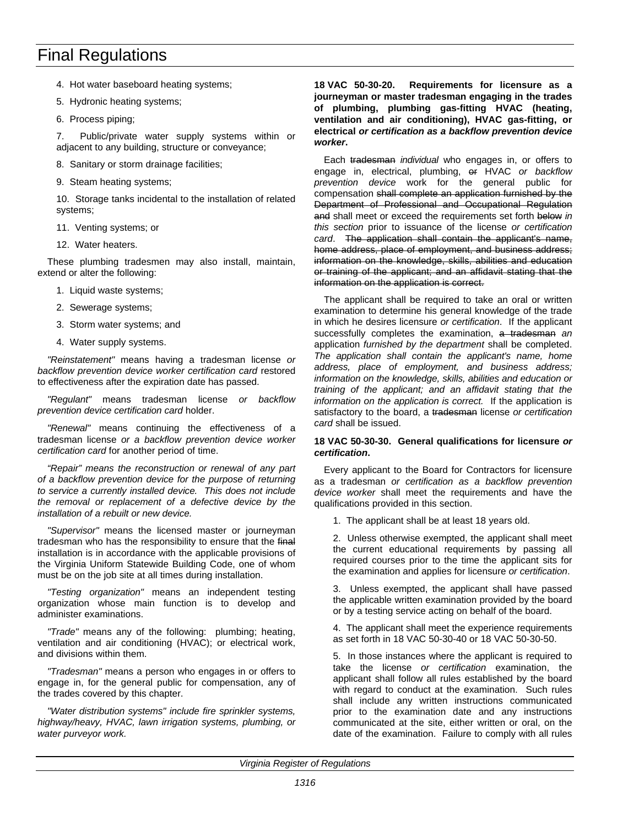- 4. Hot water baseboard heating systems;
- 5. Hydronic heating systems;
- 6. Process piping;

7. Public/private water supply systems within or adjacent to any building, structure or conveyance;

- 8. Sanitary or storm drainage facilities;
- 9. Steam heating systems;

10. Storage tanks incidental to the installation of related systems;

- 11. Venting systems; or
- 12. Water heaters.

These plumbing tradesmen may also install, maintain, extend or alter the following:

- 1. Liquid waste systems;
- 2. Sewerage systems;
- 3. Storm water systems; and
- 4. Water supply systems.

*"Reinstatement"* means having a tradesman license *or backflow prevention device worker certification card* restored to effectiveness after the expiration date has passed.

*"Regulant"* means tradesman license *or backflow prevention device certification card* holder.

*"Renewal"* means continuing the effectiveness of a tradesman license *or a backflow prevention device worker certification card* for another period of time.

*"Repair" means the reconstruction or renewal of any part of a backflow prevention device for the purpose of returning to service a currently installed device. This does not include the removal or replacement of a defective device by the installation of a rebuilt or new device.*

*"Supervisor"* means the licensed master or journeyman tradesman who has the responsibility to ensure that the final installation is in accordance with the applicable provisions of the Virginia Uniform Statewide Building Code, one of whom must be on the job site at all times during installation.

*"Testing organization"* means an independent testing organization whose main function is to develop and administer examinations.

*"Trade"* means any of the following: plumbing; heating, ventilation and air conditioning (HVAC); or electrical work, and divisions within them.

*"Tradesman"* means a person who engages in or offers to engage in, for the general public for compensation, any of the trades covered by this chapter.

*"Water distribution systems" include fire sprinkler systems, highway/heavy, HVAC, lawn irrigation systems, plumbing, or water purveyor work.*

**18 VAC 50-30-20. Requirements for licensure as a journeyman or master tradesman engaging in the trades of plumbing, plumbing gas-fitting HVAC (heating, ventilation and air conditioning), HVAC gas-fitting, or electrical** *or certification as a backflow prevention device worker***.**

Each tradesman *individual* who engages in, or offers to engage in, electrical, plumbing, or HVAC *or backflow prevention device* work for the general public for compensation shall complete an application furnished by the Department of Professional and Occupational Regulation and shall meet or exceed the requirements set forth below *in this section* prior to issuance of the license *or certification card*. The application shall contain the applicant's name, home address, place of employment, and business address; information on the knowledge, skills, abilities and education or training of the applicant; and an affidavit stating that the information on the application is correct.

The applicant shall be required to take an oral or written examination to determine his general knowledge of the trade in which he desires licensure *or certification*. If the applicant successfully completes the examination, a tradesman *an* application *furnished by the department* shall be completed. *The application shall contain the applicant's name, home address, place of employment, and business address; information on the knowledge, skills, abilities and education or training of the applicant; and an affidavit stating that the information on the application is correct.* If the application is satisfactory to the board, a tradesman license *or certification card* shall be issued.

#### **18 VAC 50-30-30. General qualifications for licensure** *or certification***.**

Every applicant to the Board for Contractors for licensure as a tradesman *or certification as a backflow prevention device worker* shall meet the requirements and have the qualifications provided in this section.

1. The applicant shall be at least 18 years old.

2. Unless otherwise exempted, the applicant shall meet the current educational requirements by passing all required courses prior to the time the applicant sits for the examination and applies for licensure *or certification*.

3. Unless exempted, the applicant shall have passed the applicable written examination provided by the board or by a testing service acting on behalf of the board.

4. The applicant shall meet the experience requirements as set forth in 18 VAC 50-30-40 or 18 VAC 50-30-50.

5. In those instances where the applicant is required to take the license *or certification* examination, the applicant shall follow all rules established by the board with regard to conduct at the examination. Such rules shall include any written instructions communicated prior to the examination date and any instructions communicated at the site, either written or oral, on the date of the examination. Failure to comply with all rules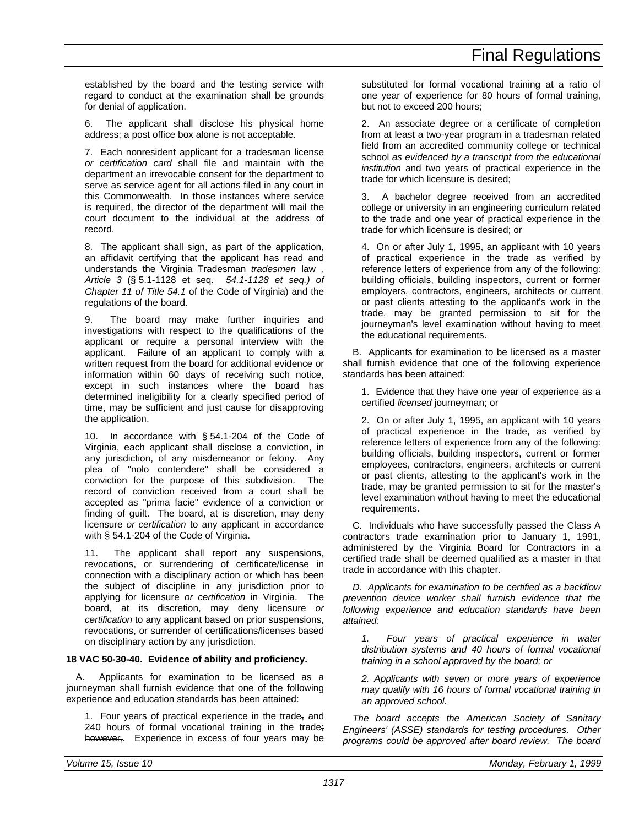established by the board and the testing service with regard to conduct at the examination shall be grounds for denial of application.

The applicant shall disclose his physical home address; a post office box alone is not acceptable.

7. Each nonresident applicant for a tradesman license *or certification card* shall file and maintain with the department an irrevocable consent for the department to serve as service agent for all actions filed in any court in this Commonwealth. In those instances where service is required, the director of the department will mail the court document to the individual at the address of record.

8. The applicant shall sign, as part of the application, an affidavit certifying that the applicant has read and understands the Virginia Tradesman *tradesmen* law *, Article 3* (§ 5.1-1128 et seq. *54.1-1128 et seq.) of Chapter 11 of Title 54.1* of the Code of Virginia) and the regulations of the board.

9. The board may make further inquiries and investigations with respect to the qualifications of the applicant or require a personal interview with the applicant. Failure of an applicant to comply with a written request from the board for additional evidence or information within 60 days of receiving such notice, except in such instances where the board has determined ineligibility for a clearly specified period of time, may be sufficient and just cause for disapproving the application.

10. In accordance with § 54.1-204 of the Code of Virginia, each applicant shall disclose a conviction, in any jurisdiction, of any misdemeanor or felony. Any plea of "nolo contendere" shall be considered a conviction for the purpose of this subdivision. The record of conviction received from a court shall be accepted as "prima facie" evidence of a conviction or finding of guilt. The board, at is discretion, may deny licensure *or certification* to any applicant in accordance with § 54.1-204 of the Code of Virginia.

11. The applicant shall report any suspensions, revocations, or surrendering of certificate/license in connection with a disciplinary action or which has been the subject of discipline in any jurisdiction prior to applying for licensure *or certification* in Virginia. The board, at its discretion, may deny licensure *or certification* to any applicant based on prior suspensions, revocations, or surrender of certifications/licenses based on disciplinary action by any jurisdiction.

### **18 VAC 50-30-40. Evidence of ability and proficiency.**

A. Applicants for examination to be licensed as a journeyman shall furnish evidence that one of the following experience and education standards has been attained:

1. Four years of practical experience in the trade, and 240 hours of formal vocational training in the trade; however,*.* Experience in excess of four years may be substituted for formal vocational training at a ratio of one year of experience for 80 hours of formal training, but not to exceed 200 hours;

2. An associate degree or a certificate of completion from at least a two-year program in a tradesman related field from an accredited community college or technical school *as evidenced by a transcript from the educational institution* and two years of practical experience in the trade for which licensure is desired;

A bachelor degree received from an accredited college or university in an engineering curriculum related to the trade and one year of practical experience in the trade for which licensure is desired; or

4. On or after July 1, 1995, an applicant with 10 years of practical experience in the trade as verified by reference letters of experience from any of the following: building officials, building inspectors, current or former employers, contractors, engineers, architects or current or past clients attesting to the applicant's work in the trade, may be granted permission to sit for the journeyman's level examination without having to meet the educational requirements.

B. Applicants for examination to be licensed as a master shall furnish evidence that one of the following experience standards has been attained:

1. Evidence that they have one year of experience as a certified *licensed* journeyman; or

2. On or after July 1, 1995, an applicant with 10 years of practical experience in the trade, as verified by reference letters of experience from any of the following: building officials, building inspectors, current or former employees, contractors, engineers, architects or current or past clients, attesting to the applicant's work in the trade, may be granted permission to sit for the master's level examination without having to meet the educational requirements.

C. Individuals who have successfully passed the Class A contractors trade examination prior to January 1, 1991, administered by the Virginia Board for Contractors in a certified trade shall be deemed qualified as a master in that trade in accordance with this chapter.

*D. Applicants for examination to be certified as a backflow prevention device worker shall furnish evidence that the following experience and education standards have been attained:*

*1. Four years of practical experience in water distribution systems and 40 hours of formal vocational training in a school approved by the board; or*

*2. Applicants with seven or more years of experience may qualify with 16 hours of formal vocational training in an approved school.*

*The board accepts the American Society of Sanitary Engineers' (ASSE) standards for testing procedures. Other programs could be approved after board review. The board*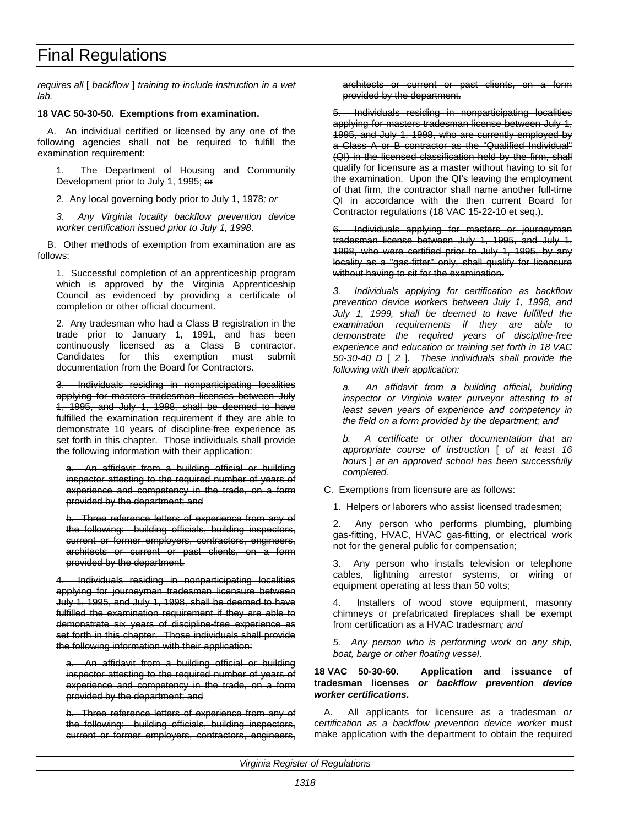*requires all* [ *backflow* ] *training to include instruction in a wet lab.*

#### **18 VAC 50-30-50. Exemptions from examination.**

A. An individual certified or licensed by any one of the following agencies shall not be required to fulfill the examination requirement:

The Department of Housing and Community Development prior to July 1, 1995; or

2. Any local governing body prior to July 1, 1978*; or*

*3. Any Virginia locality backflow prevention device worker certification issued prior to July 1, 1998*.

B. Other methods of exemption from examination are as follows:

1. Successful completion of an apprenticeship program which is approved by the Virginia Apprenticeship Council as evidenced by providing a certificate of completion or other official document.

2. Any tradesman who had a Class B registration in the trade prior to January 1, 1991, and has been continuously licensed as a Class B contractor. Candidates for this exemption must submit documentation from the Board for Contractors.

Individuals residing in nonparticipating localities applying for masters tradesman licenses between July 1, 1995, and July 1, 1998, shall be deemed to have fulfilled the examination requirement if they are able to demonstrate 10 years of discipline-free experience as set forth in this chapter. Those individuals shall provide the following information with their application:

a. An affidavit from a building official or building inspector attesting to the required number of years of experience and competency in the trade, on a form provided by the department; and

b. Three reference letters of experience from any of the following: building officials, building inspectors, current or former employers, contractors, engineers, architects or current or past clients, on a form provided by the department.

4. Individuals residing in nonparticipating localities applying for journeyman tradesman licensure between July 1, 1995, and July 1, 1998, shall be deemed to have fulfilled the examination requirement if they are able to demonstrate six years of discipline-free experience as set forth in this chapter. Those individuals shall provide the following information with their application:

An affidavit from a building official or building inspector attesting to the required number of years of experience and competency in the trade, on a form provided by the department; and

b. Three reference letters of experience from any of the following: building officials, building inspectors, current or former employers, contractors, engineers, architects or current or past clients, on a form provided by the department.

5. Individuals residing in nonparticipating localities applying for masters tradesman license between July 1, 1995, and July 1, 1998, who are currently employed by a Class A or B contractor as the "Qualified Individual" (QI) in the licensed classification held by the firm, shall qualify for licensure as a master without having to sit for the examination. Upon the QI's leaving the employment of that firm, the contractor shall name another full-time QI in accordance with the then current Board for Contractor regulations (18 VAC 15-22-10 et seq.).

6. Individuals applying for masters or journeyman tradesman license between July 1, 1995, and July 1, 1998, who were certified prior to July 1, 1995, by any locality as a "gas-fitter" only, shall qualify for licensure without having to sit for the examination.

*3. Individuals applying for certification as backflow prevention device workers between July 1, 1998, and July 1, 1999, shall be deemed to have fulfilled the examination requirements if they are able to demonstrate the required years of discipline-free experience and education or training set forth in 18 VAC 50-30-40 D* [ *2* ]*. These individuals shall provide the following with their application:*

*a. An affidavit from a building official, building inspector or Virginia water purveyor attesting to at least seven years of experience and competency in the field on a form provided by the department; and*

*b. A certificate or other documentation that an appropriate course of instruction* [ *of at least 16 hours* ] *at an approved school has been successfully completed.*

C. Exemptions from licensure are as follows:

1. Helpers or laborers who assist licensed tradesmen;

2. Any person who performs plumbing, plumbing gas-fitting, HVAC, HVAC gas-fitting, or electrical work not for the general public for compensation;

3. Any person who installs television or telephone cables, lightning arrestor systems, or wiring or equipment operating at less than 50 volts;

4. Installers of wood stove equipment, masonry chimneys or prefabricated fireplaces shall be exempt from certification as a HVAC tradesman*; and*

*5. Any person who is performing work on any ship, boat, barge or other floating vessel*.

#### **18 VAC 50-30-60. Application and issuance of tradesman licenses** *or backflow prevention device worker certifications***.**

A. All applicants for licensure as a tradesman *or certification as a backflow prevention device worker* must make application with the department to obtain the required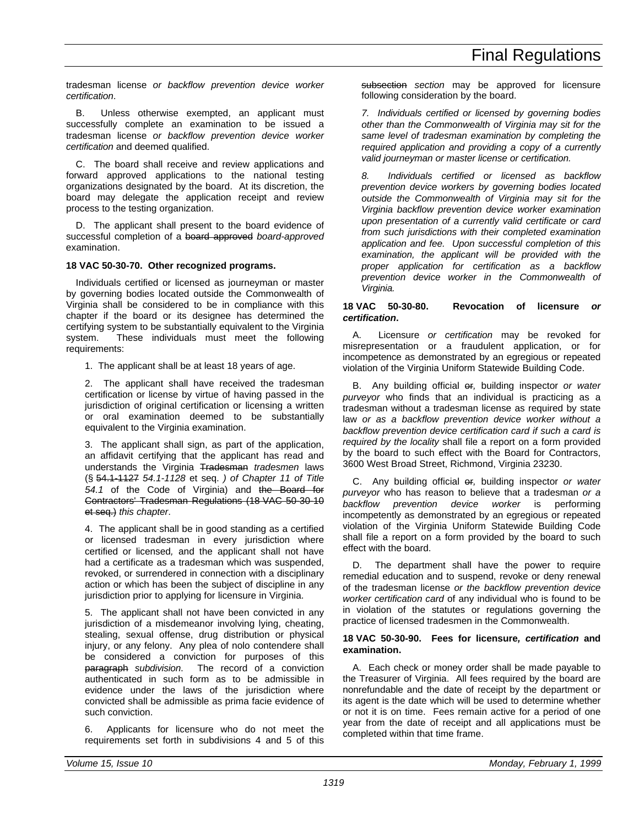tradesman license *or backflow prevention device worker certification*.

B. Unless otherwise exempted, an applicant must successfully complete an examination to be issued a tradesman license *or backflow prevention device worker certification* and deemed qualified.

C. The board shall receive and review applications and forward approved applications to the national testing organizations designated by the board. At its discretion, the board may delegate the application receipt and review process to the testing organization.

D. The applicant shall present to the board evidence of successful completion of a board approved *board-approved* examination.

### **18 VAC 50-30-70. Other recognized programs.**

Individuals certified or licensed as journeyman or master by governing bodies located outside the Commonwealth of Virginia shall be considered to be in compliance with this chapter if the board or its designee has determined the certifying system to be substantially equivalent to the Virginia system. These individuals must meet the following requirements:

1. The applicant shall be at least 18 years of age.

2. The applicant shall have received the tradesman certification or license by virtue of having passed in the jurisdiction of original certification or licensing a written or oral examination deemed to be substantially equivalent to the Virginia examination.

3. The applicant shall sign, as part of the application, an affidavit certifying that the applicant has read and understands the Virginia Tradesman *tradesmen* laws (§ 54.1-1127 *54.1-1128* et seq. *) of Chapter 11 of Title 54.1* of the Code of Virginia) and the Board for Contractors' Tradesman Regulations (18 VAC 50-30-10 et seq.) *this chapter*.

4. The applicant shall be in good standing as a certified or licensed tradesman in every jurisdiction where certified or licensed*,* and the applicant shall not have had a certificate as a tradesman which was suspended, revoked, or surrendered in connection with a disciplinary action or which has been the subject of discipline in any jurisdiction prior to applying for licensure in Virginia.

5. The applicant shall not have been convicted in any jurisdiction of a misdemeanor involving lying, cheating, stealing, sexual offense, drug distribution or physical injury, or any felony. Any plea of nolo contendere shall be considered a conviction for purposes of this paragraph *subdivision*. The record of a conviction authenticated in such form as to be admissible in evidence under the laws of the jurisdiction where convicted shall be admissible as prima facie evidence of such conviction.

6. Applicants for licensure who do not meet the requirements set forth in subdivisions 4 and 5 of this subsection *section* may be approved for licensure following consideration by the board.

*7. Individuals certified or licensed by governing bodies other than the Commonwealth of Virginia may sit for the same level of tradesman examination by completing the required application and providing a copy of a currently valid journeyman or master license or certification.*

*8. Individuals certified or licensed as backflow prevention device workers by governing bodies located outside the Commonwealth of Virginia may sit for the Virginia backflow prevention device worker examination upon presentation of a currently valid certificate or card from such jurisdictions with their completed examination application and fee. Upon successful completion of this examination, the applicant will be provided with the proper application for certification as a backflow prevention device worker in the Commonwealth of Virginia.*

#### **18 VAC 50-30-80. Revocation of licensure** *or certification***.**

A. Licensure *or certification* may be revoked for misrepresentation or a fraudulent application, or for incompetence as demonstrated by an egregious or repeated violation of the Virginia Uniform Statewide Building Code.

B. Any building official or*,* building inspector *or water purveyor* who finds that an individual is practicing as a tradesman without a tradesman license as required by state law *or as a backflow prevention device worker without a backflow prevention device certification card if such a card is required by the locality* shall file a report on a form provided by the board to such effect with the Board for Contractors, 3600 West Broad Street, Richmond, Virginia 23230.

C. Any building official or*,* building inspector *or water purveyor* who has reason to believe that a tradesman *or a backflow prevention device worker* is performing incompetently as demonstrated by an egregious or repeated violation of the Virginia Uniform Statewide Building Code shall file a report on a form provided by the board to such effect with the board.

D. The department shall have the power to require remedial education and to suspend, revoke or deny renewal of the tradesman license *or the backflow prevention device worker certification card* of any individual who is found to be in violation of the statutes or regulations governing the practice of licensed tradesmen in the Commonwealth.

#### **18 VAC 50-30-90. Fees for licensure***, certification* **and examination.**

A. Each check or money order shall be made payable to the Treasurer of Virginia. All fees required by the board are nonrefundable and the date of receipt by the department or its agent is the date which will be used to determine whether or not it is on time. Fees remain active for a period of one year from the date of receipt and all applications must be completed within that time frame.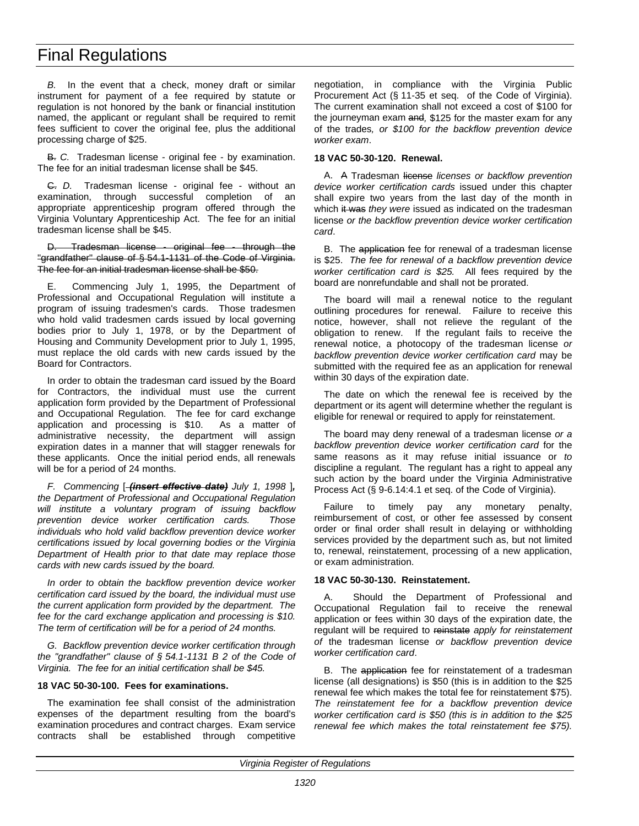*B.* In the event that a check, money draft or similar instrument for payment of a fee required by statute or regulation is not honored by the bank or financial institution named, the applicant or regulant shall be required to remit fees sufficient to cover the original fee, plus the additional processing charge of \$25.

B. *C.* Tradesman license - original fee - by examination. The fee for an initial tradesman license shall be \$45.

C. *D.* Tradesman license - original fee - without an examination, through successful completion of an appropriate apprenticeship program offered through the Virginia Voluntary Apprenticeship Act. The fee for an initial tradesman license shall be \$45.

Tradesman license - original fee - through the "grandfather" clause of § 54.1-1131 of the Code of Virginia. The fee for an initial tradesman license shall be \$50.

E. Commencing July 1, 1995, the Department of Professional and Occupational Regulation will institute a program of issuing tradesmen's cards. Those tradesmen who hold valid tradesmen cards issued by local governing bodies prior to July 1, 1978, or by the Department of Housing and Community Development prior to July 1, 1995, must replace the old cards with new cards issued by the Board for Contractors.

In order to obtain the tradesman card issued by the Board for Contractors, the individual must use the current application form provided by the Department of Professional and Occupational Regulation. The fee for card exchange application and processing is \$10. As a matter of administrative necessity, the department will assign expiration dates in a manner that will stagger renewals for these applicants. Once the initial period ends, all renewals will be for a period of 24 months.

*F. Commencing* [ *(insert effective date) July 1, 1998* ]*, the Department of Professional and Occupational Regulation will institute a voluntary program of issuing backflow prevention device worker certification cards. Those individuals who hold valid backflow prevention device worker certifications issued by local governing bodies or the Virginia Department of Health prior to that date may replace those cards with new cards issued by the board.*

*In order to obtain the backflow prevention device worker certification card issued by the board, the individual must use the current application form provided by the department. The fee for the card exchange application and processing is \$10. The term of certification will be for a period of 24 months.*

*G. Backflow prevention device worker certification through the "grandfather" clause of § 54.1-1131 B 2 of the Code of Virginia. The fee for an initial certification shall be \$45.*

#### **18 VAC 50-30-100. Fees for examinations.**

The examination fee shall consist of the administration expenses of the department resulting from the board's examination procedures and contract charges. Exam service contracts shall be established through competitive negotiation, in compliance with the Virginia Public Procurement Act (§ 11-35 et seq. of the Code of Virginia). The current examination shall not exceed a cost of \$100 for the journeyman exam and*,* \$125 for the master exam for any of the trades*, or \$100 for the backflow prevention device worker exam*.

#### **18 VAC 50-30-120. Renewal.**

A. A Tradesman license *licenses or backflow prevention device worker certification cards* issued under this chapter shall expire two years from the last day of the month in which it was *they were* issued as indicated on the tradesman license *or the backflow prevention device worker certification card*.

B. The application fee for renewal of a tradesman license is \$25. *The fee for renewal of a backflow prevention device worker certification card is \$25.* All fees required by the board are nonrefundable and shall not be prorated.

The board will mail a renewal notice to the regulant outlining procedures for renewal. Failure to receive this notice, however, shall not relieve the regulant of the obligation to renew. If the regulant fails to receive the renewal notice, a photocopy of the tradesman license *or backflow prevention device worker certification card* may be submitted with the required fee as an application for renewal within 30 days of the expiration date.

The date on which the renewal fee is received by the department or its agent will determine whether the regulant is eligible for renewal or required to apply for reinstatement.

The board may deny renewal of a tradesman license *or a backflow prevention device worker certification card* for the same reasons as it may refuse initial issuance or *to* discipline a regulant. The regulant has a right to appeal any such action by the board under the Virginia Administrative Process Act (§ 9-6.14:4.1 et seq. of the Code of Virginia).

Failure to timely pay any monetary penalty, reimbursement of cost, or other fee assessed by consent order or final order shall result in delaying or withholding services provided by the department such as, but not limited to, renewal, reinstatement, processing of a new application, or exam administration.

#### **18 VAC 50-30-130. Reinstatement.**

A. Should the Department of Professional and Occupational Regulation fail to receive the renewal application or fees within 30 days of the expiration date, the regulant will be required to reinstate *apply for reinstatement of* the tradesman license *or backflow prevention device worker certification card*.

B. The application fee for reinstatement of a tradesman license (all designations) is \$50 (this is in addition to the \$25 renewal fee which makes the total fee for reinstatement \$75). *The reinstatement fee for a backflow prevention device worker certification card is \$50 (this is in addition to the \$25 renewal fee which makes the total reinstatement fee \$75).*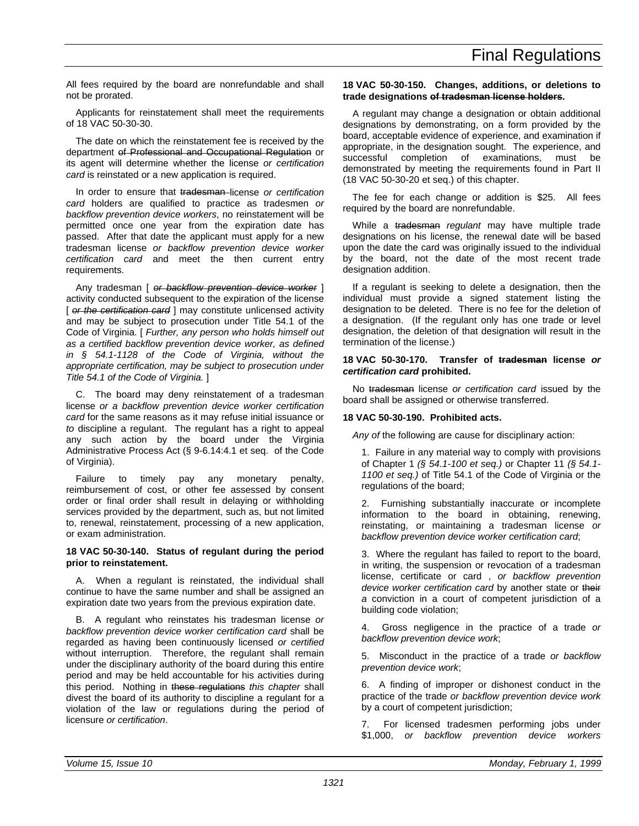All fees required by the board are nonrefundable and shall not be prorated.

Applicants for reinstatement shall meet the requirements of 18 VAC 50-30-30.

The date on which the reinstatement fee is received by the department of Professional and Occupational Regulation or its agent will determine whether the license *or certification card* is reinstated or a new application is required.

In order to ensure that tradesman license *or certification card* holders are qualified to practice as tradesmen *or backflow prevention device workers*, no reinstatement will be permitted once one year from the expiration date has passed. After that date the applicant must apply for a new tradesman license *or backflow prevention device worker certification card* and meet the then current entry requirements.

Any tradesman [ *or backflow prevention device worker* ] activity conducted subsequent to the expiration of the license [ *or the certification card* ] may constitute unlicensed activity and may be subject to prosecution under Title 54.1 of the Code of Virginia. [ *Further, any person who holds himself out as a certified backflow prevention device worker, as defined in § 54.1-1128 of the Code of Virginia, without the appropriate certification, may be subject to prosecution under Title 54.1 of the Code of Virginia.* ]

C. The board may deny reinstatement of a tradesman license *or a backflow prevention device worker certification card* for the same reasons as it may refuse initial issuance or *to* discipline a regulant. The regulant has a right to appeal any such action by the board under the Virginia Administrative Process Act (§ 9-6.14:4.1 et seq. of the Code of Virginia).

Failure to timely pay any monetary penalty, reimbursement of cost, or other fee assessed by consent order or final order shall result in delaying or withholding services provided by the department, such as, but not limited to, renewal, reinstatement, processing of a new application, or exam administration.

#### **18 VAC 50-30-140. Status of regulant during the period prior to reinstatement.**

A. When a regulant is reinstated, the individual shall continue to have the same number and shall be assigned an expiration date two years from the previous expiration date.

B. A regulant who reinstates his tradesman license *or backflow prevention device worker certification card* shall be regarded as having been continuously licensed *or certified* without interruption. Therefore, the regulant shall remain under the disciplinary authority of the board during this entire period and may be held accountable for his activities during this period. Nothing in these regulations *this chapter* shall divest the board of its authority to discipline a regulant for a violation of the law or regulations during the period of licensure *or certification*.

#### **18 VAC 50-30-150. Changes, additions, or deletions to trade designations of tradesman license holders.**

A regulant may change a designation or obtain additional designations by demonstrating, on a form provided by the board, acceptable evidence of experience, and examination if appropriate, in the designation sought. The experience, and successful completion of examinations, must be demonstrated by meeting the requirements found in Part II (18 VAC 50-30-20 et seq.) of this chapter.

The fee for each change or addition is \$25. All fees required by the board are nonrefundable.

While a tradesman *regulant* may have multiple trade designations on his license, the renewal date will be based upon the date the card was originally issued to the individual by the board, not the date of the most recent trade designation addition.

If a regulant is seeking to delete a designation, then the individual must provide a signed statement listing the designation to be deleted. There is no fee for the deletion of a designation. (If the regulant only has one trade or level designation, the deletion of that designation will result in the termination of the license.)

#### **18 VAC 50-30-170. Transfer of tradesman license** *or certification card* **prohibited.**

No tradesman license *or certification card* issued by the board shall be assigned or otherwise transferred.

#### **18 VAC 50-30-190. Prohibited acts.**

*Any of* the following are cause for disciplinary action:

1. Failure in any material way to comply with provisions of Chapter 1 *(§ 54.1-100 et seq.)* or Chapter 11 *(§ 54.1- 1100 et seq.)* of Title 54.1 of the Code of Virginia or the regulations of the board;

2. Furnishing substantially inaccurate or incomplete information to the board in obtaining, renewing, reinstating, or maintaining a tradesman license *or backflow prevention device worker certification card*;

3. Where the regulant has failed to report to the board, in writing, the suspension or revocation of a tradesman license, certificate or card , *or backflow prevention device worker certification card* by another state or their *a* conviction in a court of competent jurisdiction of a building code violation;

4. Gross negligence in the practice of a trade *or backflow prevention device work*;

5. Misconduct in the practice of a trade *or backflow prevention device work*;

6. A finding of improper or dishonest conduct in the practice of the trade *or backflow prevention device work* by a court of competent jurisdiction;

7. For licensed tradesmen performing jobs under \$1,000, *or backflow prevention device workers*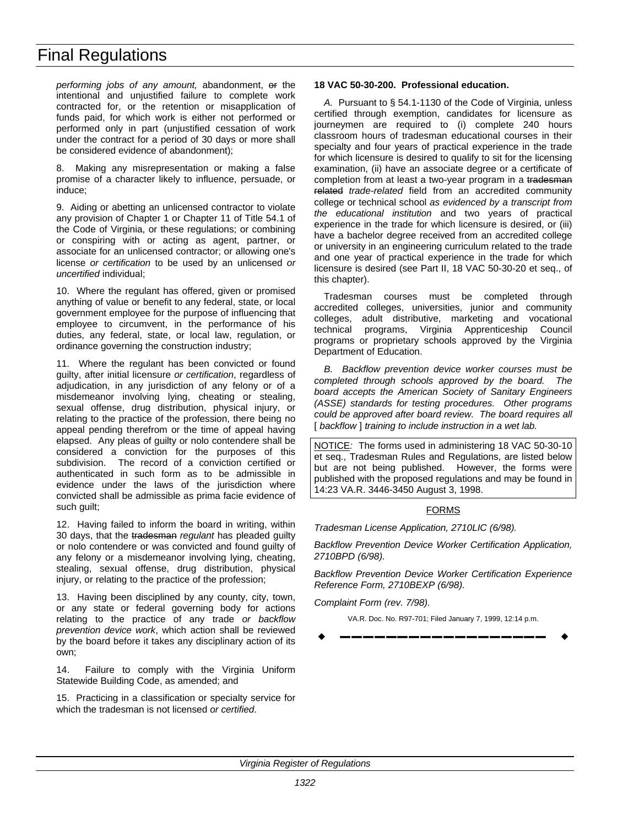*performing jobs of any amount,* abandonment, or the intentional and unjustified failure to complete work contracted for, or the retention or misapplication of funds paid, for which work is either not performed or performed only in part (unjustified cessation of work under the contract for a period of 30 days or more shall be considered evidence of abandonment);

8. Making any misrepresentation or making a false promise of a character likely to influence, persuade, or induce;

9. Aiding or abetting an unlicensed contractor to violate any provision of Chapter 1 or Chapter 11 of Title 54.1 of the Code of Virginia, or these regulations; or combining or conspiring with or acting as agent, partner, or associate for an unlicensed contractor; or allowing one's license *or certification* to be used by an unlicensed *or uncertified* individual;

10. Where the regulant has offered, given or promised anything of value or benefit to any federal, state, or local government employee for the purpose of influencing that employee to circumvent, in the performance of his duties, any federal, state, or local law, regulation, or ordinance governing the construction industry;

11. Where the regulant has been convicted or found guilty, after initial licensure *or certification*, regardless of adjudication, in any jurisdiction of any felony or of a misdemeanor involving lying, cheating or stealing, sexual offense, drug distribution, physical injury, or relating to the practice of the profession, there being no appeal pending therefrom or the time of appeal having elapsed. Any pleas of guilty or nolo contendere shall be considered a conviction for the purposes of this subdivision. The record of a conviction certified or authenticated in such form as to be admissible in evidence under the laws of the jurisdiction where convicted shall be admissible as prima facie evidence of such guilt;

12. Having failed to inform the board in writing, within 30 days, that the tradesman *regulant* has pleaded guilty or nolo contendere or was convicted and found guilty of any felony or a misdemeanor involving lying, cheating, stealing, sexual offense, drug distribution, physical injury, or relating to the practice of the profession;

13. Having been disciplined by any county, city, town, or any state or federal governing body for actions relating to the practice of any trade *or backflow prevention device work*, which action shall be reviewed by the board before it takes any disciplinary action of its own;

14. Failure to comply with the Virginia Uniform Statewide Building Code, as amended; and

15. Practicing in a classification or specialty service for which the tradesman is not licensed *or certified*.

#### **18 VAC 50-30-200. Professional education.**

*A.* Pursuant to § 54.1-1130 of the Code of Virginia, unless certified through exemption, candidates for licensure as journeymen are required to (i) complete 240 hours classroom hours of tradesman educational courses in their specialty and four years of practical experience in the trade for which licensure is desired to qualify to sit for the licensing examination, (ii) have an associate degree or a certificate of completion from at least a two-year program in a tradesman related *trade-related* field from an accredited community college or technical school *as evidenced by a transcript from the educational institution* and two years of practical experience in the trade for which licensure is desired, or (iii) have a bachelor degree received from an accredited college or university in an engineering curriculum related to the trade and one year of practical experience in the trade for which licensure is desired (see Part II, 18 VAC 50-30-20 et seq., of this chapter).

Tradesman courses must be completed through accredited colleges, universities, junior and community colleges, adult distributive, marketing and vocational technical programs, Virginia Apprenticeship Council programs or proprietary schools approved by the Virginia Department of Education.

*B. Backflow prevention device worker courses must be completed through schools approved by the board. The board accepts the American Society of Sanitary Engineers (ASSE) standards for testing procedures. Other programs could be approved after board review. The board requires all* [ *backflow* ] *training to include instruction in a wet lab.* 

NOTICE*:* The forms used in administering 18 VAC 50-30-10 et seq., Tradesman Rules and Regulations, are listed below but are not being published. However, the forms were published with the proposed regulations and may be found in 14:23 VA.R. 3446-3450 August 3, 1998.

#### **FORMS**

*Tradesman License Application, 2710LIC (6/98).*

*Backflow Prevention Device Worker Certification Application, 2710BPD (6/98).*

*Backflow Prevention Device Worker Certification Experience Reference Form, 2710BEXP (6/98).*

*Complaint Form (rev. 7/98).*

VA.R. Doc. No. R97-701; Filed January 7, 1999, 12:14 p.m.

w **––––––––––––––––––** w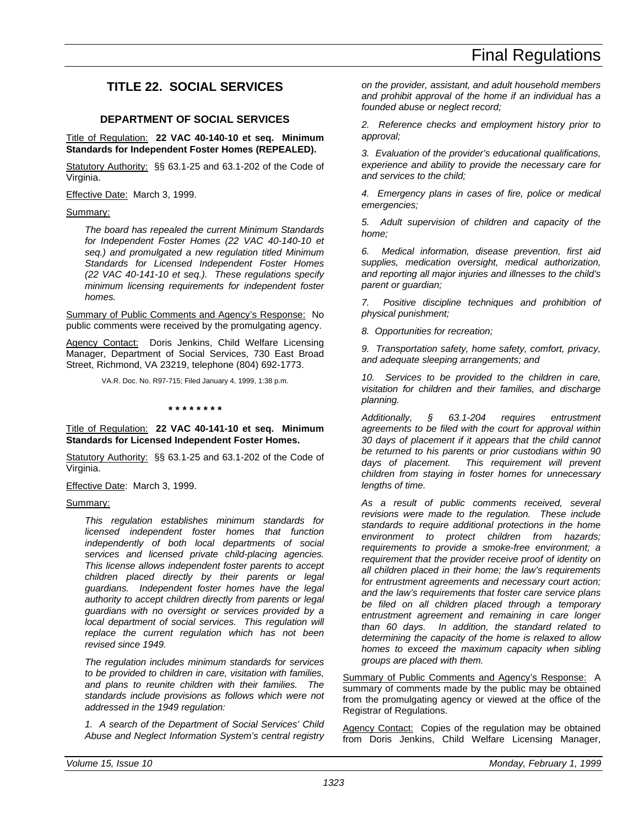## <span id="page-30-0"></span>**TITLE 22. SOCIAL SERVICES**

#### **DEPARTMENT OF SOCIAL SERVICES**

#### Title of Regulation: **22 VAC 40-140-10 et seq. Minimum Standards for Independent Foster Homes (REPEALED).**

Statutory Authority: §§ 63.1-25 and 63.1-202 of the Code of Virginia.

Effective Date: March 3, 1999.

#### Summary:

*The board has repealed the current Minimum Standards for Independent Foster Homes (22 VAC 40-140-10 et seq.) and promulgated a new regulation titled Minimum Standards for Licensed Independent Foster Homes (22 VAC 40-141-10 et seq.). These regulations specify minimum licensing requirements for independent foster homes.*

Summary of Public Comments and Agency's Response: No public comments were received by the promulgating agency.

Agency Contact: Doris Jenkins, Child Welfare Licensing Manager, Department of Social Services, 730 East Broad Street, Richmond, VA 23219, telephone (804) 692-1773.

VA.R. Doc. No. R97-715; Filed January 4, 1999, 1:38 p.m.

**\* \* \* \* \* \* \* \***

#### Title of Regulation: **22 VAC 40-141-10 et seq. Minimum Standards for Licensed Independent Foster Homes.**

Statutory Authority: §§ 63.1-25 and 63.1-202 of the Code of Virginia.

Effective Date: March 3, 1999.

#### Summary:

*This regulation establishes minimum standards for licensed independent foster homes that function independently of both local departments of social services and licensed private child-placing agencies. This license allows independent foster parents to accept children placed directly by their parents or legal guardians. Independent foster homes have the legal authority to accept children directly from parents or legal guardians with no oversight or services provided by a local department of social services. This regulation will replace the current regulation which has not been revised since 1949.*

*The regulation includes minimum standards for services to be provided to children in care, visitation with families, and plans to reunite children with their families. The standards include provisions as follows which were not addressed in the 1949 regulation:*

*1. A search of the Department of Social Services' Child Abuse and Neglect Information System's central registry* *on the provider, assistant, and adult household members and prohibit approval of the home if an individual has a founded abuse or neglect record;*

*2. Reference checks and employment history prior to approval;*

*3. Evaluation of the provider's educational qualifications, experience and ability to provide the necessary care for and services to the child;*

*4. Emergency plans in cases of fire, police or medical emergencies;*

*5. Adult supervision of children and capacity of the home;*

*6. Medical information, disease prevention, first aid supplies, medication oversight, medical authorization, and reporting all major injuries and illnesses to the child's parent or guardian;*

*7. Positive discipline techniques and prohibition of physical punishment;*

*8. Opportunities for recreation;*

*9. Transportation safety, home safety, comfort, privacy, and adequate sleeping arrangements; and*

*10. Services to be provided to the children in care, visitation for children and their families, and discharge planning.*

*Additionally, § 63.1-204 requires entrustment agreements to be filed with the court for approval within 30 days of placement if it appears that the child cannot be returned to his parents or prior custodians within 90 days of placement. This requirement will prevent children from staying in foster homes for unnecessary lengths of time.*

*As a result of public comments received, several revisions were made to the regulation. These include standards to require additional protections in the home environment to protect children from hazards; requirements to provide a smoke-free environment; a requirement that the provider receive proof of identity on all children placed in their home; the law's requirements for entrustment agreements and necessary court action; and the law's requirements that foster care service plans be filed on all children placed through a temporary entrustment agreement and remaining in care longer than 60 days. In addition, the standard related to determining the capacity of the home is relaxed to allow homes to exceed the maximum capacity when sibling groups are placed with them.*

Summary of Public Comments and Agency's Response: A summary of comments made by the public may be obtained from the promulgating agency or viewed at the office of the Registrar of Regulations.

Agency Contact: Copies of the regulation may be obtained from Doris Jenkins, Child Welfare Licensing Manager,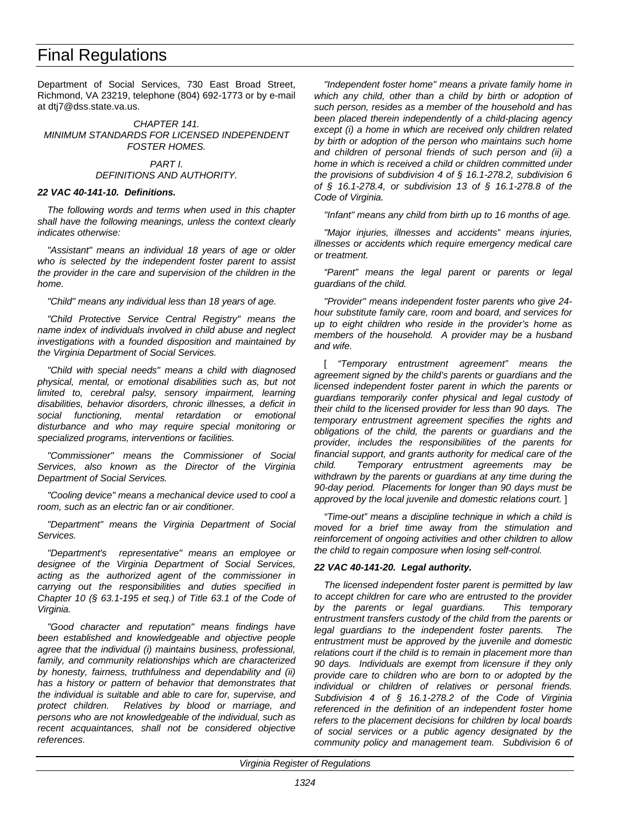Department of Social Services, 730 East Broad Street, Richmond, VA 23219, telephone (804) 692-1773 or by e-mail at dtj7@dss.state.va.us.

*CHAPTER 141. MINIMUM STANDARDS FOR LICENSED INDEPENDENT FOSTER HOMES.*

#### *PART I. DEFINITIONS AND AUTHORITY.*

#### *22 VAC 40-141-10. Definitions.*

*The following words and terms when used in this chapter shall have the following meanings, unless the context clearly indicates otherwise:*

*"Assistant" means an individual 18 years of age or older who is selected by the independent foster parent to assist the provider in the care and supervision of the children in the home.*

*"Child" means any individual less than 18 years of age.*

*"Child Protective Service Central Registry" means the name index of individuals involved in child abuse and neglect investigations with a founded disposition and maintained by the Virginia Department of Social Services.*

*"Child with special needs" means a child with diagnosed physical, mental, or emotional disabilities such as, but not limited to, cerebral palsy, sensory impairment, learning disabilities, behavior disorders, chronic illnesses, a deficit in social functioning, mental retardation or emotional disturbance and who may require special monitoring or specialized programs, interventions or facilities.*

*"Commissioner" means the Commissioner of Social Services, also known as the Director of the Virginia Department of Social Services.*

*"Cooling device" means a mechanical device used to cool a room, such as an electric fan or air conditioner.*

*"Department" means the Virginia Department of Social Services.*

*"Department's representative" means an employee or designee of the Virginia Department of Social Services, acting as the authorized agent of the commissioner in carrying out the responsibilities and duties specified in Chapter 10 (§ 63.1-195 et seq.) of Title 63.1 of the Code of Virginia.*

*"Good character and reputation" means findings have been established and knowledgeable and objective people agree that the individual (i) maintains business, professional, family, and community relationships which are characterized by honesty, fairness, truthfulness and dependability and (ii) has a history or pattern of behavior that demonstrates that the individual is suitable and able to care for, supervise, and protect children. Relatives by blood or marriage, and persons who are not knowledgeable of the individual, such as recent acquaintances, shall not be considered objective references.*

*"Independent foster home" means a private family home in which any child, other than a child by birth or adoption of such person, resides as a member of the household and has been placed therein independently of a child-placing agency except (i) a home in which are received only children related by birth or adoption of the person who maintains such home and children of personal friends of such person and (ii) a home in which is received a child or children committed under the provisions of subdivision 4 of § 16.1-278.2, subdivision 6 of § 16.1-278.4, or subdivision 13 of § 16.1-278.8 of the Code of Virginia.*

*"Infant" means any child from birth up to 16 months of age.*

*"Major injuries, illnesses and accidents" means injuries, illnesses or accidents which require emergency medical care or treatment.*

*"Parent" means the legal parent or parents or legal guardians of the child.*

*"Provider" means independent foster parents who give 24 hour substitute family care, room and board, and services for up to eight children who reside in the provider's home as members of the household. A provider may be a husband and wife.*

[ *"Temporary entrustment agreement" means the agreement signed by the child's parents or guardians and the licensed independent foster parent in which the parents or guardians temporarily confer physical and legal custody of their child to the licensed provider for less than 90 days. The temporary entrustment agreement specifies the rights and obligations of the child, the parents or guardians and the provider, includes the responsibilities of the parents for financial support, and grants authority for medical care of the child. Temporary entrustment agreements may be withdrawn by the parents or guardians at any time during the 90-day period. Placements for longer than 90 days must be approved by the local juvenile and domestic relations court.* ]

*"Time-out" means a discipline technique in which a child is moved for a brief time away from the stimulation and reinforcement of ongoing activities and other children to allow the child to regain composure when losing self-control.*

#### *22 VAC 40-141-20. Legal authority.*

*The licensed independent foster parent is permitted by law to accept children for care who are entrusted to the provider by the parents or legal guardians. This temporary entrustment transfers custody of the child from the parents or legal guardians to the independent foster parents. The entrustment must be approved by the juvenile and domestic relations court if the child is to remain in placement more than 90 days. Individuals are exempt from licensure if they only provide care to children who are born to or adopted by the individual or children of relatives or personal friends. Subdivision 4 of § 16.1-278.2 of the Code of Virginia referenced in the definition of an independent foster home refers to the placement decisions for children by local boards of social services or a public agency designated by the community policy and management team. Subdivision 6 of*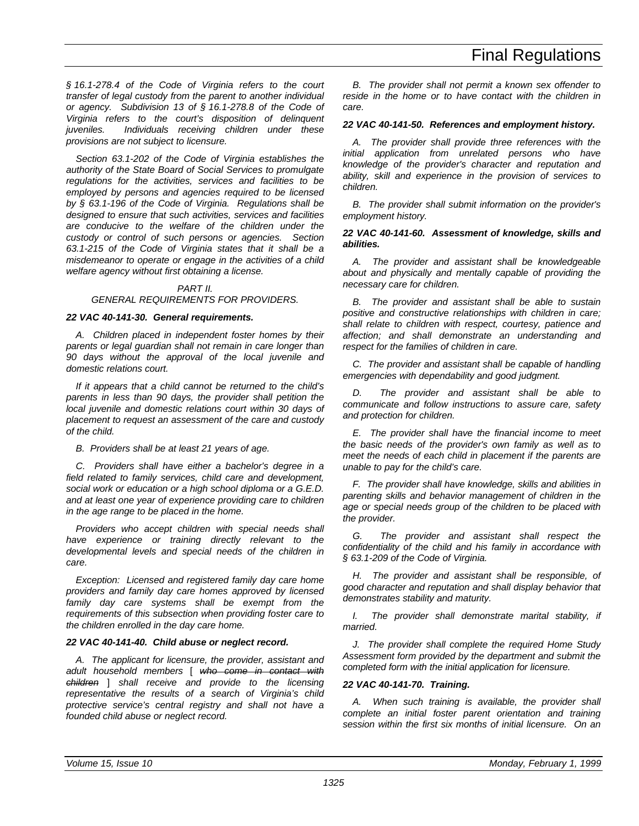*§ 16.1-278.4 of the Code of Virginia refers to the court transfer of legal custody from the parent to another individual or agency. Subdivision 13 of § 16.1-278.8 of the Code of Virginia refers to the court's disposition of delinquent juveniles. Individuals receiving children under these provisions are not subject to licensure.*

*Section 63.1-202 of the Code of Virginia establishes the authority of the State Board of Social Services to promulgate regulations for the activities, services and facilities to be employed by persons and agencies required to be licensed by § 63.1-196 of the Code of Virginia. Regulations shall be designed to ensure that such activities, services and facilities are conducive to the welfare of the children under the custody or control of such persons or agencies. Section 63.1-215 of the Code of Virginia states that it shall be a misdemeanor to operate or engage in the activities of a child welfare agency without first obtaining a license.*

#### *PART II.*

#### *GENERAL REQUIREMENTS FOR PROVIDERS.*

#### *22 VAC 40-141-30. General requirements.*

*A. Children placed in independent foster homes by their parents or legal guardian shall not remain in care longer than 90 days without the approval of the local juvenile and domestic relations court.*

*If it appears that a child cannot be returned to the child's parents in less than 90 days, the provider shall petition the local juvenile and domestic relations court within 30 days of placement to request an assessment of the care and custody of the child.*

*B. Providers shall be at least 21 years of age.*

*C. Providers shall have either a bachelor's degree in a field related to family services, child care and development, social work or education or a high school diploma or a G.E.D. and at least one year of experience providing care to children in the age range to be placed in the home.*

*Providers who accept children with special needs shall have experience or training directly relevant to the developmental levels and special needs of the children in care.*

*Exception: Licensed and registered family day care home providers and family day care homes approved by licensed family day care systems shall be exempt from the requirements of this subsection when providing foster care to the children enrolled in the day care home.*

### *22 VAC 40-141-40. Child abuse or neglect record.*

*A. The applicant for licensure, the provider, assistant and adult household members* [ *who come in contact with children* ] *shall receive and provide to the licensing representative the results of a search of Virginia's child protective service's central registry and shall not have a founded child abuse or neglect record.*

*B. The provider shall not permit a known sex offender to reside in the home or to have contact with the children in care.*

#### *22 VAC 40-141-50. References and employment history.*

*A. The provider shall provide three references with the initial application from unrelated persons who have knowledge of the provider's character and reputation and ability, skill and experience in the provision of services to children.*

*B. The provider shall submit information on the provider's employment history.*

#### *22 VAC 40-141-60. Assessment of knowledge, skills and abilities.*

*A. The provider and assistant shall be knowledgeable about and physically and mentally capable of providing the necessary care for children.*

*B. The provider and assistant shall be able to sustain positive and constructive relationships with children in care; shall relate to children with respect, courtesy, patience and affection; and shall demonstrate an understanding and respect for the families of children in care.*

*C. The provider and assistant shall be capable of handling emergencies with dependability and good judgment.*

*D. The provider and assistant shall be able to communicate and follow instructions to assure care, safety and protection for children.*

*E. The provider shall have the financial income to meet the basic needs of the provider's own family as well as to meet the needs of each child in placement if the parents are unable to pay for the child's care.*

*F. The provider shall have knowledge, skills and abilities in parenting skills and behavior management of children in the age or special needs group of the children to be placed with the provider.*

*G. The provider and assistant shall respect the confidentiality of the child and his family in accordance with § 63.1-209 of the Code of Virginia.*

*H. The provider and assistant shall be responsible, of good character and reputation and shall display behavior that demonstrates stability and maturity.*

*I. The provider shall demonstrate marital stability, if married.*

*J. The provider shall complete the required Home Study Assessment form provided by the department and submit the completed form with the initial application for licensure.*

#### *22 VAC 40-141-70. Training.*

*A. When such training is available, the provider shall complete an initial foster parent orientation and training session within the first six months of initial licensure. On an*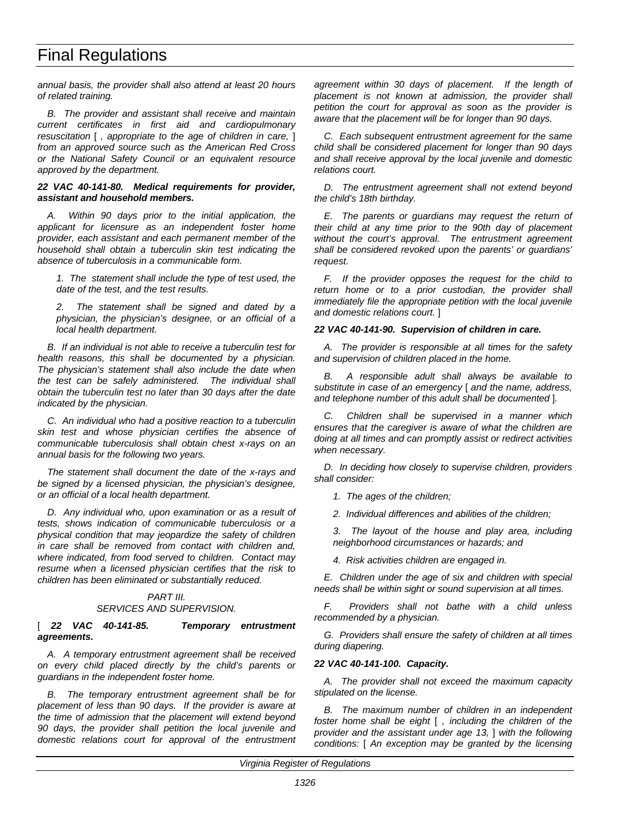*annual basis, the provider shall also attend at least 20 hours of related training.*

*B. The provider and assistant shall receive and maintain current certificates in first aid and cardiopulmonary resuscitation* [ *, appropriate to the age of children in care,* ] *from an approved source such as the American Red Cross or the National Safety Council or an equivalent resource approved by the department.*

#### *22 VAC 40-141-80. Medical requirements for provider, assistant and household members.*

*A. Within 90 days prior to the initial application, the applicant for licensure as an independent foster home provider, each assistant and each permanent member of the household shall obtain a tuberculin skin test indicating the absence of tuberculosis in a communicable form.*

*1. The statement shall include the type of test used, the date of the test, and the test results.*

*2. The statement shall be signed and dated by a physician, the physician's designee, or an official of a local health department.*

*B. If an individual is not able to receive a tuberculin test for health reasons, this shall be documented by a physician. The physician's statement shall also include the date when the test can be safely administered. The individual shall obtain the tuberculin test no later than 30 days after the date indicated by the physician.*

*C. An individual who had a positive reaction to a tuberculin skin test and whose physician certifies the absence of communicable tuberculosis shall obtain chest x-rays on an annual basis for the following two years.*

*The statement shall document the date of the x-rays and be signed by a licensed physician, the physician's designee, or an official of a local health department.*

*D. Any individual who, upon examination or as a result of tests, shows indication of communicable tuberculosis or a physical condition that may jeopardize the safety of children in care shall be removed from contact with children and, where indicated, from food served to children. Contact may resume when a licensed physician certifies that the risk to children has been eliminated or substantially reduced.*

#### *PART III. SERVICES AND SUPERVISION.*

#### [ *22 VAC 40-141-85. Temporary entrustment agreements.*

*A. A temporary entrustment agreement shall be received on every child placed directly by the child's parents or guardians in the independent foster home.*

*B. The temporary entrustment agreement shall be for placement of less than 90 days. If the provider is aware at the time of admission that the placement will extend beyond 90 days, the provider shall petition the local juvenile and domestic relations court for approval of the entrustment* *agreement within 30 days of placement. If the length of placement is not known at admission, the provider shall petition the court for approval as soon as the provider is aware that the placement will be for longer than 90 days.*

*C. Each subsequent entrustment agreement for the same child shall be considered placement for longer than 90 days and shall receive approval by the local juvenile and domestic relations court.*

*D. The entrustment agreement shall not extend beyond the child's 18th birthday.*

*E. The parents or guardians may request the return of their child at any time prior to the 90th day of placement without the court's approval. The entrustment agreement shall be considered revoked upon the parents' or guardians' request.*

*F. If the provider opposes the request for the child to return home or to a prior custodian, the provider shall immediately file the appropriate petition with the local juvenile and domestic relations court.* ]

#### *22 VAC 40-141-90. Supervision of children in care.*

*A. The provider is responsible at all times for the safety and supervision of children placed in the home.*

*B. A responsible adult shall always be available to substitute in case of an emergency* [ *and the name, address, and telephone number of this adult shall be documented* ]*.*

*C. Children shall be supervised in a manner which ensures that the caregiver is aware of what the children are doing at all times and can promptly assist or redirect activities when necessary.*

*D. In deciding how closely to supervise children, providers shall consider:*

- *1. The ages of the children;*
- *2. Individual differences and abilities of the children;*

*3. The layout of the house and play area, including neighborhood circumstances or hazards; and*

*4. Risk activities children are engaged in.*

*E. Children under the age of six and children with special needs shall be within sight or sound supervision at all times.*

*F. Providers shall not bathe with a child unless recommended by a physician.*

*G. Providers shall ensure the safety of children at all times during diapering.*

#### *22 VAC 40-141-100. Capacity.*

*A. The provider shall not exceed the maximum capacity stipulated on the license.*

*B. The maximum number of children in an independent foster home shall be eight* [ *, including the children of the provider and the assistant under age 13,* ] *with the following conditions:* [ *An exception may be granted by the licensing*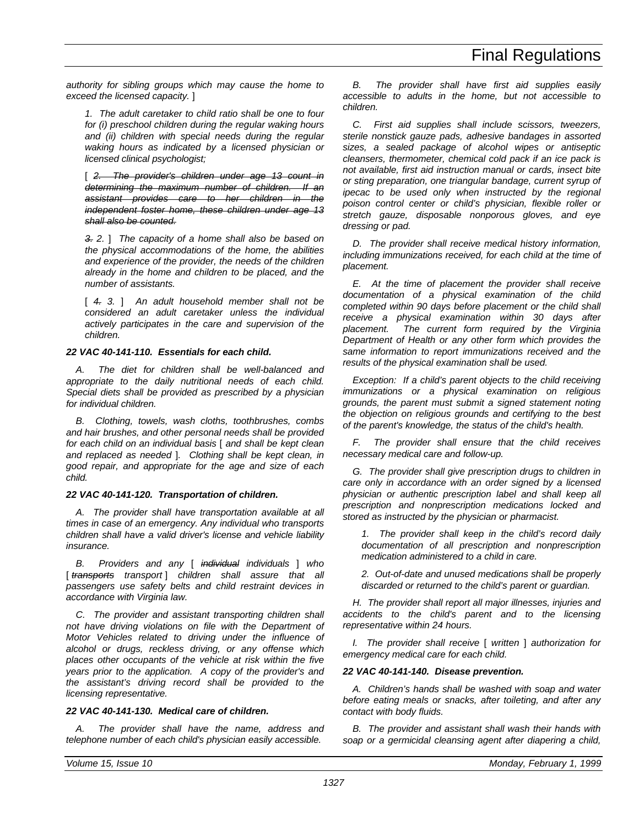*authority for sibling groups which may cause the home to exceed the licensed capacity.* ]

*1. The adult caretaker to child ratio shall be one to four for (i) preschool children during the regular waking hours and (ii) children with special needs during the regular waking hours as indicated by a licensed physician or licensed clinical psychologist;*

[ *2. The provider's children under age 13 count in determining the maximum number of children. If an assistant provides care to her children in the independent foster home, these children under age 13 shall also be counted.*

*3. 2.* ] *The capacity of a home shall also be based on the physical accommodations of the home, the abilities and experience of the provider, the needs of the children already in the home and children to be placed, and the number of assistants.*

[ *4. 3.* ] *An adult household member shall not be considered an adult caretaker unless the individual actively participates in the care and supervision of the children.*

#### *22 VAC 40-141-110. Essentials for each child.*

*A. The diet for children shall be well-balanced and appropriate to the daily nutritional needs of each child. Special diets shall be provided as prescribed by a physician for individual children.*

*B. Clothing, towels, wash cloths, toothbrushes, combs and hair brushes, and other personal needs shall be provided for each child on an individual basis* [ *and shall be kept clean and replaced as needed* ]*. Clothing shall be kept clean, in good repair, and appropriate for the age and size of each child.*

#### *22 VAC 40-141-120. Transportation of children.*

*A. The provider shall have transportation available at all times in case of an emergency. Any individual who transports children shall have a valid driver's license and vehicle liability insurance.*

*B. Providers and any* [ *individual individuals* ] *who* [ transports transport ] children shall assure that all *passengers use safety belts and child restraint devices in accordance with Virginia law.*

*C. The provider and assistant transporting children shall not have driving violations on file with the Department of Motor Vehicles related to driving under the influence of alcohol or drugs, reckless driving, or any offense which places other occupants of the vehicle at risk within the five years prior to the application. A copy of the provider's and the assistant's driving record shall be provided to the licensing representative.*

#### *22 VAC 40-141-130. Medical care of children.*

*A. The provider shall have the name, address and telephone number of each child's physician easily accessible.*

*B. The provider shall have first aid supplies easily accessible to adults in the home, but not accessible to children.*

*C. First aid supplies shall include scissors, tweezers, sterile nonstick gauze pads, adhesive bandages in assorted sizes, a sealed package of alcohol wipes or antiseptic cleansers, thermometer, chemical cold pack if an ice pack is not available, first aid instruction manual or cards, insect bite or sting preparation, one triangular bandage, current syrup of ipecac to be used only when instructed by the regional poison control center or child's physician, flexible roller or stretch gauze, disposable nonporous gloves, and eye dressing or pad.*

*D. The provider shall receive medical history information, including immunizations received, for each child at the time of placement.*

*E. At the time of placement the provider shall receive documentation of a physical examination of the child completed within 90 days before placement or the child shall receive a physical examination within 30 days after placement. The current form required by the Virginia Department of Health or any other form which provides the same information to report immunizations received and the results of the physical examination shall be used.*

*Exception: If a child's parent objects to the child receiving immunizations or a physical examination on religious grounds, the parent must submit a signed statement noting the objection on religious grounds and certifying to the best of the parent's knowledge, the status of the child's health.*

*F. The provider shall ensure that the child receives necessary medical care and follow-up.*

*G. The provider shall give prescription drugs to children in care only in accordance with an order signed by a licensed physician or authentic prescription label and shall keep all prescription and nonprescription medications locked and stored as instructed by the physician or pharmacist.*

*1. The provider shall keep in the child's record daily documentation of all prescription and nonprescription medication administered to a child in care.*

*2. Out-of-date and unused medications shall be properly discarded or returned to the child's parent or guardian.*

*H. The provider shall report all major illnesses, injuries and accidents to the child's parent and to the licensing representative within 24 hours.*

*I. The provider shall receive* [ *written* ] *authorization for emergency medical care for each child.*

#### *22 VAC 40-141-140. Disease prevention.*

*A. Children's hands shall be washed with soap and water before eating meals or snacks, after toileting, and after any contact with body fluids.*

*B. The provider and assistant shall wash their hands with soap or a germicidal cleansing agent after diapering a child,*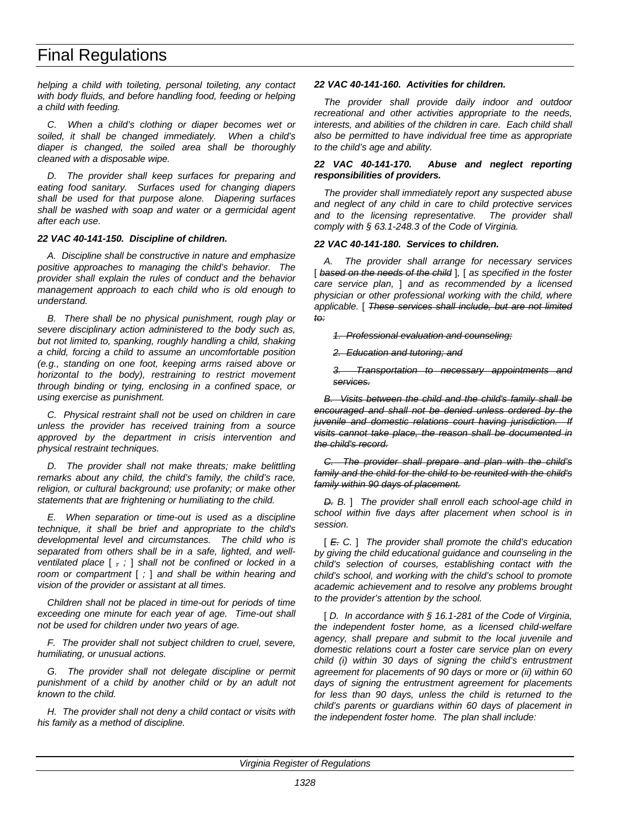*helping a child with toileting, personal toileting, any contact with body fluids, and before handling food, feeding or helping a child with feeding.*

*C. When a child's clothing or diaper becomes wet or soiled, it shall be changed immediately. When a child's diaper is changed, the soiled area shall be thoroughly cleaned with a disposable wipe.*

*D. The provider shall keep surfaces for preparing and eating food sanitary. Surfaces used for changing diapers shall be used for that purpose alone. Diapering surfaces shall be washed with soap and water or a germicidal agent after each use.*

#### *22 VAC 40-141-150. Discipline of children.*

*A. Discipline shall be constructive in nature and emphasize positive approaches to managing the child's behavior. The provider shall explain the rules of conduct and the behavior management approach to each child who is old enough to understand.*

*B. There shall be no physical punishment, rough play or severe disciplinary action administered to the body such as, but not limited to, spanking, roughly handling a child, shaking a child, forcing a child to assume an uncomfortable position (e.g., standing on one foot, keeping arms raised above or horizontal to the body), restraining to restrict movement through binding or tying, enclosing in a confined space, or using exercise as punishment.*

*C. Physical restraint shall not be used on children in care unless the provider has received training from a source approved by the department in crisis intervention and physical restraint techniques.*

*D. The provider shall not make threats; make belittling remarks about any child, the child's family, the child's race, religion, or cultural background; use profanity; or make other statements that are frightening or humiliating to the child.*

*E. When separation or time-out is used as a discipline technique, it shall be brief and appropriate to the child's developmental level and circumstances. The child who is separated from others shall be in a safe, lighted, and wellventilated place* [ *, ;* ] *shall not be confined or locked in a room or compartment* [ *;* ] *and shall be within hearing and vision of the provider or assistant at all times.*

*Children shall not be placed in time-out for periods of time exceeding one minute for each year of age. Time-out shall not be used for children under two years of age.*

*F. The provider shall not subject children to cruel, severe, humiliating, or unusual actions.*

*G. The provider shall not delegate discipline or permit punishment of a child by another child or by an adult not known to the child.*

*H. The provider shall not deny a child contact or visits with his family as a method of discipline.*

#### *22 VAC 40-141-160. Activities for children.*

*The provider shall provide daily indoor and outdoor recreational and other activities appropriate to the needs, interests, and abilities of the children in care. Each child shall also be permitted to have individual free time as appropriate to the child's age and ability.*

#### *22 VAC 40-141-170. Abuse and neglect reporting responsibilities of providers.*

*The provider shall immediately report any suspected abuse and neglect of any child in care to child protective services and to the licensing representative. The provider shall comply with § 63.1-248.3 of the Code of Virginia.*

#### *22 VAC 40-141-180. Services to children.*

*A. The provider shall arrange for necessary services* [ *based on the needs of the child* ]*,* [ *as specified in the foster care service plan,* ] *and as recommended by a licensed physician or other professional working with the child, where applicable.* [ *These services shall include, but are not limited to:*

*1. Professional evaluation and counseling;*

*2. Education and tutoring; and*

*3. Transportation to necessary appointments and services.*

*B. Visits between the child and the child's family shall be encouraged and shall not be denied unless ordered by the juvenile and domestic relations court having jurisdiction. If visits cannot take place, the reason shall be documented in the child's record.*

*C. The provider shall prepare and plan with the child's family and the child for the child to be reunited with the child's family within 90 days of placement.*

*D. B.* ] *The provider shall enroll each school-age child in school within five days after placement when school is in session.*

[ *E. C.* ] *The provider shall promote the child's education by giving the child educational guidance and counseling in the child's selection of courses, establishing contact with the child's school, and working with the child's school to promote academic achievement and to resolve any problems brought to the provider's attention by the school.*

[ *D. In accordance with § 16.1-281 of the Code of Virginia, the independent foster home, as a licensed child-welfare agency, shall prepare and submit to the local juvenile and domestic relations court a foster care service plan on every child (i) within 30 days of signing the child's entrustment agreement for placements of 90 days or more or (ii) within 60 days of signing the entrustment agreement for placements for less than 90 days, unless the child is returned to the child's parents or guardians within 60 days of placement in the independent foster home. The plan shall include:*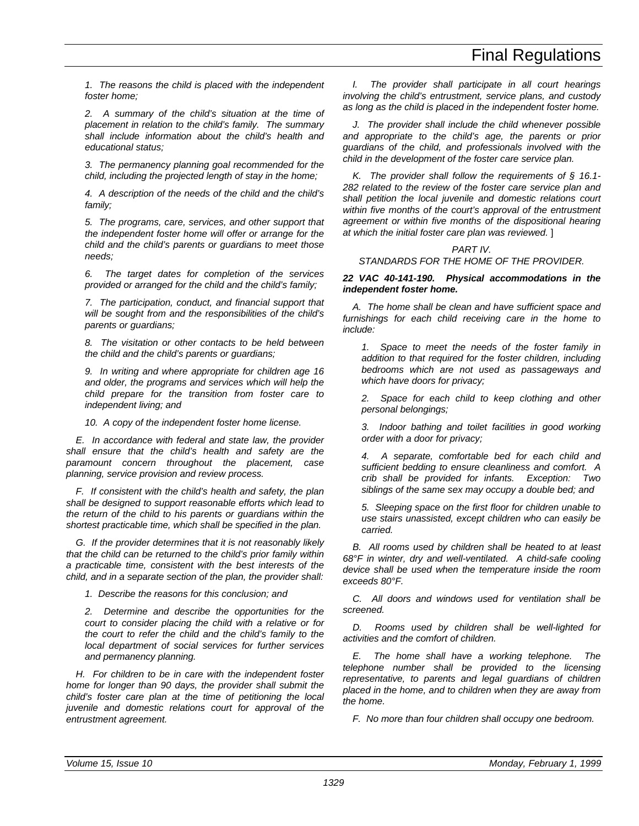# Final Regulations

*1. The reasons the child is placed with the independent foster home;*

*2. A summary of the child's situation at the time of placement in relation to the child's family. The summary shall include information about the child's health and educational status;*

*3. The permanency planning goal recommended for the child, including the projected length of stay in the home;*

*4. A description of the needs of the child and the child's family;*

*5. The programs, care, services, and other support that the independent foster home will offer or arrange for the child and the child's parents or guardians to meet those needs;*

*6. The target dates for completion of the services provided or arranged for the child and the child's family;*

*7. The participation, conduct, and financial support that will be sought from and the responsibilities of the child's parents or guardians;*

*8. The visitation or other contacts to be held between the child and the child's parents or guardians;*

*9. In writing and where appropriate for children age 16 and older, the programs and services which will help the child prepare for the transition from foster care to independent living; and*

*10. A copy of the independent foster home license.*

*E. In accordance with federal and state law, the provider shall ensure that the child's health and safety are the paramount concern throughout the placement, case planning, service provision and review process.*

*F. If consistent with the child's health and safety, the plan shall be designed to support reasonable efforts which lead to the return of the child to his parents or guardians within the shortest practicable time, which shall be specified in the plan.*

*G. If the provider determines that it is not reasonably likely that the child can be returned to the child's prior family within a practicable time, consistent with the best interests of the child, and in a separate section of the plan, the provider shall:*

*1. Describe the reasons for this conclusion; and*

*2. Determine and describe the opportunities for the court to consider placing the child with a relative or for the court to refer the child and the child's family to the local department of social services for further services and permanency planning.*

*H. For children to be in care with the independent foster home for longer than 90 days, the provider shall submit the child's foster care plan at the time of petitioning the local juvenile and domestic relations court for approval of the entrustment agreement.*

*I. The provider shall participate in all court hearings involving the child's entrustment, service plans, and custody as long as the child is placed in the independent foster home.*

*J. The provider shall include the child whenever possible and appropriate to the child's age, the parents or prior guardians of the child, and professionals involved with the child in the development of the foster care service plan.*

*K. The provider shall follow the requirements of § 16.1- 282 related to the review of the foster care service plan and shall petition the local juvenile and domestic relations court within five months of the court's approval of the entrustment agreement or within five months of the dispositional hearing at which the initial foster care plan was reviewed.* ]

#### *PART IV. STANDARDS FOR THE HOME OF THE PROVIDER.*

#### *22 VAC 40-141-190. Physical accommodations in the independent foster home.*

*A. The home shall be clean and have sufficient space and furnishings for each child receiving care in the home to include:*

*1. Space to meet the needs of the foster family in addition to that required for the foster children, including bedrooms which are not used as passageways and which have doors for privacy;*

*2. Space for each child to keep clothing and other personal belongings;*

*3. Indoor bathing and toilet facilities in good working order with a door for privacy;*

*4. A separate, comfortable bed for each child and sufficient bedding to ensure cleanliness and comfort. A crib shall be provided for infants. Exception: Two siblings of the same sex may occupy a double bed; and*

*5. Sleeping space on the first floor for children unable to use stairs unassisted, except children who can easily be carried.*

*B. All rooms used by children shall be heated to at least 68°F in winter, dry and well-ventilated. A child-safe cooling device shall be used when the temperature inside the room exceeds 80°F.*

*C. All doors and windows used for ventilation shall be screened.*

*D. Rooms used by children shall be well-lighted for activities and the comfort of children.*

*E. The home shall have a working telephone. The telephone number shall be provided to the licensing representative, to parents and legal guardians of children placed in the home, and to children when they are away from the home.*

*F. No more than four children shall occupy one bedroom.*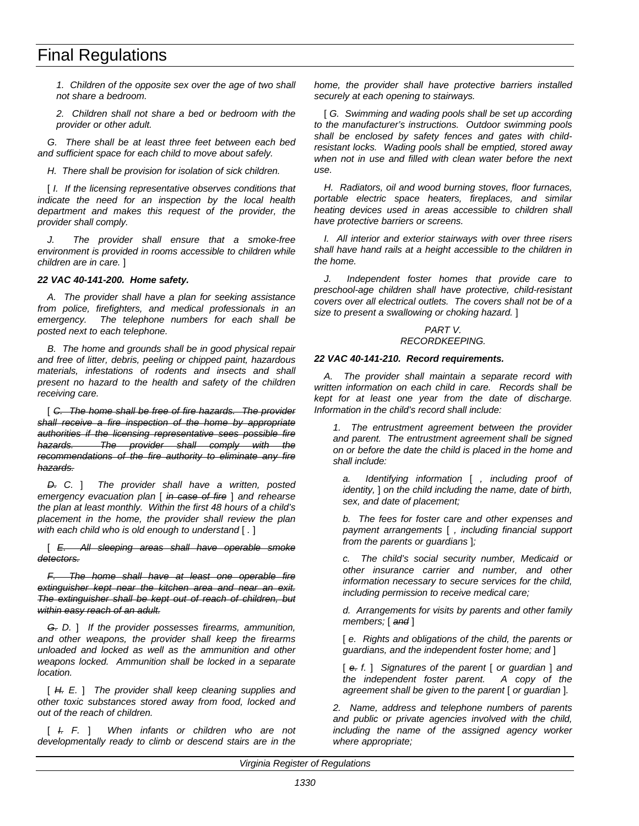# Final Regulations

*1. Children of the opposite sex over the age of two shall not share a bedroom.*

*2. Children shall not share a bed or bedroom with the provider or other adult.*

*G. There shall be at least three feet between each bed and sufficient space for each child to move about safely.*

*H. There shall be provision for isolation of sick children.*

[  $I.$  If the licensing representative observes conditions that *indicate the need for an inspection by the local health department and makes this request of the provider, the provider shall comply.*

*J. The provider shall ensure that a smoke-free environment is provided in rooms accessible to children while children are in care.* ]

#### *22 VAC 40-141-200. Home safety.*

*A. The provider shall have a plan for seeking assistance from police, firefighters, and medical professionals in an emergency. The telephone numbers for each shall be posted next to each telephone.*

*B. The home and grounds shall be in good physical repair and free of litter, debris, peeling or chipped paint, hazardous materials, infestations of rodents and insects and shall present no hazard to the health and safety of the children receiving care.*

[ *C. The home shall be free of fire hazards. The provider shall receive a fire inspection of the home by appropriate authorities if the licensing representative sees possible fire hazards. The provider shall comply with the recommendations of the fire authority to eliminate any fire hazards.*

*D. C.* ] *The provider shall have a written, posted emergency evacuation plan* [ *in case of fire* ] *and rehearse the plan at least monthly. Within the first 48 hours of a child's placement in the home, the provider shall review the plan with each child who is old enough to understand* [ *.* ]

[ *E. All sleeping areas shall have operable smoke detectors.*

*F. The home shall have at least one operable fire extinguisher kept near the kitchen area and near an exit. The extinguisher shall be kept out of reach of children, but within easy reach of an adult.*

*G. D.* ] *If the provider possesses firearms, ammunition, and other weapons, the provider shall keep the firearms unloaded and locked as well as the ammunition and other weapons locked. Ammunition shall be locked in a separate location.*

[ *H. E.* ] *The provider shall keep cleaning supplies and other toxic substances stored away from food, locked and out of the reach of children.*

[ *I. F.* ] *When infants or children who are not developmentally ready to climb or descend stairs are in the*

*home, the provider shall have protective barriers installed securely at each opening to stairways.*

[ *G. Swimming and wading pools shall be set up according to the manufacturer's instructions. Outdoor swimming pools shall be enclosed by safety fences and gates with childresistant locks. Wading pools shall be emptied, stored away when not in use and filled with clean water before the next use.*

*H. Radiators, oil and wood burning stoves, floor furnaces, portable electric space heaters, fireplaces, and similar heating devices used in areas accessible to children shall have protective barriers or screens.*

*I. All interior and exterior stairways with over three risers shall have hand rails at a height accessible to the children in the home.*

*J. Independent foster homes that provide care to preschool-age children shall have protective, child-resistant covers over all electrical outlets. The covers shall not be of a size to present a swallowing or choking hazard.* ]

#### *PART V. RECORDKEEPING.*

#### *22 VAC 40-141-210. Record requirements.*

*A. The provider shall maintain a separate record with written information on each child in care. Records shall be kept for at least one year from the date of discharge. Information in the child's record shall include:*

*1. The entrustment agreement between the provider and parent. The entrustment agreement shall be signed on or before the date the child is placed in the home and shall include:*

*a. Identifying information* [ *, including proof of identity,* ] *on the child including the name, date of birth, sex, and date of placement;*

*b. The fees for foster care and other expenses and payment arrangements* [ *, including financial support from the parents or guardians* ]*;*

*c. The child's social security number, Medicaid or other insurance carrier and number, and other information necessary to secure services for the child, including permission to receive medical care;*

*d. Arrangements for visits by parents and other family members;* [ *and* ]

[ *e. Rights and obligations of the child, the parents or guardians, and the independent foster home; and* ]

[ *e. f.* ] *Signatures of the parent* [ *or guardian* ] *and the independent foster parent. A copy of the agreement shall be given to the parent* [ *or guardian* ]*.*

*2. Name, address and telephone numbers of parents and public or private agencies involved with the child, including the name of the assigned agency worker where appropriate;*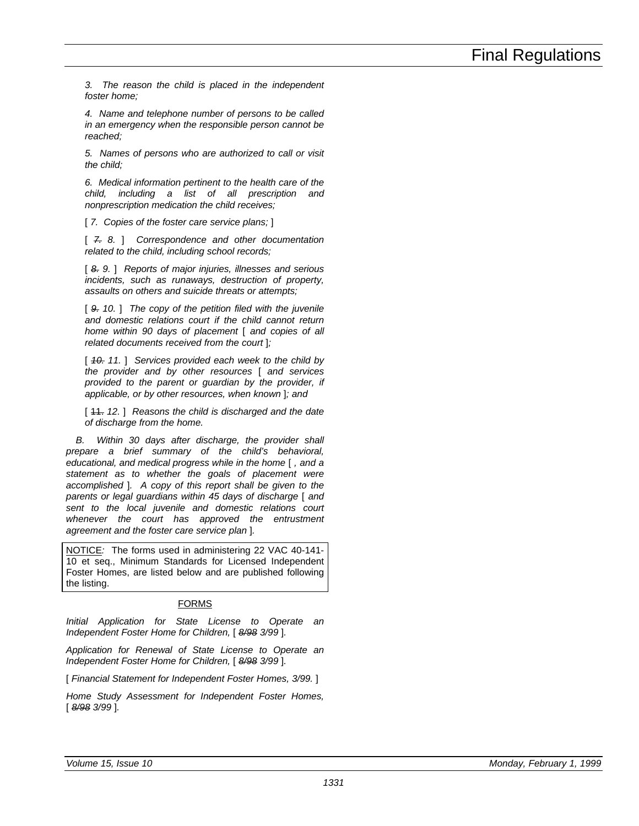*3. The reason the child is placed in the independent foster home;*

*4. Name and telephone number of persons to be called in an emergency when the responsible person cannot be reached;*

*5. Names of persons who are authorized to call or visit the child;*

*6. Medical information pertinent to the health care of the child, including a list of all prescription and nonprescription medication the child receives;*

[ *7. Copies of the foster care service plans;* ]

[ *7. 8.* ] *Correspondence and other documentation related to the child, including school records;*

[ *8. 9.* ] *Reports of major injuries, illnesses and serious incidents, such as runaways, destruction of property, assaults on others and suicide threats or attempts;*

[ *9. 10.* ] *The copy of the petition filed with the juvenile and domestic relations court if the child cannot return home within 90 days of placement* [ *and copies of all related documents received from the court* ]*;*

[ *10. 11.* ] *Services provided each week to the child by the provider and by other resources* [ *and services provided to the parent or guardian by the provider, if applicable, or by other resources, when known* ]*; and*

[ 11. *12.* ] *Reasons the child is discharged and the date of discharge from the home.*

*B. Within 30 days after discharge, the provider shall prepare a brief summary of the child's behavioral, educational, and medical progress while in the home* [ *, and a statement as to whether the goals of placement were accomplished* ]*. A copy of this report shall be given to the parents or legal guardians within 45 days of discharge* [ *and sent to the local juvenile and domestic relations court whenever the court has approved the entrustment agreement and the foster care service plan* ]*.*

NOTICE*:* The forms used in administering 22 VAC 40-141- 10 et seq., Minimum Standards for Licensed Independent Foster Homes, are listed below and are published following the listing.

#### FORMS

*Initial Application for State License to Operate an Independent Foster Home for Children,* [ *8/98 3/99* ]*.*

*Application for Renewal of State License to Operate an Independent Foster Home for Children,* [ *8/98 3/99* ]*.*

[ *Financial Statement for Independent Foster Homes, 3/99.* ]

*Home Study Assessment for Independent Foster Homes,* [ *8/98 3/99* ]*.*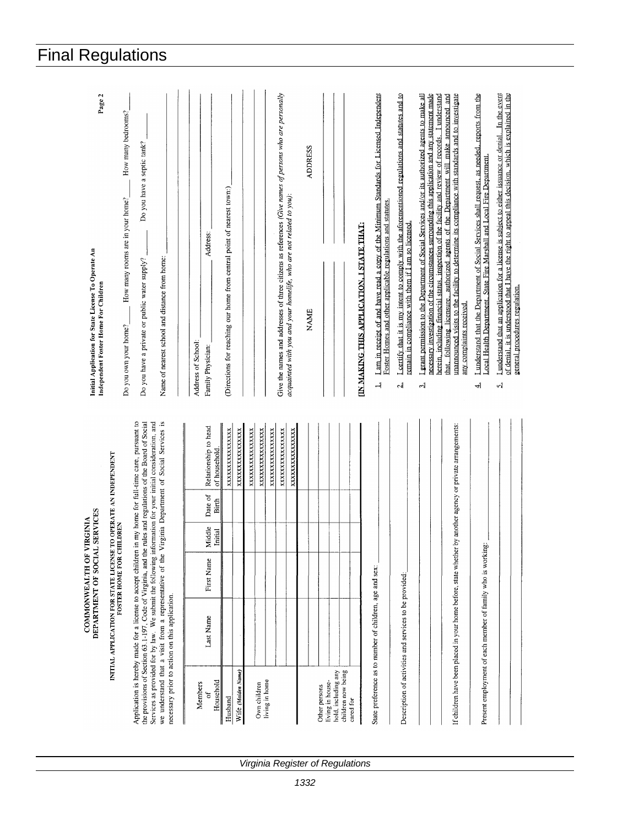| Page 2<br>Initial Application for State License To Operate An<br>Independent Foster Home For Children | How many bedrooms?<br>How many rooms are in your home?<br>Do you own your home? | Do you have a septic tank?<br>Name of nearest school and distance from home:<br>Do you have a private or public water supply?                                                                                                                                                                                                                                                                   | Address:<br>Address of School:<br>Family Physician: | (Directions for reaching our home from central point of nearest town:) |                    |                 |                                |                 | Give the names and addresses of three citizens as references (Give names of persons who are personally<br>acquainted with you and your homelife, who are not related to you): | <b>ADDRESS</b><br>NAME |               |                  |                                           |           | IN MAKING THIS APPLICATION, I STATE THAT: | Lam in receipt of and have read a copy of the Minimum Standards for Licensed Independent<br>Foster Homes and other applicable regulations and statutes<br>$\rightarrow$ | Lectify that it is my intent to comply with the aforementioned regulations and statures and to<br>remain in compliance with them if $I$ am so licensed.<br>$\mathbf{d}$ | I grant permission to the Department of Social Services and/or its authorized agents to make all<br>$\frac{1}{2}$ | necessary investigation of the circumstances surrounding this application and any statement made<br>herein, including financial status, inspection of the facility and review of records. I understand | that, following licensure, authorized agents of the Department will make announced and<br>unannounced visits to the facility to determine its compliance with standards and to investigate<br>any complaints received. | I understand that the Department of Social Services shall request, as needed, reports from the<br>Local Health Department. State Fire Marshall and Local Fire Department.<br>ᆌ | I understand that an application for a license is subject to either issuance or denial. In the event<br>of denial, it is understood that I have the right to appeal this decision, which is explained in the<br>general procedures regulation.<br>$\mathbf{z}$ |
|-------------------------------------------------------------------------------------------------------|---------------------------------------------------------------------------------|-------------------------------------------------------------------------------------------------------------------------------------------------------------------------------------------------------------------------------------------------------------------------------------------------------------------------------------------------------------------------------------------------|-----------------------------------------------------|------------------------------------------------------------------------|--------------------|-----------------|--------------------------------|-----------------|-------------------------------------------------------------------------------------------------------------------------------------------------------------------------------|------------------------|---------------|------------------|-------------------------------------------|-----------|-------------------------------------------|-------------------------------------------------------------------------------------------------------------------------------------------------------------------------|-------------------------------------------------------------------------------------------------------------------------------------------------------------------------|-------------------------------------------------------------------------------------------------------------------|--------------------------------------------------------------------------------------------------------------------------------------------------------------------------------------------------------|------------------------------------------------------------------------------------------------------------------------------------------------------------------------------------------------------------------------|--------------------------------------------------------------------------------------------------------------------------------------------------------------------------------|----------------------------------------------------------------------------------------------------------------------------------------------------------------------------------------------------------------------------------------------------------------|
|                                                                                                       | TO OPERATE AN INDEPENDENT                                                       | in my home for full-time care, pursuant to<br>rules and regulations of the Board of Social                                                                                                                                                                                                                                                                                                      | Relationship to head<br>of household                | XXXXXXXXXXXXXXX                                                        | XXXXXXXXXXXXXX     | XXXXXXXXXXXXXXX | XXXXXXXXXXXXXXX                | XXXXXXXXXXXXXXX | XXXXXXXXXXXXXX                                                                                                                                                                | XXXXXXXXXXXXXX         |               |                  |                                           |           |                                           |                                                                                                                                                                         |                                                                                                                                                                         |                                                                                                                   |                                                                                                                                                                                                        |                                                                                                                                                                                                                        |                                                                                                                                                                                |                                                                                                                                                                                                                                                                |
|                                                                                                       |                                                                                 |                                                                                                                                                                                                                                                                                                                                                                                                 | Date of<br>Birth                                    |                                                                        |                    |                 |                                |                 |                                                                                                                                                                               |                        |               |                  |                                           |           |                                           |                                                                                                                                                                         |                                                                                                                                                                         |                                                                                                                   |                                                                                                                                                                                                        |                                                                                                                                                                                                                        |                                                                                                                                                                                |                                                                                                                                                                                                                                                                |
|                                                                                                       |                                                                                 |                                                                                                                                                                                                                                                                                                                                                                                                 | Middle<br>Initial                                   |                                                                        |                    |                 |                                |                 |                                                                                                                                                                               |                        |               |                  |                                           |           |                                           |                                                                                                                                                                         |                                                                                                                                                                         |                                                                                                                   |                                                                                                                                                                                                        |                                                                                                                                                                                                                        | jф.                                                                                                                                                                            |                                                                                                                                                                                                                                                                |
| DEPARTMENT OF SOCIAL SERVICES<br>COMMONWEALTH OF VIRGINIA                                             |                                                                                 |                                                                                                                                                                                                                                                                                                                                                                                                 | First Name                                          |                                                                        |                    |                 |                                |                 |                                                                                                                                                                               |                        |               |                  |                                           |           |                                           |                                                                                                                                                                         |                                                                                                                                                                         |                                                                                                                   |                                                                                                                                                                                                        |                                                                                                                                                                                                                        |                                                                                                                                                                                |                                                                                                                                                                                                                                                                |
|                                                                                                       | INITIAL APPLICATION FOR STATE LICENSE TO OPER<br>FOSTER HOME FOR CHILDREN       | Services as provided for by law. We submit the following information for your initial consideration, and<br>we understand that a visit from a representative of the Virginia Department of Social Services is<br>Application is hereby made for a license to accept children<br>the provisions of Section 63.1-197, Code of Virginia, and the<br>necessary prior to action on this application. | Last Name                                           |                                                                        |                    |                 |                                |                 |                                                                                                                                                                               |                        |               |                  |                                           |           |                                           | State preference as to number of children, age and sex:                                                                                                                 | Description of activities and services to be provided:                                                                                                                  |                                                                                                                   |                                                                                                                                                                                                        | If children have been placed in your home before, state whether by another agency or private arrangements:                                                                                                             | Present employment of each member of family who is workin                                                                                                                      |                                                                                                                                                                                                                                                                |
|                                                                                                       |                                                                                 |                                                                                                                                                                                                                                                                                                                                                                                                 | Household<br>Members<br>ð                           | Husband                                                                | Wife (Maiden Name) |                 | living in home<br>Own children |                 |                                                                                                                                                                               |                        | Other persons | living in house- | hold, including any<br>children now being | cared for |                                           |                                                                                                                                                                         |                                                                                                                                                                         |                                                                                                                   |                                                                                                                                                                                                        |                                                                                                                                                                                                                        |                                                                                                                                                                                |                                                                                                                                                                                                                                                                |

# Final Regulations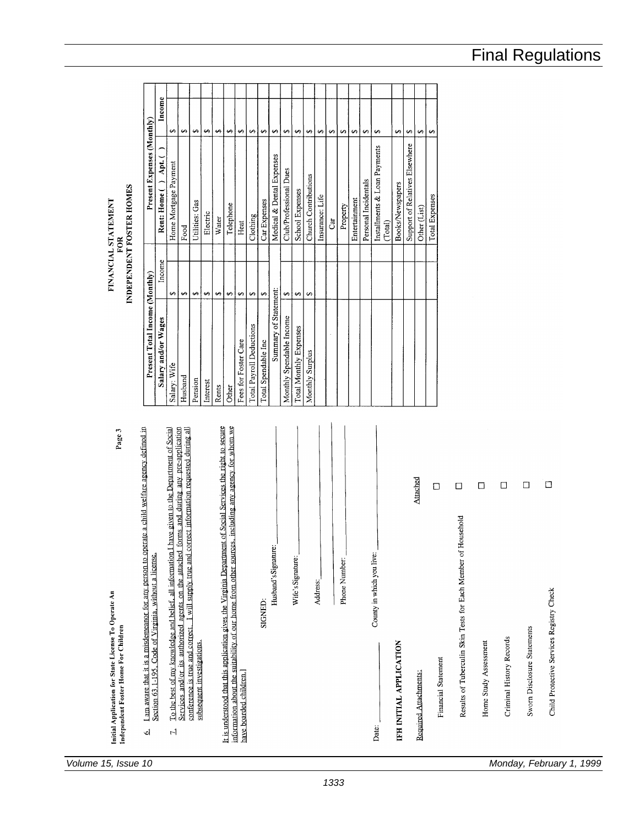Initial Application for State License To Operate An<br>Independent Foster Home For Children

- 
- I am aware that it is a misdemeanor for any person to operate a child welfare agency defined in<br>Section 63.1-195, Code of Virginia, without a license.  $\dot{\mathbf{Q}}$
- To the best of my knowledge and belief, all information I have given to the Department of Social Services and/or its authorized agents on the attached forms and during any pre-application conference is true and correct. I subsequent investigations.  $\mathbb{R}^4$

It is understood that this application gives the Virginia Department of Social Services the right to secure including any agency for whom we OUTPORE سلمت

|                                                                                                                            |                                 |                   |          |               |                                    |                         | Attached              | □                   | □                                                             |                       |
|----------------------------------------------------------------------------------------------------------------------------|---------------------------------|-------------------|----------|---------------|------------------------------------|-------------------------|-----------------------|---------------------|---------------------------------------------------------------|-----------------------|
| information about the suitability of our nome from other sources, including any agency is $\sim$<br>have boarded children. | Husband's Signature:<br>SIGNED: | Wife's Signature: | Address: | Phone Number: | County in which you live:<br>Date: | IFH INITIAL APPLICATION | Required Attachments: | Financial Statement | Results of Tuberculin Skin Tests for Each Member of Household | Home Study Assessment |

Child Protective Services Registry Check

Sworn Disclosure Statements

Criminal History Records

Home Study Assessment

 $\Box$ 

 $\Box$ 

 $\Box$ 

# INDEPENDENT FOSTER HOMES FINANCIAL STATEMENT FOR

Page 3

| Present Total Income (Monthly) |                   | Present Expenses (Monthly)              |                   |  |
|--------------------------------|-------------------|-----------------------------------------|-------------------|--|
| Salary and/or Wages            | Income            | Apt. (<br>Rent: Home (                  | Income            |  |
| Salary: Wife                   | S                 | Home Mortgage Payment                   | s                 |  |
| Husband                        | $\Theta$          | Food                                    | s.                |  |
| Pension                        | مه                | Utilities: Gas                          | ↮                 |  |
| Interest                       | ÷,                | Electric                                | 69                |  |
| Rents                          | ↔                 | Water                                   | ِصِ               |  |
| Other                          | ↔                 | Telephone                               | $\leftrightarrow$ |  |
| Fees for Foster Care           | ↔                 | Heat                                    | ↔                 |  |
| Total Payroll Deductions       | 4                 | Clothing                                | 5                 |  |
| Total Spendable Inc            | $\leftrightarrow$ | Car Expenses                            | ↔                 |  |
| Summary of Statement:          |                   | Medical & Dental Expenses               | ↔                 |  |
| Monthly Spendable Income       | ⊷                 | Club/Professional Dues                  | s                 |  |
| <b>Total Monthly Expenses</b>  | $\leftrightarrow$ | School Expenses                         | ↔                 |  |
| Monthly Surplus                | 69                | Church Contributions                    | 69                |  |
|                                |                   | Insurance: Life                         | 59                |  |
|                                |                   | ់ដី                                     | ⊷                 |  |
|                                |                   | Property                                | s                 |  |
|                                |                   | Entertainment                           | ↮                 |  |
|                                |                   | Personal Incidentals                    | 5                 |  |
|                                |                   | Installments & Loan Payments<br>(Total) | $\leftrightarrow$ |  |
|                                |                   | Books/Newspapers                        | مه                |  |
|                                |                   | Support of Relatives Elsewhere          | 69                |  |
|                                |                   | Other (List)                            | مه                |  |
|                                |                   | Total Expenses                          | ِص                |  |

# Final Regulations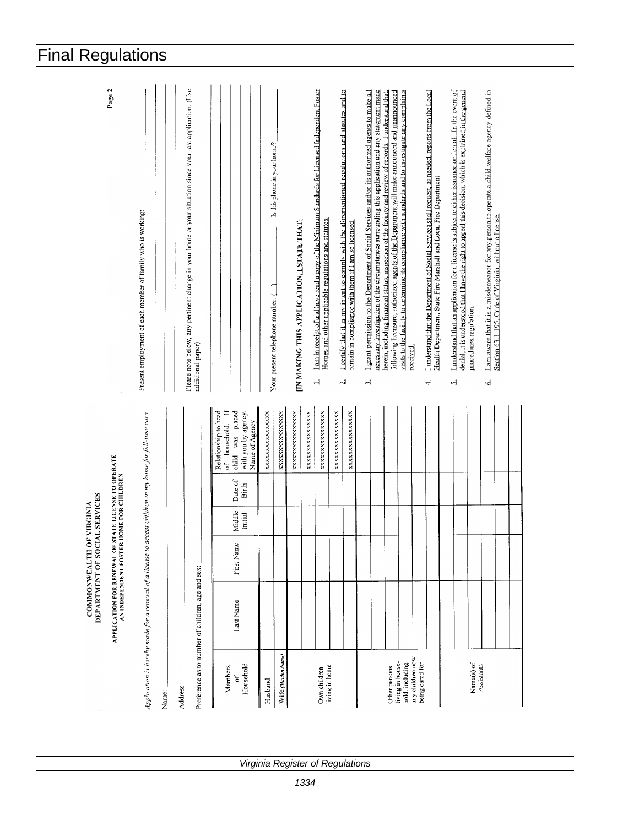|                                                           | Page 2                                                                                         | Present employment of each member of family who is working:                                             |       |          | Please note below, any pertinent change in your home or your situation since your last application: (Use<br>additional paper) |                                                                                                       |                 | Is this phone in your home?<br>Your present telephone number: ( | <b>IN MAKING THIS APPLICATION, I STATE THAT:</b> |                | I am in receipt of and have read a copy of the Minimum Standards for Licensed Independent Foster<br>Homes and other applicable regulations and statutes.<br>$\overline{a}$ | <b>Leertify</b> that it is my intent to comply with the aforementioned regulations and statutes and to<br>ة - | remain in compliance with them if I am so licensed. | necessary investigation of the circumstances surrounding this application and any statement made<br>I grant permission to the Department of Social Services and/or its authorized agents to make all<br>لہ | following licensure, authorized agents of the Department will make announced and unannounced<br>herein, including financial status, inspection of the facility and review of records. I understand that | visits to the facility to determine its compliance with standards and to investigate any complaints<br>received |                                     | I understand that the Department of Social Services shall request, as needed, reports from the Local<br>Health Department, State Fire Marshall and Local Fire Department.<br>ᅬ | I understand that an application for a license is subject to either issuance or denial. In the event of<br>denial, it is understood that I have the right to appeal this decision, which is explained in the general<br>네 | procedures regulation.   | I am aware that it is a misdemeanor for any person to operate a child welfare agency defined in<br>اک | Section 63.1-195, Code of Virginia, without a license. |  |
|-----------------------------------------------------------|------------------------------------------------------------------------------------------------|---------------------------------------------------------------------------------------------------------|-------|----------|-------------------------------------------------------------------------------------------------------------------------------|-------------------------------------------------------------------------------------------------------|-----------------|-----------------------------------------------------------------|--------------------------------------------------|----------------|----------------------------------------------------------------------------------------------------------------------------------------------------------------------------|---------------------------------------------------------------------------------------------------------------|-----------------------------------------------------|------------------------------------------------------------------------------------------------------------------------------------------------------------------------------------------------------------|---------------------------------------------------------------------------------------------------------------------------------------------------------------------------------------------------------|-----------------------------------------------------------------------------------------------------------------|-------------------------------------|--------------------------------------------------------------------------------------------------------------------------------------------------------------------------------|---------------------------------------------------------------------------------------------------------------------------------------------------------------------------------------------------------------------------|--------------------------|-------------------------------------------------------------------------------------------------------|--------------------------------------------------------|--|
|                                                           |                                                                                                |                                                                                                         |       |          |                                                                                                                               | of household. If<br>Relationship to head<br>child was placed<br>with you by agency,<br>Name of Agency | XXXXXXXXXXXXXXX | XXXXXXXXXXXXXXX                                                 | XXXXXXXXXXXXXX                                   | XXXXXXXXXXXXXX | XXXXXXXXXXXXXX                                                                                                                                                             | XXXXXXXXXXXXX                                                                                                 | XXXXXXXXXXXXXXX                                     |                                                                                                                                                                                                            |                                                                                                                                                                                                         |                                                                                                                 |                                     |                                                                                                                                                                                |                                                                                                                                                                                                                           |                          |                                                                                                       |                                                        |  |
|                                                           |                                                                                                |                                                                                                         |       |          |                                                                                                                               | Date of<br><b>Birth</b>                                                                               |                 |                                                                 |                                                  |                |                                                                                                                                                                            |                                                                                                               |                                                     |                                                                                                                                                                                                            |                                                                                                                                                                                                         |                                                                                                                 |                                     |                                                                                                                                                                                |                                                                                                                                                                                                                           |                          |                                                                                                       |                                                        |  |
|                                                           |                                                                                                |                                                                                                         |       |          |                                                                                                                               | Middle<br>Initial                                                                                     |                 |                                                                 |                                                  |                |                                                                                                                                                                            |                                                                                                               |                                                     |                                                                                                                                                                                                            |                                                                                                                                                                                                         |                                                                                                                 |                                     |                                                                                                                                                                                |                                                                                                                                                                                                                           |                          |                                                                                                       |                                                        |  |
| DEPARTMENT OF SOCIAL SERVICES<br>COMMONWEALTH OF VIRGINIA |                                                                                                |                                                                                                         |       |          |                                                                                                                               | First Name                                                                                            |                 |                                                                 |                                                  |                |                                                                                                                                                                            |                                                                                                               |                                                     |                                                                                                                                                                                                            |                                                                                                                                                                                                         |                                                                                                                 |                                     |                                                                                                                                                                                |                                                                                                                                                                                                                           |                          |                                                                                                       |                                                        |  |
|                                                           | APPLICATION FOR RENEWAL OF STATE LICENSE TO OPERATE<br>AN INDEPENDENT FOSTER HOME FOR CHILDREN | Application is hereby made for a renewal of a license to accept children in my home for full-time care. |       |          | Preference as to number of children, age and sex:                                                                             | Last Name                                                                                             |                 |                                                                 |                                                  |                |                                                                                                                                                                            |                                                                                                               |                                                     |                                                                                                                                                                                                            |                                                                                                                                                                                                         |                                                                                                                 |                                     |                                                                                                                                                                                |                                                                                                                                                                                                                           |                          |                                                                                                       |                                                        |  |
|                                                           |                                                                                                |                                                                                                         | Name: | Address: |                                                                                                                               | Household<br>Members<br>ð                                                                             | Husband         | Wife (Maiden Name)                                              |                                                  |                | living in home<br>Own children                                                                                                                                             |                                                                                                               |                                                     |                                                                                                                                                                                                            | living in house-<br>Other persons                                                                                                                                                                       | hold, including                                                                                                 | any children now<br>being cared for |                                                                                                                                                                                |                                                                                                                                                                                                                           | Name(s) of<br>Assistants |                                                                                                       |                                                        |  |

# Final Regulations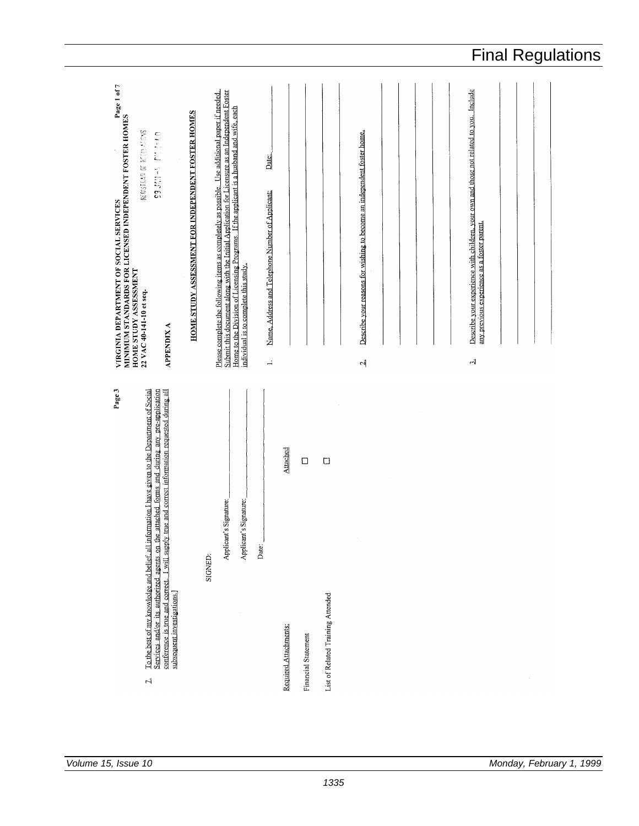|                                                                                                                                                                                                                                                                                                             |                                                                                                                                                                                                                                                                                                                                       |                                                                                                                                                          |                                                                                                                                                       | <b>Final Regulations</b> |
|-------------------------------------------------------------------------------------------------------------------------------------------------------------------------------------------------------------------------------------------------------------------------------------------------------------|---------------------------------------------------------------------------------------------------------------------------------------------------------------------------------------------------------------------------------------------------------------------------------------------------------------------------------------|----------------------------------------------------------------------------------------------------------------------------------------------------------|-------------------------------------------------------------------------------------------------------------------------------------------------------|--------------------------|
| MINIMUM STANDARDS FOR LICENSED INDEPENDENT FOSTER HOMES<br>HOME STIDY ASSESSMENT<br>HOME STUDY ASSESSMENT FOR INDEPENDENT FOSTER HOMES<br>RECISTELLE OT RECOLLEDGES<br><b>DRAWN FLU PLACE</b><br>HOME STUDY ASSESSMENT<br>22 VAC 40-141-10 et seq.<br><b>APPENDIX A</b>                                     | Please complete the following items as completely as possible. Use additional paper if needed.<br>Submit this document along with the Initial Application for Licensure as an Independent Foster<br>Home to the Division of Licensing Programs. If the applicant is a husband and wife, each<br>individual is to complete this study. | Describe your reasons for wishing to become an independent foster home.<br>Date:<br>Name, Address and Telephone Number of Applicant:<br>$\div$<br>$\sim$ | Describe your experience with children, your own and those not related to you. Include<br>any previous experience as a foster parent.<br>$\mathbf{r}$ |                          |
| Page 3<br>Services and/or its authorized agents on the attached forms and during any pre-application<br>To the best of my knowledge and belief, all information I have given to the Department of Social<br>conference is true and correct. I will supply true and correct information requested during all | Applicant's Signature:<br>Applicant's Signature:<br>Date:<br>SIGNED:                                                                                                                                                                                                                                                                  | Attached<br>$\Box$<br>$\Box$                                                                                                                             |                                                                                                                                                       |                          |
| subsequent investigations.]<br>$\mathbb{R}^4$                                                                                                                                                                                                                                                               |                                                                                                                                                                                                                                                                                                                                       | List of Related Training Attended<br>Required Attachments:<br>Financial Statement                                                                        |                                                                                                                                                       |                          |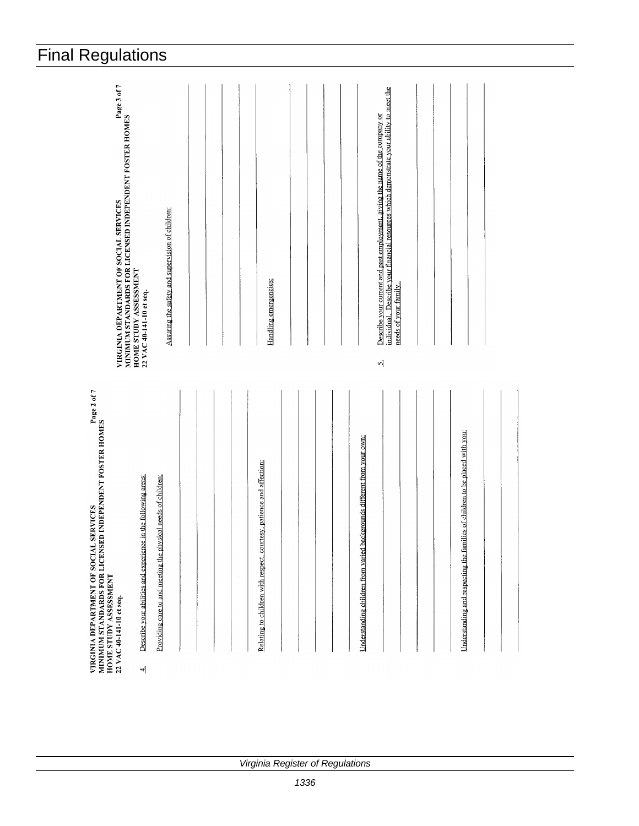| <b>Final Regulations</b>                                                                                                                                                                                                                                                                                                                                                  |                                                                                   |                                                                                                                                                                                                                     |                                                                              |
|---------------------------------------------------------------------------------------------------------------------------------------------------------------------------------------------------------------------------------------------------------------------------------------------------------------------------------------------------------------------------|-----------------------------------------------------------------------------------|---------------------------------------------------------------------------------------------------------------------------------------------------------------------------------------------------------------------|------------------------------------------------------------------------------|
| VIRGINIA DEPARTMENT OF SOCIAL SERVICES<br>MINIMIUM STANDARDS FOR LICENSED INDEPENDENT FOSTER HOMES<br>HOME STUDY ASSESSMENT<br>Assuring the safety and supervision of children:<br>22 VAC 40-141-10 et seq.                                                                                                                                                               | Handling emergencies:                                                             | individual. Describe your financial resources which demonstrate your ability to meet the<br>Describe your current and past employment, giving the name of the company or<br>needs of your family.<br>$\overline{v}$ |                                                                              |
| י אייטערייער אייטערער איז אינגעראן איז אייטערער אייטערער אייטערער אייטערער אייטער אייטער אייטער אייטער אייטער<br>HOME STIMUM STANDARDS FOR LICENSED INDEPENDENT FOSTER HOMES<br>Providing care to and meeting the physical needs of children:<br>Describe your abilities and experience in the following areas:<br>HOME STUDY ASSESSMENT<br>22 VAC 40-141-10 et seq.<br>ᆌ | Relating to children with respect, courtesy, patience and affection:<br>$\lambda$ | Understanding children from varied backgrounds different from your own:                                                                                                                                             | Understanding and respecting the families of children to be placed with you: |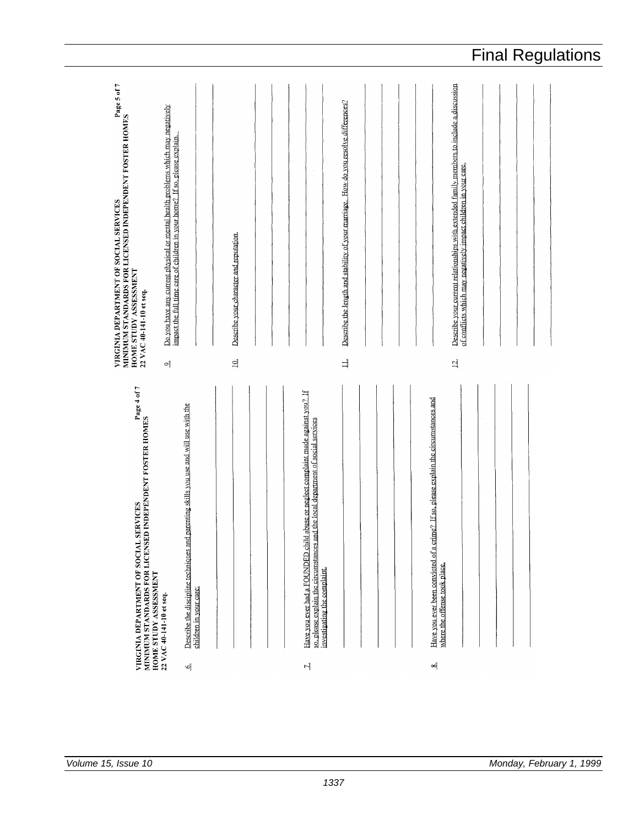VIRGINIA DEPARTMENT OF SOCIAL SERVICES<br>MINIMUM STANDARDS FOR LICENSED INDEPENDENT FOSTER HOMES<br>HOME STUDY ASSESSMENT<br>22 VAC 40-141-10 et seq. Describe your current relationships with extended family members to include a discussion Describe the length and stability of your marriage. How do you resolve differences? Do you have any current physical or mental health problems which may negatively<br>impact the full time care of children in your home? If so, please explain. of conflicts which may negatively impact children in your care. Describe your character and reputation  $\exists$  $\Delta$  $\overline{\omega}$  $\sigma$ VIRGINIA DEPARTMENT OF SOCIAL SERVICES<br>MINIMUM STANDARDS FOR LICENSED INDEPENDENT FOSTER HOMES<br>HOME STUDY ASSESSMENT<br>22 VAC 40-141-10 et seq. Have you ever had a FOUNDED child abuse or neglect complaint made against you? If Have you ever been convicted of a crime? If so, please explain the circumstances and Describe the discipline techniques and parenting skills you use and will use with the<br>children in your care: so, please explain the circumstances and the local department of social services<br>investigating the complaint. where the offense took place. ×ή  $\breve{\mathsf{p}}$  $\overline{r}$ 

Final Regulations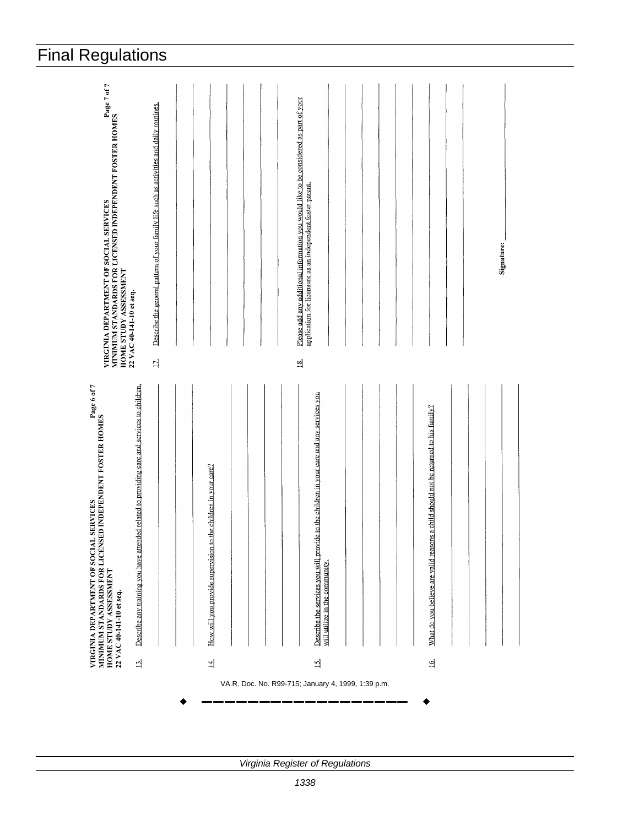| <b>Final Regulations</b>                                                                                                                                                                                                                                     |                                                                                  |                                                                                                                                                                                                       |                                                                                                          |
|--------------------------------------------------------------------------------------------------------------------------------------------------------------------------------------------------------------------------------------------------------------|----------------------------------------------------------------------------------|-------------------------------------------------------------------------------------------------------------------------------------------------------------------------------------------------------|----------------------------------------------------------------------------------------------------------|
| MINIMUM STANDARDS FOR LICENSED INDEPENDENT FOSTER HOMES<br>HOME STUDY ASSESSMENT<br>Describe the general pattern of your family life such as activities and daily routines.<br><b>HOME STUDY ASSESSMENT<br/>22 VAC 40-141-10 et seq.</b><br>$\overline{\Xi}$ |                                                                                  | Please add any additional information you would like to be considered as part of your<br>application for licensure as an independent foster parent.<br>$\frac{8}{3}$                                  | Signature:                                                                                               |
| MINIMUM STANDARDS FOR LICENSED INDEPENDENT FOSTER HOMES<br>HOME STUDY ASSESSMENT<br>Describe any training you have attended related to providing care and services to children.<br>HOME STUDY ASSESSMENT<br>22 VAC 40-141-10 et seq.<br>$\Xi$                | How will you provide supervision to the children in your care?<br>$\overline{4}$ | Describe the services you will provide to the children in your care and any services you<br>will utilize in the community.<br>$\overline{15}$ .<br>VA.R. Doc. No. R99-715; January 4, 1999, 1:39 p.m. | should not be returned to his family?<br>What do you believe are valid reasons a child<br>$\overline{a}$ |
|                                                                                                                                                                                                                                                              |                                                                                  |                                                                                                                                                                                                       |                                                                                                          |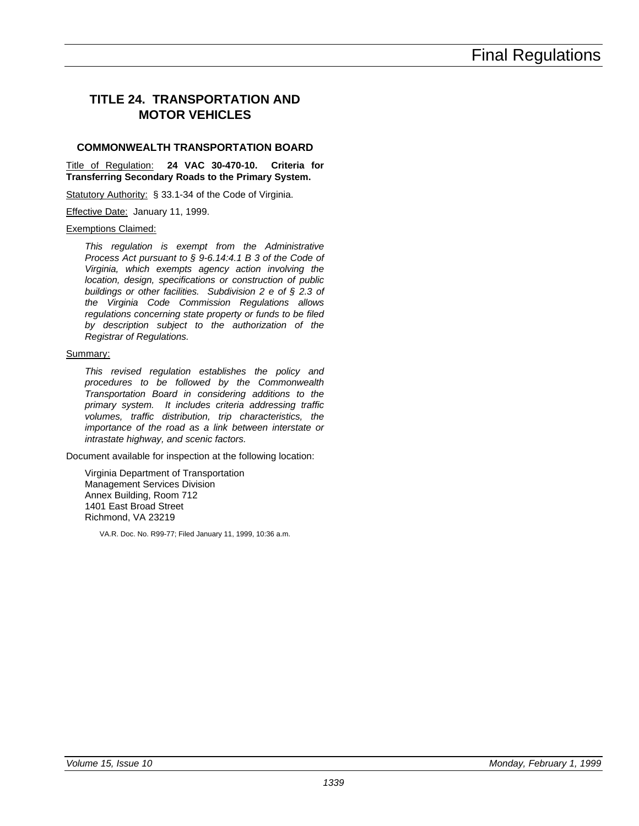### **TITLE 24. TRANSPORTATION AND MOTOR VEHICLES**

#### **COMMONWEALTH TRANSPORTATION BOARD**

Title of Regulation: **24 VAC 30-470-10. Criteria for Transferring Secondary Roads to the Primary System.**

Statutory Authority: § 33.1-34 of the Code of Virginia.

Effective Date: January 11, 1999.

#### Exemptions Claimed:

*This regulation is exempt from the Administrative Process Act pursuant to § 9-6.14:4.1 B 3 of the Code of Virginia, which exempts agency action involving the location, design, specifications or construction of public buildings or other facilities. Subdivision 2 e of § 2.3 of the Virginia Code Commission Regulations allows regulations concerning state property or funds to be filed by description subject to the authorization of the Registrar of Regulations.*

#### Summary:

*This revised regulation establishes the policy and procedures to be followed by the Commonwealth Transportation Board in considering additions to the primary system. It includes criteria addressing traffic volumes, traffic distribution, trip characteristics, the importance of the road as a link between interstate or intrastate highway, and scenic factors.*

Document available for inspection at the following location:

Virginia Department of Transportation Management Services Division Annex Building, Room 712 1401 East Broad Street Richmond, VA 23219

VA.R. Doc. No. R99-77; Filed January 11, 1999, 10:36 a.m.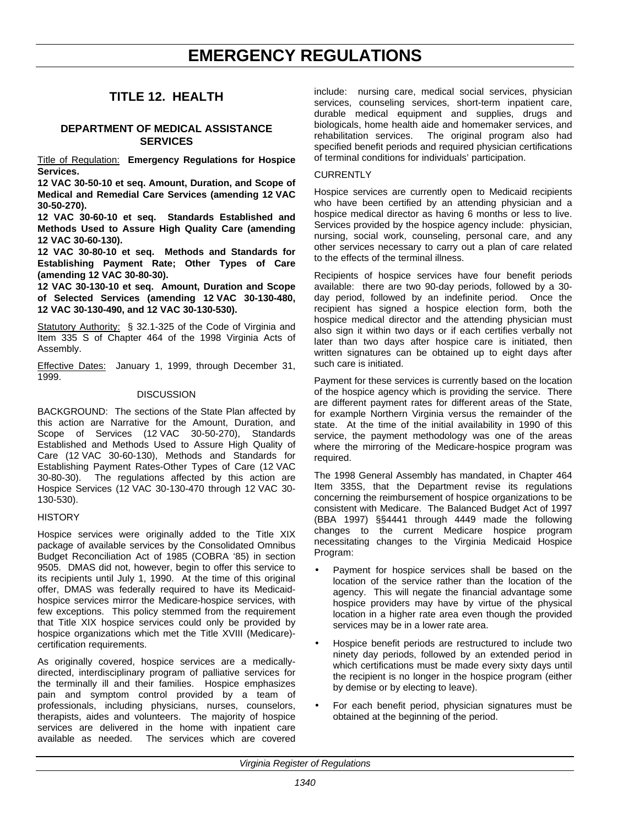#### **TITLE 12. HEALTH**

#### **DEPARTMENT OF MEDICAL ASSISTANCE SERVICES**

Title of Regulation: **Emergency Regulations for Hospice Services.**

**12 VAC 30-50-10 et seq. Amount, Duration, and Scope of Medical and Remedial Care Services (amending 12 VAC 30-50-270).**

**12 VAC 30-60-10 et seq. Standards Established and Methods Used to Assure High Quality Care (amending 12 VAC 30-60-130).**

**12 VAC 30-80-10 et seq. Methods and Standards for Establishing Payment Rate; Other Types of Care (amending 12 VAC 30-80-30).**

**12 VAC 30-130-10 et seq. Amount, Duration and Scope of Selected Services (amending 12 VAC 30-130-480, 12 VAC 30-130-490, and 12 VAC 30-130-530).**

Statutory Authority: § 32.1-325 of the Code of Virginia and Item 335 S of Chapter 464 of the 1998 Virginia Acts of Assembly.

Effective Dates: January 1, 1999, through December 31, 1999.

#### **DISCUSSION**

BACKGROUND: The sections of the State Plan affected by this action are Narrative for the Amount, Duration, and Scope of Services (12 VAC 30-50-270), Standards Established and Methods Used to Assure High Quality of Care (12 VAC 30-60-130), Methods and Standards for Establishing Payment Rates-Other Types of Care (12 VAC 30-80-30). The regulations affected by this action are Hospice Services (12 VAC 30-130-470 through 12 VAC 30- 130-530).

#### **HISTORY**

Hospice services were originally added to the Title XIX package of available services by the Consolidated Omnibus Budget Reconciliation Act of 1985 (COBRA '85) in section 9505. DMAS did not, however, begin to offer this service to its recipients until July 1, 1990. At the time of this original offer, DMAS was federally required to have its Medicaidhospice services mirror the Medicare-hospice services, with few exceptions. This policy stemmed from the requirement that Title XIX hospice services could only be provided by hospice organizations which met the Title XVIII (Medicare) certification requirements.

As originally covered, hospice services are a medicallydirected, interdisciplinary program of palliative services for the terminally ill and their families. Hospice emphasizes pain and symptom control provided by a team of professionals, including physicians, nurses, counselors, therapists, aides and volunteers. The majority of hospice services are delivered in the home with inpatient care available as needed. The services which are covered include: nursing care, medical social services, physician services, counseling services, short-term inpatient care, durable medical equipment and supplies, drugs and biologicals, home health aide and homemaker services, and rehabilitation services. The original program also had specified benefit periods and required physician certifications of terminal conditions for individuals' participation.

#### **CURRENTLY**

Hospice services are currently open to Medicaid recipients who have been certified by an attending physician and a hospice medical director as having 6 months or less to live. Services provided by the hospice agency include: physician, nursing, social work, counseling, personal care, and any other services necessary to carry out a plan of care related to the effects of the terminal illness.

Recipients of hospice services have four benefit periods available: there are two 90-day periods, followed by a 30 day period, followed by an indefinite period. Once the recipient has signed a hospice election form, both the hospice medical director and the attending physician must also sign it within two days or if each certifies verbally not later than two days after hospice care is initiated, then written signatures can be obtained up to eight days after such care is initiated.

Payment for these services is currently based on the location of the hospice agency which is providing the service. There are different payment rates for different areas of the State, for example Northern Virginia versus the remainder of the state. At the time of the initial availability in 1990 of this service, the payment methodology was one of the areas where the mirroring of the Medicare-hospice program was required.

The 1998 General Assembly has mandated, in Chapter 464 Item 335S, that the Department revise its regulations concerning the reimbursement of hospice organizations to be consistent with Medicare. The Balanced Budget Act of 1997 (BBA 1997) §§4441 through 4449 made the following changes to the current Medicare hospice program necessitating changes to the Virginia Medicaid Hospice Program:

- Payment for hospice services shall be based on the location of the service rather than the location of the agency. This will negate the financial advantage some hospice providers may have by virtue of the physical location in a higher rate area even though the provided services may be in a lower rate area.
- Hospice benefit periods are restructured to include two ninety day periods, followed by an extended period in which certifications must be made every sixty days until the recipient is no longer in the hospice program (either by demise or by electing to leave).
- For each benefit period, physician signatures must be obtained at the beginning of the period.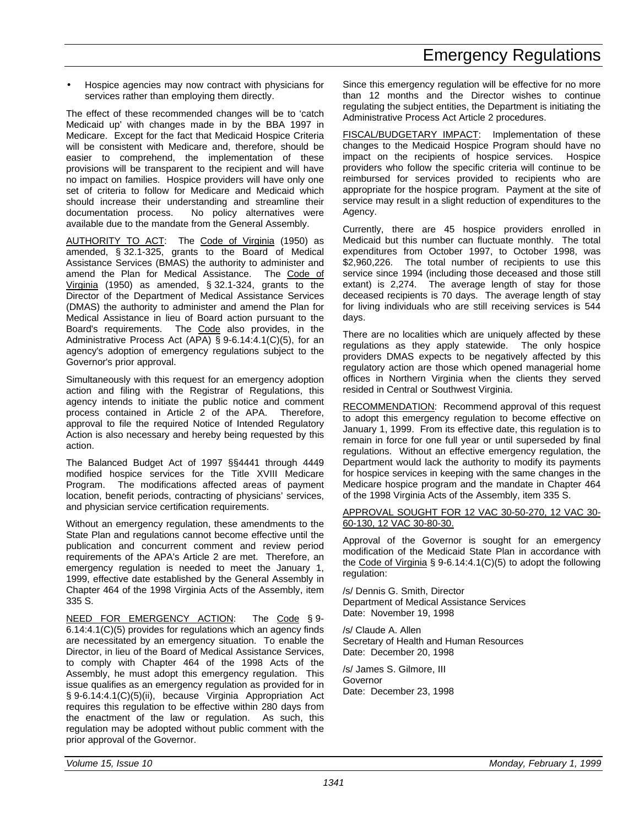• Hospice agencies may now contract with physicians for services rather than employing them directly.

The effect of these recommended changes will be to 'catch Medicaid up' with changes made in by the BBA 1997 in Medicare. Except for the fact that Medicaid Hospice Criteria will be consistent with Medicare and, therefore, should be easier to comprehend, the implementation of these provisions will be transparent to the recipient and will have no impact on families. Hospice providers will have only one set of criteria to follow for Medicare and Medicaid which should increase their understanding and streamline their documentation process. No policy alternatives were available due to the mandate from the General Assembly.

AUTHORITY TO ACT: The Code of Virginia (1950) as amended, § 32.1-325, grants to the Board of Medical Assistance Services (BMAS) the authority to administer and amend the Plan for Medical Assistance. The Code of Virginia (1950) as amended, § 32.1-324, grants to the Director of the Department of Medical Assistance Services (DMAS) the authority to administer and amend the Plan for Medical Assistance in lieu of Board action pursuant to the Board's requirements. The Code also provides, in the Administrative Process Act (APA) § 9-6.14:4.1(C)(5), for an agency's adoption of emergency regulations subject to the Governor's prior approval.

Simultaneously with this request for an emergency adoption action and filing with the Registrar of Regulations, this agency intends to initiate the public notice and comment process contained in Article 2 of the APA. Therefore, approval to file the required Notice of Intended Regulatory Action is also necessary and hereby being requested by this action.

The Balanced Budget Act of 1997 §§4441 through 4449 modified hospice services for the Title XVIII Medicare Program. The modifications affected areas of payment location, benefit periods, contracting of physicians' services, and physician service certification requirements.

Without an emergency regulation, these amendments to the State Plan and regulations cannot become effective until the publication and concurrent comment and review period requirements of the APA's Article 2 are met. Therefore, an emergency regulation is needed to meet the January 1, 1999, effective date established by the General Assembly in Chapter 464 of the 1998 Virginia Acts of the Assembly, item 335 S.

NEED FOR EMERGENCY ACTION: The Code § 9-6.14:4.1(C)(5) provides for regulations which an agency finds are necessitated by an emergency situation. To enable the Director, in lieu of the Board of Medical Assistance Services, to comply with Chapter 464 of the 1998 Acts of the Assembly, he must adopt this emergency regulation. This issue qualifies as an emergency regulation as provided for in § 9-6.14:4.1(C)(5)(ii), because Virginia Appropriation Act requires this regulation to be effective within 280 days from the enactment of the law or regulation. As such, this regulation may be adopted without public comment with the prior approval of the Governor.

Since this emergency regulation will be effective for no more than 12 months and the Director wishes to continue regulating the subject entities, the Department is initiating the Administrative Process Act Article 2 procedures.

FISCAL/BUDGETARY IMPACT: Implementation of these changes to the Medicaid Hospice Program should have no impact on the recipients of hospice services. Hospice providers who follow the specific criteria will continue to be reimbursed for services provided to recipients who are appropriate for the hospice program. Payment at the site of service may result in a slight reduction of expenditures to the Agency.

Currently, there are 45 hospice providers enrolled in Medicaid but this number can fluctuate monthly. The total expenditures from October 1997, to October 1998, was \$2,960,226. The total number of recipients to use this service since 1994 (including those deceased and those still extant) is 2,274. The average length of stay for those deceased recipients is 70 days. The average length of stay for living individuals who are still receiving services is 544 days.

There are no localities which are uniquely affected by these regulations as they apply statewide. The only hospice providers DMAS expects to be negatively affected by this regulatory action are those which opened managerial home offices in Northern Virginia when the clients they served resided in Central or Southwest Virginia.

RECOMMENDATION: Recommend approval of this request to adopt this emergency regulation to become effective on January 1, 1999. From its effective date, this regulation is to remain in force for one full year or until superseded by final regulations. Without an effective emergency regulation, the Department would lack the authority to modify its payments for hospice services in keeping with the same changes in the Medicare hospice program and the mandate in Chapter 464 of the 1998 Virginia Acts of the Assembly, item 335 S.

APPROVAL SOUGHT FOR 12 VAC 30-50-270, 12 VAC 30- 60-130, 12 VAC 30-80-30.

Approval of the Governor is sought for an emergency modification of the Medicaid State Plan in accordance with the Code of Virginia § 9-6.14:4.1(C)(5) to adopt the following regulation:

/s/ Dennis G. Smith, Director Department of Medical Assistance Services Date: November 19, 1998

/s/ Claude A. Allen Secretary of Health and Human Resources Date: December 20, 1998

/s/ James S. Gilmore, III Governor Date: December 23, 1998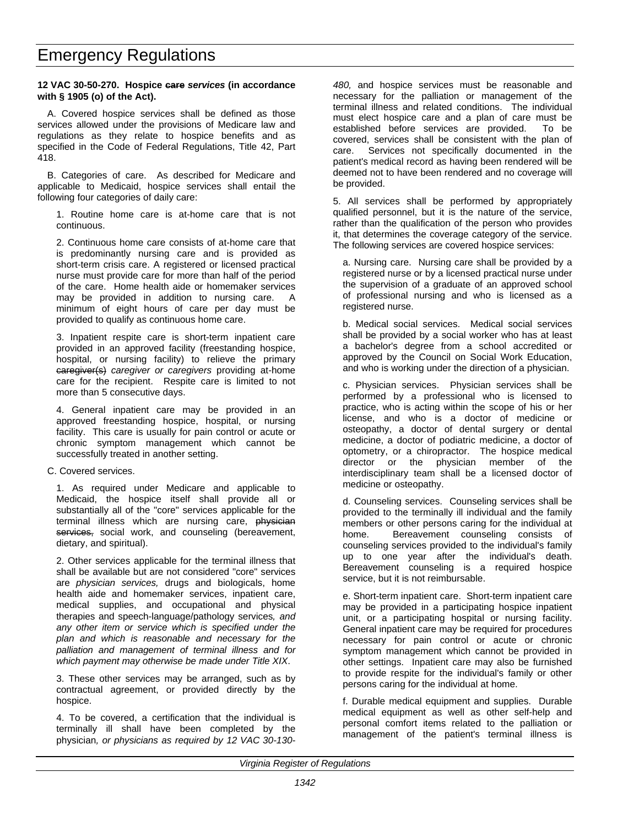#### **12 VAC 30-50-270. Hospice care** *services* **(in accordance with § 1905 (o) of the Act).**

A. Covered hospice services shall be defined as those services allowed under the provisions of Medicare law and regulations as they relate to hospice benefits and as specified in the Code of Federal Regulations, Title 42, Part 418.

B. Categories of care. As described for Medicare and applicable to Medicaid, hospice services shall entail the following four categories of daily care:

1. Routine home care is at-home care that is not continuous.

2. Continuous home care consists of at-home care that is predominantly nursing care and is provided as short-term crisis care. A registered or licensed practical nurse must provide care for more than half of the period of the care. Home health aide or homemaker services may be provided in addition to nursing care. A minimum of eight hours of care per day must be provided to qualify as continuous home care.

3. Inpatient respite care is short-term inpatient care provided in an approved facility (freestanding hospice, hospital, or nursing facility) to relieve the primary caregiver(s) *caregiver or caregivers* providing at-home care for the recipient. Respite care is limited to not more than 5 consecutive days.

4. General inpatient care may be provided in an approved freestanding hospice, hospital, or nursing facility. This care is usually for pain control or acute or chronic symptom management which cannot be successfully treated in another setting.

#### C. Covered services.

1. As required under Medicare and applicable to Medicaid, the hospice itself shall provide all or substantially all of the "core" services applicable for the terminal illness which are nursing care, physician services, social work, and counseling (bereavement, dietary, and spiritual).

2. Other services applicable for the terminal illness that shall be available but are not considered "core" services are *physician services,* drugs and biologicals, home health aide and homemaker services, inpatient care, medical supplies, and occupational and physical therapies and speech-language/pathology services*, and any other item or service which is specified under the plan and which is reasonable and necessary for the palliation and management of terminal illness and for which payment may otherwise be made under Title XIX*.

3. These other services may be arranged, such as by contractual agreement, or provided directly by the hospice.

4. To be covered, a certification that the individual is terminally ill shall have been completed by the physician*, or physicians as required by 12 VAC 30-130-* *480,* and hospice services must be reasonable and necessary for the palliation or management of the terminal illness and related conditions. The individual must elect hospice care and a plan of care must be established before services are provided. To be covered, services shall be consistent with the plan of care. Services not specifically documented in the patient's medical record as having been rendered will be deemed not to have been rendered and no coverage will be provided.

5. All services shall be performed by appropriately qualified personnel, but it is the nature of the service, rather than the qualification of the person who provides it, that determines the coverage category of the service. The following services are covered hospice services:

a. Nursing care. Nursing care shall be provided by a registered nurse or by a licensed practical nurse under the supervision of a graduate of an approved school of professional nursing and who is licensed as a registered nurse.

b. Medical social services. Medical social services shall be provided by a social worker who has at least a bachelor's degree from a school accredited or approved by the Council on Social Work Education, and who is working under the direction of a physician.

c. Physician services. Physician services shall be performed by a professional who is licensed to practice, who is acting within the scope of his or her license, and who is a doctor of medicine or osteopathy, a doctor of dental surgery or dental medicine, a doctor of podiatric medicine, a doctor of optometry, or a chiropractor. The hospice medical director or the physician member of the interdisciplinary team shall be a licensed doctor of medicine or osteopathy.

d. Counseling services. Counseling services shall be provided to the terminally ill individual and the family members or other persons caring for the individual at home. Bereavement counseling consists of counseling services provided to the individual's family up to one year after the individual's death. Bereavement counseling is a required hospice service, but it is not reimbursable.

e. Short-term inpatient care. Short-term inpatient care may be provided in a participating hospice inpatient unit, or a participating hospital or nursing facility. General inpatient care may be required for procedures necessary for pain control or acute or chronic symptom management which cannot be provided in other settings. Inpatient care may also be furnished to provide respite for the individual's family or other persons caring for the individual at home.

f. Durable medical equipment and supplies. Durable medical equipment as well as other self-help and personal comfort items related to the palliation or management of the patient's terminal illness is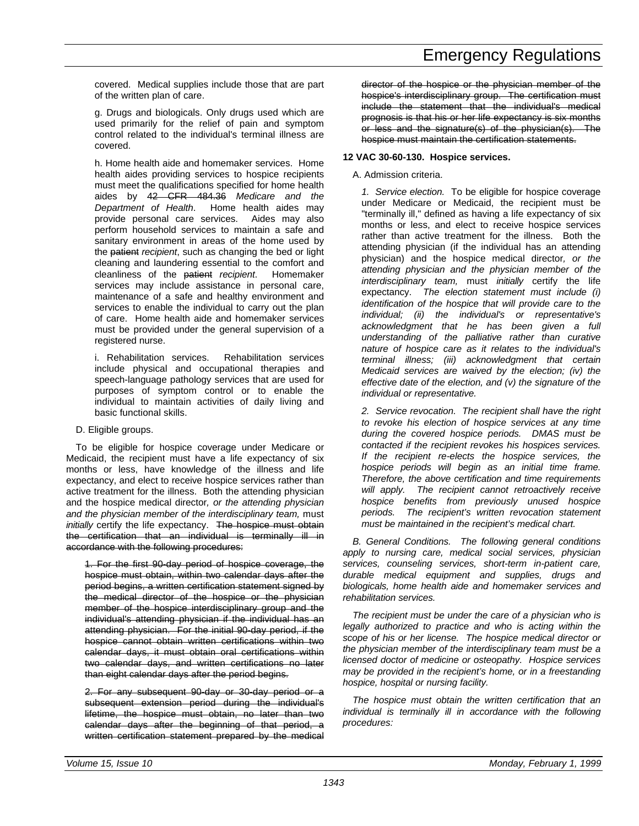covered. Medical supplies include those that are part of the written plan of care.

g. Drugs and biologicals. Only drugs used which are used primarily for the relief of pain and symptom control related to the individual's terminal illness are covered.

h. Home health aide and homemaker services. Home health aides providing services to hospice recipients must meet the qualifications specified for home health aides by 42 CFR 484.36 *Medicare and the Department of Health*. Home health aides may provide personal care services. Aides may also perform household services to maintain a safe and sanitary environment in areas of the home used by the patient *recipient*, such as changing the bed or light cleaning and laundering essential to the comfort and cleanliness of the patient *recipient*. Homemaker services may include assistance in personal care, maintenance of a safe and healthy environment and services to enable the individual to carry out the plan of care. Home health aide and homemaker services must be provided under the general supervision of a registered nurse.

i. Rehabilitation services. Rehabilitation services include physical and occupational therapies and speech-language pathology services that are used for purposes of symptom control or to enable the individual to maintain activities of daily living and basic functional skills.

#### D. Eligible groups.

To be eligible for hospice coverage under Medicare or Medicaid, the recipient must have a life expectancy of six months or less, have knowledge of the illness and life expectancy, and elect to receive hospice services rather than active treatment for the illness. Both the attending physician and the hospice medical director*, or the attending physician and the physician member of the interdisciplinary team,* must *initially* certify the life expectancy. The hospice must obtain the certification that an individual is terminally ill in accordance with the following procedures:

1. For the first 90-day period of hospice coverage, the hospice must obtain, within two calendar days after the period begins, a written certification statement signed by the medical director of the hospice or the physician member of the hospice interdisciplinary group and the individual's attending physician if the individual has an attending physician. For the initial 90-day period, if the hospice cannot obtain written certifications within two calendar days, it must obtain oral certifications within two calendar days, and written certifications no later than eight calendar days after the period begins.

2. For any subsequent 90-day or 30-day period or a subsequent extension period during the individual's lifetime, the hospice must obtain, no later than two calendar days after the beginning of that period, a written certification statement prepared by the medical director of the hospice or the physician member of the hospice's interdisciplinary group. The certification must include the statement that the individual's medical prognosis is that his or her life expectancy is six months or less and the signature(s) of the physician(s). The hospice must maintain the certification statements.

#### **12 VAC 30-60-130. Hospice services.**

#### A. Admission criteria.

*1. Service election.* To be eligible for hospice coverage under Medicare or Medicaid, the recipient must be "terminally ill," defined as having a life expectancy of six months or less, and elect to receive hospice services rather than active treatment for the illness. Both the attending physician (if the individual has an attending physician) and the hospice medical director*, or the attending physician and the physician member of the interdisciplinary team,* must *initially* certify the life expectancy. *The election statement must include (i) identification of the hospice that will provide care to the individual; (ii) the individual's or representative's acknowledgment that he has been given a full understanding of the palliative rather than curative nature of hospice care as it relates to the individual's terminal illness; (iii) acknowledgment that certain Medicaid services are waived by the election; (iv) the effective date of the election, and (v) the signature of the individual or representative.*

*2. Service revocation. The recipient shall have the right to revoke his election of hospice services at any time during the covered hospice periods. DMAS must be contacted if the recipient revokes his hospices services. If the recipient re-elects the hospice services, the hospice periods will begin as an initial time frame. Therefore, the above certification and time requirements will apply. The recipient cannot retroactively receive hospice benefits from previously unused hospice periods. The recipient's written revocation statement must be maintained in the recipient's medical chart.*

*B. General Conditions. The following general conditions apply to nursing care, medical social services, physician services, counseling services, short-term in-patient care, durable medical equipment and supplies, drugs and biologicals, home health aide and homemaker services and rehabilitation services.*

*The recipient must be under the care of a physician who is legally authorized to practice and who is acting within the scope of his or her license. The hospice medical director or the physician member of the interdisciplinary team must be a licensed doctor of medicine or osteopathy. Hospice services may be provided in the recipient's home, or in a freestanding hospice, hospital or nursing facility.*

*The hospice must obtain the written certification that an individual is terminally ill in accordance with the following procedures:*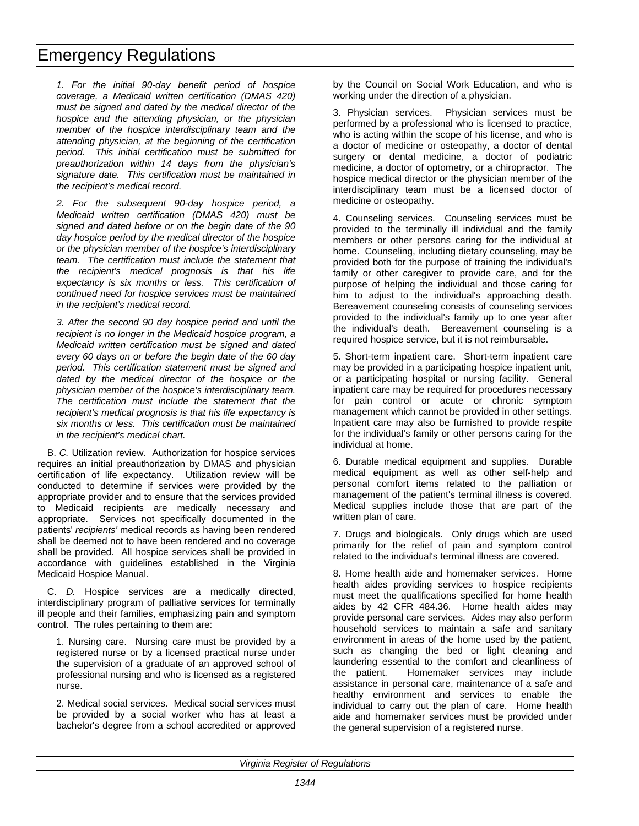*1. For the initial 90-day benefit period of hospice coverage, a Medicaid written certification (DMAS 420) must be signed and dated by the medical director of the hospice and the attending physician, or the physician member of the hospice interdisciplinary team and the attending physician, at the beginning of the certification period. This initial certification must be submitted for preauthorization within 14 days from the physician's signature date. This certification must be maintained in the recipient's medical record.*

*2. For the subsequent 90-day hospice period, a Medicaid written certification (DMAS 420) must be signed and dated before or on the begin date of the 90 day hospice period by the medical director of the hospice or the physician member of the hospice's interdisciplinary team. The certification must include the statement that the recipient's medical prognosis is that his life expectancy is six months or less. This certification of continued need for hospice services must be maintained in the recipient's medical record.*

*3. After the second 90 day hospice period and until the recipient is no longer in the Medicaid hospice program, a Medicaid written certification must be signed and dated every 60 days on or before the begin date of the 60 day period. This certification statement must be signed and dated by the medical director of the hospice or the physician member of the hospice's interdisciplinary team. The certification must include the statement that the recipient's medical prognosis is that his life expectancy is six months or less. This certification must be maintained in the recipient's medical chart.*

B. *C.* Utilization review. Authorization for hospice services requires an initial preauthorization by DMAS and physician certification of life expectancy. Utilization review will be conducted to determine if services were provided by the appropriate provider and to ensure that the services provided to Medicaid recipients are medically necessary and appropriate. Services not specifically documented in the patients' *recipients'* medical records as having been rendered shall be deemed not to have been rendered and no coverage shall be provided. All hospice services shall be provided in accordance with guidelines established in the Virginia Medicaid Hospice Manual.

C. *D.* Hospice services are a medically directed, interdisciplinary program of palliative services for terminally ill people and their families, emphasizing pain and symptom control. The rules pertaining to them are:

1. Nursing care. Nursing care must be provided by a registered nurse or by a licensed practical nurse under the supervision of a graduate of an approved school of professional nursing and who is licensed as a registered nurse.

2. Medical social services. Medical social services must be provided by a social worker who has at least a bachelor's degree from a school accredited or approved by the Council on Social Work Education, and who is working under the direction of a physician.

3. Physician services. Physician services must be performed by a professional who is licensed to practice, who is acting within the scope of his license, and who is a doctor of medicine or osteopathy, a doctor of dental surgery or dental medicine, a doctor of podiatric medicine, a doctor of optometry, or a chiropractor. The hospice medical director or the physician member of the interdisciplinary team must be a licensed doctor of medicine or osteopathy.

4. Counseling services. Counseling services must be provided to the terminally ill individual and the family members or other persons caring for the individual at home. Counseling, including dietary counseling, may be provided both for the purpose of training the individual's family or other caregiver to provide care, and for the purpose of helping the individual and those caring for him to adjust to the individual's approaching death. Bereavement counseling consists of counseling services provided to the individual's family up to one year after the individual's death. Bereavement counseling is a required hospice service, but it is not reimbursable.

5. Short-term inpatient care. Short-term inpatient care may be provided in a participating hospice inpatient unit, or a participating hospital or nursing facility. General inpatient care may be required for procedures necessary for pain control or acute or chronic symptom management which cannot be provided in other settings. Inpatient care may also be furnished to provide respite for the individual's family or other persons caring for the individual at home.

6. Durable medical equipment and supplies. Durable medical equipment as well as other self-help and personal comfort items related to the palliation or management of the patient's terminal illness is covered. Medical supplies include those that are part of the written plan of care.

7. Drugs and biologicals. Only drugs which are used primarily for the relief of pain and symptom control related to the individual's terminal illness are covered.

8. Home health aide and homemaker services. Home health aides providing services to hospice recipients must meet the qualifications specified for home health aides by 42 CFR 484.36. Home health aides may provide personal care services. Aides may also perform household services to maintain a safe and sanitary environment in areas of the home used by the patient, such as changing the bed or light cleaning and laundering essential to the comfort and cleanliness of the patient. Homemaker services may include assistance in personal care, maintenance of a safe and healthy environment and services to enable the individual to carry out the plan of care. Home health aide and homemaker services must be provided under the general supervision of a registered nurse.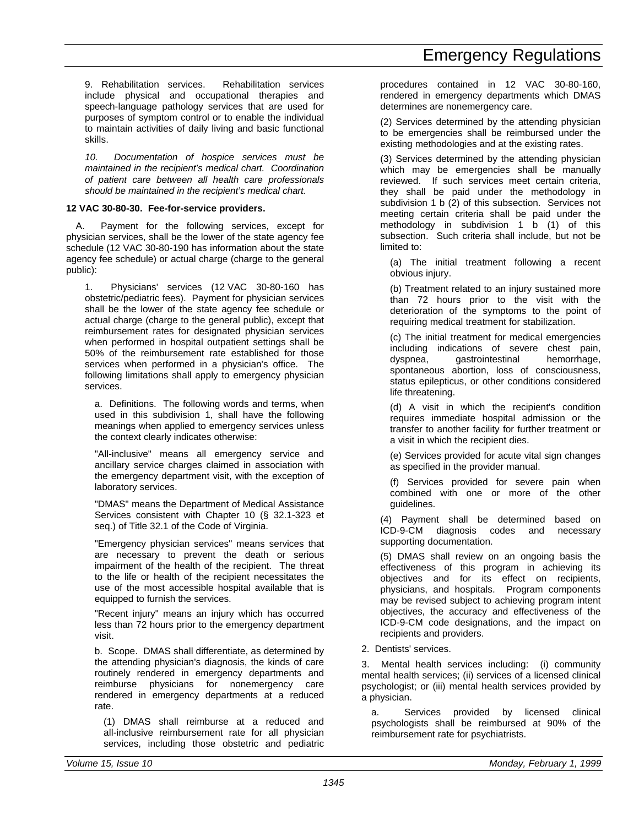9. Rehabilitation services. Rehabilitation services include physical and occupational therapies and speech-language pathology services that are used for purposes of symptom control or to enable the individual to maintain activities of daily living and basic functional skills.

*10. Documentation of hospice services must be maintained in the recipient's medical chart. Coordination of patient care between all health care professionals should be maintained in the recipient's medical chart.*

#### **12 VAC 30-80-30. Fee-for-service providers.**

A. Payment for the following services, except for physician services, shall be the lower of the state agency fee schedule (12 VAC 30-80-190 has information about the state agency fee schedule) or actual charge (charge to the general public):

1. Physicians' services (12 VAC 30-80-160 has obstetric/pediatric fees). Payment for physician services shall be the lower of the state agency fee schedule or actual charge (charge to the general public), except that reimbursement rates for designated physician services when performed in hospital outpatient settings shall be 50% of the reimbursement rate established for those services when performed in a physician's office. The following limitations shall apply to emergency physician services.

a. Definitions. The following words and terms, when used in this subdivision 1, shall have the following meanings when applied to emergency services unless the context clearly indicates otherwise:

"All-inclusive" means all emergency service and ancillary service charges claimed in association with the emergency department visit, with the exception of laboratory services.

"DMAS" means the Department of Medical Assistance Services consistent with Chapter 10 (§ 32.1-323 et seq.) of Title 32.1 of the Code of Virginia.

"Emergency physician services" means services that are necessary to prevent the death or serious impairment of the health of the recipient. The threat to the life or health of the recipient necessitates the use of the most accessible hospital available that is equipped to furnish the services.

"Recent injury" means an injury which has occurred less than 72 hours prior to the emergency department visit.

b. Scope. DMAS shall differentiate, as determined by the attending physician's diagnosis, the kinds of care routinely rendered in emergency departments and reimburse physicians for nonemergency care rendered in emergency departments at a reduced rate.

(1) DMAS shall reimburse at a reduced and all-inclusive reimbursement rate for all physician services, including those obstetric and pediatric procedures contained in 12 VAC 30-80-160, rendered in emergency departments which DMAS determines are nonemergency care.

(2) Services determined by the attending physician to be emergencies shall be reimbursed under the existing methodologies and at the existing rates.

(3) Services determined by the attending physician which may be emergencies shall be manually reviewed. If such services meet certain criteria, they shall be paid under the methodology in subdivision 1 b (2) of this subsection. Services not meeting certain criteria shall be paid under the methodology in subdivision  $1$  b  $(1)$  of this subsection. Such criteria shall include, but not be limited to:

(a) The initial treatment following a recent obvious injury.

(b) Treatment related to an injury sustained more than 72 hours prior to the visit with the deterioration of the symptoms to the point of requiring medical treatment for stabilization.

(c) The initial treatment for medical emergencies including indications of severe chest pain, dyspnea, gastrointestinal hemorrhage, spontaneous abortion, loss of consciousness, status epilepticus, or other conditions considered life threatening.

(d) A visit in which the recipient's condition requires immediate hospital admission or the transfer to another facility for further treatment or a visit in which the recipient dies.

(e) Services provided for acute vital sign changes as specified in the provider manual.

(f) Services provided for severe pain when combined with one or more of the other guidelines.

(4) Payment shall be determined based on ICD-9-CM diagnosis codes and necessary supporting documentation.

(5) DMAS shall review on an ongoing basis the effectiveness of this program in achieving its objectives and for its effect on recipients, physicians, and hospitals. Program components may be revised subject to achieving program intent objectives, the accuracy and effectiveness of the ICD-9-CM code designations, and the impact on recipients and providers.

2. Dentists' services.

3. Mental health services including: (i) community mental health services; (ii) services of a licensed clinical psychologist; or (iii) mental health services provided by a physician.

a. Services provided by licensed clinical psychologists shall be reimbursed at 90% of the reimbursement rate for psychiatrists.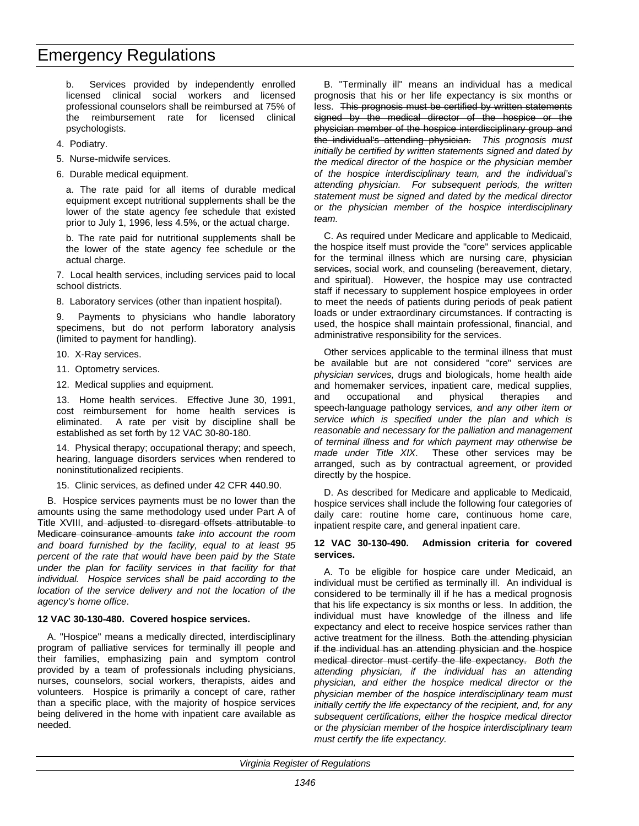b. Services provided by independently enrolled licensed clinical social workers and licensed professional counselors shall be reimbursed at 75% of the reimbursement rate for licensed clinical psychologists.

- 4. Podiatry.
- 5. Nurse-midwife services.
- 6. Durable medical equipment.

a. The rate paid for all items of durable medical equipment except nutritional supplements shall be the lower of the state agency fee schedule that existed prior to July 1, 1996, less 4.5%, or the actual charge.

b. The rate paid for nutritional supplements shall be the lower of the state agency fee schedule or the actual charge.

7. Local health services, including services paid to local school districts.

8. Laboratory services (other than inpatient hospital).

9. Payments to physicians who handle laboratory specimens, but do not perform laboratory analysis (limited to payment for handling).

10. X-Ray services.

11. Optometry services.

12. Medical supplies and equipment.

13. Home health services. Effective June 30, 1991, cost reimbursement for home health services is eliminated. A rate per visit by discipline shall be established as set forth by 12 VAC 30-80-180.

14. Physical therapy; occupational therapy; and speech, hearing, language disorders services when rendered to noninstitutionalized recipients.

15. Clinic services, as defined under 42 CFR 440.90.

B. Hospice services payments must be no lower than the amounts using the same methodology used under Part A of Title XVIII, and adjusted to disregard offsets attributable to Medicare coinsurance amounts *take into account the room and board furnished by the facility, equal to at least 95 percent of the rate that would have been paid by the State under the plan for facility services in that facility for that individual. Hospice services shall be paid according to the location of the service delivery and not the location of the agency's home office*.

#### **12 VAC 30-130-480. Covered hospice services.**

A. "Hospice" means a medically directed, interdisciplinary program of palliative services for terminally ill people and their families, emphasizing pain and symptom control provided by a team of professionals including physicians, nurses, counselors, social workers, therapists, aides and volunteers. Hospice is primarily a concept of care, rather than a specific place, with the majority of hospice services being delivered in the home with inpatient care available as needed.

B. "Terminally ill" means an individual has a medical prognosis that his or her life expectancy is six months or less. This prognosis must be certified by written statements signed by the medical director of the hospice or the physician member of the hospice interdisciplinary group and the individual's attending physician. *This prognosis must initially be certified by written statements signed and dated by the medical director of the hospice or the physician member of the hospice interdisciplinary team, and the individual's attending physician. For subsequent periods, the written statement must be signed and dated by the medical director or the physician member of the hospice interdisciplinary team.*

C. As required under Medicare and applicable to Medicaid, the hospice itself must provide the "core" services applicable for the terminal illness which are nursing care, physician services, social work, and counseling (bereavement, dietary, and spiritual). However, the hospice may use contracted staff if necessary to supplement hospice employees in order to meet the needs of patients during periods of peak patient loads or under extraordinary circumstances. If contracting is used, the hospice shall maintain professional, financial, and administrative responsibility for the services.

Other services applicable to the terminal illness that must be available but are not considered "core" services are *physician services,* drugs and biologicals, home health aide and homemaker services, inpatient care, medical supplies, and occupational and physical therapies and speech-language pathology services*, and any other item or service which is specified under the plan and which is reasonable and necessary for the palliation and management of terminal illness and for which payment may otherwise be made under Title XIX*. These other services may be arranged, such as by contractual agreement, or provided directly by the hospice.

D. As described for Medicare and applicable to Medicaid, hospice services shall include the following four categories of daily care: routine home care, continuous home care, inpatient respite care, and general inpatient care.

#### **12 VAC 30-130-490. Admission criteria for covered services.**

A. To be eligible for hospice care under Medicaid, an individual must be certified as terminally ill. An individual is considered to be terminally ill if he has a medical prognosis that his life expectancy is six months or less. In addition, the individual must have knowledge of the illness and life expectancy and elect to receive hospice services rather than active treatment for the illness. Both the attending physician if the individual has an attending physician and the hospice medical director must certify the life expectancy. *Both the attending physician, if the individual has an attending physician, and either the hospice medical director or the physician member of the hospice interdisciplinary team must initially certify the life expectancy of the recipient, and, for any subsequent certifications, either the hospice medical director or the physician member of the hospice interdisciplinary team must certify the life expectancy.*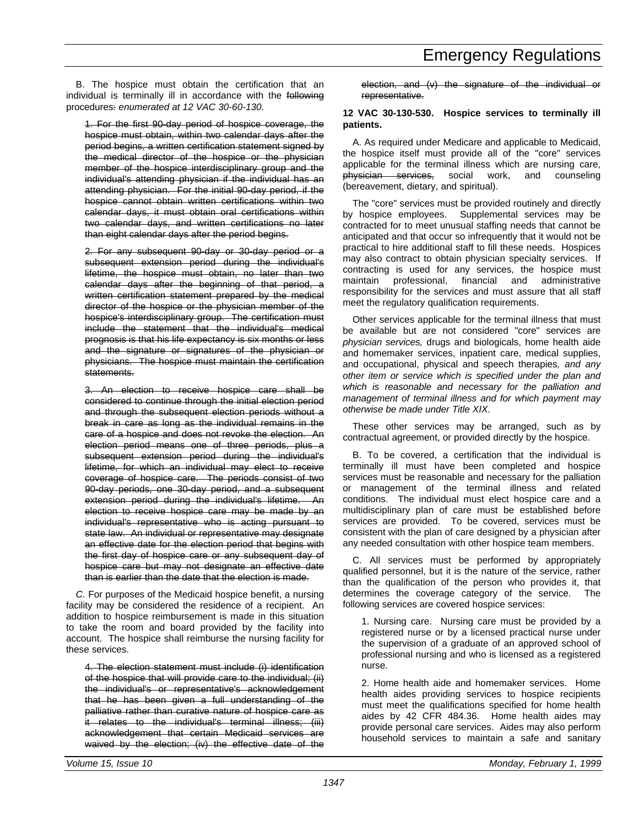B. The hospice must obtain the certification that an individual is terminally ill in accordance with the following procedures: *enumerated at 12 VAC 30-60-130.*

1. For the first 90-day period of hospice coverage, the hospice must obtain, within two calendar days after the period begins, a written certification statement signed by the medical director of the hospice or the physician member of the hospice interdisciplinary group and the individual's attending physician if the individual has an attending physician. For the initial 90-day period, if the hospice cannot obtain written certifications within two calendar days, it must obtain oral certifications within two calendar days, and written certifications no later than eight calendar days after the period begins.

2. For any subsequent 90-day or 30-day period or a subsequent extension period during the individual's lifetime, the hospice must obtain, no later than two calendar days after the beginning of that period, a written certification statement prepared by the medical director of the hospice or the physician member of the hospice's interdisciplinary group. The certification must include the statement that the individual's medical prognosis is that his life expectancy is six months or less and the signature or signatures of the physician or physicians. The hospice must maintain the certification statements.

3. An election to receive hospice care shall be considered to continue through the initial election period and through the subsequent election periods without a break in care as long as the individual remains in the care of a hospice and does not revoke the election. An election period means one of three periods, plus a subsequent extension period during the individual's lifetime, for which an individual may elect to receive coverage of hospice care. The periods consist of two 90-day periods, one 30-day period, and a subsequent extension period during the individual's lifetime. An election to receive hospice care may be made by an individual's representative who is acting pursuant to state law. An individual or representative may designate an effective date for the election period that begins with the first day of hospice care or any subsequent day of hospice care but may not designate an effective date than is earlier than the date that the election is made.

*C.* For purposes of the Medicaid hospice benefit, a nursing facility may be considered the residence of a recipient. An addition to hospice reimbursement is made in this situation to take the room and board provided by the facility into account. The hospice shall reimburse the nursing facility for these services.

4. The election statement must include (i) identification of the hospice that will provide care to the individual; (ii) the individual's or representative's acknowledgement that he has been given a full understanding of the palliative rather than curative nature of hospice care as .<br>it relates to the individual's terminal illness: (iii) acknowledgement that certain Medicaid services are waived by the election; (iv) the effective date of the election, and (v) the signature of the individual or representative.

#### **12 VAC 30-130-530. Hospice services to terminally ill patients.**

A. As required under Medicare and applicable to Medicaid, the hospice itself must provide all of the "core" services applicable for the terminal illness which are nursing care, physician services, social work, and counseling (bereavement, dietary, and spiritual).

The "core" services must be provided routinely and directly by hospice employees. Supplemental services may be contracted for to meet unusual staffing needs that cannot be anticipated and that occur so infrequently that it would not be practical to hire additional staff to fill these needs. Hospices may also contract to obtain physician specialty services. If contracting is used for any services, the hospice must maintain professional, financial and administrative responsibility for the services and must assure that all staff meet the regulatory qualification requirements.

Other services applicable for the terminal illness that must be available but are not considered "core" services are *physician services,* drugs and biologicals, home health aide and homemaker services, inpatient care, medical supplies, and occupational, physical and speech therapies*, and any other item or service which is specified under the plan and which is reasonable and necessary for the palliation and management of terminal illness and for which payment may otherwise be made under Title XIX*.

These other services may be arranged, such as by contractual agreement, or provided directly by the hospice.

B. To be covered, a certification that the individual is terminally ill must have been completed and hospice services must be reasonable and necessary for the palliation or management of the terminal illness and related conditions. The individual must elect hospice care and a multidisciplinary plan of care must be established before services are provided. To be covered, services must be consistent with the plan of care designed by a physician after any needed consultation with other hospice team members.

C. All services must be performed by appropriately qualified personnel, but it is the nature of the service, rather than the qualification of the person who provides it, that determines the coverage category of the service. The following services are covered hospice services:

1. Nursing care. Nursing care must be provided by a registered nurse or by a licensed practical nurse under the supervision of a graduate of an approved school of professional nursing and who is licensed as a registered nurse.

2. Home health aide and homemaker services. Home health aides providing services to hospice recipients must meet the qualifications specified for home health aides by 42 CFR 484.36. Home health aides may provide personal care services. Aides may also perform household services to maintain a safe and sanitary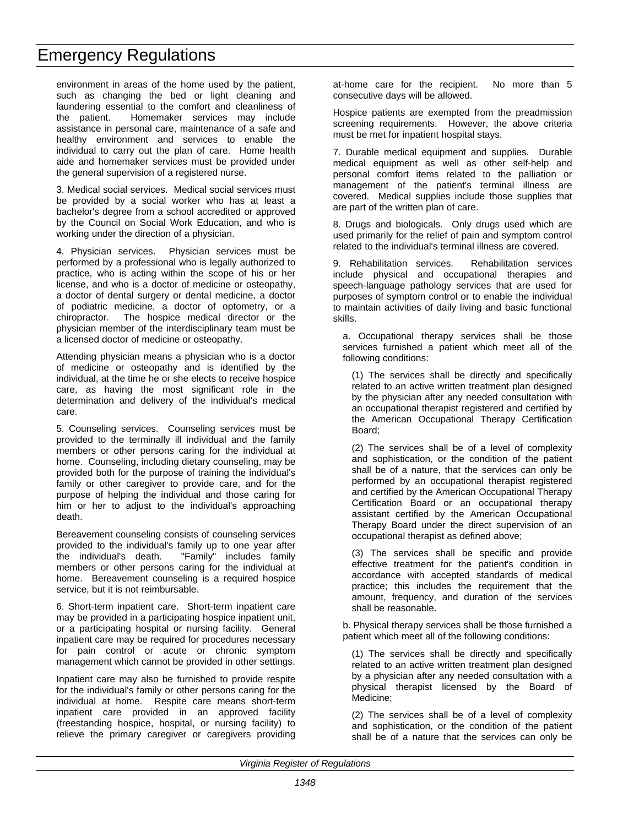environment in areas of the home used by the patient, such as changing the bed or light cleaning and laundering essential to the comfort and cleanliness of the patient. Homemaker services may include assistance in personal care, maintenance of a safe and healthy environment and services to enable the individual to carry out the plan of care. Home health aide and homemaker services must be provided under the general supervision of a registered nurse.

3. Medical social services. Medical social services must be provided by a social worker who has at least a bachelor's degree from a school accredited or approved by the Council on Social Work Education, and who is working under the direction of a physician.

4. Physician services. Physician services must be performed by a professional who is legally authorized to practice, who is acting within the scope of his or her license, and who is a doctor of medicine or osteopathy, a doctor of dental surgery or dental medicine, a doctor of podiatric medicine, a doctor of optometry, or a chiropractor. The hospice medical director or the physician member of the interdisciplinary team must be a licensed doctor of medicine or osteopathy.

Attending physician means a physician who is a doctor of medicine or osteopathy and is identified by the individual, at the time he or she elects to receive hospice care, as having the most significant role in the determination and delivery of the individual's medical care.

5. Counseling services. Counseling services must be provided to the terminally ill individual and the family members or other persons caring for the individual at home. Counseling, including dietary counseling, may be provided both for the purpose of training the individual's family or other caregiver to provide care, and for the purpose of helping the individual and those caring for him or her to adjust to the individual's approaching death.

Bereavement counseling consists of counseling services provided to the individual's family up to one year after the individual's death. "Family" includes family members or other persons caring for the individual at home. Bereavement counseling is a required hospice service, but it is not reimbursable.

6. Short-term inpatient care. Short-term inpatient care may be provided in a participating hospice inpatient unit, or a participating hospital or nursing facility. General inpatient care may be required for procedures necessary for pain control or acute or chronic symptom management which cannot be provided in other settings.

Inpatient care may also be furnished to provide respite for the individual's family or other persons caring for the individual at home. Respite care means short-term inpatient care provided in an approved facility (freestanding hospice, hospital, or nursing facility) to relieve the primary caregiver or caregivers providing at-home care for the recipient. No more than 5 consecutive days will be allowed.

Hospice patients are exempted from the preadmission screening requirements. However, the above criteria must be met for inpatient hospital stays.

7. Durable medical equipment and supplies. Durable medical equipment as well as other self-help and personal comfort items related to the palliation or management of the patient's terminal illness are covered. Medical supplies include those supplies that are part of the written plan of care.

8. Drugs and biologicals. Only drugs used which are used primarily for the relief of pain and symptom control related to the individual's terminal illness are covered.

9. Rehabilitation services. Rehabilitation services include physical and occupational therapies and speech-language pathology services that are used for purposes of symptom control or to enable the individual to maintain activities of daily living and basic functional skills.

a. Occupational therapy services shall be those services furnished a patient which meet all of the following conditions:

(1) The services shall be directly and specifically related to an active written treatment plan designed by the physician after any needed consultation with an occupational therapist registered and certified by the American Occupational Therapy Certification Board;

(2) The services shall be of a level of complexity and sophistication, or the condition of the patient shall be of a nature, that the services can only be performed by an occupational therapist registered and certified by the American Occupational Therapy Certification Board or an occupational therapy assistant certified by the American Occupational Therapy Board under the direct supervision of an occupational therapist as defined above;

(3) The services shall be specific and provide effective treatment for the patient's condition in accordance with accepted standards of medical practice; this includes the requirement that the amount, frequency, and duration of the services shall be reasonable.

b. Physical therapy services shall be those furnished a patient which meet all of the following conditions:

(1) The services shall be directly and specifically related to an active written treatment plan designed by a physician after any needed consultation with a physical therapist licensed by the Board of Medicine;

(2) The services shall be of a level of complexity and sophistication, or the condition of the patient shall be of a nature that the services can only be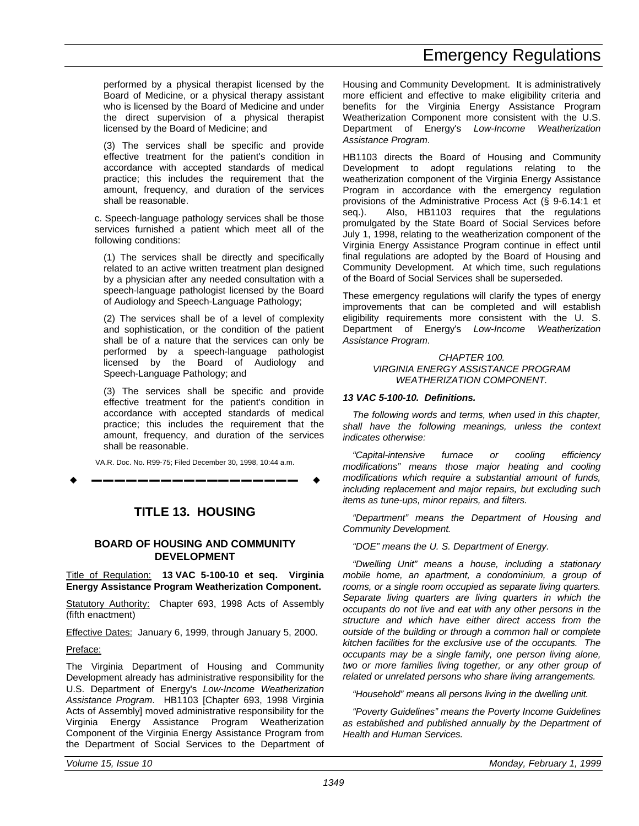performed by a physical therapist licensed by the Board of Medicine, or a physical therapy assistant who is licensed by the Board of Medicine and under the direct supervision of a physical therapist licensed by the Board of Medicine; and

(3) The services shall be specific and provide effective treatment for the patient's condition in accordance with accepted standards of medical practice; this includes the requirement that the amount, frequency, and duration of the services shall be reasonable.

c. Speech-language pathology services shall be those services furnished a patient which meet all of the following conditions:

(1) The services shall be directly and specifically related to an active written treatment plan designed by a physician after any needed consultation with a speech-language pathologist licensed by the Board of Audiology and Speech-Language Pathology;

(2) The services shall be of a level of complexity and sophistication, or the condition of the patient shall be of a nature that the services can only be performed by a speech-language pathologist licensed by the Board of Audiology and Speech-Language Pathology; and

(3) The services shall be specific and provide effective treatment for the patient's condition in accordance with accepted standards of medical practice; this includes the requirement that the amount, frequency, and duration of the services shall be reasonable.

VA.R. Doc. No. R99-75; Filed December 30, 1998, 10:44 a.m.

w **––––––––––––––––––** w

#### **TITLE 13. HOUSING**

#### **BOARD OF HOUSING AND COMMUNITY DEVELOPMENT**

Title of Regulation: **13 VAC 5-100-10 et seq. Virginia Energy Assistance Program Weatherization Component.**

Statutory Authority: Chapter 693, 1998 Acts of Assembly (fifth enactment)

Effective Dates: January 6, 1999, through January 5, 2000.

#### Preface:

The Virginia Department of Housing and Community Development already has administrative responsibility for the U.S. Department of Energy's *Low-Income Weatherization Assistance Program*. HB1103 [Chapter 693, 1998 Virginia Acts of Assembly] moved administrative responsibility for the Virginia Energy Assistance Program Weatherization Component of the Virginia Energy Assistance Program from the Department of Social Services to the Department of Housing and Community Development. It is administratively more efficient and effective to make eligibility criteria and benefits for the Virginia Energy Assistance Program Weatherization Component more consistent with the U.S. Department of Energy's *Low-Income Weatherization Assistance Program*.

HB1103 directs the Board of Housing and Community Development to adopt regulations relating to the weatherization component of the Virginia Energy Assistance Program in accordance with the emergency regulation provisions of the Administrative Process Act (§ 9-6.14:1 et seq.). Also, HB1103 requires that the regulations promulgated by the State Board of Social Services before July 1, 1998, relating to the weatherization component of the Virginia Energy Assistance Program continue in effect until final regulations are adopted by the Board of Housing and Community Development. At which time, such regulations of the Board of Social Services shall be superseded.

These emergency regulations will clarify the types of energy improvements that can be completed and will establish eligibility requirements more consistent with the U. S. Department of Energy's *Low-Income Weatherization Assistance Program*.

> *CHAPTER 100. VIRGINIA ENERGY ASSISTANCE PROGRAM WEATHERIZATION COMPONENT.*

#### *13 VAC 5-100-10. Definitions.*

*The following words and terms, when used in this chapter, shall have the following meanings, unless the context indicates otherwise:*

*"Capital-intensive furnace or cooling efficiency modifications" means those major heating and cooling modifications which require a substantial amount of funds, including replacement and major repairs, but excluding such items as tune-ups, minor repairs, and filters.*

*"Department" means the Department of Housing and Community Development.*

*"DOE" means the U. S. Department of Energy.*

*"Dwelling Unit" means a house, including a stationary mobile home, an apartment, a condominium, a group of rooms, or a single room occupied as separate living quarters. Separate living quarters are living quarters in which the occupants do not live and eat with any other persons in the structure and which have either direct access from the outside of the building or through a common hall or complete kitchen facilities for the exclusive use of the occupants. The occupants may be a single family, one person living alone, two or more families living together, or any other group of related or unrelated persons who share living arrangements.*

*"Household" means all persons living in the dwelling unit.*

*"Poverty Guidelines" means the Poverty Income Guidelines as established and published annually by the Department of Health and Human Services.*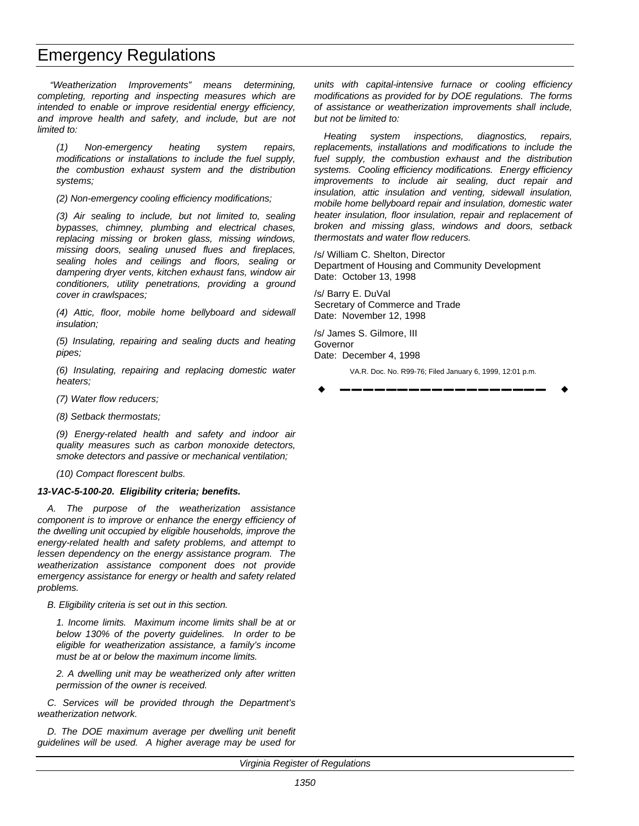*"Weatherization Improvements" means determining, completing, reporting and inspecting measures which are intended to enable or improve residential energy efficiency, and improve health and safety, and include, but are not limited to:*

*(1) Non-emergency heating system repairs, modifications or installations to include the fuel supply, the combustion exhaust system and the distribution systems;*

*(2) Non-emergency cooling efficiency modifications;*

*(3) Air sealing to include, but not limited to, sealing bypasses, chimney, plumbing and electrical chases, replacing missing or broken glass, missing windows, missing doors, sealing unused flues and fireplaces, sealing holes and ceilings and floors, sealing or dampering dryer vents, kitchen exhaust fans, window air conditioners, utility penetrations, providing a ground cover in crawlspaces;*

*(4) Attic, floor, mobile home bellyboard and sidewall insulation;*

*(5) Insulating, repairing and sealing ducts and heating pipes;*

*(6) Insulating, repairing and replacing domestic water heaters;*

*(7) Water flow reducers;*

*(8) Setback thermostats;*

*(9) Energy-related health and safety and indoor air quality measures such as carbon monoxide detectors, smoke detectors and passive or mechanical ventilation;*

*(10) Compact florescent bulbs.*

#### *13-VAC-5-100-20. Eligibility criteria; benefits.*

*A. The purpose of the weatherization assistance component is to improve or enhance the energy efficiency of the dwelling unit occupied by eligible households, improve the energy-related health and safety problems, and attempt to lessen dependency on the energy assistance program. The weatherization assistance component does not provide emergency assistance for energy or health and safety related problems.*

*B. Eligibility criteria is set out in this section.*

*1. Income limits. Maximum income limits shall be at or below 130% of the poverty guidelines. In order to be eligible for weatherization assistance, a family's income must be at or below the maximum income limits.*

*2. A dwelling unit may be weatherized only after written permission of the owner is received.*

*C. Services will be provided through the Department's weatherization network.*

*D. The DOE maximum average per dwelling unit benefit guidelines will be used. A higher average may be used for* *units with capital-intensive furnace or cooling efficiency modifications as provided for by DOE regulations. The forms of assistance or weatherization improvements shall include, but not be limited to:*

*Heating system inspections, diagnostics, repairs, replacements, installations and modifications to include the fuel supply, the combustion exhaust and the distribution systems. Cooling efficiency modifications. Energy efficiency improvements to include air sealing, duct repair and insulation, attic insulation and venting, sidewall insulation, mobile home bellyboard repair and insulation, domestic water heater insulation, floor insulation, repair and replacement of broken and missing glass, windows and doors, setback thermostats and water flow reducers.*

/s/ William C. Shelton, Director Department of Housing and Community Development Date: October 13, 1998

/s/ Barry E. DuVal Secretary of Commerce and Trade Date: November 12, 1998

/s/ James S. Gilmore, III Governor Date: December 4, 1998

VA.R. Doc. No. R99-76; Filed January 6, 1999, 12:01 p.m.

w **––––––––––––––––––** w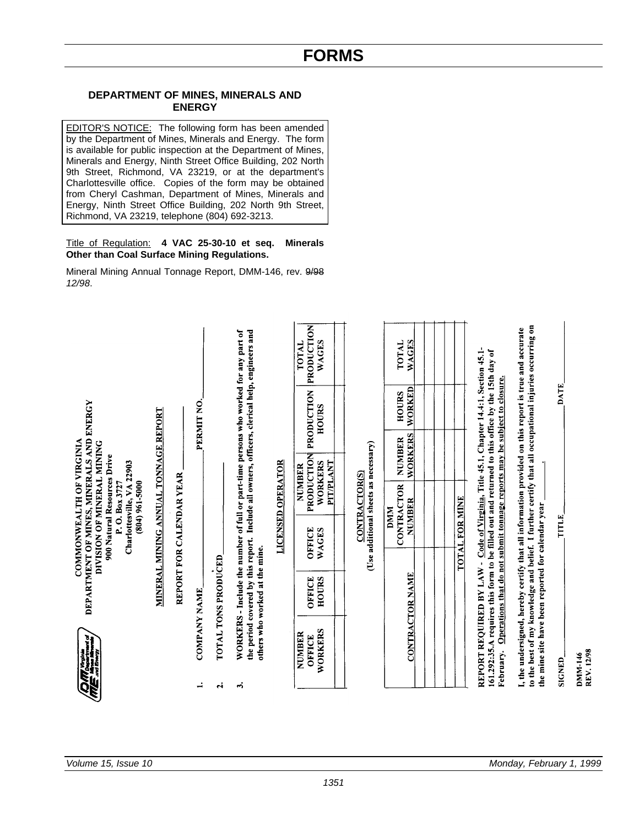*1351*

#### **DEPARTMENT OF MINES, MINERALS AND ENERGY**

EDITOR'S NOTICE: The following form has been amended by the Department of Mines, Minerals and Energy. The form is available for public inspection at the Department of Mines, Minerals and Energy, Ninth Street Office Building, 202 North 9th Street, Richmond, VA 23219, or at the department's Charlottesville office. Copies of the form may be obtained from Cheryl Cashman, Department of Mines, Minerals and Energy, Ninth Street Office Building, 202 North 9th Street, Richmond, VA 23219, telephone (804) 692-3213.

#### Title of Regulation: **4 VAC 25-30-10 et seq. Minerals Other than Coal Surface Mining Regulations.**

Mineral Mining Annual Tonnage Report, DMM-146, rev. 9/98 *12/98*.

|                                                                                               |                                      |                          |                     |                     | WORKERS - Include the number of full or part-time persons who worked for any part of<br>the period covered by this report. Include all owners, officers, clerical help, engineers and |                          | PRODUCTION<br>WAGES<br><b>TOTAL</b>          |                                      | <b>WAGES</b><br>TOTAL           |                |                                                                                                                                                                                                      | to the best of my knowledge and belief. I further certify that all occupational injuries occurring on                                                      |               |
|-----------------------------------------------------------------------------------------------|--------------------------------------|--------------------------|---------------------|---------------------|---------------------------------------------------------------------------------------------------------------------------------------------------------------------------------------|--------------------------|----------------------------------------------|--------------------------------------|---------------------------------|----------------|------------------------------------------------------------------------------------------------------------------------------------------------------------------------------------------------------|------------------------------------------------------------------------------------------------------------------------------------------------------------|---------------|
|                                                                                               |                                      |                          | PERMIT NO.          |                     |                                                                                                                                                                                       |                          | PRODUCTION<br><b>HOURS</b>                   |                                      | WORKED<br>HOURS                 |                |                                                                                                                                                                                                      |                                                                                                                                                            | <b>DATE</b>   |
|                                                                                               | MINERAL MINING ANNUAL TONNAGE REPORT |                          |                     |                     |                                                                                                                                                                                       |                          |                                              |                                      | <b>WORKERS</b><br><b>NUMBER</b> |                |                                                                                                                                                                                                      |                                                                                                                                                            |               |
| 900 Natural Resources Drive<br>Charlottesville, VA 22903<br>P.O. Box 3727<br>$(804)$ 961-5000 |                                      |                          |                     |                     |                                                                                                                                                                                       | <b>LICENSED OPERATOR</b> | PRODUCTION<br>PIT/PLANT<br>WORKERS<br>NUMBER | <b>CONTRACTOR(S)</b>                 | CONTRACTOR<br>NUMBER<br>DMM     |                |                                                                                                                                                                                                      |                                                                                                                                                            |               |
| COMMONWEALTH OF VIRGINIA<br>DIVISION OF MINERAL MINING                                        |                                      | REPORT FOR CALENDAR YEAR |                     |                     |                                                                                                                                                                                       |                          | OFFICE<br>WAGES                              | (Use additional sheets as necessary) |                                 | TOTAL FOR MINE |                                                                                                                                                                                                      |                                                                                                                                                            | <b>TITLE</b>  |
| DEPARTMENT OF MINES, MINERALS AND ENERGY                                                      |                                      |                          |                     | TOTAL TONS PRODUCED | others who worked at the mine.                                                                                                                                                        |                          | <b>HOURS</b><br>OFFICE                       |                                      | <b>CONTRACTOR NAME</b>          |                | Operations that do not submit tonnage reports may be subject to closure.                                                                                                                             |                                                                                                                                                            |               |
| ì                                                                                             |                                      |                          | <b>COMPANY NAME</b> |                     |                                                                                                                                                                                       |                          | WORKERS<br>NUMBER<br>OFFICE                  |                                      |                                 |                | REPORT REQUIRED BY LAW - Code of Virginia, Title 45.1, Chapter 14.4:1, Section 45.1-<br>161.292:35.A requires this form to be filled out and returned to this office by the 15th day of<br>February. | I, the undersigned, hereby certify that all information provided on this report is true and accurate<br>the mine site have been reported for calendar year | <b>SIGNED</b> |
| <b>ANGELER</b>                                                                                |                                      |                          | ≓                   | $\ddot{\mathbf{c}}$ | ۰ń                                                                                                                                                                                    |                          |                                              |                                      |                                 |                |                                                                                                                                                                                                      |                                                                                                                                                            |               |

DMM-146<br>REV. 12/98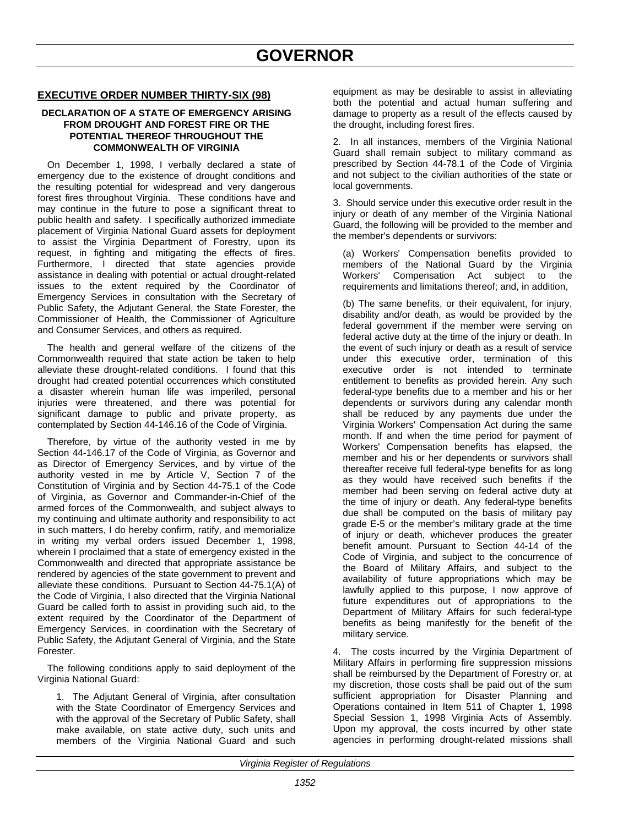#### **EXECUTIVE ORDER NUMBER THIRTY-SIX (98)**

#### **DECLARATION OF A STATE OF EMERGENCY ARISING FROM DROUGHT AND FOREST FIRE OR THE POTENTIAL THEREOF THROUGHOUT THE COMMONWEALTH OF VIRGINIA**

On December 1, 1998, I verbally declared a state of emergency due to the existence of drought conditions and the resulting potential for widespread and very dangerous forest fires throughout Virginia. These conditions have and may continue in the future to pose a significant threat to public health and safety. I specifically authorized immediate placement of Virginia National Guard assets for deployment to assist the Virginia Department of Forestry, upon its request, in fighting and mitigating the effects of fires. Furthermore, I directed that state agencies provide assistance in dealing with potential or actual drought-related issues to the extent required by the Coordinator of Emergency Services in consultation with the Secretary of Public Safety, the Adjutant General, the State Forester, the Commissioner of Health, the Commissioner of Agriculture and Consumer Services, and others as required.

The health and general welfare of the citizens of the Commonwealth required that state action be taken to help alleviate these drought-related conditions. I found that this drought had created potential occurrences which constituted a disaster wherein human life was imperiled, personal injuries were threatened, and there was potential for significant damage to public and private property, as contemplated by Section 44-146.16 of the Code of Virginia.

Therefore, by virtue of the authority vested in me by Section 44-146.17 of the Code of Virginia, as Governor and as Director of Emergency Services, and by virtue of the authority vested in me by Article V, Section 7 of the Constitution of Virginia and by Section 44-75.1 of the Code of Virginia, as Governor and Commander-in-Chief of the armed forces of the Commonwealth, and subject always to my continuing and ultimate authority and responsibility to act in such matters, I do hereby confirm, ratify, and memorialize in writing my verbal orders issued December 1, 1998, wherein I proclaimed that a state of emergency existed in the Commonwealth and directed that appropriate assistance be rendered by agencies of the state government to prevent and alleviate these conditions. Pursuant to Section 44-75.1(A) of the Code of Virginia, I also directed that the Virginia National Guard be called forth to assist in providing such aid, to the extent required by the Coordinator of the Department of Emergency Services, in coordination with the Secretary of Public Safety, the Adjutant General of Virginia, and the State Forester.

The following conditions apply to said deployment of the Virginia National Guard:

1. The Adjutant General of Virginia, after consultation with the State Coordinator of Emergency Services and with the approval of the Secretary of Public Safety, shall make available, on state active duty, such units and members of the Virginia National Guard and such equipment as may be desirable to assist in alleviating both the potential and actual human suffering and damage to property as a result of the effects caused by the drought, including forest fires.

2. In all instances, members of the Virginia National Guard shall remain subject to military command as prescribed by Section 44-78.1 of the Code of Virginia and not subject to the civilian authorities of the state or local governments.

3. Should service under this executive order result in the injury or death of any member of the Virginia National Guard, the following will be provided to the member and the member's dependents or survivors:

(a) Workers' Compensation benefits provided to members of the National Guard by the Virginia Workers' Compensation Act subject to the requirements and limitations thereof; and, in addition,

(b) The same benefits, or their equivalent, for injury, disability and/or death, as would be provided by the federal government if the member were serving on federal active duty at the time of the injury or death. In the event of such injury or death as a result of service under this executive order, termination of this executive order is not intended to terminate entitlement to benefits as provided herein. Any such federal-type benefits due to a member and his or her dependents or survivors during any calendar month shall be reduced by any payments due under the Virginia Workers' Compensation Act during the same month. If and when the time period for payment of Workers' Compensation benefits has elapsed, the member and his or her dependents or survivors shall thereafter receive full federal-type benefits for as long as they would have received such benefits if the member had been serving on federal active duty at the time of injury or death. Any federal-type benefits due shall be computed on the basis of military pay grade E-5 or the member's military grade at the time of injury or death, whichever produces the greater benefit amount. Pursuant to Section 44-14 of the Code of Virginia, and subject to the concurrence of the Board of Military Affairs, and subject to the availability of future appropriations which may be lawfully applied to this purpose, I now approve of future expenditures out of appropriations to the Department of Military Affairs for such federal-type benefits as being manifestly for the benefit of the military service.

4. The costs incurred by the Virginia Department of Military Affairs in performing fire suppression missions shall be reimbursed by the Department of Forestry or, at my discretion, those costs shall be paid out of the sum sufficient appropriation for Disaster Planning and Operations contained in Item 511 of Chapter 1, 1998 Special Session 1, 1998 Virginia Acts of Assembly. Upon my approval, the costs incurred by other state agencies in performing drought-related missions shall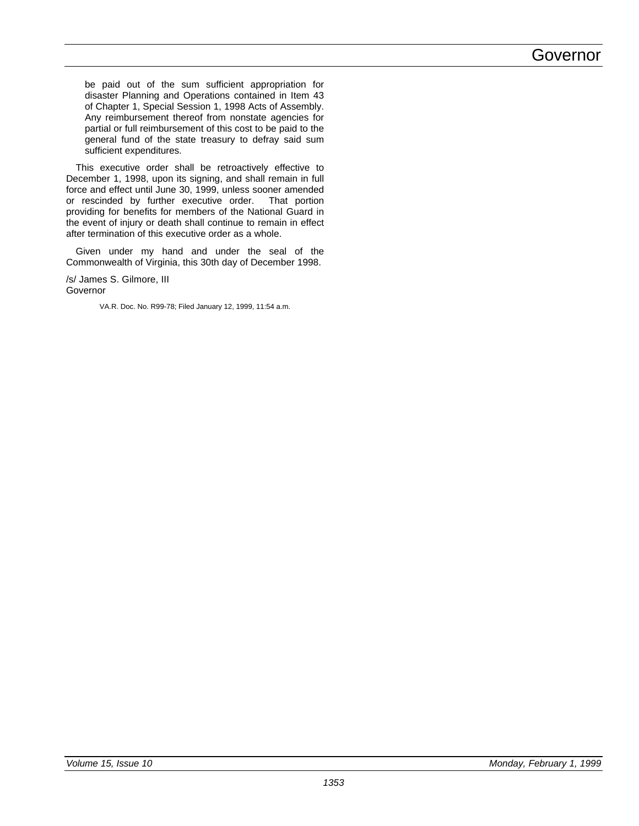## Governor

be paid out of the sum sufficient appropriation for disaster Planning and Operations contained in Item 43 of Chapter 1, Special Session 1, 1998 Acts of Assembly. Any reimbursement thereof from nonstate agencies for partial or full reimbursement of this cost to be paid to the general fund of the state treasury to defray said sum sufficient expenditures.

This executive order shall be retroactively effective to December 1, 1998, upon its signing, and shall remain in full force and effect until June 30, 1999, unless sooner amended or rescinded by further executive order. That portion providing for benefits for members of the National Guard in the event of injury or death shall continue to remain in effect after termination of this executive order as a whole.

Given under my hand and under the seal of the Commonwealth of Virginia, this 30th day of December 1998.

/s/ James S. Gilmore, III Governor

VA.R. Doc. No. R99-78; Filed January 12, 1999, 11:54 a.m.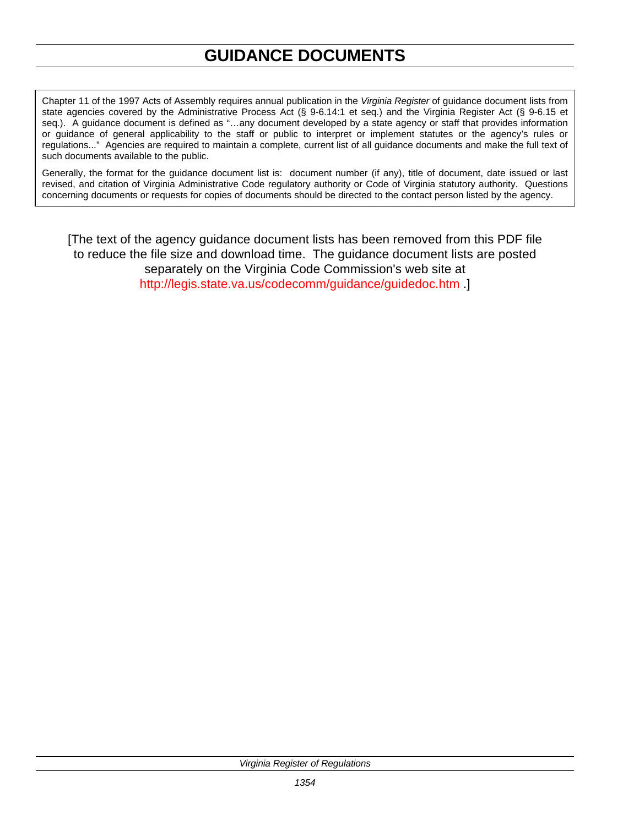# **GUIDANCE DOCUMENTS**

Chapter 11 of the 1997 Acts of Assembly requires annual publication in the *Virginia Register* of guidance document lists from state agencies covered by the Administrative Process Act (§ 9-6.14:1 et seq.) and the Virginia Register Act (§ 9-6.15 et seq.). A guidance document is defined as "…any document developed by a state agency or staff that provides information or guidance of general applicability to the staff or public to interpret or implement statutes or the agency's rules or regulations..." Agencies are required to maintain a complete, current list of all guidance documents and make the full text of such documents available to the public.

Generally, the format for the guidance document list is: document number (if any), title of document, date issued or last revised, and citation of Virginia Administrative Code regulatory authority or Code of Virginia statutory authority. Questions concerning documents or requests for copies of documents should be directed to the contact person listed by the agency.

[The text of the agency guidance document lists has been removed from this PDF file to reduce the file size and download time. The guidance document lists are posted separately on the Virginia Code Commission's web site at [http://legis.state.va.us/codecomm/guidance/guidedoc.htm .](http://legis.state.va.us/codecomm/guidance/guidedoc.htm)]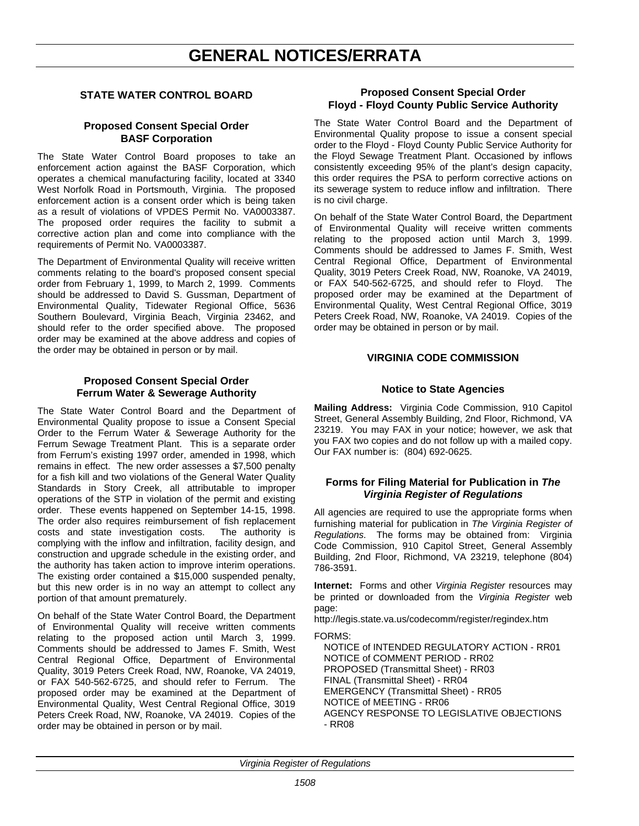# **GENERAL NOTICES/ERRATA**

#### **STATE WATER CONTROL BOARD**

#### **Proposed Consent Special Order BASF Corporation**

The State Water Control Board proposes to take an enforcement action against the BASF Corporation, which operates a chemical manufacturing facility, located at 3340 West Norfolk Road in Portsmouth, Virginia. The proposed enforcement action is a consent order which is being taken as a result of violations of VPDES Permit No. VA0003387. The proposed order requires the facility to submit a corrective action plan and come into compliance with the requirements of Permit No. VA0003387.

The Department of Environmental Quality will receive written comments relating to the board's proposed consent special order from February 1, 1999, to March 2, 1999. Comments should be addressed to David S. Gussman, Department of Environmental Quality, Tidewater Regional Office, 5636 Southern Boulevard, Virginia Beach, Virginia 23462, and should refer to the order specified above. The proposed order may be examined at the above address and copies of the order may be obtained in person or by mail.

#### **Proposed Consent Special Order Ferrum Water & Sewerage Authority**

The State Water Control Board and the Department of Environmental Quality propose to issue a Consent Special Order to the Ferrum Water & Sewerage Authority for the Ferrum Sewage Treatment Plant. This is a separate order from Ferrum's existing 1997 order, amended in 1998, which remains in effect. The new order assesses a \$7,500 penalty for a fish kill and two violations of the General Water Quality Standards in Story Creek, all attributable to improper operations of the STP in violation of the permit and existing order. These events happened on September 14-15, 1998. The order also requires reimbursement of fish replacement costs and state investigation costs. The authority is costs and state investigation costs. complying with the inflow and infiltration, facility design, and construction and upgrade schedule in the existing order, and the authority has taken action to improve interim operations. The existing order contained a \$15,000 suspended penalty, but this new order is in no way an attempt to collect any portion of that amount prematurely.

On behalf of the State Water Control Board, the Department of Environmental Quality will receive written comments relating to the proposed action until March 3, 1999. Comments should be addressed to James F. Smith, West Central Regional Office, Department of Environmental Quality, 3019 Peters Creek Road, NW, Roanoke, VA 24019, or FAX 540-562-6725, and should refer to Ferrum. The proposed order may be examined at the Department of Environmental Quality, West Central Regional Office, 3019 Peters Creek Road, NW, Roanoke, VA 24019. Copies of the order may be obtained in person or by mail.

#### **Proposed Consent Special Order Floyd - Floyd County Public Service Authority**

The State Water Control Board and the Department of Environmental Quality propose to issue a consent special order to the Floyd - Floyd County Public Service Authority for the Floyd Sewage Treatment Plant. Occasioned by inflows consistently exceeding 95% of the plant's design capacity, this order requires the PSA to perform corrective actions on its sewerage system to reduce inflow and infiltration. There is no civil charge.

On behalf of the State Water Control Board, the Department of Environmental Quality will receive written comments relating to the proposed action until March 3, 1999. Comments should be addressed to James F. Smith, West Central Regional Office, Department of Environmental Quality, 3019 Peters Creek Road, NW, Roanoke, VA 24019, or FAX 540-562-6725, and should refer to Floyd. The proposed order may be examined at the Department of Environmental Quality, West Central Regional Office, 3019 Peters Creek Road, NW, Roanoke, VA 24019. Copies of the order may be obtained in person or by mail.

#### **VIRGINIA CODE COMMISSION**

#### **Notice to State Agencies**

**Mailing Address:** Virginia Code Commission, 910 Capitol Street, General Assembly Building, 2nd Floor, Richmond, VA 23219. You may FAX in your notice; however, we ask that you FAX two copies and do not follow up with a mailed copy. Our FAX number is: (804) 692-0625.

#### **Forms for Filing Material for Publication in** *The Virginia Register of Regulations*

All agencies are required to use the appropriate forms when furnishing material for publication in *The Virginia Register of Regulations*. The forms may be obtained from: Virginia Code Commission, 910 Capitol Street, General Assembly Building, 2nd Floor, Richmond, VA 23219, telephone (804) 786-3591.

**Internet:** Forms and other *Virginia Register* resources may be printed or downloaded from the *Virginia Register* web page:

http://legis.state.va.us/codecomm/register/regindex.htm

FORMS:

NOTICE of INTENDED REGULATORY ACTION - RR01 NOTICE of COMMENT PERIOD - RR02 PROPOSED (Transmittal Sheet) - RR03 FINAL (Transmittal Sheet) - RR04 EMERGENCY (Transmittal Sheet) - RR05 NOTICE of MEETING - RR06 AGENCY RESPONSE TO LEGISLATIVE OBJECTIONS - RR08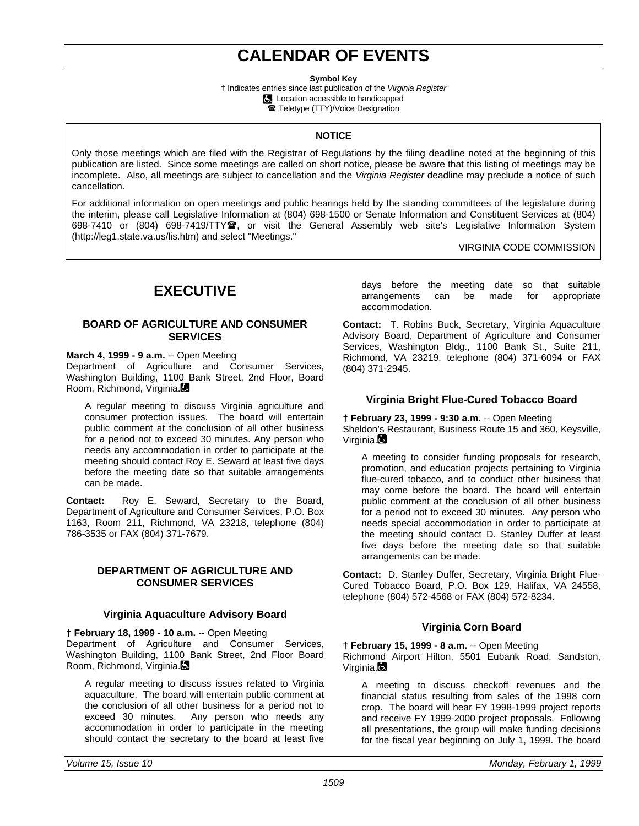# **CALENDAR OF EVENTS**

**Symbol Key**

† Indicates entries since last publication of the *Virginia Register* **Location accessible to handicapped The Teletype (TTY)/Voice Designation** 

#### **NOTICE**

Only those meetings which are filed with the Registrar of Regulations by the filing deadline noted at the beginning of this publication are listed. Since some meetings are called on short notice, please be aware that this listing of meetings may be incomplete. Also, all meetings are subject to cancellation and the *Virginia Register* deadline may preclude a notice of such cancellation.

For additional information on open meetings and public hearings held by the standing committees of the legislature during the interim, please call Legislative Information at (804) 698-1500 or Senate Information and Constituent Services at (804) 698-7410 or (804) 698-7419/TTY雪, or visit the General Assembly web site's Legislative Information System (http://leg1.state.va.us/lis.htm) and select "Meetings."

VIRGINIA CODE COMMISSION

# **EXECUTIVE**

#### **BOARD OF AGRICULTURE AND CONSUMER SERVICES**

#### **March 4, 1999 - 9 a.m.** -- Open Meeting

Department of Agriculture and Consumer Services, Washington Building, 1100 Bank Street, 2nd Floor, Board Room, Richmond, Virginia.

A regular meeting to discuss Virginia agriculture and consumer protection issues. The board will entertain public comment at the conclusion of all other business for a period not to exceed 30 minutes. Any person who needs any accommodation in order to participate at the meeting should contact Roy E. Seward at least five days before the meeting date so that suitable arrangements can be made.

**Contact:** Roy E. Seward, Secretary to the Board, Department of Agriculture and Consumer Services, P.O. Box 1163, Room 211, Richmond, VA 23218, telephone (804) 786-3535 or FAX (804) 371-7679.

#### **DEPARTMENT OF AGRICULTURE AND CONSUMER SERVICES**

#### **Virginia Aquaculture Advisory Board**

**† February 18, 1999 - 10 a.m.** -- Open Meeting

Department of Agriculture and Consumer Services, Washington Building, 1100 Bank Street, 2nd Floor Board Room, Richmond, Virginia.

A regular meeting to discuss issues related to Virginia aquaculture. The board will entertain public comment at the conclusion of all other business for a period not to exceed 30 minutes. Any person who needs any Any person who needs anv accommodation in order to participate in the meeting should contact the secretary to the board at least five days before the meeting date so that suitable arrangements can be made for appropriate accommodation.

**Contact:** T. Robins Buck, Secretary, Virginia Aquaculture Advisory Board, Department of Agriculture and Consumer Services, Washington Bldg., 1100 Bank St., Suite 211, Richmond, VA 23219, telephone (804) 371-6094 or FAX (804) 371-2945.

#### **Virginia Bright Flue-Cured Tobacco Board**

**† February 23, 1999 - 9:30 a.m.** -- Open Meeting Sheldon's Restaurant, Business Route 15 and 360, Keysville, Virginia.

A meeting to consider funding proposals for research, promotion, and education projects pertaining to Virginia flue-cured tobacco, and to conduct other business that may come before the board. The board will entertain public comment at the conclusion of all other business for a period not to exceed 30 minutes. Any person who needs special accommodation in order to participate at the meeting should contact D. Stanley Duffer at least five days before the meeting date so that suitable arrangements can be made.

**Contact:** D. Stanley Duffer, Secretary, Virginia Bright Flue-Cured Tobacco Board, P.O. Box 129, Halifax, VA 24558, telephone (804) 572-4568 or FAX (804) 572-8234.

#### **Virginia Corn Board**

**† February 15, 1999 - 8 a.m.** -- Open Meeting

Richmond Airport Hilton, 5501 Eubank Road, Sandston, Virginia. $\blacksquare$ 

A meeting to discuss checkoff revenues and the financial status resulting from sales of the 1998 corn crop. The board will hear FY 1998-1999 project reports and receive FY 1999-2000 project proposals. Following all presentations, the group will make funding decisions for the fiscal year beginning on July 1, 1999. The board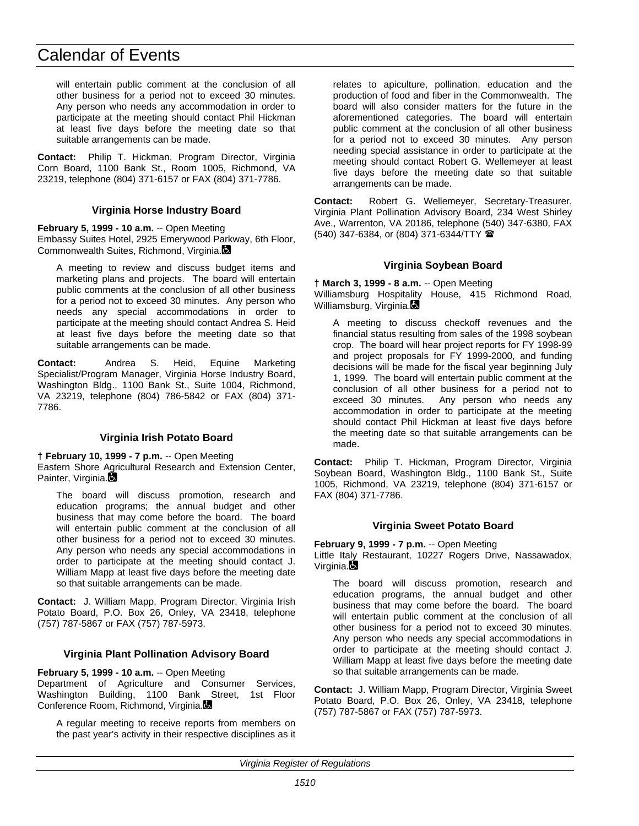# Calendar of Events

will entertain public comment at the conclusion of all other business for a period not to exceed 30 minutes. Any person who needs any accommodation in order to participate at the meeting should contact Phil Hickman at least five days before the meeting date so that suitable arrangements can be made.

**Contact:** Philip T. Hickman, Program Director, Virginia Corn Board, 1100 Bank St., Room 1005, Richmond, VA 23219, telephone (804) 371-6157 or FAX (804) 371-7786.

#### **Virginia Horse Industry Board**

**February 5, 1999 - 10 a.m.** -- Open Meeting

Embassy Suites Hotel, 2925 Emerywood Parkway, 6th Floor, Commonwealth Suites, Richmond, Virginia.

A meeting to review and discuss budget items and marketing plans and projects. The board will entertain public comments at the conclusion of all other business for a period not to exceed 30 minutes. Any person who needs any special accommodations in order to participate at the meeting should contact Andrea S. Heid at least five days before the meeting date so that suitable arrangements can be made.

**Contact:** Andrea S. Heid, Equine Marketing Specialist/Program Manager, Virginia Horse Industry Board, Washington Bldg., 1100 Bank St., Suite 1004, Richmond, VA 23219, telephone (804) 786-5842 or FAX (804) 371- 7786.

#### **Virginia Irish Potato Board**

**† February 10, 1999 - 7 p.m.** -- Open Meeting Eastern Shore Agricultural Research and Extension Center, Painter, Virginia.

The board will discuss promotion, research and education programs; the annual budget and other business that may come before the board. The board will entertain public comment at the conclusion of all other business for a period not to exceed 30 minutes. Any person who needs any special accommodations in order to participate at the meeting should contact J. William Mapp at least five days before the meeting date so that suitable arrangements can be made.

**Contact:** J. William Mapp, Program Director, Virginia Irish Potato Board, P.O. Box 26, Onley, VA 23418, telephone (757) 787-5867 or FAX (757) 787-5973.

#### **Virginia Plant Pollination Advisory Board**

**February 5, 1999 - 10 a.m.** -- Open Meeting

Department of Agriculture and Consumer Services, Washington Building, 1100 Bank Street, 1st Floor Conference Room, Richmond, Virginia.

A regular meeting to receive reports from members on the past year's activity in their respective disciplines as it relates to apiculture, pollination, education and the production of food and fiber in the Commonwealth. The board will also consider matters for the future in the aforementioned categories. The board will entertain public comment at the conclusion of all other business for a period not to exceed 30 minutes. Any person needing special assistance in order to participate at the meeting should contact Robert G. Wellemeyer at least five days before the meeting date so that suitable arrangements can be made.

**Contact:** Robert G. Wellemeyer, Secretary-Treasurer, Virginia Plant Pollination Advisory Board, 234 West Shirley Ave., Warrenton, VA 20186, telephone (540) 347-6380, FAX (540) 347-6384, or (804) 371-6344/TTY (

#### **Virginia Soybean Board**

**† March 3, 1999 - 8 a.m.** -- Open Meeting Williamsburg Hospitality House, 415 Richmond Road, Williamsburg, Virginia.

A meeting to discuss checkoff revenues and the financial status resulting from sales of the 1998 soybean crop. The board will hear project reports for FY 1998-99 and project proposals for FY 1999-2000, and funding decisions will be made for the fiscal year beginning July 1, 1999. The board will entertain public comment at the conclusion of all other business for a period not to exceed 30 minutes. Any person who needs any accommodation in order to participate at the meeting should contact Phil Hickman at least five days before the meeting date so that suitable arrangements can be made.

**Contact:** Philip T. Hickman, Program Director, Virginia Soybean Board, Washington Bldg., 1100 Bank St., Suite 1005, Richmond, VA 23219, telephone (804) 371-6157 or FAX (804) 371-7786.

#### **Virginia Sweet Potato Board**

**February 9, 1999 - 7 p.m.** -- Open Meeting

Little Italy Restaurant, 10227 Rogers Drive, Nassawadox, Virginia.

The board will discuss promotion, research and education programs, the annual budget and other business that may come before the board. The board will entertain public comment at the conclusion of all other business for a period not to exceed 30 minutes. Any person who needs any special accommodations in order to participate at the meeting should contact J. William Mapp at least five days before the meeting date so that suitable arrangements can be made.

**Contact:** J. William Mapp, Program Director, Virginia Sweet Potato Board, P.O. Box 26, Onley, VA 23418, telephone (757) 787-5867 or FAX (757) 787-5973.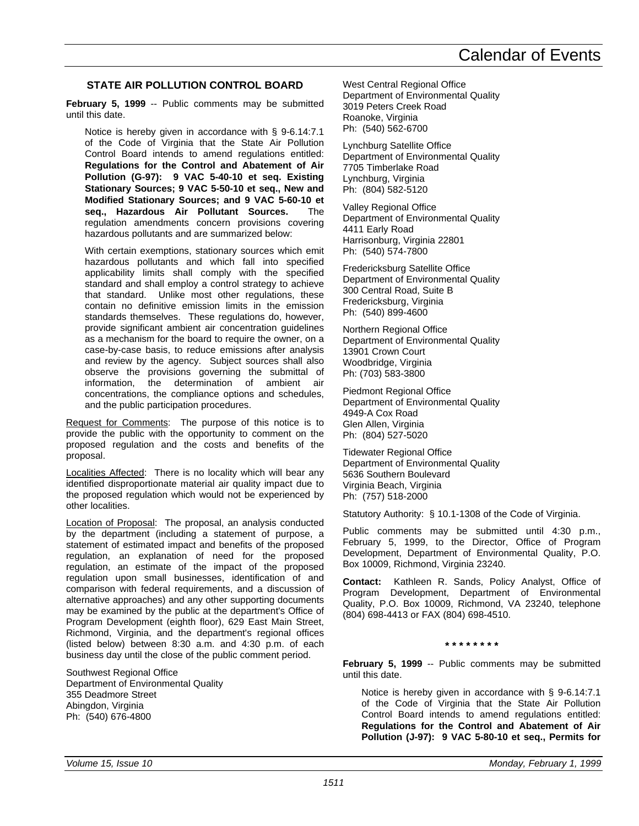#### **STATE AIR POLLUTION CONTROL BOARD**

**February 5, 1999** -- Public comments may be submitted until this date.

Notice is hereby given in accordance with § 9-6.14:7.1 of the Code of Virginia that the State Air Pollution Control Board intends to amend regulations entitled: **Regulations for the Control and Abatement of Air Pollution (G-97): 9 VAC 5-40-10 et seq. Existing Stationary Sources; 9 VAC 5-50-10 et seq., New and Modified Stationary Sources; and 9 VAC 5-60-10 et seq., Hazardous Air Pollutant Sources.** The regulation amendments concern provisions covering hazardous pollutants and are summarized below:

With certain exemptions, stationary sources which emit hazardous pollutants and which fall into specified applicability limits shall comply with the specified standard and shall employ a control strategy to achieve that standard. Unlike most other regulations, these contain no definitive emission limits in the emission standards themselves. These regulations do, however, provide significant ambient air concentration guidelines as a mechanism for the board to require the owner, on a case-by-case basis, to reduce emissions after analysis and review by the agency. Subject sources shall also observe the provisions governing the submittal of information, the determination of ambient air concentrations, the compliance options and schedules, and the public participation procedures.

Request for Comments: The purpose of this notice is to provide the public with the opportunity to comment on the proposed regulation and the costs and benefits of the proposal.

Localities Affected: There is no locality which will bear any identified disproportionate material air quality impact due to the proposed regulation which would not be experienced by other localities.

Location of Proposal: The proposal, an analysis conducted by the department (including a statement of purpose, a statement of estimated impact and benefits of the proposed regulation, an explanation of need for the proposed regulation, an estimate of the impact of the proposed regulation upon small businesses, identification of and comparison with federal requirements, and a discussion of alternative approaches) and any other supporting documents may be examined by the public at the department's Office of Program Development (eighth floor), 629 East Main Street, Richmond, Virginia, and the department's regional offices (listed below) between 8:30 a.m. and 4:30 p.m. of each business day until the close of the public comment period.

Southwest Regional Office Department of Environmental Quality 355 Deadmore Street Abingdon, Virginia Ph: (540) 676-4800

West Central Regional Office Department of Environmental Quality 3019 Peters Creek Road Roanoke, Virginia Ph: (540) 562-6700

Lynchburg Satellite Office Department of Environmental Quality 7705 Timberlake Road Lynchburg, Virginia Ph: (804) 582-5120

Valley Regional Office Department of Environmental Quality 4411 Early Road Harrisonburg, Virginia 22801 Ph: (540) 574-7800

Fredericksburg Satellite Office Department of Environmental Quality 300 Central Road, Suite B Fredericksburg, Virginia Ph: (540) 899-4600

Northern Regional Office Department of Environmental Quality 13901 Crown Court Woodbridge, Virginia Ph: (703) 583-3800

Piedmont Regional Office Department of Environmental Quality 4949-A Cox Road Glen Allen, Virginia Ph: (804) 527-5020

Tidewater Regional Office Department of Environmental Quality 5636 Southern Boulevard Virginia Beach, Virginia Ph: (757) 518-2000

Statutory Authority: § 10.1-1308 of the Code of Virginia.

Public comments may be submitted until 4:30 p.m., February 5, 1999, to the Director, Office of Program Development, Department of Environmental Quality, P.O. Box 10009, Richmond, Virginia 23240.

**Contact:** Kathleen R. Sands, Policy Analyst, Office of Program Development, Department of Environmental Quality, P.O. Box 10009, Richmond, VA 23240, telephone (804) 698-4413 or FAX (804) 698-4510.

**\* \* \* \* \* \* \* \***

**February 5, 1999** -- Public comments may be submitted until this date.

Notice is hereby given in accordance with § 9-6.14:7.1 of the Code of Virginia that the State Air Pollution Control Board intends to amend regulations entitled: **Regulations for the Control and Abatement of Air Pollution (J-97): 9 VAC 5-80-10 et seq., Permits for**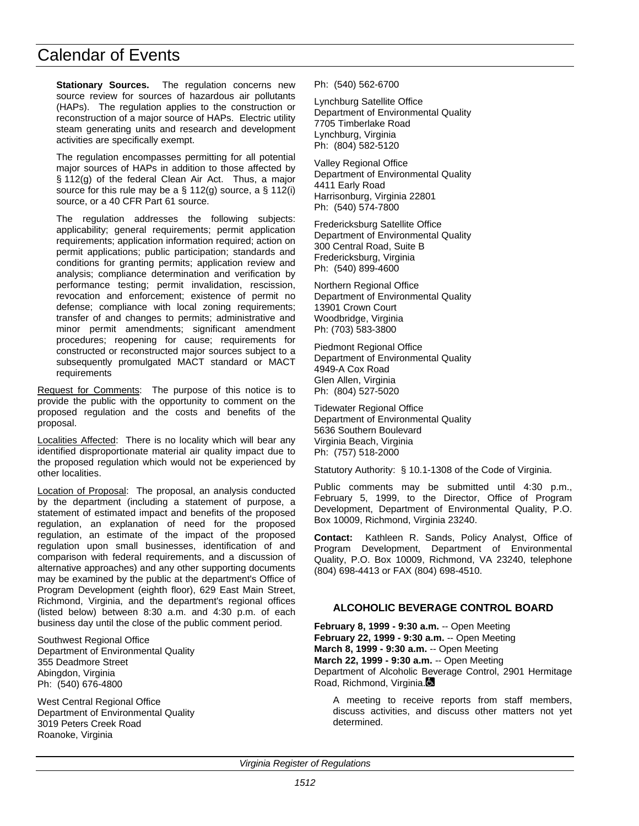# Calendar of Events

**Stationary Sources.** The regulation concerns new source review for sources of hazardous air pollutants (HAPs). The regulation applies to the construction or reconstruction of a major source of HAPs. Electric utility steam generating units and research and development activities are specifically exempt.

The regulation encompasses permitting for all potential major sources of HAPs in addition to those affected by § 112(g) of the federal Clean Air Act. Thus, a major source for this rule may be a  $\S$  112(g) source, a  $\S$  112(i) source, or a 40 CFR Part 61 source.

The regulation addresses the following subjects: applicability; general requirements; permit application requirements; application information required; action on permit applications; public participation; standards and conditions for granting permits; application review and analysis; compliance determination and verification by performance testing; permit invalidation, rescission, revocation and enforcement; existence of permit no defense; compliance with local zoning requirements; transfer of and changes to permits; administrative and minor permit amendments; significant amendment procedures; reopening for cause; requirements for constructed or reconstructed major sources subject to a subsequently promulgated MACT standard or MACT requirements

Request for Comments: The purpose of this notice is to provide the public with the opportunity to comment on the proposed regulation and the costs and benefits of the proposal.

Localities Affected: There is no locality which will bear any identified disproportionate material air quality impact due to the proposed regulation which would not be experienced by other localities.

Location of Proposal: The proposal, an analysis conducted by the department (including a statement of purpose, a statement of estimated impact and benefits of the proposed regulation, an explanation of need for the proposed regulation, an estimate of the impact of the proposed regulation upon small businesses, identification of and comparison with federal requirements, and a discussion of alternative approaches) and any other supporting documents may be examined by the public at the department's Office of Program Development (eighth floor), 629 East Main Street, Richmond, Virginia, and the department's regional offices (listed below) between 8:30 a.m. and 4:30 p.m. of each business day until the close of the public comment period.

Southwest Regional Office Department of Environmental Quality 355 Deadmore Street Abingdon, Virginia Ph: (540) 676-4800

West Central Regional Office Department of Environmental Quality 3019 Peters Creek Road Roanoke, Virginia

Ph: (540) 562-6700

Lynchburg Satellite Office Department of Environmental Quality 7705 Timberlake Road Lynchburg, Virginia Ph: (804) 582-5120

Valley Regional Office Department of Environmental Quality 4411 Early Road Harrisonburg, Virginia 22801 Ph: (540) 574-7800

Fredericksburg Satellite Office Department of Environmental Quality 300 Central Road, Suite B Fredericksburg, Virginia Ph: (540) 899-4600

Northern Regional Office Department of Environmental Quality 13901 Crown Court Woodbridge, Virginia Ph: (703) 583-3800

Piedmont Regional Office Department of Environmental Quality 4949-A Cox Road Glen Allen, Virginia Ph: (804) 527-5020

Tidewater Regional Office Department of Environmental Quality 5636 Southern Boulevard Virginia Beach, Virginia Ph: (757) 518-2000

Statutory Authority: § 10.1-1308 of the Code of Virginia.

Public comments may be submitted until 4:30 p.m., February 5, 1999, to the Director, Office of Program Development, Department of Environmental Quality, P.O. Box 10009, Richmond, Virginia 23240.

**Contact:** Kathleen R. Sands, Policy Analyst, Office of Program Development, Department of Environmental Quality, P.O. Box 10009, Richmond, VA 23240, telephone (804) 698-4413 or FAX (804) 698-4510.

#### **ALCOHOLIC BEVERAGE CONTROL BOARD**

**February 8, 1999 - 9:30 a.m.** -- Open Meeting **February 22, 1999 - 9:30 a.m.** -- Open Meeting **March 8, 1999 - 9:30 a.m.** -- Open Meeting **March 22, 1999 - 9:30 a.m.** -- Open Meeting Department of Alcoholic Beverage Control, 2901 Hermitage Road, Richmond, Virginia.

A meeting to receive reports from staff members, discuss activities, and discuss other matters not yet determined.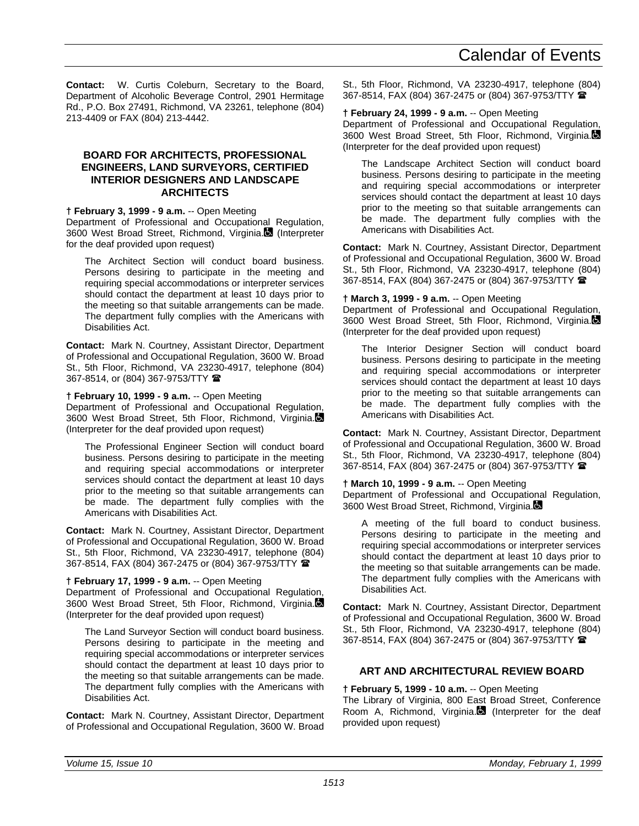**Contact:** W. Curtis Coleburn, Secretary to the Board, Department of Alcoholic Beverage Control, 2901 Hermitage Rd., P.O. Box 27491, Richmond, VA 23261, telephone (804) 213-4409 or FAX (804) 213-4442.

#### **BOARD FOR ARCHITECTS, PROFESSIONAL ENGINEERS, LAND SURVEYORS, CERTIFIED INTERIOR DESIGNERS AND LANDSCAPE ARCHITECTS**

#### **† February 3, 1999 - 9 a.m.** -- Open Meeting

Department of Professional and Occupational Regulation, 3600 West Broad Street, Richmond, Virginia. (Interpreter for the deaf provided upon request)

The Architect Section will conduct board business. Persons desiring to participate in the meeting and requiring special accommodations or interpreter services should contact the department at least 10 days prior to the meeting so that suitable arrangements can be made. The department fully complies with the Americans with Disabilities Act.

**Contact:** Mark N. Courtney, Assistant Director, Department of Professional and Occupational Regulation, 3600 W. Broad St., 5th Floor, Richmond, VA 23230-4917, telephone (804) 367-8514, or (804) 367-9753/TTY <sup>金</sup>

#### **† February 10, 1999 - 9 a.m.** -- Open Meeting

Department of Professional and Occupational Regulation, 3600 West Broad Street, 5th Floor, Richmond, Virginia. (Interpreter for the deaf provided upon request)

The Professional Engineer Section will conduct board business. Persons desiring to participate in the meeting and requiring special accommodations or interpreter services should contact the department at least 10 days prior to the meeting so that suitable arrangements can be made. The department fully complies with the Americans with Disabilities Act.

**Contact:** Mark N. Courtney, Assistant Director, Department of Professional and Occupational Regulation, 3600 W. Broad St., 5th Floor, Richmond, VA 23230-4917, telephone (804) 367-8514, FAX (804) 367-2475 or (804) 367-9753/TTY (

#### **† February 17, 1999 - 9 a.m.** -- Open Meeting

Department of Professional and Occupational Regulation, 3600 West Broad Street, 5th Floor, Richmond, Virginia. (Interpreter for the deaf provided upon request)

The Land Surveyor Section will conduct board business. Persons desiring to participate in the meeting and requiring special accommodations or interpreter services should contact the department at least 10 days prior to the meeting so that suitable arrangements can be made. The department fully complies with the Americans with Disabilities Act.

**Contact:** Mark N. Courtney, Assistant Director, Department of Professional and Occupational Regulation, 3600 W. Broad St., 5th Floor, Richmond, VA 23230-4917, telephone (804) 367-8514, FAX (804) 367-2475 or (804) 367-9753/TTY (

#### **† February 24, 1999 - 9 a.m.** -- Open Meeting

Department of Professional and Occupational Regulation, 3600 West Broad Street, 5th Floor, Richmond, Virginia. (Interpreter for the deaf provided upon request)

The Landscape Architect Section will conduct board business. Persons desiring to participate in the meeting and requiring special accommodations or interpreter services should contact the department at least 10 days prior to the meeting so that suitable arrangements can be made. The department fully complies with the Americans with Disabilities Act.

**Contact:** Mark N. Courtney, Assistant Director, Department of Professional and Occupational Regulation, 3600 W. Broad St., 5th Floor, Richmond, VA 23230-4917, telephone (804) 367-8514, FAX (804) 367-2475 or (804) 367-9753/TTY (

#### **† March 3, 1999 - 9 a.m.** -- Open Meeting

Department of Professional and Occupational Regulation, 3600 West Broad Street, 5th Floor, Richmond, Virginia. (Interpreter for the deaf provided upon request)

The Interior Designer Section will conduct board business. Persons desiring to participate in the meeting and requiring special accommodations or interpreter services should contact the department at least 10 days prior to the meeting so that suitable arrangements can be made. The department fully complies with the Americans with Disabilities Act.

**Contact:** Mark N. Courtney, Assistant Director, Department of Professional and Occupational Regulation, 3600 W. Broad St., 5th Floor, Richmond, VA 23230-4917, telephone (804) 367-8514, FAX (804) 367-2475 or (804) 367-9753/TTY (

**† March 10, 1999 - 9 a.m.** -- Open Meeting

Department of Professional and Occupational Regulation, 3600 West Broad Street, Richmond, Virginia.

A meeting of the full board to conduct business. Persons desiring to participate in the meeting and requiring special accommodations or interpreter services should contact the department at least 10 days prior to the meeting so that suitable arrangements can be made. The department fully complies with the Americans with Disabilities Act.

**Contact:** Mark N. Courtney, Assistant Director, Department of Professional and Occupational Regulation, 3600 W. Broad St., 5th Floor, Richmond, VA 23230-4917, telephone (804) 367-8514, FAX (804) 367-2475 or (804) 367-9753/TTY (

#### **ART AND ARCHITECTURAL REVIEW BOARD**

**† February 5, 1999 - 10 a.m.** -- Open Meeting

The Library of Virginia, 800 East Broad Street, Conference Room A, Richmond, Virginia.<sup>8</sup> (Interpreter for the deaf provided upon request)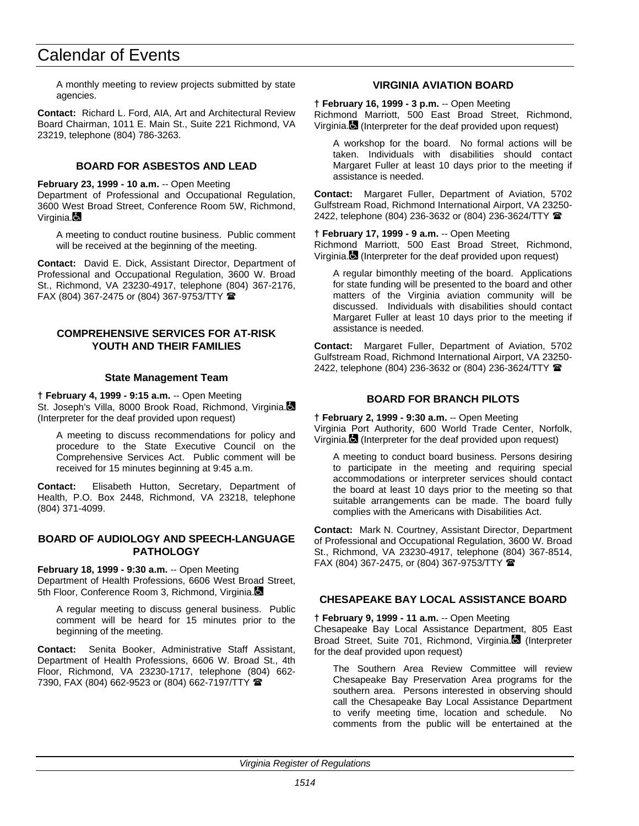# Calendar of Events

A monthly meeting to review projects submitted by state agencies.

**Contact:** Richard L. Ford, AIA, Art and Architectural Review Board Chairman, 1011 E. Main St., Suite 221 Richmond, VA 23219, telephone (804) 786-3263.

#### **BOARD FOR ASBESTOS AND LEAD**

**February 23, 1999 - 10 a.m.** -- Open Meeting Department of Professional and Occupational Regulation, 3600 West Broad Street, Conference Room 5W, Richmond, Virginia.

A meeting to conduct routine business. Public comment will be received at the beginning of the meeting.

**Contact:** David E. Dick, Assistant Director, Department of Professional and Occupational Regulation, 3600 W. Broad St., Richmond, VA 23230-4917, telephone (804) 367-2176, FAX (804) 367-2475 or (804) 367-9753/TTY  $\blacksquare$ 

#### **COMPREHENSIVE SERVICES FOR AT-RISK YOUTH AND THEIR FAMILIES**

#### **State Management Team**

**† February 4, 1999 - 9:15 a.m.** -- Open Meeting St. Joseph's Villa, 8000 Brook Road, Richmond, Virginia. (Interpreter for the deaf provided upon request)

A meeting to discuss recommendations for policy and procedure to the State Executive Council on the Comprehensive Services Act. Public comment will be received for 15 minutes beginning at 9:45 a.m.

**Contact:** Elisabeth Hutton, Secretary, Department of Health, P.O. Box 2448, Richmond, VA 23218, telephone (804) 371-4099.

#### **BOARD OF AUDIOLOGY AND SPEECH-LANGUAGE PATHOLOGY**

**February 18, 1999 - 9:30 a.m.** -- Open Meeting

Department of Health Professions, 6606 West Broad Street, 5th Floor, Conference Room 3, Richmond, Virginia.

A regular meeting to discuss general business. Public comment will be heard for 15 minutes prior to the beginning of the meeting.

**Contact:** Senita Booker, Administrative Staff Assistant, Department of Health Professions, 6606 W. Broad St., 4th Floor, Richmond, VA 23230-1717, telephone (804) 662- 7390, FAX (804) 662-9523 or (804) 662-7197/TTY  $\blacksquare$ 

#### **VIRGINIA AVIATION BOARD**

**† February 16, 1999 - 3 p.m.** -- Open Meeting Richmond Marriott, 500 East Broad Street, Richmond, Virginia. (Interpreter for the deaf provided upon request)

A workshop for the board. No formal actions will be taken. Individuals with disabilities should contact Margaret Fuller at least 10 days prior to the meeting if assistance is needed.

**Contact:** Margaret Fuller, Department of Aviation, 5702 Gulfstream Road, Richmond International Airport, VA 23250- 2422, telephone (804) 236-3632 or (804) 236-3624/TTY <sup>2</sup>

**† February 17, 1999 - 9 a.m.** -- Open Meeting Richmond Marriott, 500 East Broad Street, Richmond, Virginia. (Interpreter for the deaf provided upon request)

A regular bimonthly meeting of the board. Applications for state funding will be presented to the board and other matters of the Virginia aviation community will be discussed. Individuals with disabilities should contact Margaret Fuller at least 10 days prior to the meeting if assistance is needed.

**Contact:** Margaret Fuller, Department of Aviation, 5702 Gulfstream Road, Richmond International Airport, VA 23250- 2422, telephone (804) 236-3632 or (804) 236-3624/TTY <sup>金</sup>

#### **BOARD FOR BRANCH PILOTS**

**† February 2, 1999 - 9:30 a.m.** -- Open Meeting Virginia Port Authority, 600 World Trade Center, Norfolk, Virginia. (Interpreter for the deaf provided upon request)

A meeting to conduct board business. Persons desiring to participate in the meeting and requiring special accommodations or interpreter services should contact the board at least 10 days prior to the meeting so that suitable arrangements can be made. The board fully complies with the Americans with Disabilities Act.

**Contact:** Mark N. Courtney, Assistant Director, Department of Professional and Occupational Regulation, 3600 W. Broad St., Richmond, VA 23230-4917, telephone (804) 367-8514, FAX (804) 367-2475, or (804) 367-9753/TTY  $\blacksquare$ 

#### **CHESAPEAKE BAY LOCAL ASSISTANCE BOARD**

#### **† February 9, 1999 - 11 a.m.** -- Open Meeting

Chesapeake Bay Local Assistance Department, 805 East Broad Street, Suite 701, Richmond, Virginia. (Interpreter for the deaf provided upon request)

The Southern Area Review Committee will review Chesapeake Bay Preservation Area programs for the southern area. Persons interested in observing should call the Chesapeake Bay Local Assistance Department to verify meeting time, location and schedule. No comments from the public will be entertained at the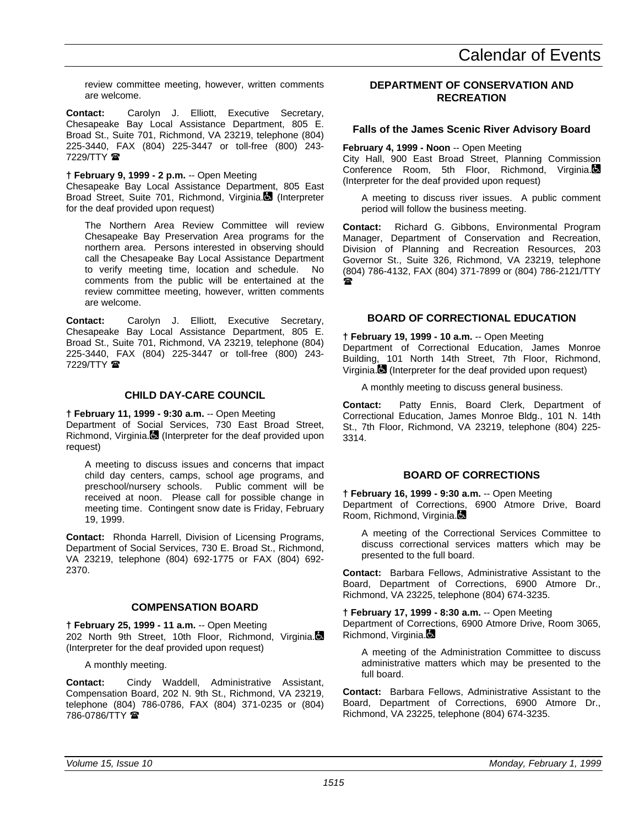review committee meeting, however, written comments are welcome.

**Contact:** Carolyn J. Elliott, Executive Secretary, Chesapeake Bay Local Assistance Department, 805 E. Broad St., Suite 701, Richmond, VA 23219, telephone (804) 225-3440, FAX (804) 225-3447 or toll-free (800) 243- 7229/TTY  $\circledR$ 

#### **† February 9, 1999 - 2 p.m.** -- Open Meeting

Chesapeake Bay Local Assistance Department, 805 East Broad Street, Suite 701, Richmond, Virginia. (Interpreter for the deaf provided upon request)

The Northern Area Review Committee will review Chesapeake Bay Preservation Area programs for the northern area. Persons interested in observing should call the Chesapeake Bay Local Assistance Department to verify meeting time, location and schedule. No comments from the public will be entertained at the review committee meeting, however, written comments are welcome.

**Contact:** Carolyn J. Elliott, Executive Secretary, Chesapeake Bay Local Assistance Department, 805 E. Broad St., Suite 701, Richmond, VA 23219, telephone (804) 225-3440, FAX (804) 225-3447 or toll-free (800) 243- 7229/TTY  $\mathbf{\mathcal{D}}$ 

#### **CHILD DAY-CARE COUNCIL**

**† February 11, 1999 - 9:30 a.m.** -- Open Meeting Department of Social Services, 730 East Broad Street, Richmond, Virginia. (Interpreter for the deaf provided upon request)

A meeting to discuss issues and concerns that impact child day centers, camps, school age programs, and preschool/nursery schools. Public comment will be received at noon. Please call for possible change in meeting time. Contingent snow date is Friday, February 19, 1999.

**Contact:** Rhonda Harrell, Division of Licensing Programs, Department of Social Services, 730 E. Broad St., Richmond, VA 23219, telephone (804) 692-1775 or FAX (804) 692- 2370.

#### **COMPENSATION BOARD**

**† February 25, 1999 - 11 a.m.** -- Open Meeting 202 North 9th Street, 10th Floor, Richmond, Virginia. (Interpreter for the deaf provided upon request)

A monthly meeting.

**Contact:** Cindy Waddell, Administrative Assistant, Compensation Board, 202 N. 9th St., Richmond, VA 23219, telephone (804) 786-0786, FAX (804) 371-0235 or (804) 786-0786/TTY  $\blacksquare$ 

#### **DEPARTMENT OF CONSERVATION AND RECREATION**

#### **Falls of the James Scenic River Advisory Board**

#### **February 4, 1999 - Noon** -- Open Meeting

City Hall, 900 East Broad Street, Planning Commission Conference Room, 5th Floor, Richmond, Virginia. (Interpreter for the deaf provided upon request)

A meeting to discuss river issues. A public comment period will follow the business meeting.

**Contact:** Richard G. Gibbons, Environmental Program Manager, Department of Conservation and Recreation, Division of Planning and Recreation Resources, 203 Governor St., Suite 326, Richmond, VA 23219, telephone (804) 786-4132, FAX (804) 371-7899 or (804) 786-2121/TTY  $\mathbf{r}$ 

#### **BOARD OF CORRECTIONAL EDUCATION**

**† February 19, 1999 - 10 a.m.** -- Open Meeting Department of Correctional Education, James Monroe Building, 101 North 14th Street, 7th Floor, Richmond, Virginia. (Interpreter for the deaf provided upon request)

A monthly meeting to discuss general business.

**Contact:** Patty Ennis, Board Clerk, Department of Correctional Education, James Monroe Bldg., 101 N. 14th St., 7th Floor, Richmond, VA 23219, telephone (804) 225- 3314.

#### **BOARD OF CORRECTIONS**

**† February 16, 1999 - 9:30 a.m.** -- Open Meeting Department of Corrections, 6900 Atmore Drive, Board Room, Richmond, Virginia.

A meeting of the Correctional Services Committee to discuss correctional services matters which may be presented to the full board.

**Contact:** Barbara Fellows, Administrative Assistant to the Board, Department of Corrections, 6900 Atmore Dr., Richmond, VA 23225, telephone (804) 674-3235.

**† February 17, 1999 - 8:30 a.m.** -- Open Meeting Department of Corrections, 6900 Atmore Drive, Room 3065, Richmond, Virginia.

A meeting of the Administration Committee to discuss administrative matters which may be presented to the full board.

**Contact:** Barbara Fellows, Administrative Assistant to the Board, Department of Corrections, 6900 Atmore Dr., Richmond, VA 23225, telephone (804) 674-3235.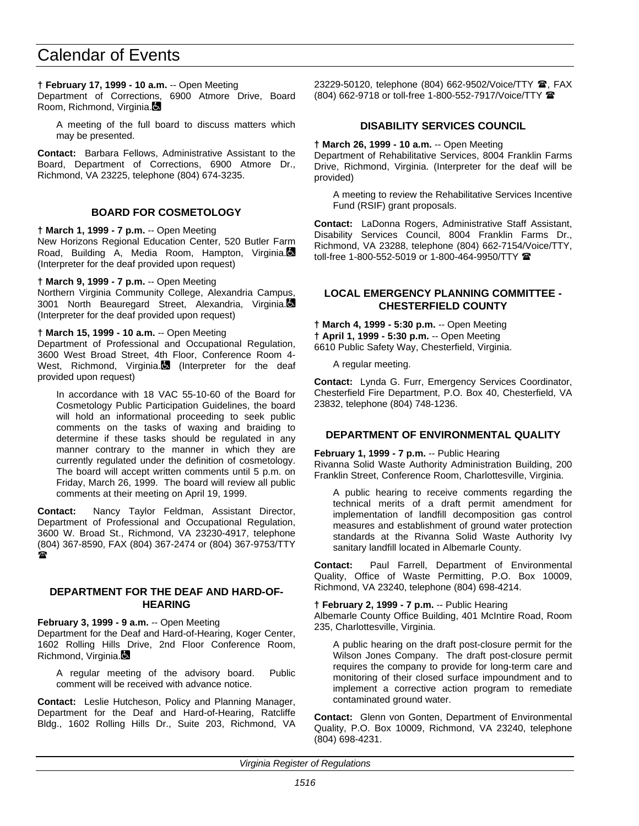# Calendar of Events

**† February 17, 1999 - 10 a.m.** -- Open Meeting

Department of Corrections, 6900 Atmore Drive, Board Room, Richmond, Virginia.

A meeting of the full board to discuss matters which may be presented.

**Contact:** Barbara Fellows, Administrative Assistant to the Board, Department of Corrections, 6900 Atmore Dr., Richmond, VA 23225, telephone (804) 674-3235.

#### **BOARD FOR COSMETOLOGY**

**† March 1, 1999 - 7 p.m.** -- Open Meeting

New Horizons Regional Education Center, 520 Butler Farm Road, Building A, Media Room, Hampton, Virginia. (Interpreter for the deaf provided upon request)

**† March 9, 1999 - 7 p.m.** -- Open Meeting

Northern Virginia Community College, Alexandria Campus, 3001 North Beauregard Street, Alexandria, Virginia. (Interpreter for the deaf provided upon request)

**† March 15, 1999 - 10 a.m.** -- Open Meeting

Department of Professional and Occupational Regulation, 3600 West Broad Street, 4th Floor, Conference Room 4- West, Richmond, Virginia. (Interpreter for the deaf provided upon request)

In accordance with 18 VAC 55-10-60 of the Board for Cosmetology Public Participation Guidelines, the board will hold an informational proceeding to seek public comments on the tasks of waxing and braiding to determine if these tasks should be regulated in any manner contrary to the manner in which they are currently regulated under the definition of cosmetology. The board will accept written comments until 5 p.m. on Friday, March 26, 1999. The board will review all public comments at their meeting on April 19, 1999.

**Contact:** Nancy Taylor Feldman, Assistant Director, Department of Professional and Occupational Regulation, 3600 W. Broad St., Richmond, VA 23230-4917, telephone (804) 367-8590, FAX (804) 367-2474 or (804) 367-9753/TTY  $\mathbf{r}$ 

#### **DEPARTMENT FOR THE DEAF AND HARD-OF-HEARING**

**February 3, 1999 - 9 a.m.** -- Open Meeting

Department for the Deaf and Hard-of-Hearing, Koger Center, 1602 Rolling Hills Drive, 2nd Floor Conference Room, Richmond, Virginia.

A regular meeting of the advisory board. Public comment will be received with advance notice.

**Contact:** Leslie Hutcheson, Policy and Planning Manager, Department for the Deaf and Hard-of-Hearing, Ratcliffe Bldg., 1602 Rolling Hills Dr., Suite 203, Richmond, VA 23229-50120, telephone (804) 662-9502/Voice/TTY **@**, FAX (804) 662-9718 or toll-free 1-800-552-7917/Voice/TTY (

#### **DISABILITY SERVICES COUNCIL**

**† March 26, 1999 - 10 a.m.** -- Open Meeting

Department of Rehabilitative Services, 8004 Franklin Farms Drive, Richmond, Virginia. (Interpreter for the deaf will be provided)

A meeting to review the Rehabilitative Services Incentive Fund (RSIF) grant proposals.

**Contact:** LaDonna Rogers, Administrative Staff Assistant, Disability Services Council, 8004 Franklin Farms Dr., Richmond, VA 23288, telephone (804) 662-7154/Voice/TTY, toll-free 1-800-552-5019 or 1-800-464-9950/TTY **@** 

#### **LOCAL EMERGENCY PLANNING COMMITTEE - CHESTERFIELD COUNTY**

**† March 4, 1999 - 5:30 p.m.** -- Open Meeting **† April 1, 1999 - 5:30 p.m.** -- Open Meeting

6610 Public Safety Way, Chesterfield, Virginia.

A regular meeting.

**Contact:** Lynda G. Furr, Emergency Services Coordinator, Chesterfield Fire Department, P.O. Box 40, Chesterfield, VA 23832, telephone (804) 748-1236.

#### **DEPARTMENT OF ENVIRONMENTAL QUALITY**

**February 1, 1999 - 7 p.m.** -- Public Hearing

Rivanna Solid Waste Authority Administration Building, 200 Franklin Street, Conference Room, Charlottesville, Virginia.

A public hearing to receive comments regarding the technical merits of a draft permit amendment for implementation of landfill decomposition gas control measures and establishment of ground water protection standards at the Rivanna Solid Waste Authority Ivy sanitary landfill located in Albemarle County.

**Contact:** Paul Farrell, Department of Environmental Quality, Office of Waste Permitting, P.O. Box 10009, Richmond, VA 23240, telephone (804) 698-4214.

**† February 2, 1999 - 7 p.m.** -- Public Hearing Albemarle County Office Building, 401 McIntire Road, Room 235, Charlottesville, Virginia.

A public hearing on the draft post-closure permit for the Wilson Jones Company. The draft post-closure permit requires the company to provide for long-term care and monitoring of their closed surface impoundment and to implement a corrective action program to remediate contaminated ground water.

**Contact:** Glenn von Gonten, Department of Environmental Quality, P.O. Box 10009, Richmond, VA 23240, telephone (804) 698-4231.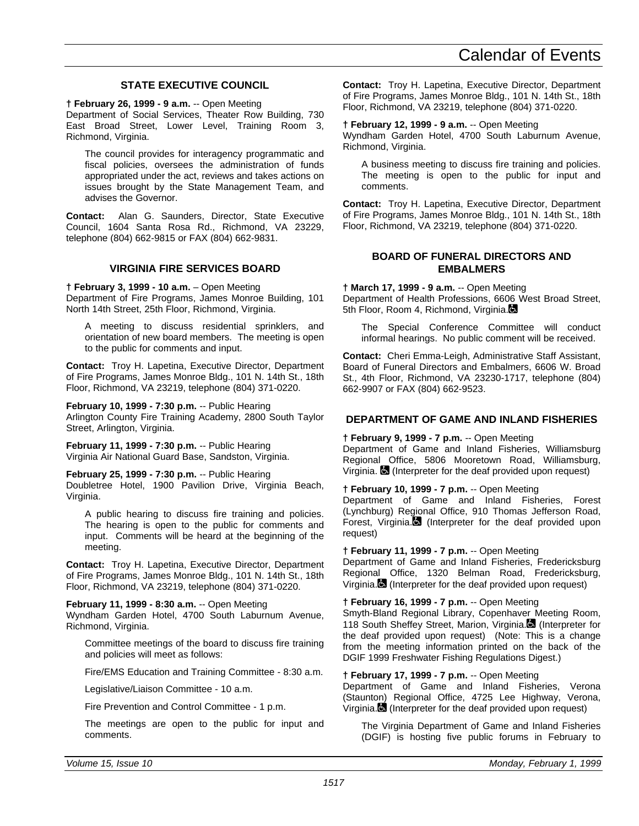#### **STATE EXECUTIVE COUNCIL**

**† February 26, 1999 - 9 a.m.** -- Open Meeting

Department of Social Services, Theater Row Building, 730 East Broad Street, Lower Level, Training Room 3, Richmond, Virginia.

The council provides for interagency programmatic and fiscal policies, oversees the administration of funds appropriated under the act, reviews and takes actions on issues brought by the State Management Team, and advises the Governor.

**Contact:** Alan G. Saunders, Director, State Executive Council, 1604 Santa Rosa Rd., Richmond, VA 23229, telephone (804) 662-9815 or FAX (804) 662-9831.

#### **VIRGINIA FIRE SERVICES BOARD**

**† February 3, 1999 - 10 a.m.** – Open Meeting Department of Fire Programs, James Monroe Building, 101 North 14th Street, 25th Floor, Richmond, Virginia.

A meeting to discuss residential sprinklers, and orientation of new board members. The meeting is open to the public for comments and input.

**Contact:** Troy H. Lapetina, Executive Director, Department of Fire Programs, James Monroe Bldg., 101 N. 14th St., 18th Floor, Richmond, VA 23219, telephone (804) 371-0220.

**February 10, 1999 - 7:30 p.m.** -- Public Hearing Arlington County Fire Training Academy, 2800 South Taylor Street, Arlington, Virginia.

**February 11, 1999 - 7:30 p.m.** -- Public Hearing Virginia Air National Guard Base, Sandston, Virginia.

**February 25, 1999 - 7:30 p.m.** -- Public Hearing Doubletree Hotel, 1900 Pavilion Drive, Virginia Beach, Virginia.

A public hearing to discuss fire training and policies. The hearing is open to the public for comments and input. Comments will be heard at the beginning of the meeting.

**Contact:** Troy H. Lapetina, Executive Director, Department of Fire Programs, James Monroe Bldg., 101 N. 14th St., 18th Floor, Richmond, VA 23219, telephone (804) 371-0220.

**February 11, 1999 - 8:30 a.m.** -- Open Meeting Wyndham Garden Hotel, 4700 South Laburnum Avenue, Richmond, Virginia.

Committee meetings of the board to discuss fire training and policies will meet as follows:

Fire/EMS Education and Training Committee - 8:30 a.m.

Legislative/Liaison Committee - 10 a.m.

Fire Prevention and Control Committee - 1 p.m.

The meetings are open to the public for input and comments.

**Contact:** Troy H. Lapetina, Executive Director, Department of Fire Programs, James Monroe Bldg., 101 N. 14th St., 18th Floor, Richmond, VA 23219, telephone (804) 371-0220.

#### **† February 12, 1999 - 9 a.m.** -- Open Meeting

Wyndham Garden Hotel, 4700 South Laburnum Avenue, Richmond, Virginia.

A business meeting to discuss fire training and policies. The meeting is open to the public for input and comments.

**Contact:** Troy H. Lapetina, Executive Director, Department of Fire Programs, James Monroe Bldg., 101 N. 14th St., 18th Floor, Richmond, VA 23219, telephone (804) 371-0220.

#### **BOARD OF FUNERAL DIRECTORS AND EMBALMERS**

**† March 17, 1999 - 9 a.m.** -- Open Meeting Department of Health Professions, 6606 West Broad Street,

5th Floor, Room 4, Richmond, Virginia.

The Special Conference Committee will conduct informal hearings. No public comment will be received.

**Contact:** Cheri Emma-Leigh, Administrative Staff Assistant, Board of Funeral Directors and Embalmers, 6606 W. Broad St., 4th Floor, Richmond, VA 23230-1717, telephone (804) 662-9907 or FAX (804) 662-9523.

#### **DEPARTMENT OF GAME AND INLAND FISHERIES**

#### **† February 9, 1999 - 7 p.m.** -- Open Meeting

Department of Game and Inland Fisheries, Williamsburg Regional Office, 5806 Mooretown Road, Williamsburg, Virginia.  $\blacksquare$  (Interpreter for the deaf provided upon request)

#### **† February 10, 1999 - 7 p.m.** -- Open Meeting

Department of Game and Inland Fisheries, Forest (Lynchburg) Regional Office, 910 Thomas Jefferson Road, Forest, Virginia. (Interpreter for the deaf provided upon request)

#### **† February 11, 1999 - 7 p.m.** -- Open Meeting

Department of Game and Inland Fisheries, Fredericksburg Regional Office, 1320 Belman Road, Fredericksburg, Virginia. (Interpreter for the deaf provided upon request)

#### **† February 16, 1999 - 7 p.m.** -- Open Meeting

Smyth-Bland Regional Library, Copenhaver Meeting Room, 118 South Sheffey Street, Marion, Virginia. (Interpreter for the deaf provided upon request) (Note: This is a change from the meeting information printed on the back of the DGIF 1999 Freshwater Fishing Regulations Digest.)

#### **† February 17, 1999 - 7 p.m.** -- Open Meeting

Department of Game and Inland Fisheries, Verona (Staunton) Regional Office, 4725 Lee Highway, Verona, Virginia. (Interpreter for the deaf provided upon request)

The Virginia Department of Game and Inland Fisheries (DGIF) is hosting five public forums in February to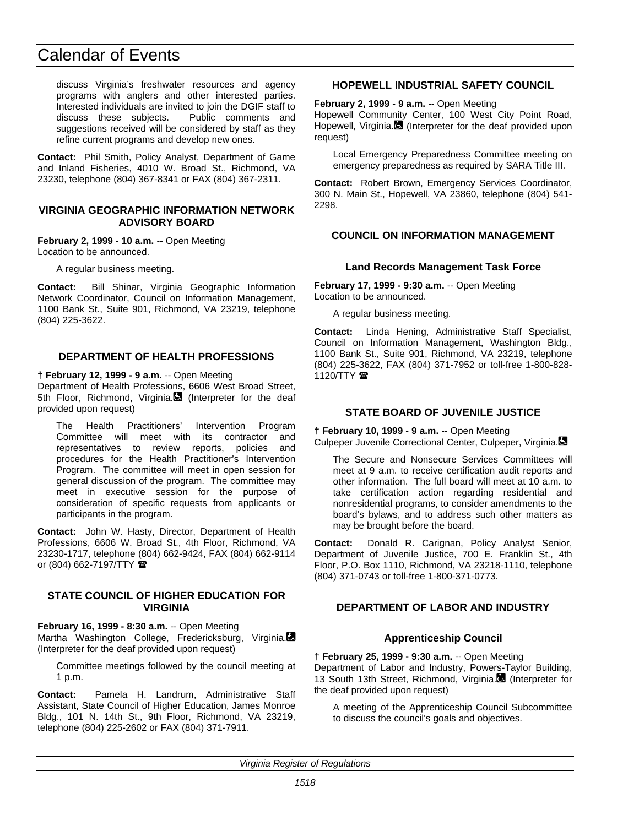discuss Virginia's freshwater resources and agency programs with anglers and other interested parties. Interested individuals are invited to join the DGIF staff to discuss these subjects. Public comments and suggestions received will be considered by staff as they refine current programs and develop new ones.

**Contact:** Phil Smith, Policy Analyst, Department of Game and Inland Fisheries, 4010 W. Broad St., Richmond, VA 23230, telephone (804) 367-8341 or FAX (804) 367-2311.

#### **VIRGINIA GEOGRAPHIC INFORMATION NETWORK ADVISORY BOARD**

**February 2, 1999 - 10 a.m.** -- Open Meeting Location to be announced.

A regular business meeting.

**Contact:** Bill Shinar, Virginia Geographic Information Network Coordinator, Council on Information Management, 1100 Bank St., Suite 901, Richmond, VA 23219, telephone (804) 225-3622.

## **DEPARTMENT OF HEALTH PROFESSIONS**

**† February 12, 1999 - 9 a.m.** -- Open Meeting Department of Health Professions, 6606 West Broad Street, 5th Floor, Richmond, Virginia. (Interpreter for the deaf provided upon request)

The Health Practitioners' Intervention Program Committee will meet with its contractor and representatives to review reports, policies and procedures for the Health Practitioner's Intervention Program. The committee will meet in open session for general discussion of the program. The committee may meet in executive session for the purpose of consideration of specific requests from applicants or participants in the program.

**Contact:** John W. Hasty, Director, Department of Health Professions, 6606 W. Broad St., 4th Floor, Richmond, VA 23230-1717, telephone (804) 662-9424, FAX (804) 662-9114 or (804) 662-7197/TTY  $\blacksquare$ 

#### **STATE COUNCIL OF HIGHER EDUCATION FOR VIRGINIA**

**February 16, 1999 - 8:30 a.m.** -- Open Meeting Martha Washington College, Fredericksburg, Virginia. (Interpreter for the deaf provided upon request)

Committee meetings followed by the council meeting at 1 p.m.

**Contact:** Pamela H. Landrum, Administrative Staff Assistant, State Council of Higher Education, James Monroe Bldg., 101 N. 14th St., 9th Floor, Richmond, VA 23219, telephone (804) 225-2602 or FAX (804) 371-7911.

## **HOPEWELL INDUSTRIAL SAFETY COUNCIL**

**February 2, 1999 - 9 a.m.** -- Open Meeting

Hopewell Community Center, 100 West City Point Road, Hopewell, Virginia. (Interpreter for the deaf provided upon request)

Local Emergency Preparedness Committee meeting on emergency preparedness as required by SARA Title III.

**Contact:** Robert Brown, Emergency Services Coordinator, 300 N. Main St., Hopewell, VA 23860, telephone (804) 541- 2298.

## **COUNCIL ON INFORMATION MANAGEMENT**

#### **Land Records Management Task Force**

**February 17, 1999 - 9:30 a.m.** -- Open Meeting Location to be announced.

A regular business meeting.

**Contact:** Linda Hening, Administrative Staff Specialist, Council on Information Management, Washington Bldg., 1100 Bank St., Suite 901, Richmond, VA 23219, telephone (804) 225-3622, FAX (804) 371-7952 or toll-free 1-800-828- 1120/TTY <sup>2</sup>

### **STATE BOARD OF JUVENILE JUSTICE**

**† February 10, 1999 - 9 a.m.** -- Open Meeting

Culpeper Juvenile Correctional Center, Culpeper, Virginia.

The Secure and Nonsecure Services Committees will meet at 9 a.m. to receive certification audit reports and other information. The full board will meet at 10 a.m. to take certification action regarding residential and nonresidential programs, to consider amendments to the board's bylaws, and to address such other matters as may be brought before the board.

**Contact:** Donald R. Carignan, Policy Analyst Senior, Department of Juvenile Justice, 700 E. Franklin St., 4th Floor, P.O. Box 1110, Richmond, VA 23218-1110, telephone (804) 371-0743 or toll-free 1-800-371-0773.

## **DEPARTMENT OF LABOR AND INDUSTRY**

## **Apprenticeship Council**

**† February 25, 1999 - 9:30 a.m.** -- Open Meeting Department of Labor and Industry, Powers-Taylor Building, 13 South 13th Street, Richmond, Virginia. (Interpreter for the deaf provided upon request)

A meeting of the Apprenticeship Council Subcommittee to discuss the council's goals and objectives.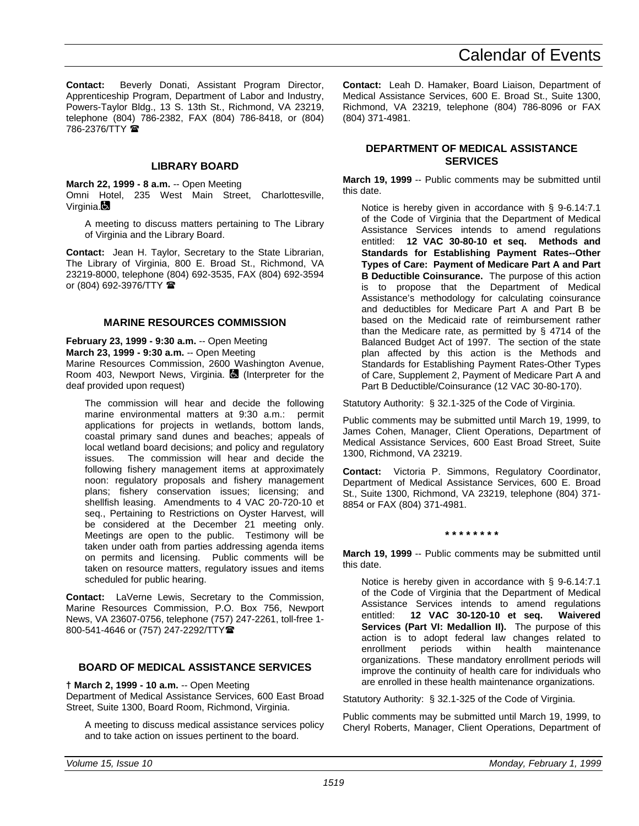**Contact:** Beverly Donati, Assistant Program Director, Apprenticeship Program, Department of Labor and Industry, Powers-Taylor Bldg., 13 S. 13th St., Richmond, VA 23219, telephone (804) 786-2382, FAX (804) 786-8418, or (804) 786-2376/TTY  $\blacksquare$ 

# **LIBRARY BOARD**

**March 22, 1999 - 8 a.m.** -- Open Meeting Omni Hotel, 235 West Main Street, Charlottesville, Virginia.

A meeting to discuss matters pertaining to The Library of Virginia and the Library Board.

**Contact:** Jean H. Taylor, Secretary to the State Librarian, The Library of Virginia, 800 E. Broad St., Richmond, VA 23219-8000, telephone (804) 692-3535, FAX (804) 692-3594 or (804) 692-3976/TTY <sup>金</sup>

## **MARINE RESOURCES COMMISSION**

**February 23, 1999 - 9:30 a.m.** -- Open Meeting **March 23, 1999 - 9:30 a.m.** -- Open Meeting Marine Resources Commission, 2600 Washington Avenue, Room 403, Newport News, Virginia.  $\blacksquare$  (Interpreter for the deaf provided upon request)

The commission will hear and decide the following marine environmental matters at 9:30 a.m.: permit applications for projects in wetlands, bottom lands, coastal primary sand dunes and beaches; appeals of local wetland board decisions; and policy and regulatory The commission will hear and decide the following fishery management items at approximately noon: regulatory proposals and fishery management plans; fishery conservation issues; licensing; and shellfish leasing. Amendments to 4 VAC 20-720-10 et seq., Pertaining to Restrictions on Oyster Harvest, will be considered at the December 21 meeting only. Meetings are open to the public. Testimony will be taken under oath from parties addressing agenda items on permits and licensing. Public comments will be taken on resource matters, regulatory issues and items scheduled for public hearing.

**Contact:** LaVerne Lewis, Secretary to the Commission, Marine Resources Commission, P.O. Box 756, Newport News, VA 23607-0756, telephone (757) 247-2261, toll-free 1- 800-541-4646 or (757) 247-2292/TTY曾

# **BOARD OF MEDICAL ASSISTANCE SERVICES**

**† March 2, 1999 - 10 a.m.** -- Open Meeting

Department of Medical Assistance Services, 600 East Broad Street, Suite 1300, Board Room, Richmond, Virginia.

A meeting to discuss medical assistance services policy and to take action on issues pertinent to the board.

**Contact:** Leah D. Hamaker, Board Liaison, Department of Medical Assistance Services, 600 E. Broad St., Suite 1300, Richmond, VA 23219, telephone (804) 786-8096 or FAX (804) 371-4981.

## **DEPARTMENT OF MEDICAL ASSISTANCE SERVICES**

**March 19, 1999** -- Public comments may be submitted until this date.

Notice is hereby given in accordance with § 9-6.14:7.1 of the Code of Virginia that the Department of Medical Assistance Services intends to amend regulations entitled: **12 VAC 30-80-10 et seq. Methods and Standards for Establishing Payment Rates--Other Types of Care: Payment of Medicare Part A and Part B Deductible Coinsurance.** The purpose of this action is to propose that the Department of Medical Assistance's methodology for calculating coinsurance and deductibles for Medicare Part A and Part B be based on the Medicaid rate of reimbursement rather than the Medicare rate, as permitted by § 4714 of the Balanced Budget Act of 1997. The section of the state plan affected by this action is the Methods and Standards for Establishing Payment Rates-Other Types of Care, Supplement 2, Payment of Medicare Part A and Part B Deductible/Coinsurance (12 VAC 30-80-170).

Statutory Authority: § 32.1-325 of the Code of Virginia.

Public comments may be submitted until March 19, 1999, to James Cohen, Manager, Client Operations, Department of Medical Assistance Services, 600 East Broad Street, Suite 1300, Richmond, VA 23219.

**Contact:** Victoria P. Simmons, Regulatory Coordinator, Department of Medical Assistance Services, 600 E. Broad St., Suite 1300, Richmond, VA 23219, telephone (804) 371- 8854 or FAX (804) 371-4981.

**\* \* \* \* \* \* \* \***

**March 19, 1999** -- Public comments may be submitted until this date.

Notice is hereby given in accordance with § 9-6.14:7.1 of the Code of Virginia that the Department of Medical Assistance Services intends to amend regulations entitled: **12 VAC 30-120-10 et seq. Waivered Services (Part VI: Medallion II).** The purpose of this action is to adopt federal law changes related to enrollment periods within health maintenance organizations. These mandatory enrollment periods will improve the continuity of health care for individuals who are enrolled in these health maintenance organizations.

Statutory Authority: § 32.1-325 of the Code of Virginia.

Public comments may be submitted until March 19, 1999, to Cheryl Roberts, Manager, Client Operations, Department of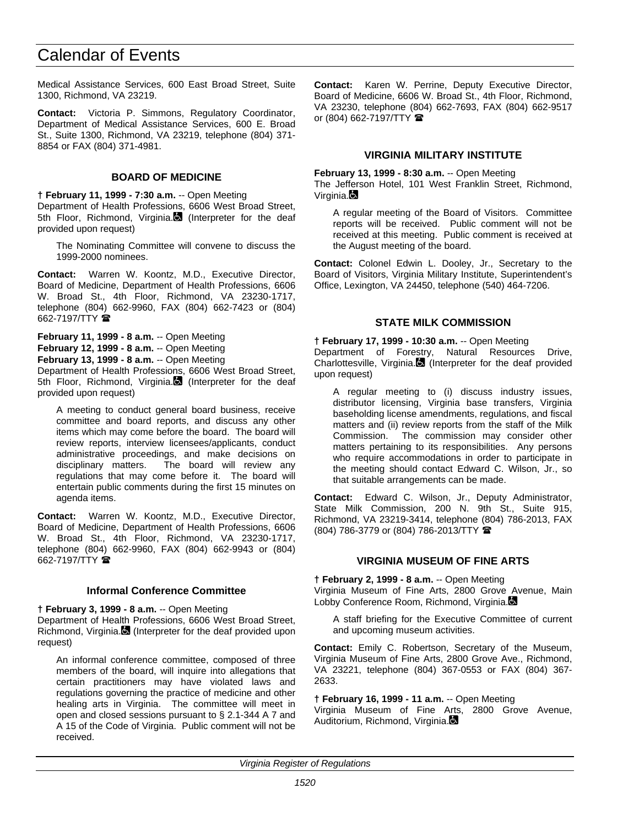Medical Assistance Services, 600 East Broad Street, Suite 1300, Richmond, VA 23219.

**Contact:** Victoria P. Simmons, Regulatory Coordinator, Department of Medical Assistance Services, 600 E. Broad St., Suite 1300, Richmond, VA 23219, telephone (804) 371- 8854 or FAX (804) 371-4981.

## **BOARD OF MEDICINE**

**† February 11, 1999 - 7:30 a.m.** -- Open Meeting Department of Health Professions, 6606 West Broad Street, 5th Floor, Richmond, Virginia. (Interpreter for the deaf provided upon request)

The Nominating Committee will convene to discuss the 1999-2000 nominees.

**Contact:** Warren W. Koontz, M.D., Executive Director, Board of Medicine, Department of Health Professions, 6606 W. Broad St., 4th Floor, Richmond, VA 23230-1717, telephone (804) 662-9960, FAX (804) 662-7423 or (804) 662-7197/TTY  $\blacksquare$ 

**February 11, 1999 - 8 a.m.** -- Open Meeting **February 12, 1999 - 8 a.m.** -- Open Meeting **February 13, 1999 - 8 a.m.** -- Open Meeting

Department of Health Professions, 6606 West Broad Street, 5th Floor, Richmond, Virginia. (Interpreter for the deaf provided upon request)

A meeting to conduct general board business, receive committee and board reports, and discuss any other items which may come before the board. The board will review reports, interview licensees/applicants, conduct administrative proceedings, and make decisions on disciplinary matters. The board will review any regulations that may come before it. The board will entertain public comments during the first 15 minutes on agenda items.

**Contact:** Warren W. Koontz, M.D., Executive Director, Board of Medicine, Department of Health Professions, 6606 W. Broad St., 4th Floor, Richmond, VA 23230-1717, telephone (804) 662-9960, FAX (804) 662-9943 or (804) 662-7197/TTY  $\blacksquare$ 

## **Informal Conference Committee**

**† February 3, 1999 - 8 a.m.** -- Open Meeting

Department of Health Professions, 6606 West Broad Street, Richmond, Virginia. (Interpreter for the deaf provided upon request)

An informal conference committee, composed of three members of the board, will inquire into allegations that certain practitioners may have violated laws and regulations governing the practice of medicine and other healing arts in Virginia. The committee will meet in open and closed sessions pursuant to § 2.1-344 A 7 and A 15 of the Code of Virginia. Public comment will not be received.

**Contact:** Karen W. Perrine, Deputy Executive Director, Board of Medicine, 6606 W. Broad St., 4th Floor, Richmond, VA 23230, telephone (804) 662-7693, FAX (804) 662-9517 or (804) 662-7197/TTY  $\blacksquare$ 

## **VIRGINIA MILITARY INSTITUTE**

**February 13, 1999 - 8:30 a.m.** -- Open Meeting

The Jefferson Hotel, 101 West Franklin Street, Richmond, Virginia.**B** 

A regular meeting of the Board of Visitors. Committee reports will be received. Public comment will not be received at this meeting. Public comment is received at the August meeting of the board.

**Contact:** Colonel Edwin L. Dooley, Jr., Secretary to the Board of Visitors, Virginia Military Institute, Superintendent's Office, Lexington, VA 24450, telephone (540) 464-7206.

## **STATE MILK COMMISSION**

**† February 17, 1999 - 10:30 a.m.** -- Open Meeting

Department of Forestry, Natural Resources Drive, Charlottesville, Virginia.  $\blacksquare$  (Interpreter for the deaf provided upon request)

A regular meeting to (i) discuss industry issues, distributor licensing, Virginia base transfers, Virginia baseholding license amendments, regulations, and fiscal matters and (ii) review reports from the staff of the Milk Commission. The commission may consider other matters pertaining to its responsibilities. Any persons who require accommodations in order to participate in the meeting should contact Edward C. Wilson, Jr., so that suitable arrangements can be made.

**Contact:** Edward C. Wilson, Jr., Deputy Administrator, State Milk Commission, 200 N. 9th St., Suite 915, Richmond, VA 23219-3414, telephone (804) 786-2013, FAX (804) 786-3779 or (804) 786-2013/TTY (

## **VIRGINIA MUSEUM OF FINE ARTS**

**† February 2, 1999 - 8 a.m.** -- Open Meeting Virginia Museum of Fine Arts, 2800 Grove Avenue, Main Lobby Conference Room, Richmond, Virginia.

A staff briefing for the Executive Committee of current and upcoming museum activities.

**Contact:** Emily C. Robertson, Secretary of the Museum, Virginia Museum of Fine Arts, 2800 Grove Ave., Richmond, VA 23221, telephone (804) 367-0553 or FAX (804) 367- 2633.

#### **† February 16, 1999 - 11 a.m.** -- Open Meeting

Virginia Museum of Fine Arts, 2800 Grove Avenue, Auditorium, Richmond, Virginia.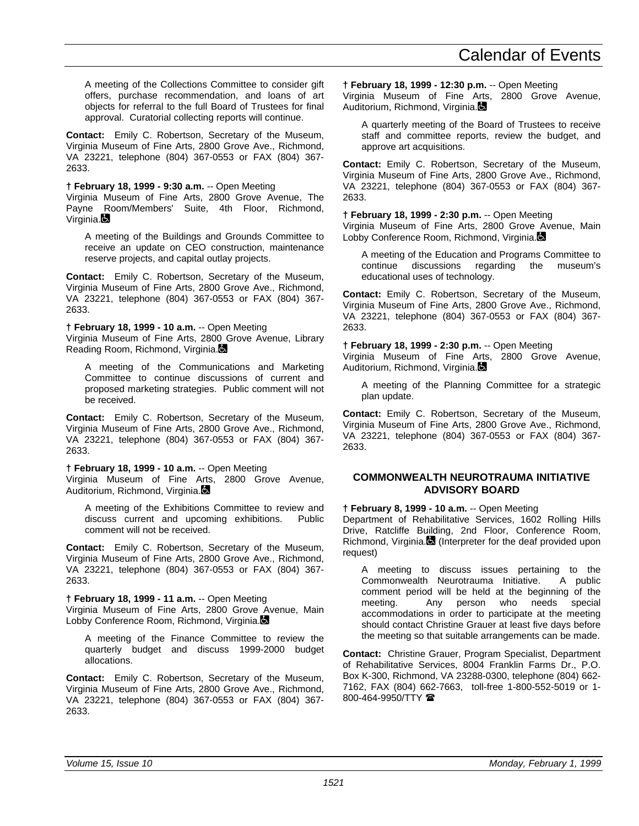A meeting of the Collections Committee to consider gift offers, purchase recommendation, and loans of art objects for referral to the full Board of Trustees for final approval. Curatorial collecting reports will continue.

**Contact:** Emily C. Robertson, Secretary of the Museum, Virginia Museum of Fine Arts, 2800 Grove Ave., Richmond, VA 23221, telephone (804) 367-0553 or FAX (804) 367- 2633.

#### **† February 18, 1999 - 9:30 a.m.** -- Open Meeting

Virginia Museum of Fine Arts, 2800 Grove Avenue, The Payne Room/Members' Suite, 4th Floor, Richmond, Virginia.

A meeting of the Buildings and Grounds Committee to receive an update on CEO construction, maintenance reserve projects, and capital outlay projects.

**Contact:** Emily C. Robertson, Secretary of the Museum, Virginia Museum of Fine Arts, 2800 Grove Ave., Richmond, VA 23221, telephone (804) 367-0553 or FAX (804) 367- 2633.

**† February 18, 1999 - 10 a.m.** -- Open Meeting

Virginia Museum of Fine Arts, 2800 Grove Avenue, Library Reading Room, Richmond, Virginia.

A meeting of the Communications and Marketing Committee to continue discussions of current and proposed marketing strategies. Public comment will not be received.

**Contact:** Emily C. Robertson, Secretary of the Museum, Virginia Museum of Fine Arts, 2800 Grove Ave., Richmond, VA 23221, telephone (804) 367-0553 or FAX (804) 367- 2633.

#### **† February 18, 1999 - 10 a.m.** -- Open Meeting

Virginia Museum of Fine Arts, 2800 Grove Avenue, Auditorium, Richmond, Virginia.

A meeting of the Exhibitions Committee to review and discuss current and upcoming exhibitions. Public comment will not be received.

**Contact:** Emily C. Robertson, Secretary of the Museum, Virginia Museum of Fine Arts, 2800 Grove Ave., Richmond, VA 23221, telephone (804) 367-0553 or FAX (804) 367- 2633.

#### **† February 18, 1999 - 11 a.m.** -- Open Meeting

Virginia Museum of Fine Arts, 2800 Grove Avenue, Main Lobby Conference Room, Richmond, Virginia.

A meeting of the Finance Committee to review the quarterly budget and discuss 1999-2000 budget allocations.

**Contact:** Emily C. Robertson, Secretary of the Museum, Virginia Museum of Fine Arts, 2800 Grove Ave., Richmond, VA 23221, telephone (804) 367-0553 or FAX (804) 367- 2633.

**† February 18, 1999 - 12:30 p.m.** -- Open Meeting

Virginia Museum of Fine Arts, 2800 Grove Avenue, Auditorium, Richmond, Virginia.

A quarterly meeting of the Board of Trustees to receive staff and committee reports, review the budget, and approve art acquisitions.

**Contact:** Emily C. Robertson, Secretary of the Museum, Virginia Museum of Fine Arts, 2800 Grove Ave., Richmond, VA 23221, telephone (804) 367-0553 or FAX (804) 367- 2633.

## **† February 18, 1999 - 2:30 p.m.** -- Open Meeting

Virginia Museum of Fine Arts, 2800 Grove Avenue, Main Lobby Conference Room, Richmond, Virginia.

A meeting of the Education and Programs Committee to continue discussions regarding the museum's educational uses of technology.

**Contact:** Emily C. Robertson, Secretary of the Museum, Virginia Museum of Fine Arts, 2800 Grove Ave., Richmond, VA 23221, telephone (804) 367-0553 or FAX (804) 367- 2633.

#### **† February 18, 1999 - 2:30 p.m.** -- Open Meeting

Virginia Museum of Fine Arts, 2800 Grove Avenue, Auditorium, Richmond, Virginia.

A meeting of the Planning Committee for a strategic plan update.

**Contact:** Emily C. Robertson, Secretary of the Museum, Virginia Museum of Fine Arts, 2800 Grove Ave., Richmond, VA 23221, telephone (804) 367-0553 or FAX (804) 367- 2633.

### **COMMONWEALTH NEUROTRAUMA INITIATIVE ADVISORY BOARD**

#### **† February 8, 1999 - 10 a.m.** -- Open Meeting

Department of Rehabilitative Services, 1602 Rolling Hills Drive, Ratcliffe Building, 2nd Floor, Conference Room, Richmond, Virginia. (Interpreter for the deaf provided upon request)

A meeting to discuss issues pertaining to the Commonwealth Neurotrauma Initiative. A public comment period will be held at the beginning of the meeting. Any person who needs special accommodations in order to participate at the meeting should contact Christine Grauer at least five days before the meeting so that suitable arrangements can be made.

**Contact:** Christine Grauer, Program Specialist, Department of Rehabilitative Services, 8004 Franklin Farms Dr., P.O. Box K-300, Richmond, VA 23288-0300, telephone (804) 662- 7162, FAX (804) 662-7663, toll-free 1-800-552-5019 or 1- 800-464-9950/TTY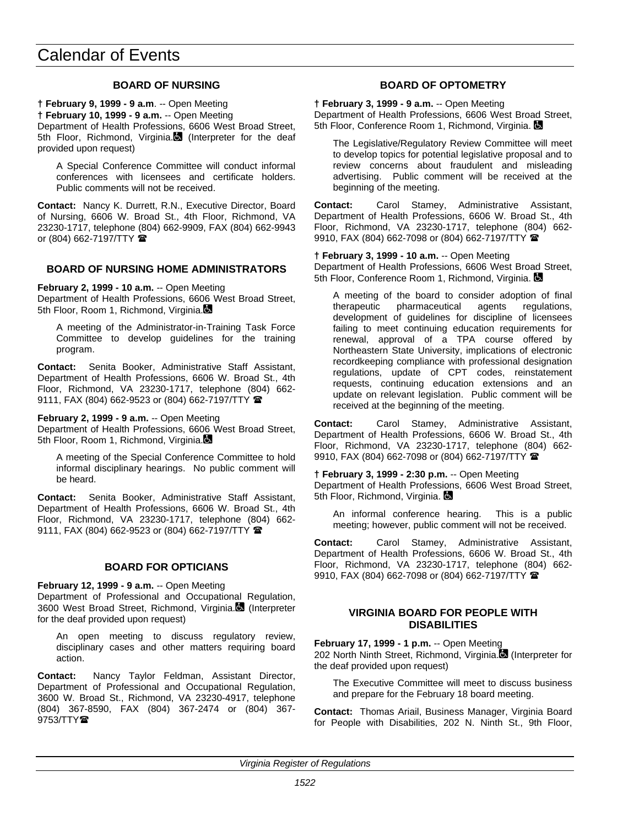## **BOARD OF NURSING**

**† February 9, 1999 - 9 a.m**. -- Open Meeting

**† February 10, 1999 - 9 a.m.** -- Open Meeting

Department of Health Professions, 6606 West Broad Street, 5th Floor, Richmond, Virginia. (Interpreter for the deaf provided upon request)

A Special Conference Committee will conduct informal conferences with licensees and certificate holders. Public comments will not be received.

**Contact:** Nancy K. Durrett, R.N., Executive Director, Board of Nursing, 6606 W. Broad St., 4th Floor, Richmond, VA 23230-1717, telephone (804) 662-9909, FAX (804) 662-9943 or (804) 662-7197/TTY  $\blacksquare$ 

## **BOARD OF NURSING HOME ADMINISTRATORS**

**February 2, 1999 - 10 a.m.** -- Open Meeting Department of Health Professions, 6606 West Broad Street, 5th Floor, Room 1, Richmond, Virginia.

A meeting of the Administrator-in-Training Task Force Committee to develop guidelines for the training program.

**Contact:** Senita Booker, Administrative Staff Assistant, Department of Health Professions, 6606 W. Broad St., 4th Floor, Richmond, VA 23230-1717, telephone (804) 662- 9111, FAX (804) 662-9523 or (804) 662-7197/TTY  $\blacksquare$ 

**February 2, 1999 - 9 a.m.** -- Open Meeting

Department of Health Professions, 6606 West Broad Street, 5th Floor, Room 1, Richmond, Virginia.

A meeting of the Special Conference Committee to hold informal disciplinary hearings. No public comment will be heard.

**Contact:** Senita Booker, Administrative Staff Assistant, Department of Health Professions, 6606 W. Broad St., 4th Floor, Richmond, VA 23230-1717, telephone (804) 662- 9111, FAX (804) 662-9523 or (804) 662-7197/TTY

## **BOARD FOR OPTICIANS**

**February 12, 1999 - 9 a.m.** -- Open Meeting Department of Professional and Occupational Regulation, 3600 West Broad Street, Richmond, Virginia. (Interpreter for the deaf provided upon request)

An open meeting to discuss regulatory review, disciplinary cases and other matters requiring board action.

**Contact:** Nancy Taylor Feldman, Assistant Director, Department of Professional and Occupational Regulation, 3600 W. Broad St., Richmond, VA 23230-4917, telephone (804) 367-8590, FAX (804) 367-2474 or (804) 367-  $9753/TTY$ 

## **BOARD OF OPTOMETRY**

**† February 3, 1999 - 9 a.m.** -- Open Meeting Department of Health Professions, 6606 West Broad Street, 5th Floor, Conference Room 1, Richmond, Virginia.

The Legislative/Regulatory Review Committee will meet to develop topics for potential legislative proposal and to review concerns about fraudulent and misleading advertising. Public comment will be received at the beginning of the meeting.

**Contact:** Carol Stamey, Administrative Assistant, Department of Health Professions, 6606 W. Broad St., 4th Floor, Richmond, VA 23230-1717, telephone (804) 662- 9910, FAX (804) 662-7098 or (804) 662-7197/TTY <sup>金</sup>

**† February 3, 1999 - 10 a.m.** -- Open Meeting

Department of Health Professions, 6606 West Broad Street, 5th Floor, Conference Room 1, Richmond, Virginia.

A meeting of the board to consider adoption of final therapeutic pharmaceutical agents regulations. pharmaceutical agents regulations, development of guidelines for discipline of licensees failing to meet continuing education requirements for renewal, approval of a TPA course offered by Northeastern State University, implications of electronic recordkeeping compliance with professional designation regulations, update of CPT codes, reinstatement requests, continuing education extensions and an update on relevant legislation. Public comment will be received at the beginning of the meeting.

**Contact:** Carol Stamey, Administrative Assistant, Department of Health Professions, 6606 W. Broad St., 4th Floor, Richmond, VA 23230-1717, telephone (804) 662- 9910, FAX (804) 662-7098 or (804) 662-7197/TTY <sup>金</sup>

**† February 3, 1999 - 2:30 p.m.** -- Open Meeting Department of Health Professions, 6606 West Broad Street, 5th Floor, Richmond, Virginia.

An informal conference hearing. This is a public meeting; however, public comment will not be received.

**Contact:** Carol Stamey, Administrative Assistant, Department of Health Professions, 6606 W. Broad St., 4th Floor, Richmond, VA 23230-1717, telephone (804) 662- 9910, FAX (804) 662-7098 or (804) 662-7197/TTY

## **VIRGINIA BOARD FOR PEOPLE WITH DISABILITIES**

**February 17, 1999 - 1 p.m.** -- Open Meeting 202 North Ninth Street, Richmond, Virginia. (Interpreter for the deaf provided upon request)

The Executive Committee will meet to discuss business and prepare for the February 18 board meeting.

**Contact:** Thomas Ariail, Business Manager, Virginia Board for People with Disabilities, 202 N. Ninth St., 9th Floor,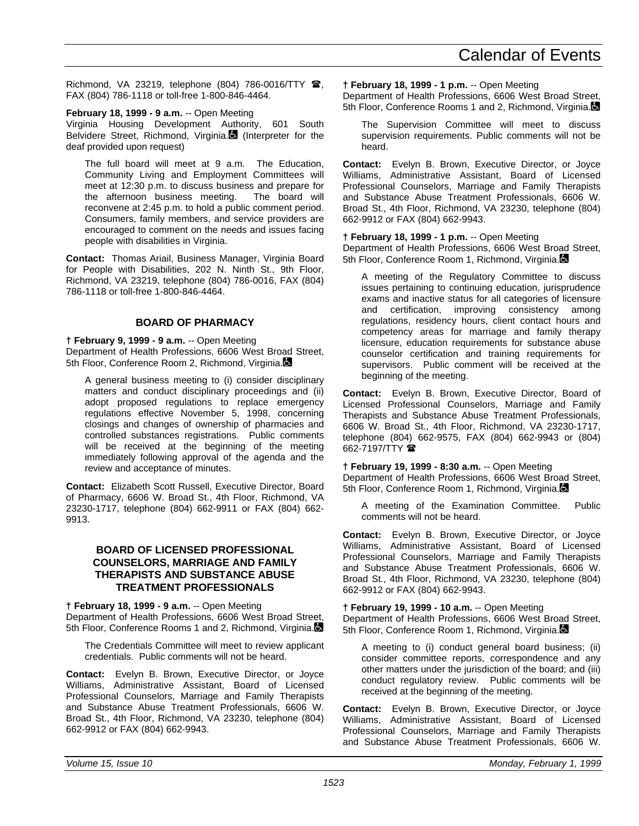Richmond, VA 23219, telephone (804) 786-0016/TTY  $\hat{B}$ , FAX (804) 786-1118 or toll-free 1-800-846-4464.

#### **February 18, 1999 - 9 a.m.** -- Open Meeting

Virginia Housing Development Authority, 601 South Belvidere Street, Richmond, Virginia.<sup>[2]</sup> (Interpreter for the deaf provided upon request)

The full board will meet at 9 a.m. The Education, Community Living and Employment Committees will meet at 12:30 p.m. to discuss business and prepare for the afternoon business meeting. The board will reconvene at 2:45 p.m. to hold a public comment period. Consumers, family members, and service providers are encouraged to comment on the needs and issues facing people with disabilities in Virginia.

**Contact:** Thomas Ariail, Business Manager, Virginia Board for People with Disabilities, 202 N. Ninth St., 9th Floor, Richmond, VA 23219, telephone (804) 786-0016, FAX (804) 786-1118 or toll-free 1-800-846-4464.

## **BOARD OF PHARMACY**

**† February 9, 1999 - 9 a.m.** -- Open Meeting Department of Health Professions, 6606 West Broad Street, 5th Floor, Conference Room 2, Richmond, Virginia.

A general business meeting to (i) consider disciplinary matters and conduct disciplinary proceedings and (ii) adopt proposed regulations to replace emergency regulations effective November 5, 1998, concerning closings and changes of ownership of pharmacies and controlled substances registrations. Public comments will be received at the beginning of the meeting immediately following approval of the agenda and the review and acceptance of minutes.

**Contact:** Elizabeth Scott Russell, Executive Director, Board of Pharmacy, 6606 W. Broad St., 4th Floor, Richmond, VA 23230-1717, telephone (804) 662-9911 or FAX (804) 662- 9913.

## **BOARD OF LICENSED PROFESSIONAL COUNSELORS, MARRIAGE AND FAMILY THERAPISTS AND SUBSTANCE ABUSE TREATMENT PROFESSIONALS**

**† February 18, 1999 - 9 a.m.** -- Open Meeting Department of Health Professions, 6606 West Broad Street, 5th Floor, Conference Rooms 1 and 2, Richmond, Virginia.

The Credentials Committee will meet to review applicant credentials. Public comments will not be heard.

**Contact:** Evelyn B. Brown, Executive Director, or Joyce Williams, Administrative Assistant, Board of Licensed Professional Counselors, Marriage and Family Therapists and Substance Abuse Treatment Professionals, 6606 W. Broad St., 4th Floor, Richmond, VA 23230, telephone (804) 662-9912 or FAX (804) 662-9943.

### **† February 18, 1999 - 1 p.m.** -- Open Meeting

Department of Health Professions, 6606 West Broad Street, 5th Floor, Conference Rooms 1 and 2, Richmond, Virginia.

The Supervision Committee will meet to discuss supervision requirements. Public comments will not be heard.

**Contact:** Evelyn B. Brown, Executive Director, or Joyce Williams, Administrative Assistant, Board of Licensed Professional Counselors, Marriage and Family Therapists and Substance Abuse Treatment Professionals, 6606 W. Broad St., 4th Floor, Richmond, VA 23230, telephone (804) 662-9912 or FAX (804) 662-9943.

## **† February 18, 1999 - 1 p.m.** -- Open Meeting

Department of Health Professions, 6606 West Broad Street, 5th Floor, Conference Room 1, Richmond, Virginia.

A meeting of the Regulatory Committee to discuss issues pertaining to continuing education, jurisprudence exams and inactive status for all categories of licensure and certification, improving consistency among regulations, residency hours, client contact hours and competency areas for marriage and family therapy licensure, education requirements for substance abuse counselor certification and training requirements for supervisors. Public comment will be received at the beginning of the meeting.

**Contact:** Evelyn B. Brown, Executive Director, Board of Licensed Professional Counselors, Marriage and Family Therapists and Substance Abuse Treatment Professionals, 6606 W. Broad St., 4th Floor, Richmond, VA 23230-1717, telephone (804) 662-9575, FAX (804) 662-9943 or (804) 662-7197/TTY **雷** 

## **† February 19, 1999 - 8:30 a.m.** -- Open Meeting

Department of Health Professions, 6606 West Broad Street, 5th Floor, Conference Room 1, Richmond, Virginia.

A meeting of the Examination Committee. Public comments will not be heard.

**Contact:** Evelyn B. Brown, Executive Director, or Joyce Williams, Administrative Assistant, Board of Licensed Professional Counselors, Marriage and Family Therapists and Substance Abuse Treatment Professionals, 6606 W. Broad St., 4th Floor, Richmond, VA 23230, telephone (804) 662-9912 or FAX (804) 662-9943.

**† February 19, 1999 - 10 a.m.** -- Open Meeting Department of Health Professions, 6606 West Broad Street, 5th Floor, Conference Room 1, Richmond, Virginia.

A meeting to (i) conduct general board business; (ii) consider committee reports, correspondence and any other matters under the jurisdiction of the board; and (iii) conduct regulatory review. Public comments will be received at the beginning of the meeting.

**Contact:** Evelyn B. Brown, Executive Director, or Joyce Williams, Administrative Assistant, Board of Licensed Professional Counselors, Marriage and Family Therapists and Substance Abuse Treatment Professionals, 6606 W.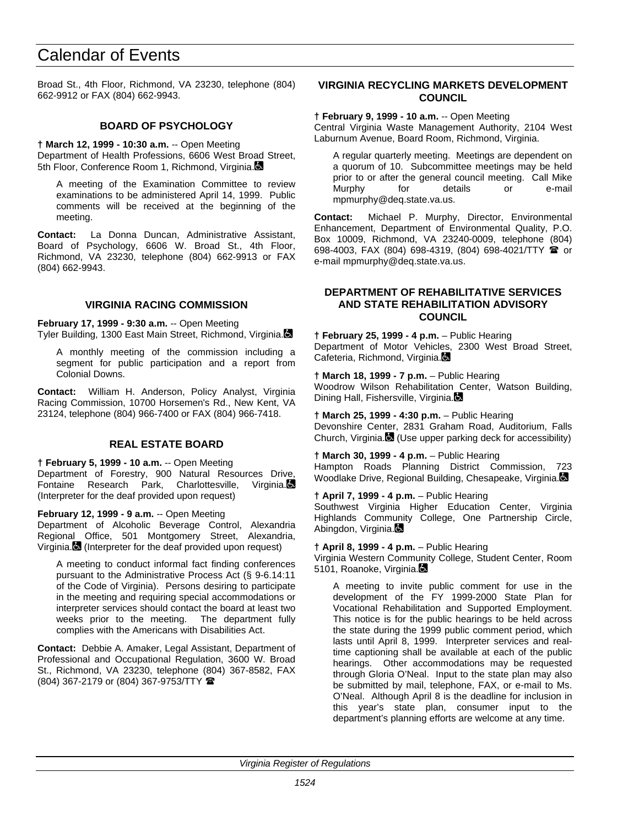Broad St., 4th Floor, Richmond, VA 23230, telephone (804) 662-9912 or FAX (804) 662-9943.

## **BOARD OF PSYCHOLOGY**

**† March 12, 1999 - 10:30 a.m.** -- Open Meeting Department of Health Professions, 6606 West Broad Street, 5th Floor, Conference Room 1, Richmond, Virginia.

A meeting of the Examination Committee to review examinations to be administered April 14, 1999. Public comments will be received at the beginning of the meeting.

**Contact:** La Donna Duncan, Administrative Assistant, Board of Psychology, 6606 W. Broad St., 4th Floor, Richmond, VA 23230, telephone (804) 662-9913 or FAX (804) 662-9943.

## **VIRGINIA RACING COMMISSION**

**February 17, 1999 - 9:30 a.m.** -- Open Meeting Tyler Building, 1300 East Main Street, Richmond, Virginia.

A monthly meeting of the commission including a segment for public participation and a report from Colonial Downs.

**Contact:** William H. Anderson, Policy Analyst, Virginia Racing Commission, 10700 Horsemen's Rd., New Kent, VA 23124, telephone (804) 966-7400 or FAX (804) 966-7418.

## **REAL ESTATE BOARD**

**† February 5, 1999 - 10 a.m.** -- Open Meeting Department of Forestry, 900 Natural Resources Drive, Fontaine Research Park, Charlottesville, Virginia. (Interpreter for the deaf provided upon request)

**February 12, 1999 - 9 a.m.** -- Open Meeting

Department of Alcoholic Beverage Control, Alexandria Regional Office, 501 Montgomery Street, Alexandria, Virginia. (Interpreter for the deaf provided upon request)

A meeting to conduct informal fact finding conferences pursuant to the Administrative Process Act (§ 9-6.14:11 of the Code of Virginia). Persons desiring to participate in the meeting and requiring special accommodations or interpreter services should contact the board at least two weeks prior to the meeting. The department fully complies with the Americans with Disabilities Act.

**Contact:** Debbie A. Amaker, Legal Assistant, Department of Professional and Occupational Regulation, 3600 W. Broad St., Richmond, VA 23230, telephone (804) 367-8582, FAX (804) 367-2179 or (804) 367-9753/TTY (

## **VIRGINIA RECYCLING MARKETS DEVELOPMENT COUNCIL**

**† February 9, 1999 - 10 a.m.** -- Open Meeting

Central Virginia Waste Management Authority, 2104 West Laburnum Avenue, Board Room, Richmond, Virginia.

A regular quarterly meeting. Meetings are dependent on a quorum of 10. Subcommittee meetings may be held prior to or after the general council meeting. Call Mike<br>Murphy for details or e-mail Murphy for details or mpmurphy@deq.state.va.us.

**Contact:** Michael P. Murphy, Director, Environmental Enhancement, Department of Environmental Quality, P.O. Box 10009, Richmond, VA 23240-0009, telephone (804) 698-4003, FAX (804) 698-4319, (804) 698-4021/TTY <sup>or</sup> or e-mail mpmurphy@deq.state.va.us.

## **DEPARTMENT OF REHABILITATIVE SERVICES AND STATE REHABILITATION ADVISORY COUNCIL**

**† February 25, 1999 - 4 p.m.** – Public Hearing Department of Motor Vehicles, 2300 West Broad Street, Cafeteria, Richmond, Virginia.

**† March 18, 1999 - 7 p.m.** – Public Hearing Woodrow Wilson Rehabilitation Center, Watson Building, Dining Hall, Fishersville, Virginia.

**† March 25, 1999 - 4:30 p.m.** – Public Hearing Devonshire Center, 2831 Graham Road, Auditorium, Falls Church, Virginia. (Use upper parking deck for accessibility)

**† March 30, 1999 - 4 p.m.** – Public Hearing Hampton Roads Planning District Commission, 723 Woodlake Drive, Regional Building, Chesapeake, Virginia.

**† April 7, 1999 - 4 p.m.** – Public Hearing Southwest Virginia Higher Education Center, Virginia Highlands Community College, One Partnership Circle, Abingdon, Virginia.

**† April 8, 1999 - 4 p.m.** – Public Hearing

Virginia Western Community College, Student Center, Room 5101, Roanoke, Virginia.

A meeting to invite public comment for use in the development of the FY 1999-2000 State Plan for Vocational Rehabilitation and Supported Employment. This notice is for the public hearings to be held across the state during the 1999 public comment period, which lasts until April 8, 1999. Interpreter services and realtime captioning shall be available at each of the public hearings. Other accommodations may be requested through Gloria O'Neal. Input to the state plan may also be submitted by mail, telephone, FAX, or e-mail to Ms. O'Neal. Although April 8 is the deadline for inclusion in this year's state plan, consumer input to the department's planning efforts are welcome at any time.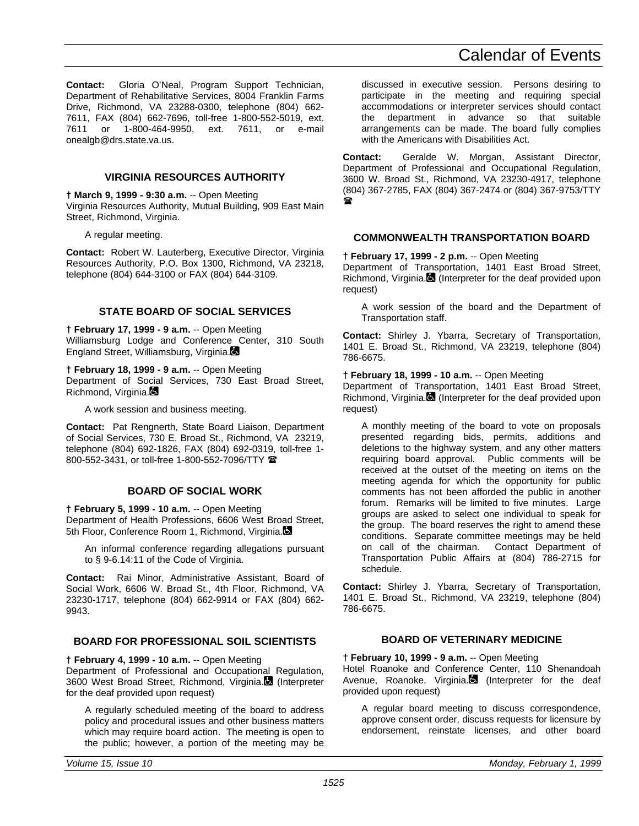**Contact:** Gloria O'Neal, Program Support Technician, Department of Rehabilitative Services, 8004 Franklin Farms Drive, Richmond, VA 23288-0300, telephone (804) 662- 7611, FAX (804) 662-7696, toll-free 1-800-552-5019, ext. 7611 or 1-800-464-9950, ext. 7611, or e-mail onealgb@drs.state.va.us.

### **VIRGINIA RESOURCES AUTHORITY**

**† March 9, 1999 - 9:30 a.m.** -- Open Meeting

Virginia Resources Authority, Mutual Building, 909 East Main Street, Richmond, Virginia.

A regular meeting.

**Contact:** Robert W. Lauterberg, Executive Director, Virginia Resources Authority, P.O. Box 1300, Richmond, VA 23218, telephone (804) 644-3100 or FAX (804) 644-3109.

#### **STATE BOARD OF SOCIAL SERVICES**

**† February 17, 1999 - 9 a.m.** -- Open Meeting Williamsburg Lodge and Conference Center, 310 South England Street, Williamsburg, Virginia.

**† February 18, 1999 - 9 a.m.** -- Open Meeting Department of Social Services, 730 East Broad Street, Richmond, Virginia.

A work session and business meeting.

**Contact:** Pat Rengnerth, State Board Liaison, Department of Social Services, 730 E. Broad St., Richmond, VA 23219, telephone (804) 692-1826, FAX (804) 692-0319, toll-free 1- 800-552-3431, or toll-free 1-800-552-7096/TTY <sup>金</sup>

## **BOARD OF SOCIAL WORK**

**† February 5, 1999 - 10 a.m.** -- Open Meeting Department of Health Professions, 6606 West Broad Street, 5th Floor, Conference Room 1, Richmond, Virginia.

An informal conference regarding allegations pursuant to § 9-6.14:11 of the Code of Virginia.

**Contact:** Rai Minor, Administrative Assistant, Board of Social Work, 6606 W. Broad St., 4th Floor, Richmond, VA 23230-1717, telephone (804) 662-9914 or FAX (804) 662- 9943.

#### **BOARD FOR PROFESSIONAL SOIL SCIENTISTS**

**† February 4, 1999 - 10 a.m.** -- Open Meeting Department of Professional and Occupational Regulation, 3600 West Broad Street, Richmond, Virginia. (Interpreter for the deaf provided upon request)

A regularly scheduled meeting of the board to address policy and procedural issues and other business matters which may require board action. The meeting is open to the public; however, a portion of the meeting may be discussed in executive session. Persons desiring to participate in the meeting and requiring special accommodations or interpreter services should contact the department in advance so that suitable arrangements can be made. The board fully complies with the Americans with Disabilities Act.

**Contact:** Geralde W. Morgan, Assistant Director, Department of Professional and Occupational Regulation, 3600 W. Broad St., Richmond, VA 23230-4917, telephone (804) 367-2785, FAX (804) 367-2474 or (804) 367-9753/TTY  $\mathbf{F}$ 

#### **COMMONWEALTH TRANSPORTATION BOARD**

**† February 17, 1999 - 2 p.m.** -- Open Meeting

Department of Transportation, 1401 East Broad Street, Richmond, Virginia. (Interpreter for the deaf provided upon request)

A work session of the board and the Department of Transportation staff.

**Contact:** Shirley J. Ybarra, Secretary of Transportation, 1401 E. Broad St., Richmond, VA 23219, telephone (804) 786-6675.

#### **† February 18, 1999 - 10 a.m.** -- Open Meeting

Department of Transportation, 1401 East Broad Street, Richmond, Virginia. (Interpreter for the deaf provided upon request)

A monthly meeting of the board to vote on proposals presented regarding bids, permits, additions and deletions to the highway system, and any other matters requiring board approval. Public comments will be received at the outset of the meeting on items on the meeting agenda for which the opportunity for public comments has not been afforded the public in another forum. Remarks will be limited to five minutes. Large groups are asked to select one individual to speak for the group. The board reserves the right to amend these conditions. Separate committee meetings may be held on call of the chairman. Contact Department of Transportation Public Affairs at (804) 786-2715 for schedule.

**Contact:** Shirley J. Ybarra, Secretary of Transportation, 1401 E. Broad St., Richmond, VA 23219, telephone (804) 786-6675.

## **BOARD OF VETERINARY MEDICINE**

**† February 10, 1999 - 9 a.m.** -- Open Meeting

Hotel Roanoke and Conference Center, 110 Shenandoah Avenue, Roanoke, Virginia.<sup>1</sup> (Interpreter for the deaf provided upon request)

A regular board meeting to discuss correspondence, approve consent order, discuss requests for licensure by endorsement, reinstate licenses, and other board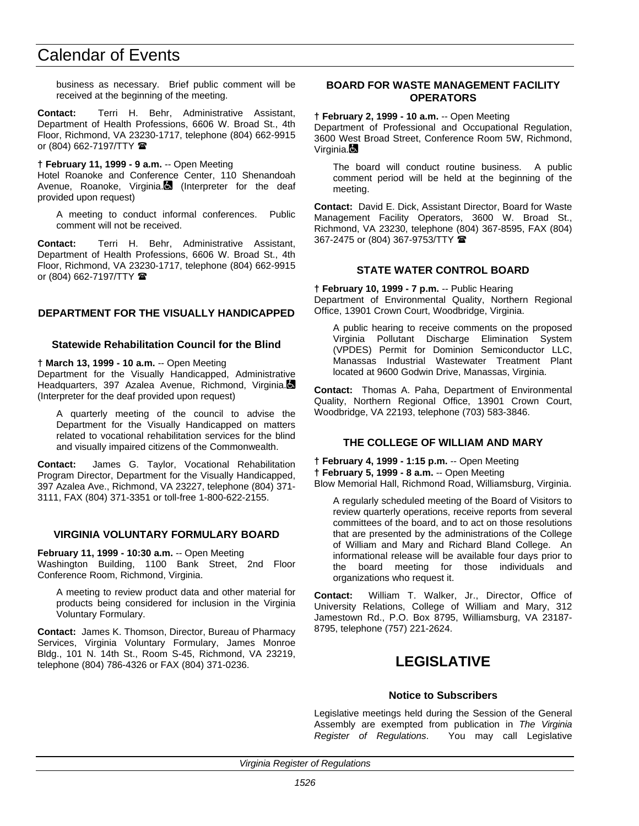business as necessary. Brief public comment will be received at the beginning of the meeting.

**Contact:** Terri H. Behr, Administrative Assistant, Department of Health Professions, 6606 W. Broad St., 4th Floor, Richmond, VA 23230-1717, telephone (804) 662-9915 or (804) 662-7197/TTY  $\hat{=}$ 

**† February 11, 1999 - 9 a.m.** -- Open Meeting

Hotel Roanoke and Conference Center, 110 Shenandoah Avenue, Roanoke, Virginia. (Interpreter for the deaf provided upon request)

A meeting to conduct informal conferences. Public comment will not be received.

**Contact:** Terri H. Behr, Administrative Assistant, Department of Health Professions, 6606 W. Broad St., 4th Floor, Richmond, VA 23230-1717, telephone (804) 662-9915 or (804) 662-7197/TTY

## **DEPARTMENT FOR THE VISUALLY HANDICAPPED**

#### **Statewide Rehabilitation Council for the Blind**

**† March 13, 1999 - 10 a.m.** -- Open Meeting

Department for the Visually Handicapped, Administrative Headquarters, 397 Azalea Avenue, Richmond, Virginia. (Interpreter for the deaf provided upon request)

A quarterly meeting of the council to advise the Department for the Visually Handicapped on matters related to vocational rehabilitation services for the blind and visually impaired citizens of the Commonwealth.

**Contact:** James G. Taylor, Vocational Rehabilitation Program Director, Department for the Visually Handicapped, 397 Azalea Ave., Richmond, VA 23227, telephone (804) 371- 3111, FAX (804) 371-3351 or toll-free 1-800-622-2155.

## **VIRGINIA VOLUNTARY FORMULARY BOARD**

**February 11, 1999 - 10:30 a.m.** -- Open Meeting

Washington Building, 1100 Bank Street, 2nd Floor Conference Room, Richmond, Virginia.

A meeting to review product data and other material for products being considered for inclusion in the Virginia Voluntary Formulary.

**Contact:** James K. Thomson, Director, Bureau of Pharmacy Services, Virginia Voluntary Formulary, James Monroe Bldg., 101 N. 14th St., Room S-45, Richmond, VA 23219, telephone (804) 786-4326 or FAX (804) 371-0236.

## **BOARD FOR WASTE MANAGEMENT FACILITY OPERATORS**

#### **† February 2, 1999 - 10 a.m.** -- Open Meeting

Department of Professional and Occupational Regulation, 3600 West Broad Street, Conference Room 5W, Richmond, Virginia.

The board will conduct routine business. A public comment period will be held at the beginning of the meeting.

**Contact:** David E. Dick, Assistant Director, Board for Waste Management Facility Operators, 3600 W. Broad St., Richmond, VA 23230, telephone (804) 367-8595, FAX (804) 367-2475 or (804) 367-9753/TTY 2

## **STATE WATER CONTROL BOARD**

**† February 10, 1999 - 7 p.m.** -- Public Hearing Department of Environmental Quality, Northern Regional Office, 13901 Crown Court, Woodbridge, Virginia.

A public hearing to receive comments on the proposed Virginia Pollutant Discharge Elimination System (VPDES) Permit for Dominion Semiconductor LLC, Manassas Industrial Wastewater Treatment Plant located at 9600 Godwin Drive, Manassas, Virginia.

**Contact:** Thomas A. Paha, Department of Environmental Quality, Northern Regional Office, 13901 Crown Court, Woodbridge, VA 22193, telephone (703) 583-3846.

## **THE COLLEGE OF WILLIAM AND MARY**

**† February 4, 1999 - 1:15 p.m.** -- Open Meeting **† February 5, 1999 - 8 a.m.** -- Open Meeting Blow Memorial Hall, Richmond Road, Williamsburg, Virginia.

A regularly scheduled meeting of the Board of Visitors to review quarterly operations, receive reports from several committees of the board, and to act on those resolutions that are presented by the administrations of the College of William and Mary and Richard Bland College. An informational release will be available four days prior to the board meeting for those individuals and organizations who request it.

**Contact:** William T. Walker, Jr., Director, Office of University Relations, College of William and Mary, 312 Jamestown Rd., P.O. Box 8795, Williamsburg, VA 23187- 8795, telephone (757) 221-2624.

# **LEGISLATIVE**

#### **Notice to Subscribers**

Legislative meetings held during the Session of the General Assembly are exempted from publication in *The Virginia Register of Regulations*. You may call Legislative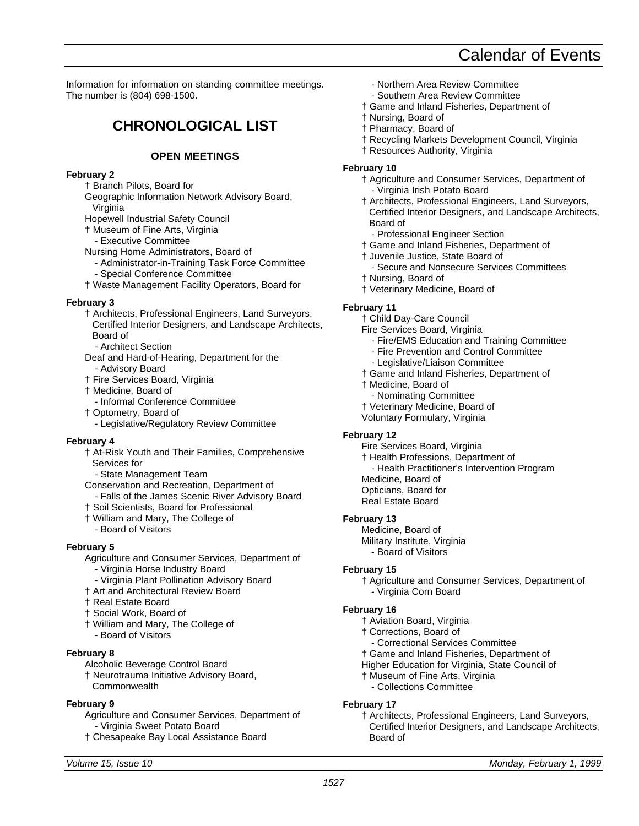Information for information on standing committee meetings. The number is (804) 698-1500.

# **CHRONOLOGICAL LIST**

## **OPEN MEETINGS**

#### **February 2**

- † Branch Pilots, Board for
- Geographic Information Network Advisory Board, Virginia
- Hopewell Industrial Safety Council
- † Museum of Fine Arts, Virginia
- Executive Committee
- Nursing Home Administrators, Board of
	- Administrator-in-Training Task Force Committee - Special Conference Committee
- † Waste Management Facility Operators, Board for

#### **February 3**

- † Architects, Professional Engineers, Land Surveyors, Certified Interior Designers, and Landscape Architects, Board of
- Architect Section
- Deaf and Hard-of-Hearing, Department for the - Advisory Board
- † Fire Services Board, Virginia
- † Medicine, Board of
- Informal Conference Committee
- † Optometry, Board of
- Legislative/Regulatory Review Committee

## **February 4**

- † At-Risk Youth and Their Families, Comprehensive Services for
	- State Management Team
- Conservation and Recreation, Department of - Falls of the James Scenic River Advisory Board
- † Soil Scientists, Board for Professional
- † William and Mary, The College of
- Board of Visitors

## **February 5**

- Agriculture and Consumer Services, Department of
	- Virginia Horse Industry Board
- Virginia Plant Pollination Advisory Board
- † Art and Architectural Review Board
- † Real Estate Board
- † Social Work, Board of
- † William and Mary, The College of - Board of Visitors
- 

# **February 8**

- Alcoholic Beverage Control Board
- † Neurotrauma Initiative Advisory Board, **Commonwealth**

## **February 9**

- Agriculture and Consumer Services, Department of - Virginia Sweet Potato Board
- † Chesapeake Bay Local Assistance Board

- Northern Area Review Committee
- Southern Area Review Committee
- † Game and Inland Fisheries, Department of
- † Nursing, Board of
- † Pharmacy, Board of
- † Recycling Markets Development Council, Virginia
- † Resources Authority, Virginia

## **February 10**

- † Agriculture and Consumer Services, Department of - Virginia Irish Potato Board
- † Architects, Professional Engineers, Land Surveyors, Certified Interior Designers, and Landscape Architects, Board of
	- Professional Engineer Section
- † Game and Inland Fisheries, Department of
- † Juvenile Justice, State Board of
	- Secure and Nonsecure Services Committees
- † Nursing, Board of
- † Veterinary Medicine, Board of

#### **February 11**

- † Child Day-Care Council
- Fire Services Board, Virginia
	- Fire/EMS Education and Training Committee
	- Fire Prevention and Control Committee
	- Legislative/Liaison Committee
- † Game and Inland Fisheries, Department of
- † Medicine, Board of
- Nominating Committee
- † Veterinary Medicine, Board of
- Voluntary Formulary, Virginia

## **February 12**

- Fire Services Board, Virginia
- † Health Professions, Department of
	- Health Practitioner's Intervention Program
- Medicine, Board of
- Opticians, Board for
- Real Estate Board

## **February 13**

Medicine, Board of Military Institute, Virginia - Board of Visitors

## **February 15**

† Agriculture and Consumer Services, Department of - Virginia Corn Board

## **February 16**

- † Aviation Board, Virginia
- † Corrections, Board of
- Correctional Services Committee
- † Game and Inland Fisheries, Department of
- Higher Education for Virginia, State Council of
- † Museum of Fine Arts, Virginia
- Collections Committee

## **February 17**

† Architects, Professional Engineers, Land Surveyors, Certified Interior Designers, and Landscape Architects, Board of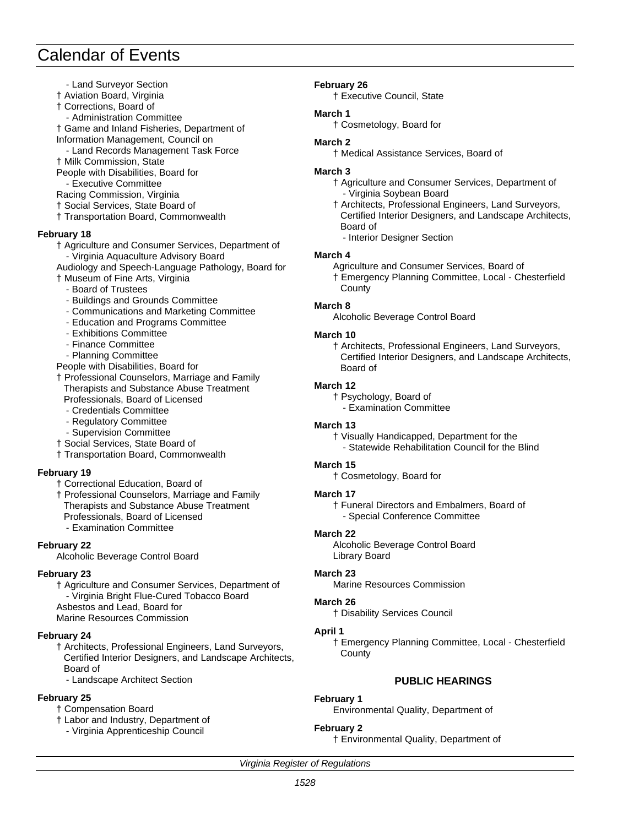- Land Surveyor Section
- † Aviation Board, Virginia
- † Corrections, Board of
- Administration Committee
- † Game and Inland Fisheries, Department of
- Information Management, Council on
- Land Records Management Task Force † Milk Commission, State
- People with Disabilities, Board for
- Executive Committee
- Racing Commission, Virginia
- † Social Services, State Board of
- † Transportation Board, Commonwealth

## **February 18**

- † Agriculture and Consumer Services, Department of - Virginia Aquaculture Advisory Board
- Audiology and Speech-Language Pathology, Board for
- † Museum of Fine Arts, Virginia
	- Board of Trustees
	- Buildings and Grounds Committee
	- Communications and Marketing Committee
	- Education and Programs Committee
	- Exhibitions Committee
	- Finance Committee
	- Planning Committee
- People with Disabilities, Board for
- † Professional Counselors, Marriage and Family Therapists and Substance Abuse Treatment
	- Professionals, Board of Licensed
	- Credentials Committee
	- Regulatory Committee
	- Supervision Committee
- † Social Services, State Board of
- † Transportation Board, Commonwealth

## **February 19**

- † Correctional Education, Board of
- † Professional Counselors, Marriage and Family Therapists and Substance Abuse Treatment Professionals, Board of Licensed
	- Examination Committee

## **February 22**

Alcoholic Beverage Control Board

## **February 23**

† Agriculture and Consumer Services, Department of - Virginia Bright Flue-Cured Tobacco Board Asbestos and Lead, Board for Marine Resources Commission

## **February 24**

† Architects, Professional Engineers, Land Surveyors, Certified Interior Designers, and Landscape Architects, Board of

- Landscape Architect Section

## **February 25**

- † Compensation Board
- † Labor and Industry, Department of
	- Virginia Apprenticeship Council

## **February 26**

† Executive Council, State

### **March 1**

† Cosmetology, Board for

## **March 2**

† Medical Assistance Services, Board of

### **March 3**

- † Agriculture and Consumer Services, Department of - Virginia Soybean Board
- † Architects, Professional Engineers, Land Surveyors, Certified Interior Designers, and Landscape Architects, Board of
- Interior Designer Section

## **March 4**

- Agriculture and Consumer Services, Board of
- † Emergency Planning Committee, Local Chesterfield **County**

## **March 8**

Alcoholic Beverage Control Board

## **March 10**

† Architects, Professional Engineers, Land Surveyors, Certified Interior Designers, and Landscape Architects, Board of

## **March 12**

- † Psychology, Board of
- Examination Committee

## **March 13**

† Visually Handicapped, Department for the - Statewide Rehabilitation Council for the Blind

## **March 15**

† Cosmetology, Board for

## **March 17**

† Funeral Directors and Embalmers, Board of - Special Conference Committee

## **March 22**

Alcoholic Beverage Control Board Library Board

## **March 23**

Marine Resources Commission

## **March 26**

† Disability Services Council

## **April 1**

† Emergency Planning Committee, Local - Chesterfield **County** 

## **PUBLIC HEARINGS**

## **February 1**

Environmental Quality, Department of

## **February 2**

† Environmental Quality, Department of